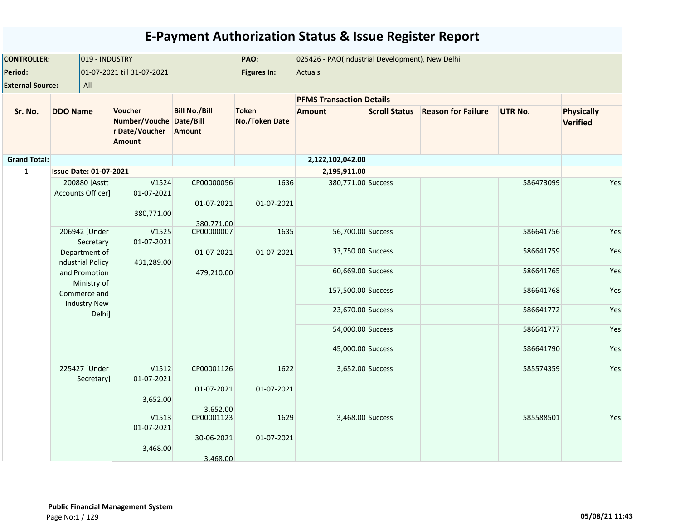| <b>CONTROLLER:</b>      | 019 - INDUSTRY                                             |                                                                       |                                                  | PAO:<br>025426 - PAO(Industrial Development), New Delhi |                                                  |                      |                           |                        |                                      |
|-------------------------|------------------------------------------------------------|-----------------------------------------------------------------------|--------------------------------------------------|---------------------------------------------------------|--------------------------------------------------|----------------------|---------------------------|------------------------|--------------------------------------|
| Period:                 |                                                            | 01-07-2021 till 31-07-2021                                            |                                                  | <b>Figures In:</b>                                      | <b>Actuals</b>                                   |                      |                           |                        |                                      |
| <b>External Source:</b> | $-$ All $-$                                                |                                                                       |                                                  |                                                         |                                                  |                      |                           |                        |                                      |
| Sr. No.                 | <b>DDO Name</b>                                            | Voucher<br>Number/Vouche Date/Bill<br>r Date/Voucher<br><b>Amount</b> | <b>Bill No./Bill</b><br>Amount                   | <b>Token</b><br>No./Token Date                          | <b>PFMS Transaction Details</b><br><b>Amount</b> | <b>Scroll Status</b> | <b>Reason for Failure</b> | <b>UTR No.</b>         | <b>Physically</b><br><b>Verified</b> |
| <b>Grand Total:</b>     |                                                            |                                                                       |                                                  |                                                         | 2,122,102,042.00                                 |                      |                           |                        |                                      |
| $\mathbf 1$             | <b>Issue Date: 01-07-2021</b>                              |                                                                       |                                                  |                                                         | 2,195,911.00                                     |                      |                           |                        |                                      |
|                         | 200880 [Asstt<br>Accounts Officer]                         | V1524<br>01-07-2021<br>380,771.00                                     | CP00000056<br>01-07-2021                         | 1636<br>01-07-2021                                      | 380,771.00 Success                               |                      |                           | 586473099              | Yes                                  |
|                         | 206942 [Under<br>Secretary                                 | V1525<br>01-07-2021                                                   | 380.771.00<br>CP00000007                         | 1635                                                    | 56,700.00 Success                                |                      |                           | 586641756              | Yes                                  |
|                         | Department of<br><b>Industrial Policy</b><br>and Promotion | 431,289.00                                                            | 01-07-2021<br>479,210.00                         | 01-07-2021                                              | 33,750.00 Success<br>60,669.00 Success           |                      |                           | 586641759<br>586641765 | Yes<br>Yes                           |
|                         | Ministry of<br>Commerce and                                |                                                                       |                                                  |                                                         | 157,500.00 Success                               |                      |                           | 586641768              | Yes                                  |
|                         | <b>Industry New</b>                                        |                                                                       |                                                  |                                                         |                                                  |                      |                           |                        |                                      |
|                         | Delhi]                                                     |                                                                       |                                                  |                                                         | 23,670.00 Success                                |                      |                           | 586641772              | Yes                                  |
|                         |                                                            |                                                                       |                                                  |                                                         | 54,000.00 Success                                |                      |                           | 586641777              | Yes                                  |
|                         |                                                            |                                                                       |                                                  |                                                         | 45,000.00 Success                                |                      |                           | 586641790              | Yes                                  |
|                         | 225427 [Under<br>Secretary]                                | V1512<br>01-07-2021<br>3,652.00                                       | CP00001126<br>01-07-2021                         | 1622<br>01-07-2021                                      | 3,652.00 Success                                 |                      |                           | 585574359              | Yes                                  |
|                         |                                                            | V1513<br>01-07-2021<br>3,468.00                                       | 3.652.00<br>CP00001123<br>30-06-2021<br>3.468.00 | 1629<br>01-07-2021                                      | 3,468.00 Success                                 |                      |                           | 585588501              | Yes                                  |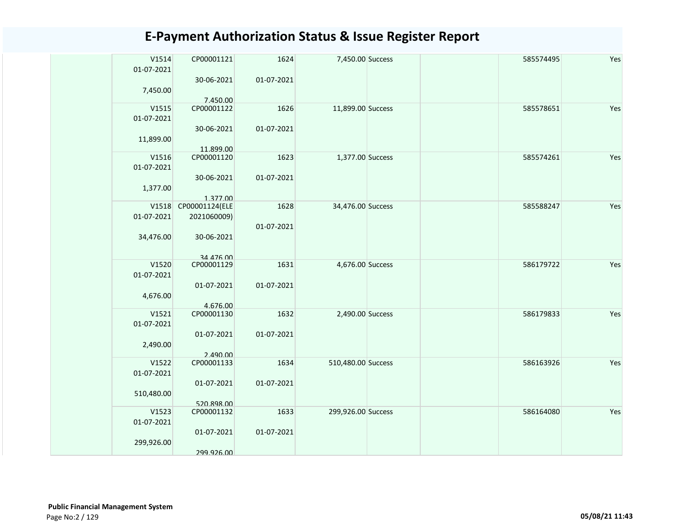| V1514<br>01-07-2021 | CP00001121           | 1624       | 7,450.00 Success   | 585574495 | Yes |
|---------------------|----------------------|------------|--------------------|-----------|-----|
| 7,450.00            | 30-06-2021           | 01-07-2021 |                    |           |     |
|                     | 7.450.00             |            |                    |           |     |
| V1515               | CP00001122           | 1626       | 11,899.00 Success  | 585578651 | Yes |
| 01-07-2021          |                      |            |                    |           |     |
|                     | 30-06-2021           | 01-07-2021 |                    |           |     |
|                     |                      |            |                    |           |     |
| 11,899.00           |                      |            |                    |           |     |
|                     | 11.899.00            |            |                    |           |     |
| V1516               | CP00001120           | 1623       | 1,377.00 Success   | 585574261 | Yes |
| 01-07-2021          |                      |            |                    |           |     |
|                     | 30-06-2021           | 01-07-2021 |                    |           |     |
| 1,377.00            |                      |            |                    |           |     |
|                     | 1.377.00             |            |                    |           |     |
|                     | V1518 CP00001124(ELE | 1628       | 34,476.00 Success  | 585588247 | Yes |
| 01-07-2021          | 2021060009)          |            |                    |           |     |
|                     |                      |            |                    |           |     |
|                     |                      | 01-07-2021 |                    |           |     |
| 34,476.00           | 30-06-2021           |            |                    |           |     |
|                     |                      |            |                    |           |     |
|                     | 34 476 00            |            |                    |           |     |
| V1520               | CP00001129           | 1631       | 4,676.00 Success   | 586179722 | Yes |
| 01-07-2021          |                      |            |                    |           |     |
|                     | 01-07-2021           | 01-07-2021 |                    |           |     |
|                     |                      |            |                    |           |     |
| 4,676.00            |                      |            |                    |           |     |
|                     | 4.676.00             |            |                    |           |     |
| V1521               | CP00001130           | 1632       | 2,490.00 Success   | 586179833 | Yes |
| 01-07-2021          |                      |            |                    |           |     |
|                     | 01-07-2021           | 01-07-2021 |                    |           |     |
| 2,490.00            |                      |            |                    |           |     |
|                     | 2.490.00             |            |                    |           |     |
| V1522               | CP00001133           | 1634       | 510,480.00 Success | 586163926 | Yes |
| 01-07-2021          |                      |            |                    |           |     |
|                     |                      |            |                    |           |     |
|                     | 01-07-2021           | 01-07-2021 |                    |           |     |
| 510,480.00          |                      |            |                    |           |     |
|                     | 520.898.00           |            |                    |           |     |
| V1523               | CP00001132           | 1633       | 299,926.00 Success | 586164080 | Yes |
| 01-07-2021          |                      |            |                    |           |     |
|                     | 01-07-2021           | 01-07-2021 |                    |           |     |
| 299,926.00          |                      |            |                    |           |     |
|                     | 299.926.00           |            |                    |           |     |
|                     |                      |            |                    |           |     |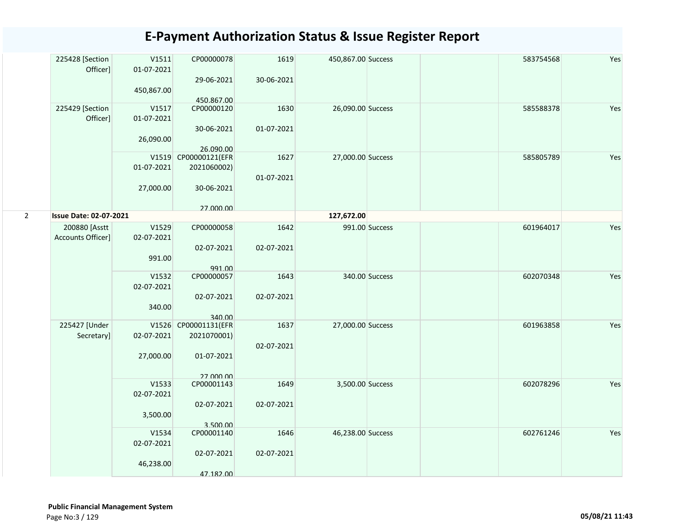|   | 225428 [Section<br>Officer]   | V1511<br>01-07-2021 | CP00000078<br>29-06-2021       | 1619<br>30-06-2021 | 450,867.00 Success | 583754568 | Yes |
|---|-------------------------------|---------------------|--------------------------------|--------------------|--------------------|-----------|-----|
|   |                               | 450,867.00          | 450.867.00                     |                    |                    |           |     |
|   | 225429 [Section<br>Officer]   | V1517<br>01-07-2021 | CP00000120                     | 1630               | 26,090.00 Success  | 585588378 | Yes |
|   |                               | 26,090.00           | 30-06-2021<br>26.090.00        | 01-07-2021         |                    |           |     |
|   |                               |                     | V1519 CP00000121(EFR           | 1627               | 27,000.00 Success  | 585805789 | Yes |
|   |                               | 01-07-2021          | 2021060002)                    | 01-07-2021         |                    |           |     |
|   |                               | 27,000.00           | 30-06-2021                     |                    |                    |           |     |
|   |                               |                     | 27 000 00                      |                    |                    |           |     |
| 2 | <b>Issue Date: 02-07-2021</b> |                     |                                |                    | 127,672.00         |           |     |
|   | 200880 [Asstt                 | V1529               | CP00000058                     | 1642               | 991.00 Success     | 601964017 | Yes |
|   | Accounts Officer]             | 02-07-2021          |                                |                    |                    |           |     |
|   |                               |                     | 02-07-2021                     | 02-07-2021         |                    |           |     |
|   |                               |                     |                                |                    |                    |           |     |
|   |                               | 991.00              |                                |                    |                    |           |     |
|   |                               | V1532               | 991.00<br>CP00000057           | 1643               | 340.00 Success     | 602070348 | Yes |
|   |                               | 02-07-2021          |                                |                    |                    |           |     |
|   |                               |                     |                                |                    |                    |           |     |
|   |                               |                     | 02-07-2021                     | 02-07-2021         |                    |           |     |
|   |                               | 340.00              |                                |                    |                    |           |     |
|   | 225427 [Under                 |                     | 340.00<br>V1526 CP00001131(EFR | 1637               | 27,000.00 Success  | 601963858 | Yes |
|   | Secretary]                    | 02-07-2021          | 2021070001)                    |                    |                    |           |     |
|   |                               |                     |                                |                    |                    |           |     |
|   |                               | 27,000.00           | 01-07-2021                     | 02-07-2021         |                    |           |     |
|   |                               |                     | 27 000 00                      |                    |                    |           |     |
|   |                               | V1533               | CP00001143                     | 1649               | 3,500.00 Success   | 602078296 | Yes |
|   |                               | 02-07-2021          |                                |                    |                    |           |     |
|   |                               |                     | 02-07-2021                     | 02-07-2021         |                    |           |     |
|   |                               | 3,500.00            |                                |                    |                    |           |     |
|   |                               |                     | 3.500.00                       |                    |                    |           |     |
|   |                               | V1534               | CP00001140                     | 1646               | 46,238.00 Success  | 602761246 | Yes |
|   |                               | 02-07-2021          |                                |                    |                    |           |     |
|   |                               |                     | 02-07-2021                     | 02-07-2021         |                    |           |     |
|   |                               | 46,238.00           |                                |                    |                    |           |     |
|   |                               |                     | 47.182.00                      |                    |                    |           |     |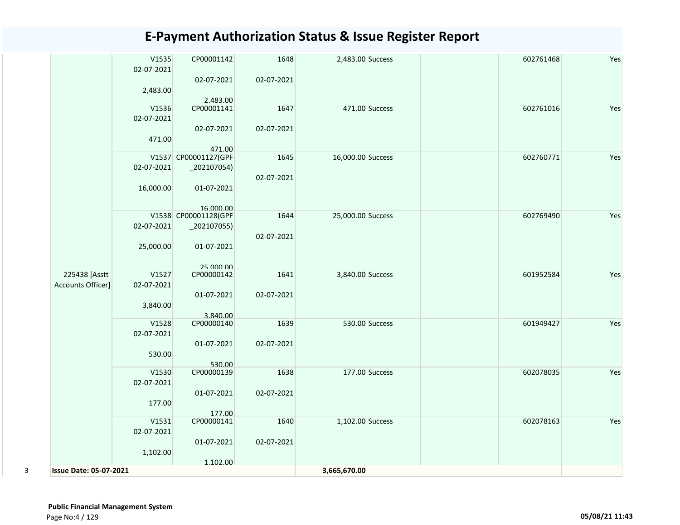|   |                               | V1535      | CP00001142                        | 1648       | 2,483.00 Success  | 602761468 | Yes |
|---|-------------------------------|------------|-----------------------------------|------------|-------------------|-----------|-----|
|   |                               | 02-07-2021 |                                   |            |                   |           |     |
|   |                               |            | 02-07-2021                        | 02-07-2021 |                   |           |     |
|   |                               | 2,483.00   |                                   |            |                   |           |     |
|   |                               | V1536      | 2.483.00<br>CP00001141            | 1647       | 471.00 Success    | 602761016 | Yes |
|   |                               | 02-07-2021 |                                   |            |                   |           |     |
|   |                               |            |                                   | 02-07-2021 |                   |           |     |
|   |                               |            | 02-07-2021                        |            |                   |           |     |
|   |                               | 471.00     |                                   |            |                   |           |     |
|   |                               |            | 471.00<br>V1537 CP00001127(GPF    | 1645       | 16,000.00 Success | 602760771 | Yes |
|   |                               | 02-07-2021 | $\left[202107054\right)$          |            |                   |           |     |
|   |                               |            |                                   | 02-07-2021 |                   |           |     |
|   |                               |            |                                   |            |                   |           |     |
|   |                               | 16,000.00  | 01-07-2021                        |            |                   |           |     |
|   |                               |            |                                   |            |                   |           |     |
|   |                               |            | 16,000,00<br>V1538 CP00001128(GPF | 1644       | 25,000.00 Success | 602769490 | Yes |
|   |                               | 02-07-2021 | $_2$ 02107055)                    |            |                   |           |     |
|   |                               |            |                                   | 02-07-2021 |                   |           |     |
|   |                               | 25,000.00  | 01-07-2021                        |            |                   |           |     |
|   |                               |            |                                   |            |                   |           |     |
|   |                               |            | 25 000 00                         |            |                   |           |     |
|   | 225438 [Asstt                 | V1527      | CP00000142                        | 1641       | 3,840.00 Success  | 601952584 | Yes |
|   | Accounts Officer]             | 02-07-2021 |                                   |            |                   |           |     |
|   |                               |            | 01-07-2021                        | 02-07-2021 |                   |           |     |
|   |                               | 3,840.00   |                                   |            |                   |           |     |
|   |                               |            | 3.840.00                          |            |                   |           |     |
|   |                               | V1528      | CP00000140                        | 1639       | 530.00 Success    | 601949427 | Yes |
|   |                               | 02-07-2021 |                                   |            |                   |           |     |
|   |                               |            | 01-07-2021                        | 02-07-2021 |                   |           |     |
|   |                               | 530.00     |                                   |            |                   |           |     |
|   |                               |            | 530.00                            |            |                   |           |     |
|   |                               | V1530      | CP00000139                        | 1638       | 177.00 Success    | 602078035 | Yes |
|   |                               | 02-07-2021 |                                   |            |                   |           |     |
|   |                               |            | 01-07-2021                        | 02-07-2021 |                   |           |     |
|   |                               | 177.00     |                                   |            |                   |           |     |
|   |                               |            | 177.00                            |            |                   |           |     |
|   |                               | V1531      | CP00000141                        | 1640       | 1,102.00 Success  | 602078163 | Yes |
|   |                               | 02-07-2021 |                                   |            |                   |           |     |
|   |                               |            | 01-07-2021                        | 02-07-2021 |                   |           |     |
|   |                               | 1,102.00   |                                   |            |                   |           |     |
|   |                               |            | 1.102.00                          |            |                   |           |     |
| 3 | <b>Issue Date: 05-07-2021</b> |            |                                   |            | 3,665,670.00      |           |     |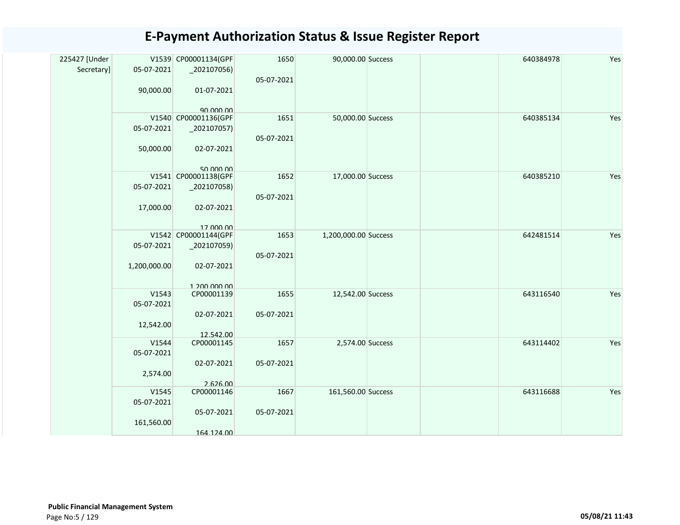| 225427 [Under |                     | V1539 CP00001134(GPF              | 1650       | 90,000.00 Success    | 640384978 | Yes |
|---------------|---------------------|-----------------------------------|------------|----------------------|-----------|-----|
| Secretary]    | 05-07-2021          | $_2$ 02107056)                    |            |                      |           |     |
|               |                     |                                   | 05-07-2021 |                      |           |     |
|               | 90,000.00           | 01-07-2021                        |            |                      |           |     |
|               |                     |                                   |            |                      |           |     |
|               |                     | 90,000,00<br>V1540 CP00001136(GPF | 1651       | 50,000.00 Success    | 640385134 | Yes |
|               | 05-07-2021          | $_2$ 02107057)                    |            |                      |           |     |
|               |                     |                                   | 05-07-2021 |                      |           |     |
|               | 50,000.00           | 02-07-2021                        |            |                      |           |     |
|               |                     |                                   |            |                      |           |     |
|               |                     | 50.000.00                         |            |                      |           |     |
|               |                     | V1541 CP00001138(GPF              | 1652       | 17,000.00 Success    | 640385210 | Yes |
|               | 05-07-2021          | _202107058)                       |            |                      |           |     |
|               |                     |                                   | 05-07-2021 |                      |           |     |
|               | 17,000.00           | 02-07-2021                        |            |                      |           |     |
|               |                     | 17 000 00                         |            |                      |           |     |
|               |                     | V1542 CP00001144(GPF              | 1653       | 1,200,000.00 Success | 642481514 | Yes |
|               | 05-07-2021          | $_2$ 02107059)                    |            |                      |           |     |
|               |                     |                                   | 05-07-2021 |                      |           |     |
|               | 1,200,000.00        | 02-07-2021                        |            |                      |           |     |
|               |                     |                                   |            |                      |           |     |
|               |                     | 1 200 000 00                      |            |                      |           |     |
|               | V1543<br>05-07-2021 | CP00001139                        | 1655       | 12,542.00 Success    | 643116540 | Yes |
|               |                     | 02-07-2021                        | 05-07-2021 |                      |           |     |
|               | 12,542.00           |                                   |            |                      |           |     |
|               |                     | 12.542.00                         |            |                      |           |     |
|               | V1544               | CP00001145                        | 1657       | 2,574.00 Success     | 643114402 | Yes |
|               | 05-07-2021          |                                   |            |                      |           |     |
|               |                     | 02-07-2021                        | 05-07-2021 |                      |           |     |
|               | 2,574.00            |                                   |            |                      |           |     |
|               |                     | 2.626.00                          |            |                      |           |     |
|               | V1545               | CP00001146                        | 1667       | 161,560.00 Success   | 643116688 | Yes |
|               | 05-07-2021          | 05-07-2021                        | 05-07-2021 |                      |           |     |
|               | 161,560.00          |                                   |            |                      |           |     |
|               |                     | 164.124.00                        |            |                      |           |     |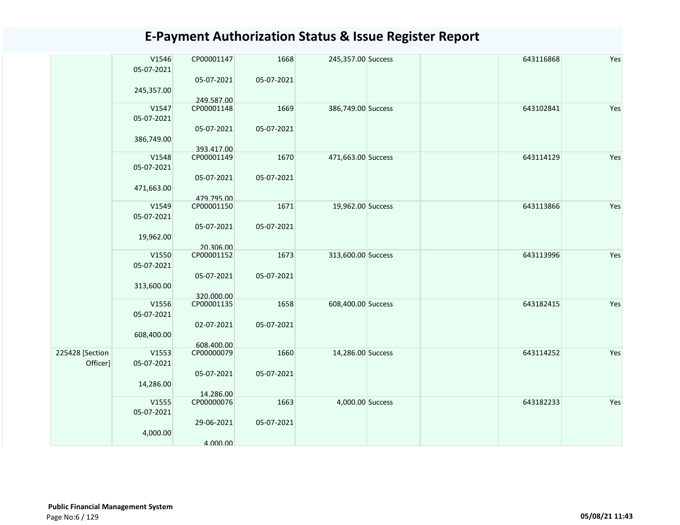|                 | V1546      | CP00001147               | 1668       | 245,357.00 Success | 643116868 | Yes |
|-----------------|------------|--------------------------|------------|--------------------|-----------|-----|
|                 | 05-07-2021 |                          |            |                    |           |     |
|                 |            | 05-07-2021               | 05-07-2021 |                    |           |     |
|                 | 245,357.00 |                          |            |                    |           |     |
|                 | V1547      | 249.587.00<br>CP00001148 | 1669       | 386,749.00 Success | 643102841 | Yes |
|                 | 05-07-2021 |                          |            |                    |           |     |
|                 |            | 05-07-2021               | 05-07-2021 |                    |           |     |
|                 |            |                          |            |                    |           |     |
|                 | 386,749.00 | 393.417.00               |            |                    |           |     |
|                 | V1548      | CP00001149               | 1670       | 471,663.00 Success | 643114129 | Yes |
|                 | 05-07-2021 |                          |            |                    |           |     |
|                 |            | 05-07-2021               | 05-07-2021 |                    |           |     |
|                 | 471,663.00 |                          |            |                    |           |     |
|                 |            | 479.795.00               |            |                    |           |     |
|                 | V1549      | CP00001150               | 1671       | 19,962.00 Success  | 643113866 | Yes |
|                 | 05-07-2021 |                          |            |                    |           |     |
|                 |            | 05-07-2021               | 05-07-2021 |                    |           |     |
|                 | 19,962.00  |                          |            |                    |           |     |
|                 |            | 20.306.00                |            |                    |           |     |
|                 | V1550      | CP00001152               | 1673       | 313,600.00 Success | 643113996 | Yes |
|                 | 05-07-2021 |                          |            |                    |           |     |
|                 |            | 05-07-2021               | 05-07-2021 |                    |           |     |
|                 | 313,600.00 |                          |            |                    |           |     |
|                 |            | 320.000.00               |            |                    |           |     |
|                 | V1556      | CP00001135               | 1658       | 608,400.00 Success | 643182415 | Yes |
|                 | 05-07-2021 |                          |            |                    |           |     |
|                 |            | 02-07-2021               | 05-07-2021 |                    |           |     |
|                 | 608,400.00 |                          |            |                    |           |     |
| 225428 [Section | V1553      | 608.400.00<br>CP00000079 | 1660       | 14,286.00 Success  | 643114252 | Yes |
| Officer]        | 05-07-2021 |                          |            |                    |           |     |
|                 |            | 05-07-2021               | 05-07-2021 |                    |           |     |
|                 | 14,286.00  |                          |            |                    |           |     |
|                 |            | 14.286.00                |            |                    |           |     |
|                 | V1555      | CP00000076               | 1663       | 4,000.00 Success   | 643182233 | Yes |
|                 | 05-07-2021 |                          |            |                    |           |     |
|                 |            | 29-06-2021               | 05-07-2021 |                    |           |     |
|                 | 4,000.00   |                          |            |                    |           |     |
|                 |            | 4.000.00                 |            |                    |           |     |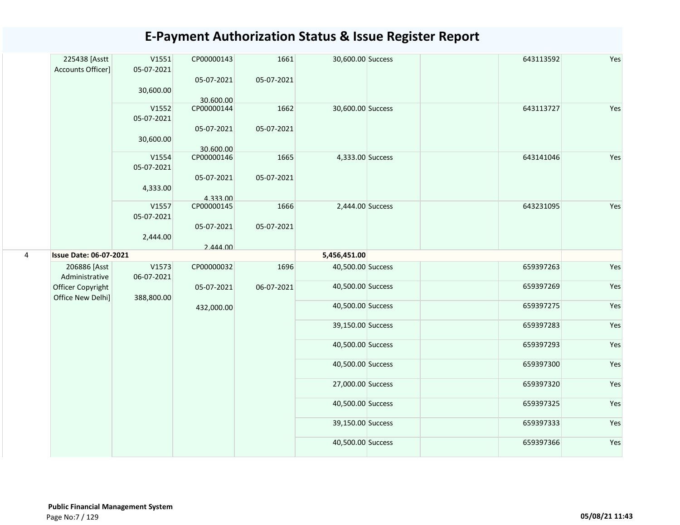|   | 225438 [Asstt                 | V1551      | CP00000143             | 1661       | 30,600.00 Success |  | 643113592 | Yes |
|---|-------------------------------|------------|------------------------|------------|-------------------|--|-----------|-----|
|   | Accounts Officer]             | 05-07-2021 | 05-07-2021             | 05-07-2021 |                   |  |           |     |
|   |                               | 30,600.00  |                        |            |                   |  |           |     |
|   |                               |            | 30.600.00              |            |                   |  |           |     |
|   |                               | V1552      | CP00000144             | 1662       | 30,600.00 Success |  | 643113727 | Yes |
|   |                               | 05-07-2021 |                        |            |                   |  |           |     |
|   |                               |            | 05-07-2021             | 05-07-2021 |                   |  |           |     |
|   |                               | 30,600.00  | 30.600.00              |            |                   |  |           |     |
|   |                               | V1554      | CP00000146             | 1665       | 4,333.00 Success  |  | 643141046 | Yes |
|   |                               | 05-07-2021 |                        |            |                   |  |           |     |
|   |                               |            | 05-07-2021             | 05-07-2021 |                   |  |           |     |
|   |                               | 4,333.00   |                        |            |                   |  |           |     |
|   |                               | V1557      | 4.333.00<br>CP00000145 | 1666       | 2,444.00 Success  |  | 643231095 | Yes |
|   |                               | 05-07-2021 |                        |            |                   |  |           |     |
|   |                               |            | 05-07-2021             | 05-07-2021 |                   |  |           |     |
|   |                               | 2,444.00   |                        |            |                   |  |           |     |
| 4 | <b>Issue Date: 06-07-2021</b> |            | 2.444.00               |            | 5,456,451.00      |  |           |     |
|   | 206886 [Asst                  | V1573      | CP00000032             | 1696       | 40,500.00 Success |  | 659397263 | Yes |
|   | Administrative                | 06-07-2021 |                        |            |                   |  |           |     |
|   | Officer Copyright             |            | 05-07-2021             | 06-07-2021 | 40,500.00 Success |  | 659397269 | Yes |
|   | Office New Delhi]             | 388,800.00 |                        |            |                   |  |           |     |
|   |                               |            | 432,000.00             |            | 40,500.00 Success |  | 659397275 | Yes |
|   |                               |            |                        |            | 39,150.00 Success |  | 659397283 | Yes |
|   |                               |            |                        |            |                   |  |           |     |
|   |                               |            |                        |            | 40,500.00 Success |  | 659397293 | Yes |
|   |                               |            |                        |            |                   |  |           |     |
|   |                               |            |                        |            | 40,500.00 Success |  | 659397300 | Yes |
|   |                               |            |                        |            | 27,000.00 Success |  | 659397320 | Yes |
|   |                               |            |                        |            |                   |  |           |     |
|   |                               |            |                        |            | 40,500.00 Success |  | 659397325 | Yes |
|   |                               |            |                        |            | 39,150.00 Success |  | 659397333 | Yes |
|   |                               |            |                        |            |                   |  |           |     |
|   |                               |            |                        |            | 40,500.00 Success |  | 659397366 | Yes |
|   |                               |            |                        |            |                   |  |           |     |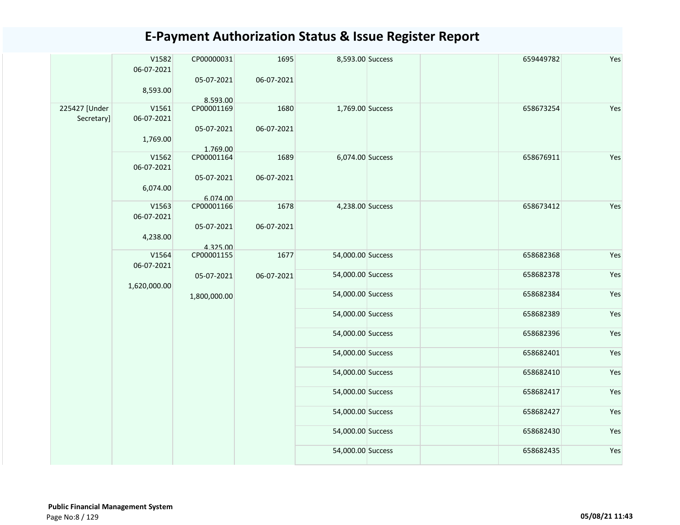|               | V1582        | CP00000031             | 1695       | 8,593.00 Success  |  | 659449782 | Yes |
|---------------|--------------|------------------------|------------|-------------------|--|-----------|-----|
|               | 06-07-2021   | 05-07-2021             | 06-07-2021 |                   |  |           |     |
|               | 8,593.00     |                        |            |                   |  |           |     |
| 225427 [Under | V1561        | 8.593.00<br>CP00001169 | 1680       | 1,769.00 Success  |  | 658673254 | Yes |
| Secretary]    | 06-07-2021   |                        |            |                   |  |           |     |
|               | 1,769.00     | 05-07-2021             | 06-07-2021 |                   |  |           |     |
|               | V1562        | 1.769.00<br>CP00001164 | 1689       | 6,074.00 Success  |  | 658676911 | Yes |
|               | 06-07-2021   |                        |            |                   |  |           |     |
|               |              | 05-07-2021             | 06-07-2021 |                   |  |           |     |
|               | 6,074.00     | 6.074.00               |            |                   |  |           |     |
|               | V1563        | CP00001166             | 1678       | 4,238.00 Success  |  | 658673412 | Yes |
|               | 06-07-2021   |                        |            |                   |  |           |     |
|               |              | 05-07-2021             | 06-07-2021 |                   |  |           |     |
|               | 4,238.00     | 4.325.00               |            |                   |  |           |     |
|               | V1564        | CP00001155             | 1677       | 54,000.00 Success |  | 658682368 | Yes |
|               | 06-07-2021   |                        |            |                   |  |           |     |
|               | 1,620,000.00 | 05-07-2021             | 06-07-2021 | 54,000.00 Success |  | 658682378 | Yes |
|               |              | 1,800,000.00           |            | 54,000.00 Success |  | 658682384 | Yes |
|               |              |                        |            | 54,000.00 Success |  | 658682389 | Yes |
|               |              |                        |            | 54,000.00 Success |  | 658682396 | Yes |
|               |              |                        |            | 54,000.00 Success |  | 658682401 | Yes |
|               |              |                        |            | 54,000.00 Success |  | 658682410 | Yes |
|               |              |                        |            | 54,000.00 Success |  | 658682417 | Yes |
|               |              |                        |            | 54,000.00 Success |  | 658682427 | Yes |
|               |              |                        |            | 54,000.00 Success |  | 658682430 | Yes |
|               |              |                        |            | 54,000.00 Success |  | 658682435 | Yes |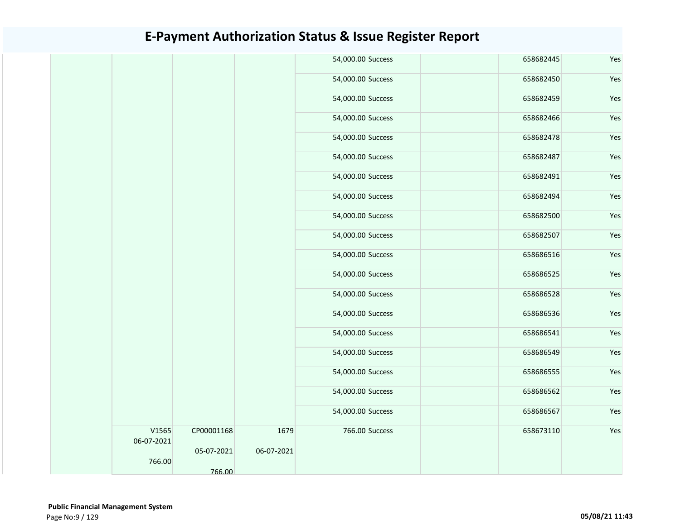|                     |                      |            | 54,000.00 Success |                | 658682445 | Yes |
|---------------------|----------------------|------------|-------------------|----------------|-----------|-----|
|                     |                      |            | 54,000.00 Success |                | 658682450 | Yes |
|                     |                      |            | 54,000.00 Success |                | 658682459 | Yes |
|                     |                      |            | 54,000.00 Success |                | 658682466 | Yes |
|                     |                      |            | 54,000.00 Success |                | 658682478 | Yes |
|                     |                      |            | 54,000.00 Success |                | 658682487 | Yes |
|                     |                      |            | 54,000.00 Success |                | 658682491 | Yes |
|                     |                      |            | 54,000.00 Success |                | 658682494 | Yes |
|                     |                      |            | 54,000.00 Success |                | 658682500 | Yes |
|                     |                      |            | 54,000.00 Success |                | 658682507 | Yes |
|                     |                      |            | 54,000.00 Success |                | 658686516 | Yes |
|                     |                      |            | 54,000.00 Success |                | 658686525 | Yes |
|                     |                      |            | 54,000.00 Success |                | 658686528 | Yes |
|                     |                      |            | 54,000.00 Success |                | 658686536 | Yes |
|                     |                      |            | 54,000.00 Success |                | 658686541 | Yes |
|                     |                      |            | 54,000.00 Success |                | 658686549 | Yes |
|                     |                      |            | 54,000.00 Success |                | 658686555 | Yes |
|                     |                      |            | 54,000.00 Success |                | 658686562 | Yes |
|                     |                      |            | 54,000.00 Success |                | 658686567 | Yes |
| V1565<br>06-07-2021 | CP00001168           | 1679       |                   | 766.00 Success | 658673110 | Yes |
| 766.00              | 05-07-2021<br>766.00 | 06-07-2021 |                   |                |           |     |
|                     |                      |            |                   |                |           |     |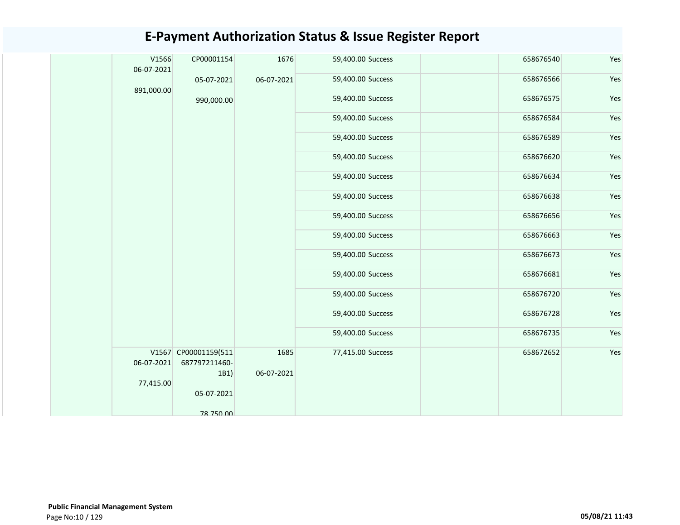| 06-07-2021 | V1566<br>CP00001154                           | 1676               | 59,400.00 Success |  |           | 658676540 | Yes |
|------------|-----------------------------------------------|--------------------|-------------------|--|-----------|-----------|-----|
| 891,000.00 | 05-07-2021                                    | 06-07-2021         | 59,400.00 Success |  | 658676566 | Yes       |     |
|            | 990,000.00                                    |                    | 59,400.00 Success |  |           | 658676575 | Yes |
|            |                                               |                    | 59,400.00 Success |  |           | 658676584 | Yes |
|            |                                               |                    | 59,400.00 Success |  |           | 658676589 | Yes |
|            |                                               |                    | 59,400.00 Success |  |           | 658676620 | Yes |
|            |                                               |                    | 59,400.00 Success |  |           | 658676634 | Yes |
|            |                                               |                    | 59,400.00 Success |  |           | 658676638 | Yes |
|            |                                               |                    | 59,400.00 Success |  |           | 658676656 | Yes |
|            |                                               |                    | 59,400.00 Success |  |           | 658676663 | Yes |
|            |                                               |                    | 59,400.00 Success |  |           | 658676673 | Yes |
|            |                                               |                    | 59,400.00 Success |  |           | 658676681 | Yes |
|            |                                               |                    | 59,400.00 Success |  |           | 658676720 | Yes |
|            |                                               |                    | 59,400.00 Success |  |           | 658676728 | Yes |
|            |                                               |                    | 59,400.00 Success |  |           | 658676735 | Yes |
| 06-07-2021 | V1567 CP00001159(511<br>687797211460-<br>1B1) | 1685<br>06-07-2021 | 77,415.00 Success |  |           | 658672652 | Yes |
| 77,415.00  | 05-07-2021                                    |                    |                   |  |           |           |     |
|            | 78 750 00                                     |                    |                   |  |           |           |     |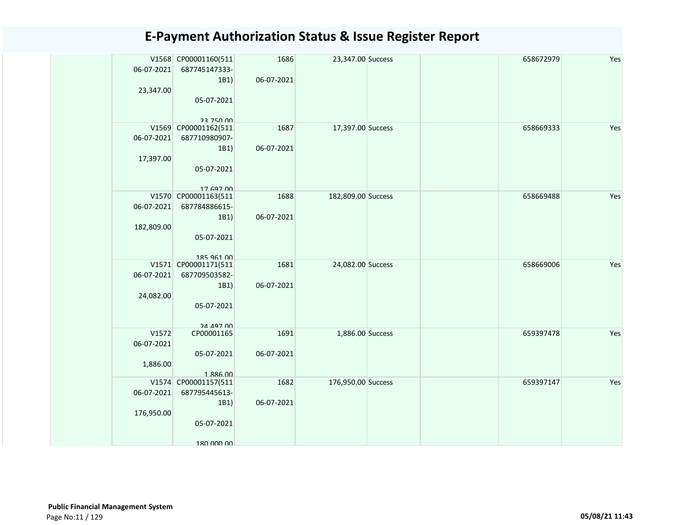| 06-07-2021 | V1568 CP00001160(511<br>687745147333- | 1686       | 23,347.00 Success  | 658672979 | Yes |
|------------|---------------------------------------|------------|--------------------|-----------|-----|
|            | 1B1)                                  | 06-07-2021 |                    |           |     |
| 23,347.00  |                                       |            |                    |           |     |
|            | 05-07-2021                            |            |                    |           |     |
|            |                                       |            |                    |           |     |
|            | 23 750 00                             |            |                    |           |     |
|            | V1569 CP00001162(511                  | 1687       | 17,397.00 Success  | 658669333 | Yes |
| 06-07-2021 | 687710980907-                         |            |                    |           |     |
|            | 1B1)                                  | 06-07-2021 |                    |           |     |
| 17,397.00  | 05-07-2021                            |            |                    |           |     |
|            | 17 697 00                             |            |                    |           |     |
|            | V1570 CP00001163(511                  | 1688       | 182,809.00 Success | 658669488 | Yes |
| 06-07-2021 | 687784886615-                         |            |                    |           |     |
|            | 1B1)                                  | 06-07-2021 |                    |           |     |
| 182,809.00 |                                       |            |                    |           |     |
|            | 05-07-2021                            |            |                    |           |     |
|            |                                       |            |                    |           |     |
|            | 185 961 00                            |            |                    |           | Yes |
| 06-07-2021 | V1571 CP00001171(511                  | 1681       | 24,082.00 Success  | 658669006 |     |
|            | 687709503582-<br>1B1)                 | 06-07-2021 |                    |           |     |
| 24,082.00  |                                       |            |                    |           |     |
|            | 05-07-2021                            |            |                    |           |     |
|            |                                       |            |                    |           |     |
|            | <b>24 497 00</b>                      |            |                    |           |     |
| V1572      | CP00001165                            | 1691       | 1,886.00 Success   | 659397478 | Yes |
| 06-07-2021 |                                       |            |                    |           |     |
|            | 05-07-2021                            | 06-07-2021 |                    |           |     |
| 1,886.00   |                                       |            |                    |           |     |
|            | 1.886.00                              |            |                    |           |     |
| V1574      | CP00001157(511                        | 1682       | 176,950.00 Success | 659397147 | Yes |
| 06-07-2021 | 687795445613-                         |            |                    |           |     |
|            | 1B1)                                  | 06-07-2021 |                    |           |     |
| 176,950.00 |                                       |            |                    |           |     |
|            | 05-07-2021                            |            |                    |           |     |
|            |                                       |            |                    |           |     |
|            | 1.80 000 00                           |            |                    |           |     |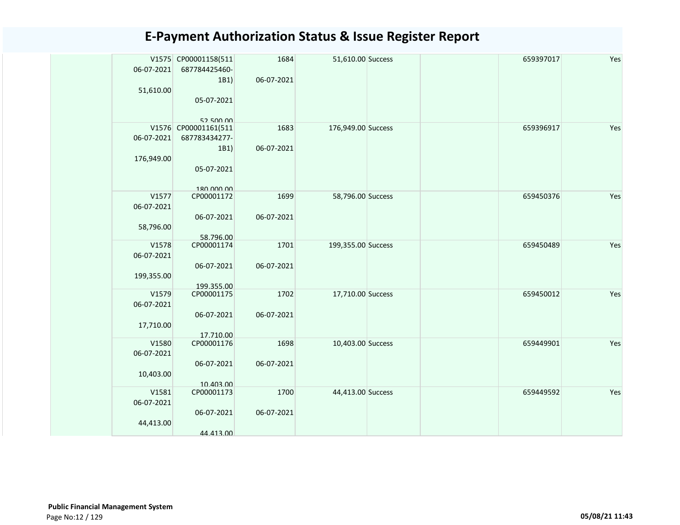| 06-07-2021<br>06-07-2021<br>1B1)<br>51,610.00<br>05-07-2021<br>52 500 00<br>V1576 CP00001161(511<br>1683<br>176,949.00 Success<br>659396917<br>Yes<br>06-07-2021<br>687783434277-<br>06-07-2021<br>1B1)<br>176,949.00<br>05-07-2021<br>1.80 000 00<br>V1577<br>1699<br>CP00001172<br>58,796.00 Success<br>659450376<br>06-07-2021<br>06-07-2021<br>06-07-2021<br>58,796.00<br>58.796.00<br>V1578<br>CP00001174<br>1701<br>Yes<br>199,355.00 Success<br>659450489<br>06-07-2021<br>06-07-2021<br>06-07-2021<br>199,355.00<br>199.355.00<br>V1579<br>1702<br>17,710.00 Success<br>CP00001175<br>659450012<br>06-07-2021<br>06-07-2021<br>06-07-2021<br>17,710.00<br>17.710.00<br>V1580<br>CP00001176<br>1698<br>10,403.00 Success<br>659449901<br>Yes<br>06-07-2021<br>06-07-2021<br>06-07-2021<br>10,403.00<br>10.403.00<br>V1581<br>CP00001173<br>1700<br>44,413.00 Success<br>Yes<br>659449592 | V1575 CP00001158(511 | 1684 | 51,610.00 Success |  | 659397017 | Yes |
|-------------------------------------------------------------------------------------------------------------------------------------------------------------------------------------------------------------------------------------------------------------------------------------------------------------------------------------------------------------------------------------------------------------------------------------------------------------------------------------------------------------------------------------------------------------------------------------------------------------------------------------------------------------------------------------------------------------------------------------------------------------------------------------------------------------------------------------------------------------------------------------------------|----------------------|------|-------------------|--|-----------|-----|
|                                                                                                                                                                                                                                                                                                                                                                                                                                                                                                                                                                                                                                                                                                                                                                                                                                                                                                 | 687784425460-        |      |                   |  |           |     |
|                                                                                                                                                                                                                                                                                                                                                                                                                                                                                                                                                                                                                                                                                                                                                                                                                                                                                                 |                      |      |                   |  |           |     |
|                                                                                                                                                                                                                                                                                                                                                                                                                                                                                                                                                                                                                                                                                                                                                                                                                                                                                                 |                      |      |                   |  |           |     |
|                                                                                                                                                                                                                                                                                                                                                                                                                                                                                                                                                                                                                                                                                                                                                                                                                                                                                                 |                      |      |                   |  |           |     |
|                                                                                                                                                                                                                                                                                                                                                                                                                                                                                                                                                                                                                                                                                                                                                                                                                                                                                                 |                      |      |                   |  |           |     |
|                                                                                                                                                                                                                                                                                                                                                                                                                                                                                                                                                                                                                                                                                                                                                                                                                                                                                                 |                      |      |                   |  |           |     |
|                                                                                                                                                                                                                                                                                                                                                                                                                                                                                                                                                                                                                                                                                                                                                                                                                                                                                                 |                      |      |                   |  |           |     |
|                                                                                                                                                                                                                                                                                                                                                                                                                                                                                                                                                                                                                                                                                                                                                                                                                                                                                                 |                      |      |                   |  |           |     |
|                                                                                                                                                                                                                                                                                                                                                                                                                                                                                                                                                                                                                                                                                                                                                                                                                                                                                                 |                      |      |                   |  |           |     |
|                                                                                                                                                                                                                                                                                                                                                                                                                                                                                                                                                                                                                                                                                                                                                                                                                                                                                                 |                      |      |                   |  |           |     |
|                                                                                                                                                                                                                                                                                                                                                                                                                                                                                                                                                                                                                                                                                                                                                                                                                                                                                                 |                      |      |                   |  |           |     |
|                                                                                                                                                                                                                                                                                                                                                                                                                                                                                                                                                                                                                                                                                                                                                                                                                                                                                                 |                      |      |                   |  |           | Yes |
|                                                                                                                                                                                                                                                                                                                                                                                                                                                                                                                                                                                                                                                                                                                                                                                                                                                                                                 |                      |      |                   |  |           |     |
|                                                                                                                                                                                                                                                                                                                                                                                                                                                                                                                                                                                                                                                                                                                                                                                                                                                                                                 |                      |      |                   |  |           |     |
|                                                                                                                                                                                                                                                                                                                                                                                                                                                                                                                                                                                                                                                                                                                                                                                                                                                                                                 |                      |      |                   |  |           |     |
|                                                                                                                                                                                                                                                                                                                                                                                                                                                                                                                                                                                                                                                                                                                                                                                                                                                                                                 |                      |      |                   |  |           |     |
|                                                                                                                                                                                                                                                                                                                                                                                                                                                                                                                                                                                                                                                                                                                                                                                                                                                                                                 |                      |      |                   |  |           |     |
|                                                                                                                                                                                                                                                                                                                                                                                                                                                                                                                                                                                                                                                                                                                                                                                                                                                                                                 |                      |      |                   |  |           |     |
|                                                                                                                                                                                                                                                                                                                                                                                                                                                                                                                                                                                                                                                                                                                                                                                                                                                                                                 |                      |      |                   |  |           |     |
|                                                                                                                                                                                                                                                                                                                                                                                                                                                                                                                                                                                                                                                                                                                                                                                                                                                                                                 |                      |      |                   |  |           |     |
|                                                                                                                                                                                                                                                                                                                                                                                                                                                                                                                                                                                                                                                                                                                                                                                                                                                                                                 |                      |      |                   |  |           | Yes |
|                                                                                                                                                                                                                                                                                                                                                                                                                                                                                                                                                                                                                                                                                                                                                                                                                                                                                                 |                      |      |                   |  |           |     |
|                                                                                                                                                                                                                                                                                                                                                                                                                                                                                                                                                                                                                                                                                                                                                                                                                                                                                                 |                      |      |                   |  |           |     |
|                                                                                                                                                                                                                                                                                                                                                                                                                                                                                                                                                                                                                                                                                                                                                                                                                                                                                                 |                      |      |                   |  |           |     |
|                                                                                                                                                                                                                                                                                                                                                                                                                                                                                                                                                                                                                                                                                                                                                                                                                                                                                                 |                      |      |                   |  |           |     |
|                                                                                                                                                                                                                                                                                                                                                                                                                                                                                                                                                                                                                                                                                                                                                                                                                                                                                                 |                      |      |                   |  |           |     |
|                                                                                                                                                                                                                                                                                                                                                                                                                                                                                                                                                                                                                                                                                                                                                                                                                                                                                                 |                      |      |                   |  |           |     |
|                                                                                                                                                                                                                                                                                                                                                                                                                                                                                                                                                                                                                                                                                                                                                                                                                                                                                                 |                      |      |                   |  |           |     |
|                                                                                                                                                                                                                                                                                                                                                                                                                                                                                                                                                                                                                                                                                                                                                                                                                                                                                                 |                      |      |                   |  |           |     |
|                                                                                                                                                                                                                                                                                                                                                                                                                                                                                                                                                                                                                                                                                                                                                                                                                                                                                                 |                      |      |                   |  |           |     |
| 06-07-2021<br>06-07-2021<br>06-07-2021                                                                                                                                                                                                                                                                                                                                                                                                                                                                                                                                                                                                                                                                                                                                                                                                                                                          |                      |      |                   |  |           |     |
| 44,413.00                                                                                                                                                                                                                                                                                                                                                                                                                                                                                                                                                                                                                                                                                                                                                                                                                                                                                       |                      |      |                   |  |           |     |
| 44.413.00                                                                                                                                                                                                                                                                                                                                                                                                                                                                                                                                                                                                                                                                                                                                                                                                                                                                                       |                      |      |                   |  |           |     |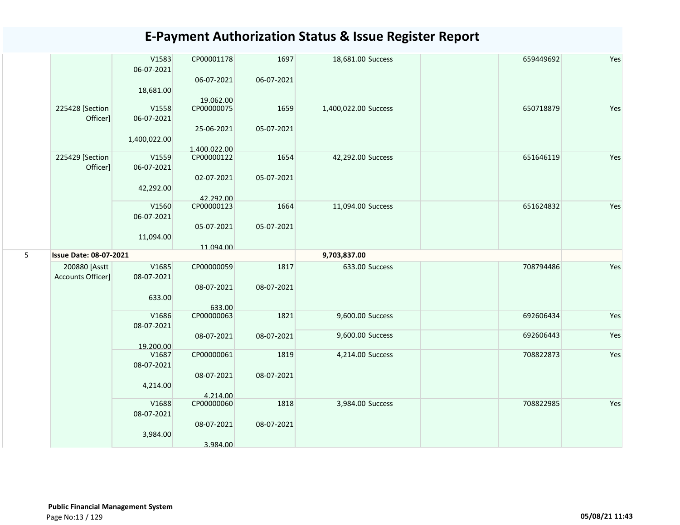|                             | V1583<br>06-07-2021              | CP00001178<br>06-07-2021                                                                                                       | 1697<br>06-07-2021                                                                                                                                    | 18,681.00 Success                                                              | 659449692                                                                                                        | Yes                                                           |
|-----------------------------|----------------------------------|--------------------------------------------------------------------------------------------------------------------------------|-------------------------------------------------------------------------------------------------------------------------------------------------------|--------------------------------------------------------------------------------|------------------------------------------------------------------------------------------------------------------|---------------------------------------------------------------|
|                             |                                  | 19.062.00                                                                                                                      |                                                                                                                                                       |                                                                                |                                                                                                                  |                                                               |
| 225428 [Section<br>Officer] | V1558<br>06-07-2021              | CP00000075                                                                                                                     | 1659                                                                                                                                                  | 1,400,022.00 Success                                                           | 650718879                                                                                                        | Yes                                                           |
|                             | 1,400,022.00                     | 25-06-2021                                                                                                                     | 05-07-2021                                                                                                                                            |                                                                                |                                                                                                                  |                                                               |
|                             |                                  |                                                                                                                                |                                                                                                                                                       |                                                                                |                                                                                                                  |                                                               |
| Officer]                    | 06-07-2021                       |                                                                                                                                |                                                                                                                                                       |                                                                                |                                                                                                                  | Yes                                                           |
|                             | 42,292.00                        |                                                                                                                                |                                                                                                                                                       |                                                                                |                                                                                                                  |                                                               |
|                             |                                  | 42.292.00                                                                                                                      |                                                                                                                                                       |                                                                                |                                                                                                                  |                                                               |
|                             | 06-07-2021                       |                                                                                                                                |                                                                                                                                                       |                                                                                |                                                                                                                  | Yes                                                           |
|                             | 11,094.00                        | 05-07-2021                                                                                                                     | 05-07-2021                                                                                                                                            |                                                                                |                                                                                                                  |                                                               |
|                             |                                  |                                                                                                                                |                                                                                                                                                       |                                                                                |                                                                                                                  |                                                               |
|                             |                                  |                                                                                                                                |                                                                                                                                                       |                                                                                |                                                                                                                  |                                                               |
| Accounts Officer]           | 08-07-2021                       |                                                                                                                                |                                                                                                                                                       |                                                                                |                                                                                                                  | Yes                                                           |
|                             | 633.00                           |                                                                                                                                |                                                                                                                                                       |                                                                                |                                                                                                                  |                                                               |
|                             |                                  | 633.00                                                                                                                         |                                                                                                                                                       |                                                                                |                                                                                                                  |                                                               |
|                             | 08-07-2021                       |                                                                                                                                |                                                                                                                                                       |                                                                                |                                                                                                                  | Yes                                                           |
|                             |                                  | 08-07-2021                                                                                                                     | 08-07-2021                                                                                                                                            | 9,600.00 Success                                                               | 692606443                                                                                                        | Yes                                                           |
|                             | V1687                            | CP00000061                                                                                                                     | 1819                                                                                                                                                  | 4,214.00 Success                                                               | 708822873                                                                                                        | Yes                                                           |
|                             |                                  | 08-07-2021                                                                                                                     | 08-07-2021                                                                                                                                            |                                                                                |                                                                                                                  |                                                               |
|                             |                                  |                                                                                                                                |                                                                                                                                                       |                                                                                |                                                                                                                  |                                                               |
|                             |                                  |                                                                                                                                |                                                                                                                                                       |                                                                                |                                                                                                                  | Yes                                                           |
|                             | 08-07-2021                       |                                                                                                                                |                                                                                                                                                       |                                                                                |                                                                                                                  |                                                               |
|                             | 3,984.00                         |                                                                                                                                |                                                                                                                                                       |                                                                                |                                                                                                                  |                                                               |
|                             |                                  | 3.984.00                                                                                                                       |                                                                                                                                                       |                                                                                |                                                                                                                  |                                                               |
|                             | 225429 [Section<br>200880 [Asstt | 18,681.00<br>V1559<br>V1560<br><b>Issue Date: 08-07-2021</b><br>V1685<br>V1686<br>19.200.00<br>08-07-2021<br>4,214.00<br>V1688 | 1.400.022.00<br>CP00000122<br>02-07-2021<br>CP00000123<br>11.094.00<br>CP00000059<br>08-07-2021<br>CP00000063<br>4.214.00<br>CP00000060<br>08-07-2021 | 1654<br>05-07-2021<br>1664<br>1817<br>08-07-2021<br>1821<br>1818<br>08-07-2021 | 42,292.00 Success<br>11,094.00 Success<br>9,703,837.00<br>633.00 Success<br>9,600.00 Success<br>3,984.00 Success | 651646119<br>651624832<br>708794486<br>692606434<br>708822985 |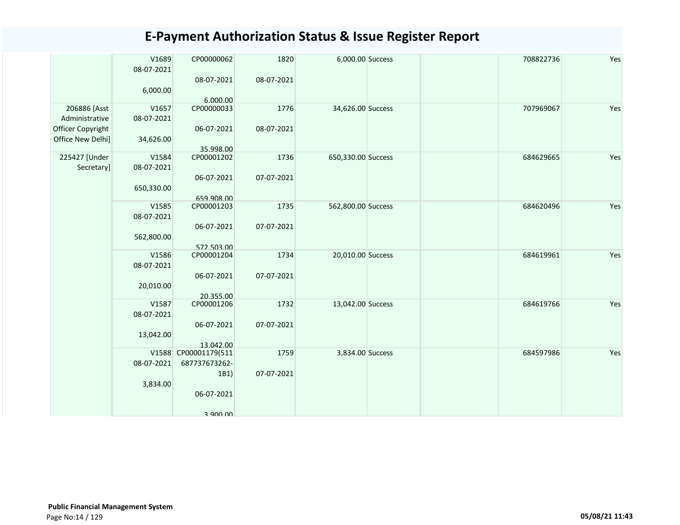|                                        | V1689<br>08-07-2021 | CP00000062                      | 1820       | 6,000.00 Success   | 708822736 | Yes |
|----------------------------------------|---------------------|---------------------------------|------------|--------------------|-----------|-----|
|                                        | 6,000.00            | 08-07-2021                      | 08-07-2021 |                    |           |     |
| 206886 [Asst<br>Administrative         | V1657<br>08-07-2021 | 6.000.00<br>CP00000033          | 1776       | 34,626.00 Success  | 707969067 | Yes |
| Officer Copyright<br>Office New Delhi] | 34,626.00           | 06-07-2021                      | 08-07-2021 |                    |           |     |
| 225427 [Under<br>Secretary]            | V1584<br>08-07-2021 | 35.998.00<br>CP00001202         | 1736       | 650,330.00 Success | 684629665 | Yes |
|                                        | 650,330.00          | 06-07-2021                      | 07-07-2021 |                    |           |     |
|                                        | V1585<br>08-07-2021 | 659.908.00<br>CP00001203        | 1735       | 562,800.00 Success | 684620496 | Yes |
|                                        | 562,800.00          | 06-07-2021                      | 07-07-2021 |                    |           |     |
|                                        | V1586<br>08-07-2021 | 572.503.00<br>CP00001204        | 1734       | 20,010.00 Success  | 684619961 | Yes |
|                                        | 20,010.00           | 06-07-2021<br>20.355.00         | 07-07-2021 |                    |           |     |
|                                        | V1587<br>08-07-2021 | CP00001206                      | 1732       | 13,042.00 Success  | 684619766 | Yes |
|                                        | 13,042.00           | 06-07-2021<br>13.042.00         | 07-07-2021 |                    |           |     |
|                                        | V1588<br>08-07-2021 | CP00001179(511<br>687737673262- | 1759       | 3,834.00 Success   | 684597986 | Yes |
|                                        | 3,834.00            | 1B1)                            | 07-07-2021 |                    |           |     |
|                                        |                     | 06-07-2021                      |            |                    |           |     |
|                                        |                     | a ann nn                        |            |                    |           |     |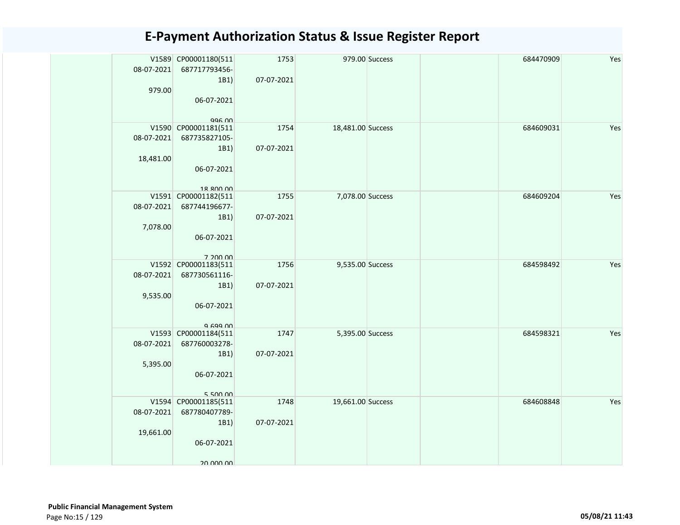| 08-07-2021<br>979.00    | V1589 CP00001180(511<br>687717793456-<br>1B1)<br>06-07-2021<br>996.00         | 1753<br>07-07-2021 |                   | 979.00 Success | 684470909 | Yes |
|-------------------------|-------------------------------------------------------------------------------|--------------------|-------------------|----------------|-----------|-----|
| 08-07-2021<br>18,481.00 | V1590 CP00001181(511<br>687735827105-<br>1B1)<br>06-07-2021<br>18 800 00      | 1754<br>07-07-2021 | 18,481.00 Success |                | 684609031 | Yes |
| 08-07-2021<br>7,078.00  | V1591 CP00001182(511<br>687744196677-<br>1B1)<br>06-07-2021<br>7 200 00       | 1755<br>07-07-2021 | 7,078.00 Success  |                | 684609204 | Yes |
| 08-07-2021<br>9,535.00  | V1592 CP00001183(511<br>687730561116-<br>1B1)<br>06-07-2021<br>$Q$ $6QQ$ $QQ$ | 1756<br>07-07-2021 | 9,535.00 Success  |                | 684598492 | Yes |
| 08-07-2021<br>5,395.00  | V1593 CP00001184(511<br>687760003278-<br>1B1)<br>06-07-2021<br>550000         | 1747<br>07-07-2021 | 5,395.00 Success  |                | 684598321 | Yes |
| 08-07-2021<br>19,661.00 | V1594 CP00001185(511<br>687780407789-<br>1B1)<br>06-07-2021<br>20 000 00      | 1748<br>07-07-2021 | 19,661.00 Success |                | 684608848 | Yes |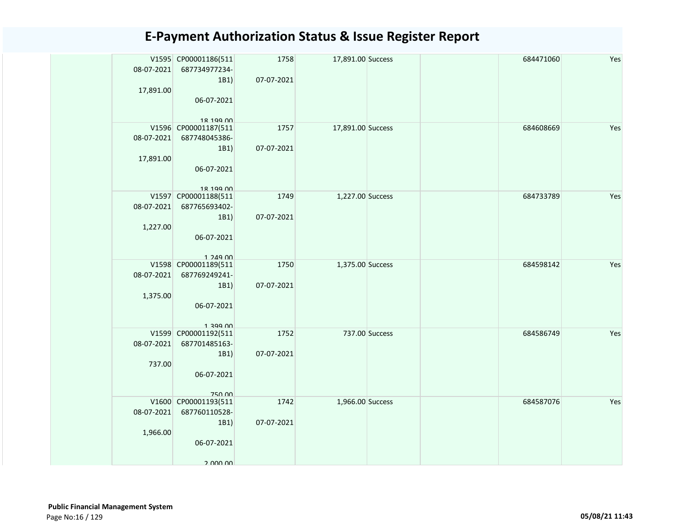| 08-07-2021<br>17,891.00 | V1595 CP00001186(511<br>687734977234-<br>1B1)<br>06-07-2021<br>18 199 00     | 1758<br>07-07-2021 | 17,891.00 Success |                | 684471060 | Yes |
|-------------------------|------------------------------------------------------------------------------|--------------------|-------------------|----------------|-----------|-----|
| 08-07-2021<br>17,891.00 | V1596 CP00001187(511<br>687748045386-<br>1B1)<br>06-07-2021<br>18 199 NM     | 1757<br>07-07-2021 | 17,891.00 Success |                | 684608669 | Yes |
| 08-07-2021<br>1,227.00  | V1597 CP00001188(511<br>687765693402-<br>1B1)<br>06-07-2021<br>$1.249$ $00$  | 1749<br>07-07-2021 | 1,227.00 Success  |                | 684733789 | Yes |
| 08-07-2021<br>1,375.00  | V1598 CP00001189(511<br>687769249241-<br>1B1)<br>06-07-2021                  | 1750<br>07-07-2021 | 1,375.00 Success  |                | 684598142 | Yes |
| 08-07-2021<br>737.00    | V1599 CP00001192(511<br>687701485163-<br>1B1)<br>06-07-2021<br><b>750.00</b> | 1752<br>07-07-2021 |                   | 737.00 Success | 684586749 | Yes |
| 08-07-2021<br>1,966.00  | V1600 CP00001193(511<br>687760110528-<br>1B1)<br>06-07-2021<br>2 000 00      | 1742<br>07-07-2021 | 1,966.00 Success  |                | 684587076 | Yes |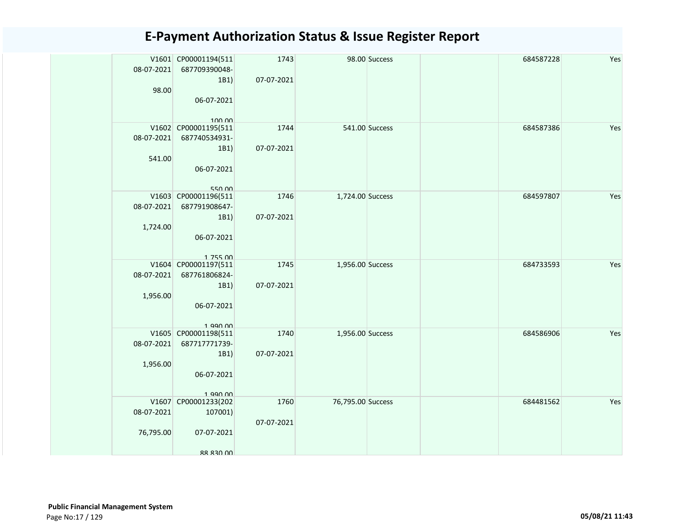| 08-07-2021 | V1601 CP00001194(511<br>687709390048-<br>1B1) | 1743<br>07-07-2021 |                   | 98.00 Success  | 684587228 | Yes |
|------------|-----------------------------------------------|--------------------|-------------------|----------------|-----------|-----|
| 98.00      | 06-07-2021                                    |                    |                   |                |           |     |
|            | 100,00                                        |                    |                   |                |           |     |
|            | V1602 CP00001195(511                          | 1744               |                   | 541.00 Success | 684587386 | Yes |
| 08-07-2021 | 687740534931-                                 |                    |                   |                |           |     |
|            | 1B1)                                          | 07-07-2021         |                   |                |           |     |
| 541.00     |                                               |                    |                   |                |           |     |
|            | 06-07-2021                                    |                    |                   |                |           |     |
|            | 550.00                                        |                    |                   |                |           |     |
|            | V1603 CP00001196(511                          | 1746               | 1,724.00 Success  |                | 684597807 | Yes |
| 08-07-2021 | 687791908647-                                 |                    |                   |                |           |     |
|            | 1B1)                                          | 07-07-2021         |                   |                |           |     |
| 1,724.00   |                                               |                    |                   |                |           |     |
|            | 06-07-2021                                    |                    |                   |                |           |     |
|            |                                               |                    |                   |                |           |     |
|            | 1 755 00                                      |                    |                   |                |           | Yes |
| 08-07-2021 | V1604 CP00001197(511<br>687761806824-         | 1745               | 1,956.00 Success  |                | 684733593 |     |
|            | 1B1)                                          | 07-07-2021         |                   |                |           |     |
| 1,956.00   |                                               |                    |                   |                |           |     |
|            | 06-07-2021                                    |                    |                   |                |           |     |
|            |                                               |                    |                   |                |           |     |
|            | 1 990 00                                      |                    |                   |                |           |     |
|            | V1605 CP00001198(511                          | 1740               | 1,956.00 Success  |                | 684586906 | Yes |
| 08-07-2021 | 687717771739-                                 |                    |                   |                |           |     |
|            | 1B1)                                          | 07-07-2021         |                   |                |           |     |
| 1,956.00   |                                               |                    |                   |                |           |     |
|            | 06-07-2021                                    |                    |                   |                |           |     |
|            |                                               |                    |                   |                |           |     |
|            | $1$ 990 00                                    |                    |                   |                |           |     |
|            | V1607 CP00001233(202                          | 1760               | 76,795.00 Success |                | 684481562 | Yes |
| 08-07-2021 | 107001)                                       |                    |                   |                |           |     |
|            |                                               | 07-07-2021         |                   |                |           |     |
| 76,795.00  | 07-07-2021                                    |                    |                   |                |           |     |
|            |                                               |                    |                   |                |           |     |
|            | 88 830 00                                     |                    |                   |                |           |     |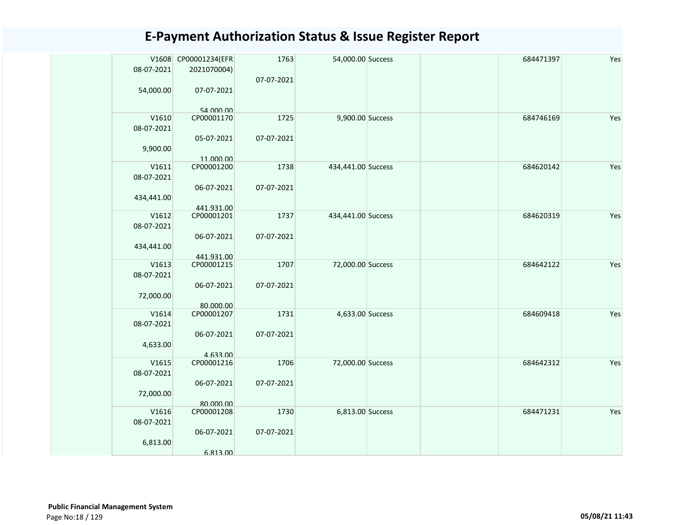| 54,000.00<br>07-07-2021<br>54 000 00<br>V1610<br>CP00001170<br>1725<br>9,900.00 Success<br>684746169<br>08-07-2021<br>05-07-2021<br>07-07-2021<br>9,900.00<br>11.000.00<br>CP00001200<br>V1611<br>1738<br>434,441.00 Success<br>684620142<br>08-07-2021<br>06-07-2021<br>07-07-2021<br>434,441.00<br>441.931.00<br>V1612<br>CP00001201<br>1737<br>684620319<br>434,441.00 Success<br>08-07-2021<br>06-07-2021<br>07-07-2021<br>434,441.00<br>441.931.00<br>1707<br>V1613<br>CP00001215<br>72,000.00 Success<br>684642122<br>08-07-2021<br>07-07-2021<br>06-07-2021<br>72,000.00<br>80.000.00<br>V1614<br>CP00001207<br>4,633.00 Success<br>1731<br>684609418 | Yes | 684471397 | 54,000.00 Success | 1763<br>07-07-2021 | V1608 CP00001234(EFR<br>2021070004) | 08-07-2021 |  |
|--------------------------------------------------------------------------------------------------------------------------------------------------------------------------------------------------------------------------------------------------------------------------------------------------------------------------------------------------------------------------------------------------------------------------------------------------------------------------------------------------------------------------------------------------------------------------------------------------------------------------------------------------------------|-----|-----------|-------------------|--------------------|-------------------------------------|------------|--|
|                                                                                                                                                                                                                                                                                                                                                                                                                                                                                                                                                                                                                                                              |     |           |                   |                    |                                     |            |  |
|                                                                                                                                                                                                                                                                                                                                                                                                                                                                                                                                                                                                                                                              | Yes |           |                   |                    |                                     |            |  |
|                                                                                                                                                                                                                                                                                                                                                                                                                                                                                                                                                                                                                                                              |     |           |                   |                    |                                     |            |  |
|                                                                                                                                                                                                                                                                                                                                                                                                                                                                                                                                                                                                                                                              | Yes |           |                   |                    |                                     |            |  |
|                                                                                                                                                                                                                                                                                                                                                                                                                                                                                                                                                                                                                                                              |     |           |                   |                    |                                     |            |  |
|                                                                                                                                                                                                                                                                                                                                                                                                                                                                                                                                                                                                                                                              | Yes |           |                   |                    |                                     |            |  |
|                                                                                                                                                                                                                                                                                                                                                                                                                                                                                                                                                                                                                                                              |     |           |                   |                    |                                     |            |  |
|                                                                                                                                                                                                                                                                                                                                                                                                                                                                                                                                                                                                                                                              | Yes |           |                   |                    |                                     |            |  |
|                                                                                                                                                                                                                                                                                                                                                                                                                                                                                                                                                                                                                                                              |     |           |                   |                    |                                     |            |  |
|                                                                                                                                                                                                                                                                                                                                                                                                                                                                                                                                                                                                                                                              | Yes |           |                   |                    |                                     | 08-07-2021 |  |
| 06-07-2021<br>07-07-2021<br>4,633.00<br>4.633.00                                                                                                                                                                                                                                                                                                                                                                                                                                                                                                                                                                                                             |     |           |                   |                    |                                     |            |  |
| V1615<br>CP00001216<br>1706<br>684642312<br>72,000.00 Success<br>08-07-2021                                                                                                                                                                                                                                                                                                                                                                                                                                                                                                                                                                                  | Yes |           |                   |                    |                                     |            |  |
| 06-07-2021<br>07-07-2021<br>72,000.00<br>80.000.00                                                                                                                                                                                                                                                                                                                                                                                                                                                                                                                                                                                                           |     |           |                   |                    |                                     |            |  |
| V1616<br>CP00001208<br>6,813.00 Success<br>684471231<br>1730<br>08-07-2021                                                                                                                                                                                                                                                                                                                                                                                                                                                                                                                                                                                   | Yes |           |                   |                    |                                     |            |  |
| 06-07-2021<br>07-07-2021<br>6,813.00<br>6.813.00                                                                                                                                                                                                                                                                                                                                                                                                                                                                                                                                                                                                             |     |           |                   |                    |                                     |            |  |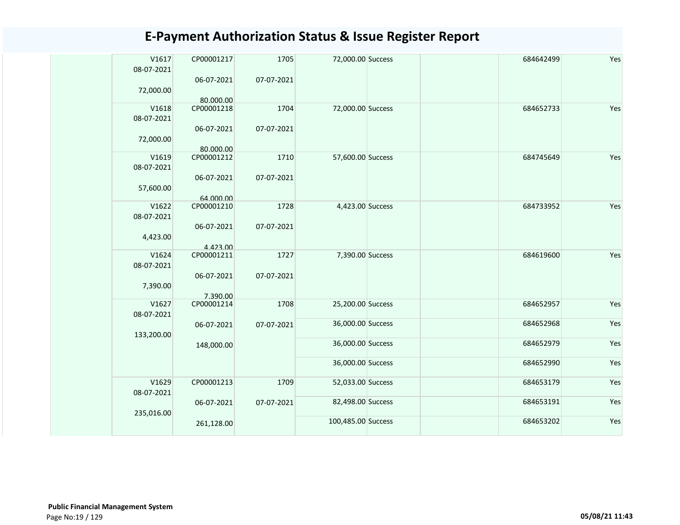| V1617<br>08-07-2021 | CP00001217              | 1705       | 72,000.00 Success  |  | 684642499 | Yes |
|---------------------|-------------------------|------------|--------------------|--|-----------|-----|
| 72,000.00           | 06-07-2021<br>80.000.00 | 07-07-2021 |                    |  |           |     |
| V1618<br>08-07-2021 | CP00001218              | 1704       | 72,000.00 Success  |  | 684652733 | Yes |
| 72,000.00           | 06-07-2021<br>80.000.00 | 07-07-2021 |                    |  |           |     |
| V1619<br>08-07-2021 | CP00001212              | 1710       | 57,600.00 Success  |  | 684745649 | Yes |
| 57,600.00           | 06-07-2021<br>64.000.00 | 07-07-2021 |                    |  |           |     |
| V1622<br>08-07-2021 | CP00001210              | 1728       | 4,423.00 Success   |  | 684733952 | Yes |
| 4,423.00            | 06-07-2021<br>4.423.00  | 07-07-2021 |                    |  |           |     |
| V1624<br>08-07-2021 | CP00001211              | 1727       | 7,390.00 Success   |  | 684619600 | Yes |
| 7,390.00            | 06-07-2021<br>7.390.00  | 07-07-2021 |                    |  |           |     |
| V1627<br>08-07-2021 | CP00001214              | 1708       | 25,200.00 Success  |  | 684652957 | Yes |
| 133,200.00          | 06-07-2021              | 07-07-2021 | 36,000.00 Success  |  | 684652968 | Yes |
|                     | 148,000.00              |            | 36,000.00 Success  |  | 684652979 | Yes |
|                     |                         |            | 36,000.00 Success  |  | 684652990 | Yes |
| V1629<br>08-07-2021 | CP00001213              | 1709       | 52,033.00 Success  |  | 684653179 | Yes |
| 235,016.00          | 06-07-2021              | 07-07-2021 | 82,498.00 Success  |  | 684653191 | Yes |
|                     | 261,128.00              |            | 100,485.00 Success |  | 684653202 | Yes |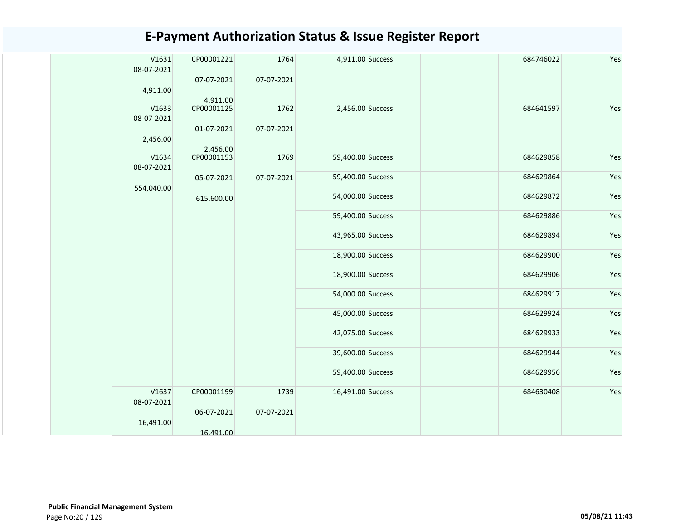| V1631<br>08-07-2021<br>4,911.00 | CP00001221<br>07-07-2021<br>4.911.00 | 1764<br>07-07-2021 | 4,911.00 Success  | 684746022 | Yes |
|---------------------------------|--------------------------------------|--------------------|-------------------|-----------|-----|
| V1633<br>08-07-2021             | CP00001125<br>01-07-2021             | 1762<br>07-07-2021 | 2,456.00 Success  | 684641597 | Yes |
| 2,456.00                        | 2.456.00                             |                    |                   |           |     |
| V1634<br>08-07-2021             | CP00001153                           | 1769               | 59,400.00 Success | 684629858 | Yes |
| 554,040.00                      | 05-07-2021                           | 07-07-2021         | 59,400.00 Success | 684629864 | Yes |
|                                 | 615,600.00                           |                    | 54,000.00 Success | 684629872 | Yes |
|                                 |                                      |                    | 59,400.00 Success | 684629886 | Yes |
|                                 |                                      |                    | 43,965.00 Success | 684629894 | Yes |
|                                 |                                      |                    | 18,900.00 Success | 684629900 | Yes |
|                                 |                                      |                    | 18,900.00 Success | 684629906 | Yes |
|                                 |                                      |                    | 54,000.00 Success | 684629917 | Yes |
|                                 |                                      |                    | 45,000.00 Success | 684629924 | Yes |
|                                 |                                      |                    | 42,075.00 Success | 684629933 | Yes |
|                                 |                                      |                    | 39,600.00 Success | 684629944 | Yes |
|                                 |                                      |                    | 59,400.00 Success | 684629956 | Yes |
| V1637<br>08-07-2021             | CP00001199                           | 1739               | 16,491.00 Success | 684630408 | Yes |
| 16,491.00                       | 06-07-2021                           | 07-07-2021         |                   |           |     |
|                                 | 16.491.00                            |                    |                   |           |     |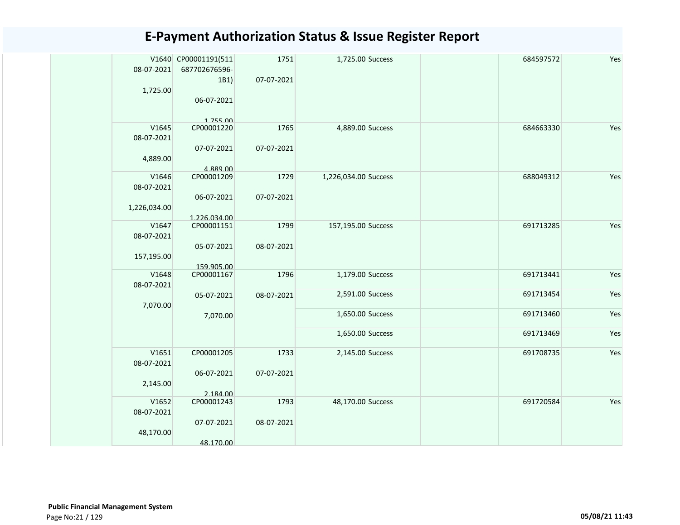| 08-07-2021          | V1640 CP00001191(511<br>687702676596- | 1751       | 1,725.00 Success     | 684597572 | Yes |
|---------------------|---------------------------------------|------------|----------------------|-----------|-----|
|                     | 1B1)                                  | 07-07-2021 |                      |           |     |
| 1,725.00            | 06-07-2021                            |            |                      |           |     |
|                     | 1 755 00                              |            |                      |           |     |
| V1645               | CP00001220                            | 1765       | 4,889.00 Success     | 684663330 | Yes |
| 08-07-2021          |                                       |            |                      |           |     |
| 4,889.00            | 07-07-2021                            | 07-07-2021 |                      |           |     |
|                     | 4.889.00                              |            |                      |           |     |
| V1646<br>08-07-2021 | CP00001209                            | 1729       | 1,226,034.00 Success | 688049312 | Yes |
| 1,226,034.00        | 06-07-2021                            | 07-07-2021 |                      |           |     |
|                     |                                       |            |                      |           |     |
| V1647               | 1.226.034.00<br>CP00001151            | 1799       | 157,195.00 Success   | 691713285 | Yes |
|                     |                                       |            |                      |           |     |
| 08-07-2021          |                                       |            |                      |           |     |
|                     | 05-07-2021                            | 08-07-2021 |                      |           |     |
| 157,195.00          |                                       |            |                      |           |     |
|                     | 159.905.00                            |            |                      |           |     |
| V1648               | CP00001167                            | 1796       | 1,179.00 Success     | 691713441 | Yes |
| 08-07-2021          |                                       |            |                      |           |     |
|                     | 05-07-2021                            | 08-07-2021 | 2,591.00 Success     | 691713454 | Yes |
| 7,070.00            |                                       |            |                      |           |     |
|                     | 7,070.00                              |            | 1,650.00 Success     | 691713460 | Yes |
|                     |                                       |            | 1,650.00 Success     | 691713469 | Yes |
|                     |                                       |            |                      |           |     |
| V1651               | CP00001205                            | 1733       | 2,145.00 Success     | 691708735 | Yes |
| 08-07-2021          |                                       |            |                      |           |     |
|                     | 06-07-2021                            | 07-07-2021 |                      |           |     |
|                     |                                       |            |                      |           |     |
| 2,145.00            |                                       |            |                      |           |     |
| V1652               | 2.184.00<br>CP00001243                | 1793       | 48,170.00 Success    | 691720584 | Yes |
|                     |                                       |            |                      |           |     |
| 08-07-2021          |                                       |            |                      |           |     |
|                     | 07-07-2021                            | 08-07-2021 |                      |           |     |
| 48,170.00           |                                       |            |                      |           |     |
|                     | 48.170.00                             |            |                      |           |     |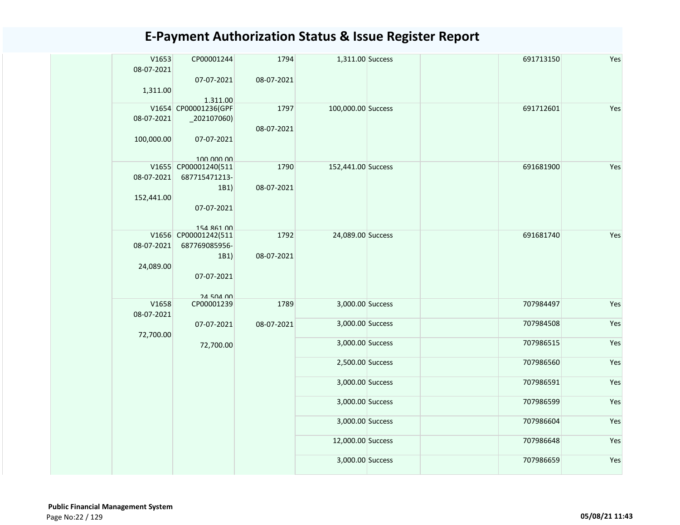| V1653<br>08-07-2021<br>1,311.00 | CP00001244<br>07-07-2021                                                                | 1794<br>08-07-2021 | 1,311.00 Success                     |  | 691713150              | Yes        |
|---------------------------------|-----------------------------------------------------------------------------------------|--------------------|--------------------------------------|--|------------------------|------------|
| 08-07-2021<br>100,000.00        | 1.311.00<br>V1654 CP00001236(GPF<br>$_2$ 02107060)<br>07-07-2021                        | 1797<br>08-07-2021 | 100,000.00 Success                   |  | 691712601              | Yes        |
| 08-07-2021<br>152,441.00        | 100,000,00<br>V1655 CP00001240(511<br>687715471213-<br>1B1)<br>07-07-2021<br>154 861 00 | 1790<br>08-07-2021 | 152,441.00 Success                   |  | 691681900              | Yes        |
| 08-07-2021<br>24,089.00         | V1656 CP00001242(511<br>687769085956-<br>1B1)<br>07-07-2021<br>24 504 00                | 1792<br>08-07-2021 | 24,089.00 Success                    |  | 691681740              | Yes        |
| V1658<br>08-07-2021             | CP00001239                                                                              | 1789               | 3,000.00 Success                     |  | 707984497              | Yes        |
| 72,700.00                       | 07-07-2021                                                                              | 08-07-2021         | 3,000.00 Success                     |  | 707984508              | Yes        |
|                                 | 72,700.00                                                                               |                    | 3,000.00 Success<br>2,500.00 Success |  | 707986515<br>707986560 | Yes<br>Yes |
|                                 |                                                                                         |                    | 3,000.00 Success                     |  | 707986591              | Yes        |
|                                 |                                                                                         |                    | 3,000.00 Success                     |  | 707986599              | Yes        |
|                                 |                                                                                         |                    | 3,000.00 Success                     |  | 707986604              | Yes        |
|                                 |                                                                                         |                    | 12,000.00 Success                    |  | 707986648              | Yes        |
|                                 |                                                                                         |                    | 3,000.00 Success                     |  | 707986659              | Yes        |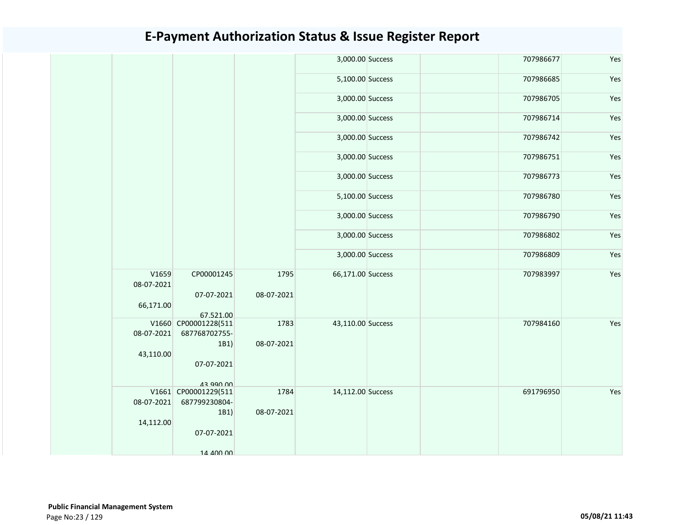|                     |                                   |            | 3,000.00 Success  |  | 707986677 | Yes |
|---------------------|-----------------------------------|------------|-------------------|--|-----------|-----|
|                     |                                   |            | 5,100.00 Success  |  | 707986685 | Yes |
|                     |                                   |            | 3,000.00 Success  |  | 707986705 | Yes |
|                     |                                   |            | 3,000.00 Success  |  | 707986714 | Yes |
|                     |                                   |            | 3,000.00 Success  |  | 707986742 | Yes |
|                     |                                   |            | 3,000.00 Success  |  | 707986751 | Yes |
|                     |                                   |            | 3,000.00 Success  |  | 707986773 | Yes |
|                     |                                   |            | 5,100.00 Success  |  | 707986780 | Yes |
|                     |                                   |            | 3,000.00 Success  |  | 707986790 | Yes |
|                     |                                   |            | 3,000.00 Success  |  | 707986802 | Yes |
|                     |                                   |            | 3,000.00 Success  |  | 707986809 | Yes |
| V1659<br>08-07-2021 | CP00001245                        | 1795       | 66,171.00 Success |  | 707983997 | Yes |
|                     | 07-07-2021                        | 08-07-2021 |                   |  |           |     |
| 66,171.00           | 67.521.00                         |            |                   |  |           |     |
|                     | V1660 CP00001228(511              | 1783       | 43,110.00 Success |  | 707984160 | Yes |
| 08-07-2021          | 687768702755-<br>1B1)             | 08-07-2021 |                   |  |           |     |
| 43,110.00           |                                   |            |                   |  |           |     |
|                     | 07-07-2021                        |            |                   |  |           |     |
|                     |                                   |            |                   |  |           |     |
|                     | 13 990 DD<br>V1661 CP00001229(511 | 1784       | 14,112.00 Success |  | 691796950 | Yes |
| 08-07-2021          | 687799230804-                     |            |                   |  |           |     |
|                     | 1B1)                              | 08-07-2021 |                   |  |           |     |
| 14,112.00           |                                   |            |                   |  |           |     |
|                     | 07-07-2021                        |            |                   |  |           |     |
|                     | 14 400 00                         |            |                   |  |           |     |
|                     |                                   |            |                   |  |           |     |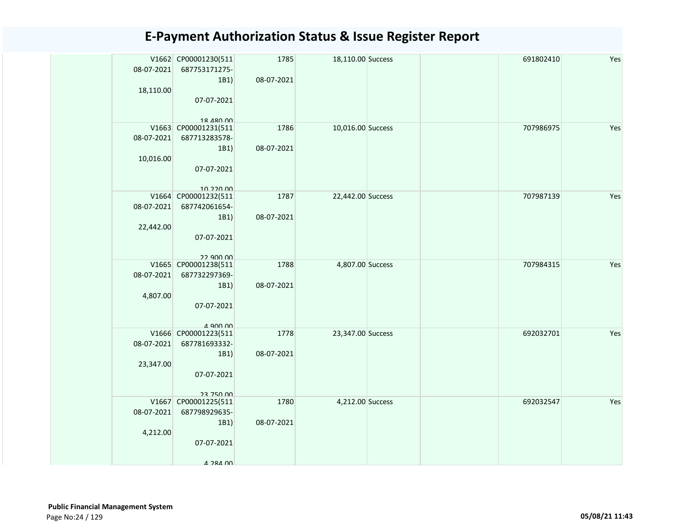| 08-07-2021 | V1662 CP00001230(511<br>687753171275-<br>1B1) | 1785<br>08-07-2021 | 18,110.00 Success |  | 691802410 | Yes |
|------------|-----------------------------------------------|--------------------|-------------------|--|-----------|-----|
| 18,110.00  | 07-07-2021                                    |                    |                   |  |           |     |
|            | 18 480 00                                     | 1786               |                   |  |           | Yes |
| 08-07-2021 | V1663 CP00001231(511<br>687713283578-         |                    | 10,016.00 Success |  | 707986975 |     |
|            | 1B1)                                          | 08-07-2021         |                   |  |           |     |
| 10,016.00  |                                               |                    |                   |  |           |     |
|            | 07-07-2021                                    |                    |                   |  |           |     |
|            |                                               |                    |                   |  |           |     |
|            | 10.220.00                                     |                    |                   |  |           |     |
| 08-07-2021 | V1664 CP00001232(511<br>687742061654-         | 1787               | 22,442.00 Success |  | 707987139 | Yes |
|            | 1B1)                                          | 08-07-2021         |                   |  |           |     |
| 22,442.00  |                                               |                    |                   |  |           |     |
|            | 07-07-2021                                    |                    |                   |  |           |     |
|            |                                               |                    |                   |  |           |     |
|            | 22 QUU UU                                     |                    |                   |  |           |     |
|            | V1665 CP00001238(511                          | 1788               | 4,807.00 Success  |  | 707984315 | Yes |
| 08-07-2021 | 687732297369-<br>1B1)                         | 08-07-2021         |                   |  |           |     |
| 4,807.00   |                                               |                    |                   |  |           |     |
|            | 07-07-2021                                    |                    |                   |  |           |     |
|            |                                               |                    |                   |  |           |     |
|            | $\Lambda$ ann nn                              |                    |                   |  |           |     |
| 08-07-2021 | V1666 CP00001223(511<br>687781693332-         | 1778               | 23,347.00 Success |  | 692032701 | Yes |
|            | 1B1)                                          | 08-07-2021         |                   |  |           |     |
| 23,347.00  |                                               |                    |                   |  |           |     |
|            | 07-07-2021                                    |                    |                   |  |           |     |
|            |                                               |                    |                   |  |           |     |
|            | 23 750 00                                     |                    |                   |  |           |     |
| 08-07-2021 | V1667 CP00001225(511<br>687798929635-         | 1780               | 4,212.00 Success  |  | 692032547 | Yes |
|            | 1B1)                                          | 08-07-2021         |                   |  |           |     |
| 4,212.00   |                                               |                    |                   |  |           |     |
|            | 07-07-2021                                    |                    |                   |  |           |     |
|            |                                               |                    |                   |  |           |     |
|            | 4 284 00                                      |                    |                   |  |           |     |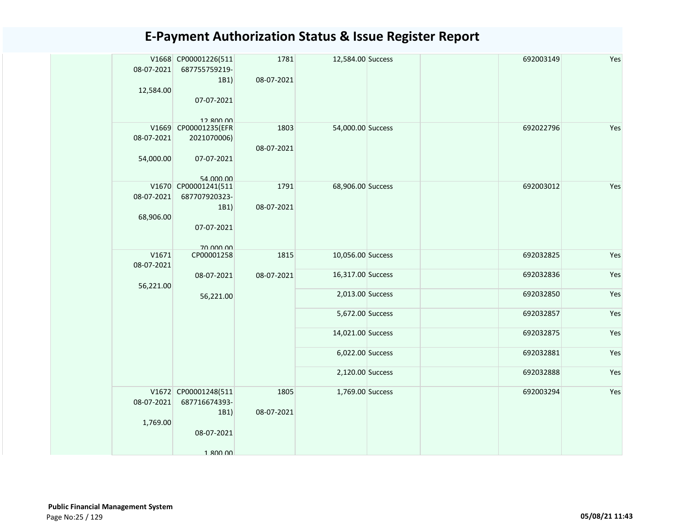| 08-07-2021 | V1668 CP00001226(511<br>687755759219-<br>1B1) | 1781<br>08-07-2021 | 12,584.00 Success | 692003149 | Yes |
|------------|-----------------------------------------------|--------------------|-------------------|-----------|-----|
| 12,584.00  | 07-07-2021                                    |                    |                   |           |     |
|            | 12.800.00<br>V1669 CP00001235(EFR             | 1803               | 54,000.00 Success | 692022796 | Yes |
| 08-07-2021 | 2021070006)                                   | 08-07-2021         |                   |           |     |
| 54,000.00  | 07-07-2021                                    |                    |                   |           |     |
| V1670      | 54 000 00<br>CP00001241(511                   | 1791               | 68,906.00 Success | 692003012 | Yes |
| 08-07-2021 | 687707920323-                                 |                    |                   |           |     |
|            | 1B1)                                          | 08-07-2021         |                   |           |     |
| 68,906.00  |                                               |                    |                   |           |     |
|            | 07-07-2021                                    |                    |                   |           |     |
|            |                                               |                    |                   |           |     |
| V1671      | 70.000.00<br>CP00001258                       | 1815               | 10,056.00 Success | 692032825 | Yes |
| 08-07-2021 |                                               |                    |                   |           |     |
|            | 08-07-2021                                    | 08-07-2021         | 16,317.00 Success | 692032836 | Yes |
| 56,221.00  | 56,221.00                                     |                    | 2,013.00 Success  | 692032850 | Yes |
|            |                                               |                    |                   |           |     |
|            |                                               |                    | 5,672.00 Success  | 692032857 | Yes |
|            |                                               |                    | 14,021.00 Success | 692032875 | Yes |
|            |                                               |                    | 6,022.00 Success  | 692032881 | Yes |
|            |                                               |                    | 2,120.00 Success  | 692032888 | Yes |
|            | V1672 CP00001248(511                          | 1805               | 1,769.00 Success  | 692003294 | Yes |
| 08-07-2021 | 687716674393-                                 |                    |                   |           |     |
|            | 1B1)                                          | 08-07-2021         |                   |           |     |
| 1,769.00   |                                               |                    |                   |           |     |
|            | 08-07-2021                                    |                    |                   |           |     |
|            | 1 800 00                                      |                    |                   |           |     |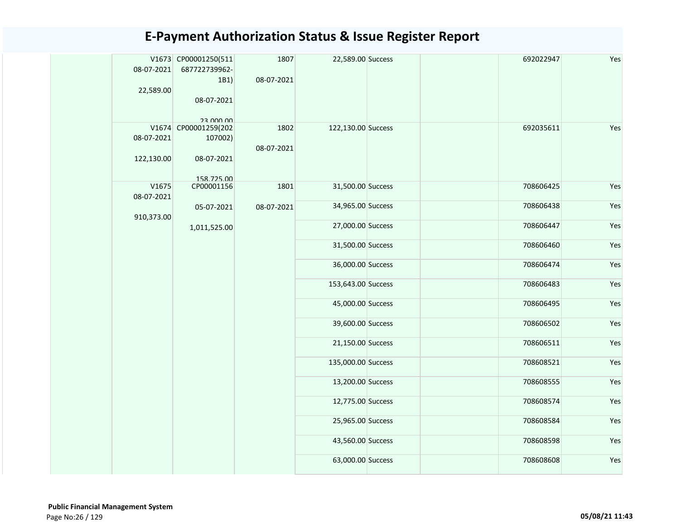| 08-07-2021<br>22,589.00  | V1673 CP00001250(511<br>687722739962-<br>1B1)<br>08-07-2021<br>23 UUU UU | 1807<br>08-07-2021 | 22,589.00 Success  | 692022947 | Yes |
|--------------------------|--------------------------------------------------------------------------|--------------------|--------------------|-----------|-----|
| 08-07-2021<br>122,130.00 | V1674 CP00001259(202<br>107002)<br>08-07-2021<br>158 725 00              | 1802<br>08-07-2021 | 122,130.00 Success | 692035611 | Yes |
| V1675<br>08-07-2021      | CP00001156                                                               | 1801               | 31,500.00 Success  | 708606425 | Yes |
|                          | 05-07-2021                                                               | 08-07-2021         | 34,965.00 Success  | 708606438 | Yes |
| 910,373.00               | 1,011,525.00                                                             |                    | 27,000.00 Success  | 708606447 | Yes |
|                          |                                                                          |                    | 31,500.00 Success  | 708606460 | Yes |
|                          |                                                                          |                    | 36,000.00 Success  | 708606474 | Yes |
|                          |                                                                          |                    | 153,643.00 Success | 708606483 | Yes |
|                          |                                                                          |                    | 45,000.00 Success  | 708606495 | Yes |
|                          |                                                                          |                    | 39,600.00 Success  | 708606502 | Yes |
|                          |                                                                          |                    | 21,150.00 Success  | 708606511 | Yes |
|                          |                                                                          |                    | 135,000.00 Success | 708608521 | Yes |
|                          |                                                                          |                    | 13,200.00 Success  | 708608555 | Yes |
|                          |                                                                          |                    | 12,775.00 Success  | 708608574 | Yes |
|                          |                                                                          |                    | 25,965.00 Success  | 708608584 | Yes |
|                          |                                                                          |                    | 43,560.00 Success  | 708608598 | Yes |
|                          |                                                                          |                    | 63,000.00 Success  | 708608608 | Yes |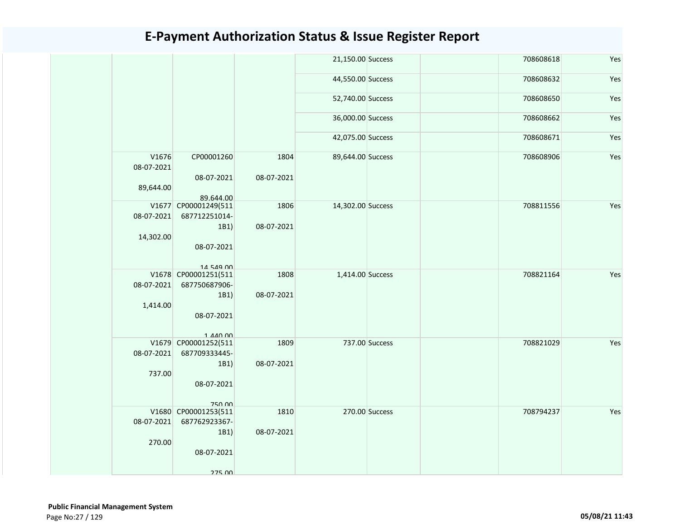|                     |                              |            | 21,150.00 Success |                | 708608618 | Yes |
|---------------------|------------------------------|------------|-------------------|----------------|-----------|-----|
|                     |                              |            | 44,550.00 Success |                | 708608632 | Yes |
|                     |                              |            | 52,740.00 Success |                | 708608650 | Yes |
|                     |                              |            | 36,000.00 Success |                | 708608662 | Yes |
|                     |                              |            | 42,075.00 Success |                | 708608671 | Yes |
| V1676<br>08-07-2021 | CP00001260                   | 1804       | 89,644.00 Success |                | 708608906 | Yes |
| 89,644.00           | 08-07-2021                   | 08-07-2021 |                   |                |           |     |
| V1677               | 89.644.00<br>CP00001249(511  | 1806       | 14,302.00 Success |                | 708811556 | Yes |
| 08-07-2021          | 687712251014-<br>1B1)        | 08-07-2021 |                   |                |           |     |
| 14,302.00           | 08-07-2021                   |            |                   |                |           |     |
|                     | 14 549 00                    |            |                   |                |           |     |
| V1678               | CP00001251(511               | 1808       | 1,414.00 Success  |                | 708821164 | Yes |
| 08-07-2021          | 687750687906-<br>1B1)        | 08-07-2021 |                   |                |           |     |
| 1,414.00            |                              |            |                   |                |           |     |
|                     | 08-07-2021                   |            |                   |                |           |     |
| V1679               | $1.440$ 00<br>CP00001252(511 | 1809       |                   | 737.00 Success | 708821029 | Yes |
| 08-07-2021          | 687709333445-                |            |                   |                |           |     |
| 737.00              | 1B1)                         | 08-07-2021 |                   |                |           |     |
|                     | 08-07-2021                   |            |                   |                |           |     |
|                     | 750 00                       |            |                   |                |           |     |
| V1680               | CP00001253(511               | 1810       |                   | 270.00 Success | 708794237 | Yes |
| 08-07-2021          | 687762923367-<br>1B1)        | 08-07-2021 |                   |                |           |     |
| 270.00              |                              |            |                   |                |           |     |
|                     | 08-07-2021                   |            |                   |                |           |     |
|                     | 275 OO                       |            |                   |                |           |     |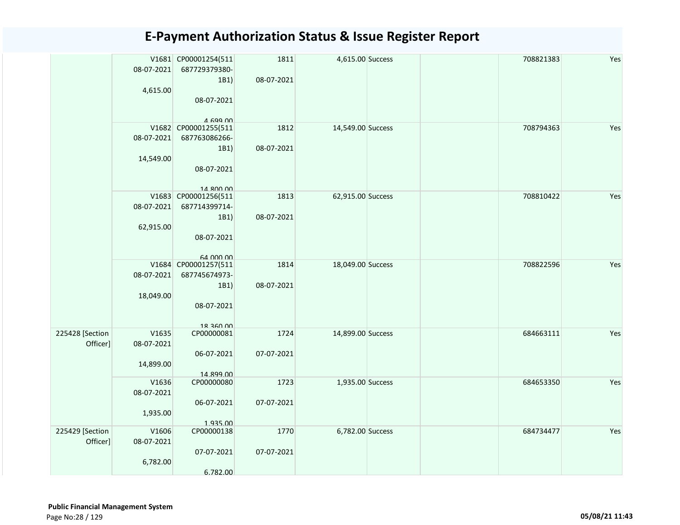|                 | 08-07-2021 | V1681 CP00001254(511<br>687729379380- | 1811       | 4,615.00 Success  | 708821383 | Yes |
|-----------------|------------|---------------------------------------|------------|-------------------|-----------|-----|
|                 | 4,615.00   | 1B1)                                  | 08-07-2021 |                   |           |     |
|                 |            | 08-07-2021                            |            |                   |           |     |
|                 |            | $A$ 699 $M$<br>V1682 CP00001255(511   | 1812       | 14,549.00 Success | 708794363 | Yes |
|                 | 08-07-2021 | 687763086266-                         |            |                   |           |     |
|                 |            | 1B1)                                  | 08-07-2021 |                   |           |     |
|                 | 14,549.00  |                                       |            |                   |           |     |
|                 |            | 08-07-2021                            |            |                   |           |     |
|                 |            | 14 ROO OO                             |            |                   |           |     |
|                 |            | V1683 CP00001256(511                  | 1813       | 62,915.00 Success | 708810422 | Yes |
|                 | 08-07-2021 | 687714399714-                         |            |                   |           |     |
|                 |            | 1B1)                                  | 08-07-2021 |                   |           |     |
|                 | 62,915.00  |                                       |            |                   |           |     |
|                 |            | 08-07-2021                            |            |                   |           |     |
|                 |            | $64$ 000 00                           |            |                   |           |     |
|                 |            | V1684 CP00001257(511                  | 1814       | 18,049.00 Success | 708822596 | Yes |
|                 | 08-07-2021 | 687745674973-                         |            |                   |           |     |
|                 |            | 1B1)                                  | 08-07-2021 |                   |           |     |
|                 | 18,049.00  |                                       |            |                   |           |     |
|                 |            | 08-07-2021                            |            |                   |           |     |
|                 |            | 18 360 00                             |            |                   |           |     |
| 225428 [Section | V1635      | CP00000081                            | 1724       | 14,899.00 Success | 684663111 | Yes |
| Officer]        | 08-07-2021 |                                       |            |                   |           |     |
|                 |            | 06-07-2021                            | 07-07-2021 |                   |           |     |
|                 | 14,899.00  |                                       |            |                   |           |     |
|                 |            | 14.899.00                             |            |                   |           |     |
|                 | V1636      | CP00000080                            | 1723       | 1,935.00 Success  | 684653350 | Yes |
|                 | 08-07-2021 | 06-07-2021                            | 07-07-2021 |                   |           |     |
|                 | 1,935.00   |                                       |            |                   |           |     |
|                 |            | 1.935.00                              |            |                   |           |     |
| 225429 [Section | V1606      | CP00000138                            | 1770       | 6,782.00 Success  | 684734477 | Yes |
| Officer]        | 08-07-2021 |                                       |            |                   |           |     |
|                 |            | 07-07-2021                            | 07-07-2021 |                   |           |     |
|                 | 6,782.00   |                                       |            |                   |           |     |
|                 |            | 6.782.00                              |            |                   |           |     |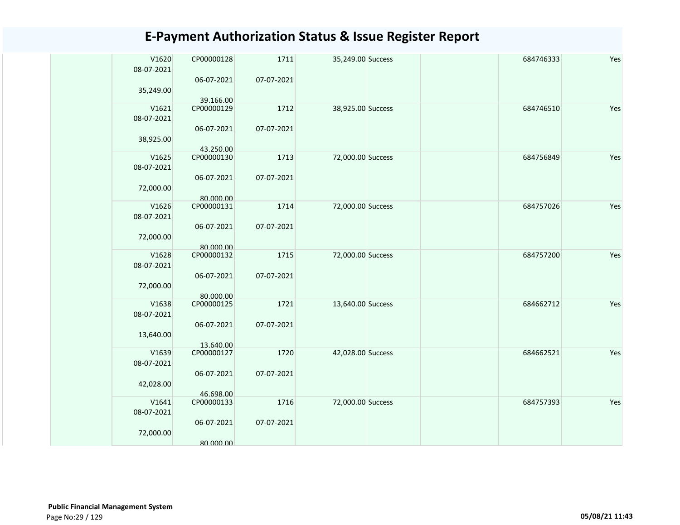| V1620<br>08-07-2021 | CP00000128 | 1711       | 35,249.00 Success | 684746333 | Yes |
|---------------------|------------|------------|-------------------|-----------|-----|
| 35,249.00           | 06-07-2021 | 07-07-2021 |                   |           |     |
|                     | 39.166.00  |            |                   |           |     |
| V1621<br>08-07-2021 | CP00000129 | 1712       | 38,925.00 Success | 684746510 | Yes |
| 38,925.00           | 06-07-2021 | 07-07-2021 |                   |           |     |
|                     | 43.250.00  |            |                   |           |     |
| V1625<br>08-07-2021 | CP00000130 | 1713       | 72,000.00 Success | 684756849 | Yes |
| 72,000.00           | 06-07-2021 | 07-07-2021 |                   |           |     |
|                     | 80.000.00  |            |                   |           |     |
| V1626               | CP00000131 | 1714       | 72,000.00 Success | 684757026 | Yes |
| 08-07-2021          |            |            |                   |           |     |
|                     | 06-07-2021 | 07-07-2021 |                   |           |     |
|                     |            |            |                   |           |     |
| 72,000.00           |            |            |                   |           |     |
|                     | 80.000.00  |            |                   |           |     |
| V1628               | CP00000132 | 1715       | 72,000.00 Success | 684757200 | Yes |
| 08-07-2021          |            |            |                   |           |     |
|                     | 06-07-2021 | 07-07-2021 |                   |           |     |
| 72,000.00           |            |            |                   |           |     |
|                     | 80.000.00  |            |                   |           |     |
| V1638               | CP00000125 | 1721       | 13,640.00 Success | 684662712 | Yes |
| 08-07-2021          |            |            |                   |           |     |
|                     | 06-07-2021 | 07-07-2021 |                   |           |     |
| 13,640.00           |            |            |                   |           |     |
|                     | 13.640.00  |            |                   |           |     |
| V1639               | CP00000127 | 1720       | 42,028.00 Success | 684662521 | Yes |
| 08-07-2021          |            |            |                   |           |     |
|                     | 06-07-2021 | 07-07-2021 |                   |           |     |
|                     |            |            |                   |           |     |
| 42,028.00           |            |            |                   |           |     |
|                     | 46.698.00  |            |                   |           |     |
| V1641               | CP00000133 | 1716       | 72,000.00 Success | 684757393 | Yes |
| 08-07-2021          |            |            |                   |           |     |
|                     | 06-07-2021 | 07-07-2021 |                   |           |     |
| 72,000.00           |            |            |                   |           |     |
|                     | 80.000.00  |            |                   |           |     |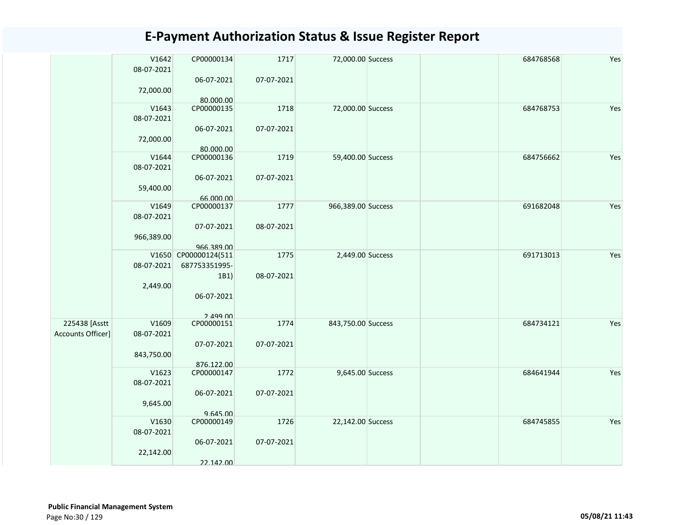|                   | V1642      | CP00000134              | 1717       | 72,000.00 Success  | 684768568 | Yes |
|-------------------|------------|-------------------------|------------|--------------------|-----------|-----|
|                   | 08-07-2021 |                         |            |                    |           |     |
|                   |            | 06-07-2021              | 07-07-2021 |                    |           |     |
|                   | 72,000.00  |                         |            |                    |           |     |
|                   |            |                         |            |                    |           |     |
|                   | V1643      | 80.000.00<br>CP00000135 |            |                    | 684768753 | Yes |
|                   |            |                         | 1718       | 72,000.00 Success  |           |     |
|                   | 08-07-2021 |                         |            |                    |           |     |
|                   |            | 06-07-2021              | 07-07-2021 |                    |           |     |
|                   | 72,000.00  |                         |            |                    |           |     |
|                   |            | 80.000.00               |            |                    |           |     |
|                   | V1644      | CP00000136              | 1719       | 59,400.00 Success  | 684756662 | Yes |
|                   |            |                         |            |                    |           |     |
|                   | 08-07-2021 |                         |            |                    |           |     |
|                   |            | 06-07-2021              | 07-07-2021 |                    |           |     |
|                   | 59,400.00  |                         |            |                    |           |     |
|                   |            | 66.000.00               |            |                    |           |     |
|                   | V1649      | CP00000137              | 1777       | 966,389.00 Success | 691682048 | Yes |
|                   | 08-07-2021 |                         |            |                    |           |     |
|                   |            |                         |            |                    |           |     |
|                   |            | 07-07-2021              | 08-07-2021 |                    |           |     |
|                   | 966,389.00 |                         |            |                    |           |     |
|                   |            | 966.389.00              |            |                    |           |     |
|                   |            | V1650 CP00000124(511    | 1775       | 2,449.00 Success   | 691713013 | Yes |
|                   | 08-07-2021 | 687753351995-           |            |                    |           |     |
|                   |            |                         | 08-07-2021 |                    |           |     |
|                   |            | 1B1)                    |            |                    |           |     |
|                   | 2,449.00   |                         |            |                    |           |     |
|                   |            | 06-07-2021              |            |                    |           |     |
|                   |            |                         |            |                    |           |     |
|                   |            | 2 199 UU                |            |                    |           |     |
| 225438 [Asstt     | V1609      | CP00000151              | 1774       | 843,750.00 Success | 684734121 | Yes |
| Accounts Officer] | 08-07-2021 |                         |            |                    |           |     |
|                   |            |                         |            |                    |           |     |
|                   |            | 07-07-2021              | 07-07-2021 |                    |           |     |
|                   | 843,750.00 |                         |            |                    |           |     |
|                   |            | 876.122.00              |            |                    |           |     |
|                   | V1623      | CP00000147              | 1772       | 9,645.00 Success   | 684641944 | Yes |
|                   | 08-07-2021 |                         |            |                    |           |     |
|                   |            | 06-07-2021              | 07-07-2021 |                    |           |     |
|                   |            |                         |            |                    |           |     |
|                   | 9,645.00   |                         |            |                    |           |     |
|                   |            | 9.645.00                |            |                    |           |     |
|                   | V1630      | CP00000149              | 1726       | 22,142.00 Success  | 684745855 | Yes |
|                   | 08-07-2021 |                         |            |                    |           |     |
|                   |            | 06-07-2021              | 07-07-2021 |                    |           |     |
|                   | 22,142.00  |                         |            |                    |           |     |
|                   |            |                         |            |                    |           |     |
|                   |            | 22.142.00               |            |                    |           |     |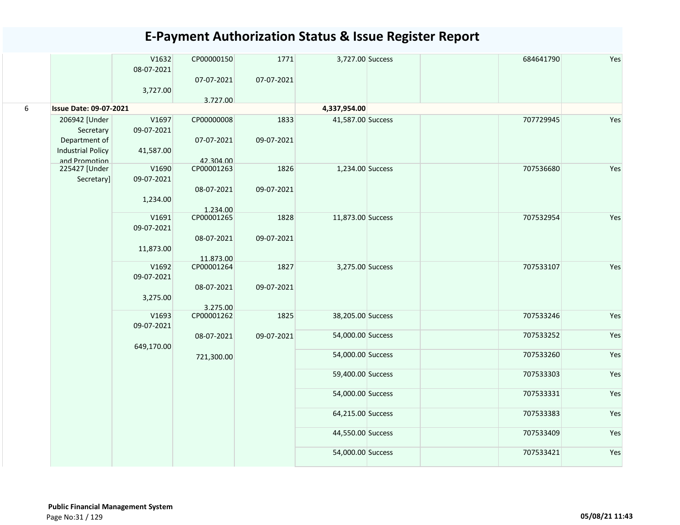|   |                               | V1632<br>08-07-2021 | CP00000150             | 1771       | 3,727.00 Success  |  | 684641790 | Yes |
|---|-------------------------------|---------------------|------------------------|------------|-------------------|--|-----------|-----|
|   |                               | 3,727.00            | 07-07-2021             | 07-07-2021 |                   |  |           |     |
| 6 | <b>Issue Date: 09-07-2021</b> |                     | 3.727.00               |            | 4,337,954.00      |  |           |     |
|   | 206942 [Under                 | V1697               | CP00000008             | 1833       | 41,587.00 Success |  | 707729945 | Yes |
|   | Secretary                     | 09-07-2021          |                        |            |                   |  |           |     |
|   | Department of                 |                     | 07-07-2021             | 09-07-2021 |                   |  |           |     |
|   | <b>Industrial Policy</b>      | 41,587.00           |                        |            |                   |  |           |     |
|   | and Promotion                 |                     | 42.304.00              |            |                   |  |           |     |
|   | 225427 [Under<br>Secretary]   | V1690<br>09-07-2021 | CP00001263             | 1826       | 1,234.00 Success  |  | 707536680 | Yes |
|   |                               |                     | 08-07-2021             | 09-07-2021 |                   |  |           |     |
|   |                               | 1,234.00            |                        |            |                   |  |           |     |
|   |                               |                     | 1.234.00               |            |                   |  |           |     |
|   |                               | V1691               | CP00001265             | 1828       | 11,873.00 Success |  | 707532954 | Yes |
|   |                               | 09-07-2021          |                        |            |                   |  |           |     |
|   |                               |                     | 08-07-2021             | 09-07-2021 |                   |  |           |     |
|   |                               | 11,873.00           | 11.873.00              |            |                   |  |           |     |
|   |                               | V1692               | CP00001264             | 1827       | 3,275.00 Success  |  | 707533107 | Yes |
|   |                               | 09-07-2021          |                        |            |                   |  |           |     |
|   |                               |                     | 08-07-2021             | 09-07-2021 |                   |  |           |     |
|   |                               | 3,275.00            |                        |            |                   |  |           |     |
|   |                               | V1693               | 3.275.00<br>CP00001262 | 1825       | 38,205.00 Success |  | 707533246 | Yes |
|   |                               | 09-07-2021          |                        |            |                   |  |           |     |
|   |                               |                     | 08-07-2021             | 09-07-2021 | 54,000.00 Success |  | 707533252 | Yes |
|   |                               | 649,170.00          |                        |            |                   |  |           |     |
|   |                               |                     | 721,300.00             |            | 54,000.00 Success |  | 707533260 | Yes |
|   |                               |                     |                        |            | 59,400.00 Success |  | 707533303 | Yes |
|   |                               |                     |                        |            | 54,000.00 Success |  | 707533331 | Yes |
|   |                               |                     |                        |            | 64,215.00 Success |  | 707533383 | Yes |
|   |                               |                     |                        |            | 44,550.00 Success |  | 707533409 | Yes |
|   |                               |                     |                        |            |                   |  |           |     |
|   |                               |                     |                        |            | 54,000.00 Success |  | 707533421 | Yes |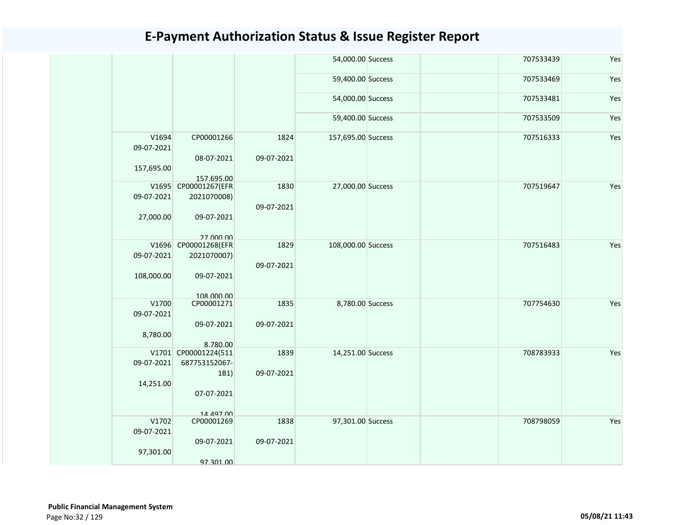|                     |                                     |            | 54,000.00 Success  | 707533439 | Yes |
|---------------------|-------------------------------------|------------|--------------------|-----------|-----|
|                     |                                     |            | 59,400.00 Success  | 707533469 | Yes |
|                     |                                     |            | 54,000.00 Success  | 707533481 | Yes |
|                     |                                     |            | 59,400.00 Success  | 707533509 | Yes |
| V1694<br>09-07-2021 | CP00001266                          | 1824       | 157,695.00 Success | 707516333 | Yes |
| 157,695.00          | 08-07-2021<br>157.695.00            | 09-07-2021 |                    |           |     |
|                     | V1695 CP00001267(EFR                | 1830       | 27,000.00 Success  | 707519647 | Yes |
| 09-07-2021          | 2021070008)                         |            |                    |           |     |
|                     |                                     | 09-07-2021 |                    |           |     |
| 27,000.00           | 09-07-2021                          |            |                    |           |     |
|                     |                                     |            |                    |           |     |
|                     | 27,000,00                           |            |                    |           |     |
| 09-07-2021          | V1696 CP00001268(EFR<br>2021070007) | 1829       | 108,000.00 Success | 707516483 | Yes |
|                     |                                     | 09-07-2021 |                    |           |     |
| 108,000.00          | 09-07-2021                          |            |                    |           |     |
|                     |                                     |            |                    |           |     |
|                     | 108.000.00                          |            |                    |           |     |
| V1700               | CP00001271                          | 1835       | 8,780.00 Success   | 707754630 | Yes |
| 09-07-2021          |                                     |            |                    |           |     |
|                     | 09-07-2021                          | 09-07-2021 |                    |           |     |
| 8,780.00            |                                     |            |                    |           |     |
|                     | 8.780.00<br>V1701 CP00001224(511    | 1839       | 14,251.00 Success  | 708783933 | Yes |
| 09-07-2021          | 687753152067-                       |            |                    |           |     |
|                     | 1B1)                                | 09-07-2021 |                    |           |     |
| 14,251.00           |                                     |            |                    |           |     |
|                     | 07-07-2021                          |            |                    |           |     |
|                     |                                     |            |                    |           |     |
| V1702               | 14 497 00                           |            |                    |           | Yes |
| 09-07-2021          | CP00001269                          | 1838       | 97,301.00 Success  | 708798059 |     |
|                     | 09-07-2021                          | 09-07-2021 |                    |           |     |
| 97,301.00           |                                     |            |                    |           |     |
|                     | 97.301.00                           |            |                    |           |     |
|                     |                                     |            |                    |           |     |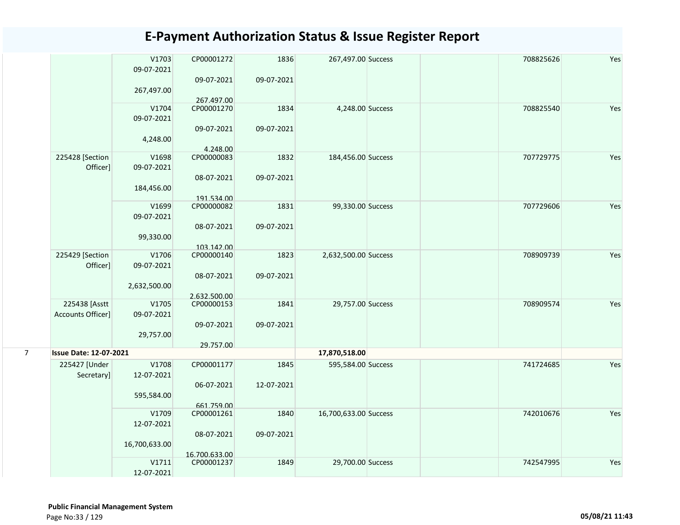|   |                               | V1703         | CP00001272               | 1836       | 267,497.00 Success    | 708825626 | Yes |
|---|-------------------------------|---------------|--------------------------|------------|-----------------------|-----------|-----|
|   |                               | 09-07-2021    | 09-07-2021               | 09-07-2021 |                       |           |     |
|   |                               | 267,497.00    |                          |            |                       |           |     |
|   |                               | V1704         | 267.497.00<br>CP00001270 | 1834       |                       | 708825540 | Yes |
|   |                               |               |                          |            | 4,248.00 Success      |           |     |
|   |                               | 09-07-2021    |                          |            |                       |           |     |
|   |                               | 4,248.00      | 09-07-2021<br>4.248.00   | 09-07-2021 |                       |           |     |
|   | 225428 [Section               | V1698         | CP00000083               | 1832       | 184,456.00 Success    | 707729775 | Yes |
|   | Officer]                      | 09-07-2021    |                          |            |                       |           |     |
|   |                               |               | 08-07-2021               | 09-07-2021 |                       |           |     |
|   |                               | 184,456.00    |                          |            |                       |           |     |
|   |                               |               | 191.534.00               |            |                       |           |     |
|   |                               | V1699         | CP00000082               | 1831       | 99,330.00 Success     | 707729606 | Yes |
|   |                               | 09-07-2021    |                          |            |                       |           |     |
|   |                               |               | 08-07-2021               | 09-07-2021 |                       |           |     |
|   |                               | 99,330.00     |                          |            |                       |           |     |
|   |                               |               | 103.142.00               |            |                       |           |     |
|   | 225429 [Section               | V1706         | CP00000140               | 1823       | 2,632,500.00 Success  | 708909739 | Yes |
|   | Officer]                      | 09-07-2021    |                          |            |                       |           |     |
|   |                               |               | 08-07-2021               | 09-07-2021 |                       |           |     |
|   |                               | 2,632,500.00  |                          |            |                       |           |     |
|   |                               |               | 2.632.500.00             |            |                       |           |     |
|   | 225438 [Asstt                 | V1705         | CP00000153               | 1841       | 29,757.00 Success     | 708909574 | Yes |
|   | Accounts Officer]             | 09-07-2021    |                          |            |                       |           |     |
|   |                               |               | 09-07-2021               | 09-07-2021 |                       |           |     |
|   |                               | 29,757.00     |                          |            |                       |           |     |
|   |                               |               | 29.757.00                |            |                       |           |     |
| 7 | <b>Issue Date: 12-07-2021</b> |               |                          |            | 17,870,518.00         |           |     |
|   | 225427 [Under                 | V1708         | CP00001177               | 1845       | 595,584.00 Success    | 741724685 | Yes |
|   | Secretary]                    | 12-07-2021    |                          |            |                       |           |     |
|   |                               |               | 06-07-2021               | 12-07-2021 |                       |           |     |
|   |                               | 595,584.00    |                          |            |                       |           |     |
|   |                               |               | 661.759.00               |            |                       |           |     |
|   |                               | V1709         | CP00001261               | 1840       | 16,700,633.00 Success | 742010676 | Yes |
|   |                               | 12-07-2021    |                          |            |                       |           |     |
|   |                               |               | 08-07-2021               | 09-07-2021 |                       |           |     |
|   |                               | 16,700,633.00 |                          |            |                       |           |     |
|   |                               |               | 16.700.633.00            |            |                       |           |     |
|   |                               | V1711         | CP00001237               | 1849       | 29,700.00 Success     | 742547995 | Yes |
|   |                               | 12-07-2021    |                          |            |                       |           |     |
|   |                               |               |                          |            |                       |           |     |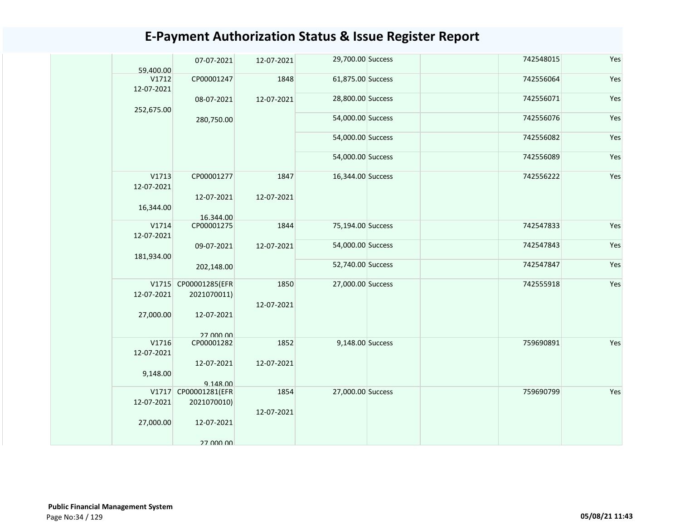| 59.400.00           | 07-07-2021                          | 12-07-2021 | 29,700.00 Success | 742548015 | Yes |
|---------------------|-------------------------------------|------------|-------------------|-----------|-----|
| V1712<br>12-07-2021 | CP00001247                          | 1848       | 61,875.00 Success | 742556064 | Yes |
| 252,675.00          | 08-07-2021                          | 12-07-2021 | 28,800.00 Success | 742556071 | Yes |
|                     | 280,750.00                          |            | 54,000.00 Success | 742556076 | Yes |
|                     |                                     |            | 54,000.00 Success | 742556082 | Yes |
|                     |                                     |            | 54,000.00 Success | 742556089 | Yes |
| V1713<br>12-07-2021 | CP00001277                          | 1847       | 16,344.00 Success | 742556222 | Yes |
| 16,344.00           | 12-07-2021<br>16.344.00             | 12-07-2021 |                   |           |     |
| V1714<br>12-07-2021 | CP00001275                          | 1844       | 75,194.00 Success | 742547833 | Yes |
| 181,934.00          | 09-07-2021                          | 12-07-2021 | 54,000.00 Success | 742547843 | Yes |
|                     | 202,148.00                          |            | 52,740.00 Success | 742547847 | Yes |
| 12-07-2021          | V1715 CP00001285(EFR<br>2021070011) | 1850       | 27,000.00 Success | 742555918 | Yes |
| 27,000.00           | 12-07-2021<br>27 000 00             | 12-07-2021 |                   |           |     |
| V1716<br>12-07-2021 | CP00001282                          | 1852       | 9,148.00 Success  | 759690891 | Yes |
| 9,148.00            | 12-07-2021<br>9.148.00              | 12-07-2021 |                   |           |     |
| V1717<br>12-07-2021 | CP00001281(EFR<br>2021070010)       | 1854       | 27,000.00 Success | 759690799 | Yes |
| 27,000.00           | 12-07-2021                          | 12-07-2021 |                   |           |     |
|                     | 27 000 00                           |            |                   |           |     |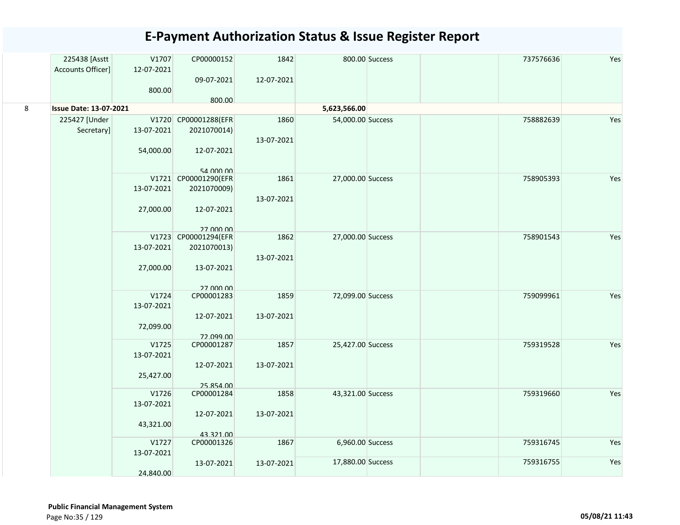|   | 225438 [Asstt                 | V1707      | CP00000152                          | 1842       |                   | 800.00 Success | 737576636 | Yes |
|---|-------------------------------|------------|-------------------------------------|------------|-------------------|----------------|-----------|-----|
|   | Accounts Officer]             | 12-07-2021 |                                     |            |                   |                |           |     |
|   |                               |            | 09-07-2021                          | 12-07-2021 |                   |                |           |     |
|   |                               | 800.00     |                                     |            |                   |                |           |     |
| 8 | <b>Issue Date: 13-07-2021</b> |            | 800.00                              |            | 5,623,566.00      |                |           |     |
|   |                               |            |                                     |            |                   |                |           |     |
|   | 225427 [Under                 |            | V1720 CP00001288(EFR                | 1860       | 54,000.00 Success |                | 758882639 | Yes |
|   | Secretary]                    | 13-07-2021 | 2021070014)                         |            |                   |                |           |     |
|   |                               | 54,000.00  | 12-07-2021                          | 13-07-2021 |                   |                |           |     |
|   |                               |            |                                     |            |                   |                |           |     |
|   |                               |            | 54 000 00                           |            |                   |                |           |     |
|   |                               |            | V1721 CP00001290(EFR                | 1861       | 27,000.00 Success |                | 758905393 | Yes |
|   |                               | 13-07-2021 | 2021070009)                         |            |                   |                |           |     |
|   |                               |            |                                     | 13-07-2021 |                   |                |           |     |
|   |                               | 27,000.00  | 12-07-2021                          |            |                   |                |           |     |
|   |                               |            |                                     |            |                   |                |           |     |
|   |                               |            | 27.000.00                           |            |                   |                |           |     |
|   |                               | 13-07-2021 | V1723 CP00001294(EFR<br>2021070013) | 1862       | 27,000.00 Success |                | 758901543 | Yes |
|   |                               |            |                                     | 13-07-2021 |                   |                |           |     |
|   |                               | 27,000.00  | 13-07-2021                          |            |                   |                |           |     |
|   |                               |            |                                     |            |                   |                |           |     |
|   |                               |            | 27 000 00                           |            |                   |                |           |     |
|   |                               | V1724      | CP00001283                          | 1859       | 72,099.00 Success |                | 759099961 | Yes |
|   |                               | 13-07-2021 |                                     |            |                   |                |           |     |
|   |                               |            | 12-07-2021                          | 13-07-2021 |                   |                |           |     |
|   |                               | 72,099.00  |                                     |            |                   |                |           |     |
|   |                               | V1725      | 72.099.00                           |            |                   |                | 759319528 |     |
|   |                               | 13-07-2021 | CP00001287                          | 1857       | 25,427.00 Success |                |           | Yes |
|   |                               |            | 12-07-2021                          | 13-07-2021 |                   |                |           |     |
|   |                               | 25,427.00  |                                     |            |                   |                |           |     |
|   |                               |            | 25.854.00                           |            |                   |                |           |     |
|   |                               | V1726      | CP00001284                          | 1858       | 43,321.00 Success |                | 759319660 | Yes |
|   |                               | 13-07-2021 |                                     |            |                   |                |           |     |
|   |                               |            | 12-07-2021                          | 13-07-2021 |                   |                |           |     |
|   |                               | 43,321.00  |                                     |            |                   |                |           |     |
|   |                               |            | 43.321.00                           |            |                   |                |           |     |
|   |                               | V1727      | CP00001326                          | 1867       | 6,960.00 Success  |                | 759316745 | Yes |
|   |                               | 13-07-2021 |                                     |            |                   |                |           |     |
|   |                               |            | 13-07-2021                          | 13-07-2021 | 17,880.00 Success |                | 759316755 | Yes |
|   |                               | 24.840.00  |                                     |            |                   |                |           |     |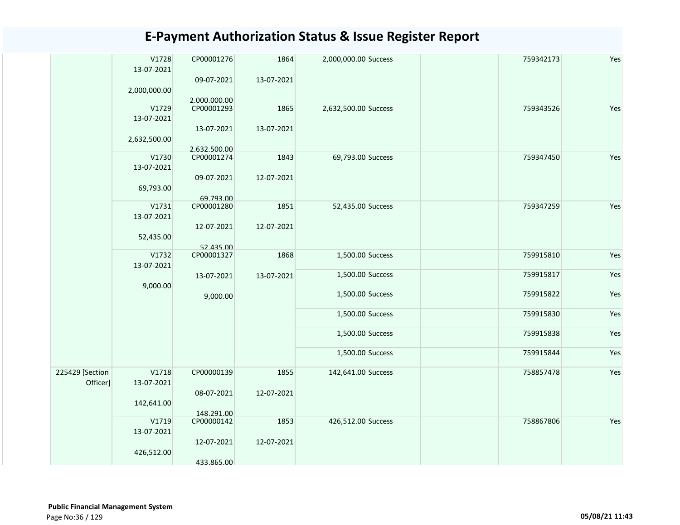|                             | V1728<br>13-07-2021 | CP00001276                 | 1864       | 2,000,000.00 Success | 759342173 | Yes |
|-----------------------------|---------------------|----------------------------|------------|----------------------|-----------|-----|
|                             | 2,000,000.00        | 09-07-2021                 | 13-07-2021 |                      |           |     |
|                             | V1729<br>13-07-2021 | 2.000.000.00<br>CP00001293 | 1865       | 2,632,500.00 Success | 759343526 | Yes |
|                             | 2,632,500.00        | 13-07-2021<br>2.632.500.00 | 13-07-2021 |                      |           |     |
|                             | V1730<br>13-07-2021 | CP00001274                 | 1843       | 69,793.00 Success    | 759347450 | Yes |
|                             | 69,793.00           | 09-07-2021<br>69.793.00    | 12-07-2021 |                      |           |     |
|                             | V1731<br>13-07-2021 | CP00001280                 | 1851       | 52,435.00 Success    | 759347259 | Yes |
|                             | 52,435.00           | 12-07-2021<br>52.435.00    | 12-07-2021 |                      |           |     |
|                             | V1732<br>13-07-2021 | CP00001327                 | 1868       | 1,500.00 Success     | 759915810 | Yes |
|                             | 9,000.00            | 13-07-2021                 | 13-07-2021 | 1,500.00 Success     | 759915817 | Yes |
|                             |                     | 9,000.00                   |            | 1,500.00 Success     | 759915822 | Yes |
|                             |                     |                            |            | 1,500.00 Success     | 759915830 | Yes |
|                             |                     |                            |            | 1,500.00 Success     | 759915838 | Yes |
|                             |                     |                            |            | 1,500.00 Success     | 759915844 | Yes |
| 225429 [Section<br>Officer] | V1718<br>13-07-2021 | CP00000139                 | 1855       | 142,641.00 Success   | 758857478 | Yes |
|                             | 142,641.00          | 08-07-2021                 | 12-07-2021 |                      |           |     |
|                             | V1719<br>13-07-2021 | 148.291.00<br>CP00000142   | 1853       | 426,512.00 Success   | 758867806 | Yes |
|                             | 426,512.00          | 12-07-2021                 | 12-07-2021 |                      |           |     |
|                             |                     | 433.865.00                 |            |                      |           |     |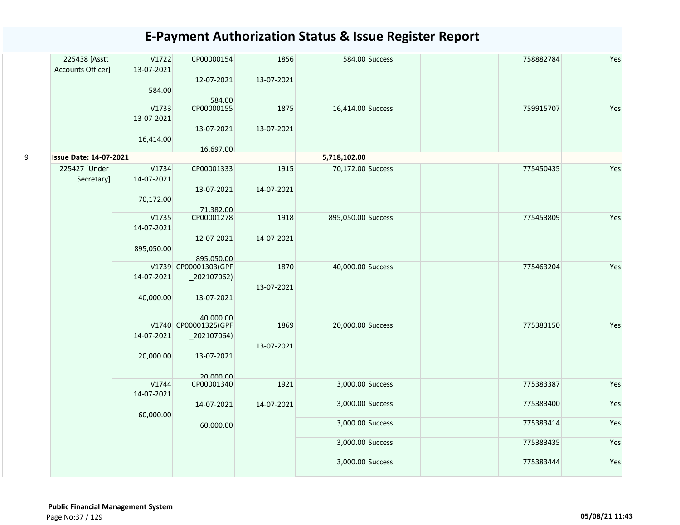|   | 225438 [Asstt<br>Accounts Officer] | V1722<br>13-07-2021 | CP00000154                        | 1856       |                    | 584.00 Success | 758882784 | Yes |
|---|------------------------------------|---------------------|-----------------------------------|------------|--------------------|----------------|-----------|-----|
|   |                                    |                     | 12-07-2021                        | 13-07-2021 |                    |                |           |     |
|   |                                    | 584.00              |                                   |            |                    |                |           |     |
|   |                                    |                     | 584.00                            |            |                    |                |           |     |
|   |                                    | V1733               | CP00000155                        | 1875       | 16,414.00 Success  |                | 759915707 | Yes |
|   |                                    | 13-07-2021          |                                   |            |                    |                |           |     |
|   |                                    |                     | 13-07-2021                        | 13-07-2021 |                    |                |           |     |
|   |                                    | 16,414.00           | 16.697.00                         |            |                    |                |           |     |
| 9 | <b>Issue Date: 14-07-2021</b>      |                     |                                   |            | 5,718,102.00       |                |           |     |
|   | 225427 [Under                      | V1734               | CP00001333                        | 1915       | 70,172.00 Success  |                | 775450435 | Yes |
|   | Secretary]                         | 14-07-2021          |                                   |            |                    |                |           |     |
|   |                                    |                     | 13-07-2021                        | 14-07-2021 |                    |                |           |     |
|   |                                    | 70,172.00           |                                   |            |                    |                |           |     |
|   |                                    |                     | 71.382.00                         |            |                    |                |           |     |
|   |                                    | V1735               | CP00001278                        | 1918       | 895,050.00 Success |                | 775453809 | Yes |
|   |                                    | 14-07-2021          | 12-07-2021                        | 14-07-2021 |                    |                |           |     |
|   |                                    | 895,050.00          |                                   |            |                    |                |           |     |
|   |                                    |                     | 895.050.00                        |            |                    |                |           |     |
|   |                                    |                     | V1739 CP00001303(GPF              | 1870       | 40,000.00 Success  |                | 775463204 | Yes |
|   |                                    | 14-07-2021          | $_2$ 02107062)                    |            |                    |                |           |     |
|   |                                    |                     |                                   | 13-07-2021 |                    |                |           |     |
|   |                                    | 40,000.00           | 13-07-2021                        |            |                    |                |           |     |
|   |                                    |                     |                                   |            |                    |                |           |     |
|   |                                    |                     | 40,000,00<br>V1740 CP00001325(GPF | 1869       | 20,000.00 Success  |                | 775383150 | Yes |
|   |                                    | 14-07-2021          | $_2$ 02107064)                    |            |                    |                |           |     |
|   |                                    |                     |                                   | 13-07-2021 |                    |                |           |     |
|   |                                    | 20,000.00           | 13-07-2021                        |            |                    |                |           |     |
|   |                                    |                     |                                   |            |                    |                |           |     |
|   |                                    |                     | 20,000,00                         |            |                    |                |           |     |
|   |                                    | V1744               | CP00001340                        | 1921       | 3,000.00 Success   |                | 775383387 | Yes |
|   |                                    | 14-07-2021          |                                   |            | 3,000.00 Success   |                | 775383400 | Yes |
|   |                                    | 60,000.00           | 14-07-2021                        | 14-07-2021 |                    |                |           |     |
|   |                                    |                     | 60,000.00                         |            | 3,000.00 Success   |                | 775383414 | Yes |
|   |                                    |                     |                                   |            |                    |                |           |     |
|   |                                    |                     |                                   |            | 3,000.00 Success   |                | 775383435 | Yes |
|   |                                    |                     |                                   |            | 3,000.00 Success   |                | 775383444 | Yes |
|   |                                    |                     |                                   |            |                    |                |           |     |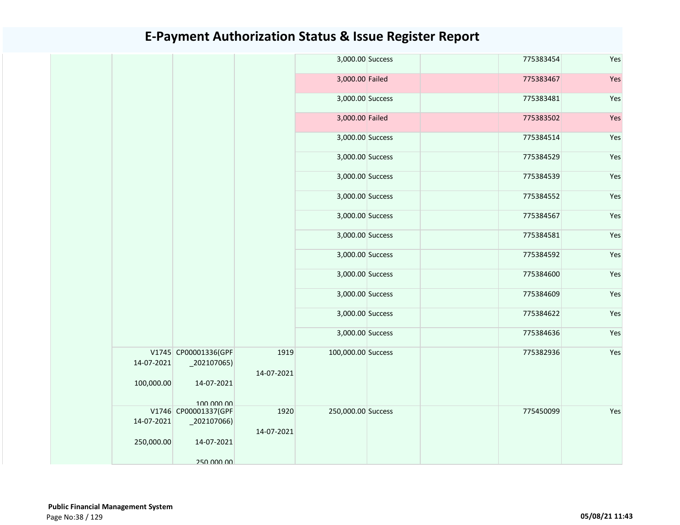|            |                                        |                    | 3,000.00 Success   |  | 775383454 | Yes |
|------------|----------------------------------------|--------------------|--------------------|--|-----------|-----|
|            |                                        |                    | 3,000.00 Failed    |  | 775383467 | Yes |
|            |                                        |                    | 3,000.00 Success   |  | 775383481 | Yes |
|            |                                        |                    | 3,000.00 Failed    |  | 775383502 | Yes |
|            |                                        |                    | 3,000.00 Success   |  | 775384514 | Yes |
|            |                                        |                    | 3,000.00 Success   |  | 775384529 | Yes |
|            |                                        |                    | 3,000.00 Success   |  | 775384539 | Yes |
|            |                                        |                    | 3,000.00 Success   |  | 775384552 | Yes |
|            |                                        |                    | 3,000.00 Success   |  | 775384567 | Yes |
|            |                                        |                    | 3,000.00 Success   |  | 775384581 | Yes |
|            |                                        |                    | 3,000.00 Success   |  | 775384592 | Yes |
|            |                                        |                    | 3,000.00 Success   |  | 775384600 | Yes |
|            |                                        |                    | 3,000.00 Success   |  | 775384609 | Yes |
|            |                                        |                    | 3,000.00 Success   |  | 775384622 | Yes |
|            |                                        |                    | 3,000.00 Success   |  | 775384636 | Yes |
| 14-07-2021 | V1745 CP00001336(GPF<br>$_2$ 02107065) | 1919<br>14-07-2021 | 100,000.00 Success |  | 775382936 | Yes |
| 100,000.00 | 14-07-2021                             |                    |                    |  |           |     |
|            | 100,000,00<br>V1746 CP00001337(GPF     | 1920               | 250,000.00 Success |  | 775450099 | Yes |
| 14-07-2021 | $_2$ 02107066)                         | 14-07-2021         |                    |  |           |     |
| 250,000.00 | 14-07-2021                             |                    |                    |  |           |     |
|            | 250,000,00                             |                    |                    |  |           |     |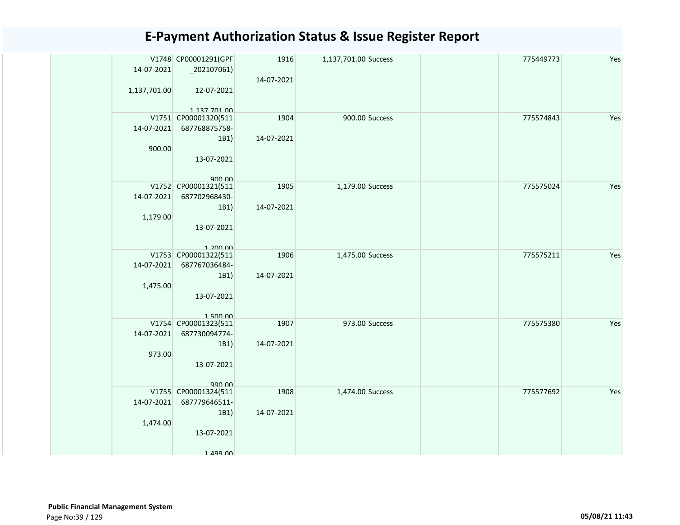| 14-07-2021   | V1748 CP00001291(GPF<br>$_2$ 202107061)   | 1916       | 1,137,701.00 Success |                | 775449773 | Yes |
|--------------|-------------------------------------------|------------|----------------------|----------------|-----------|-----|
| 1,137,701.00 | 12-07-2021                                | 14-07-2021 |                      |                |           |     |
|              | 1 1 2 7 7 0 1 0 0<br>V1751 CP00001320(511 | 1904       |                      | 900.00 Success | 775574843 | Yes |
| 14-07-2021   | 687768875758-                             |            |                      |                |           |     |
|              | 1B1)                                      | 14-07-2021 |                      |                |           |     |
| 900.00       |                                           |            |                      |                |           |     |
|              | 13-07-2021                                |            |                      |                |           |     |
|              | 900,00                                    |            |                      |                |           |     |
|              | V1752 CP00001321(511                      | 1905       | 1,179.00 Success     |                | 775575024 | Yes |
| 14-07-2021   | 687702968430-                             |            |                      |                |           |     |
|              | 1B1)                                      | 14-07-2021 |                      |                |           |     |
| 1,179.00     |                                           |            |                      |                |           |     |
|              | 13-07-2021                                |            |                      |                |           |     |
|              | 1,200,00                                  |            |                      |                |           |     |
|              | V1753 CP00001322(511                      | 1906       | 1,475.00 Success     |                | 775575211 | Yes |
| 14-07-2021   | 687767036484-                             |            |                      |                |           |     |
|              | 1B1)                                      | 14-07-2021 |                      |                |           |     |
| 1,475.00     |                                           |            |                      |                |           |     |
|              | 13-07-2021                                |            |                      |                |           |     |
|              | 150000                                    |            |                      |                |           |     |
|              | V1754 CP00001323(511                      | 1907       |                      | 973.00 Success | 775575380 | Yes |
| 14-07-2021   | 687730094774-                             |            |                      |                |           |     |
|              | 1B1)                                      | 14-07-2021 |                      |                |           |     |
| 973.00       | 13-07-2021                                |            |                      |                |           |     |
|              |                                           |            |                      |                |           |     |
|              | 990.00                                    |            |                      |                |           |     |
|              | V1755 CP00001324(511                      | 1908       | 1,474.00 Success     |                | 775577692 | Yes |
| 14-07-2021   | 687779646511-                             |            |                      |                |           |     |
|              | 1B1)                                      | 14-07-2021 |                      |                |           |     |
| 1,474.00     |                                           |            |                      |                |           |     |
|              | 13-07-2021                                |            |                      |                |           |     |
|              | 1 1 9 0 0 1                               |            |                      |                |           |     |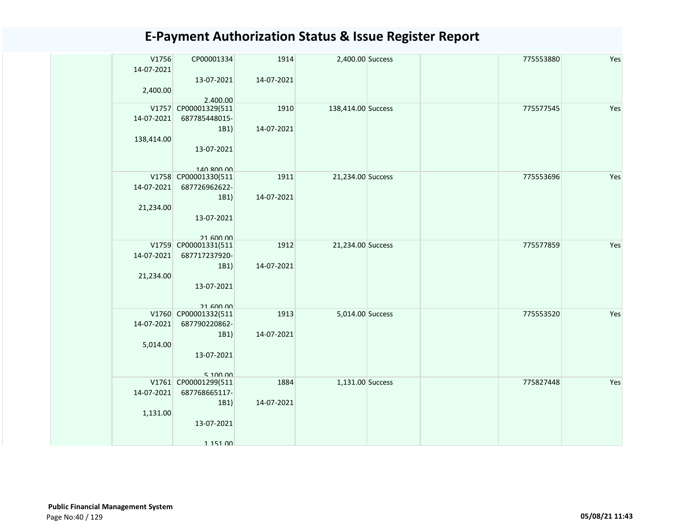| V1756      | CP00001334           | 1914       | 2,400.00 Success   | 775553880 | Yes |
|------------|----------------------|------------|--------------------|-----------|-----|
| 14-07-2021 |                      |            |                    |           |     |
|            | 13-07-2021           | 14-07-2021 |                    |           |     |
| 2,400.00   | 2.400.00             |            |                    |           |     |
|            | V1757 CP00001329(511 | 1910       | 138,414.00 Success | 775577545 | Yes |
| 14-07-2021 | 687785448015-        |            |                    |           |     |
|            | 1B1)                 | 14-07-2021 |                    |           |     |
| 138,414.00 |                      |            |                    |           |     |
|            | 13-07-2021           |            |                    |           |     |
|            | $140$ 800 00         |            |                    |           |     |
|            | V1758 CP00001330(511 | 1911       | 21,234.00 Success  | 775553696 | Yes |
| 14-07-2021 | 687726962622-        |            |                    |           |     |
|            | 1B1)                 | 14-07-2021 |                    |           |     |
| 21,234.00  |                      |            |                    |           |     |
|            | 13-07-2021           |            |                    |           |     |
|            | 21 600 00            |            |                    |           |     |
|            | V1759 CP00001331(511 | 1912       | 21,234.00 Success  | 775577859 | Yes |
| 14-07-2021 | 687717237920-        |            |                    |           |     |
|            | 1B1)                 | 14-07-2021 |                    |           |     |
| 21,234.00  | 13-07-2021           |            |                    |           |     |
|            |                      |            |                    |           |     |
|            | 21 600 00            |            |                    |           |     |
|            | V1760 CP00001332(511 | 1913       | 5,014.00 Success   | 775553520 | Yes |
| 14-07-2021 | 687790220862-        |            |                    |           |     |
| 5,014.00   | 1B1)                 | 14-07-2021 |                    |           |     |
|            | 13-07-2021           |            |                    |           |     |
|            |                      |            |                    |           |     |
|            | 5,100,00             |            |                    |           |     |
|            | V1761 CP00001299(511 | 1884       | 1,131.00 Success   | 775827448 | Yes |
| 14-07-2021 | 687768665117-        | 14-07-2021 |                    |           |     |
| 1,131.00   | 1B1)                 |            |                    |           |     |
|            | 13-07-2021           |            |                    |           |     |
|            |                      |            |                    |           |     |
|            | 1 1 5 1 0 0          |            |                    |           |     |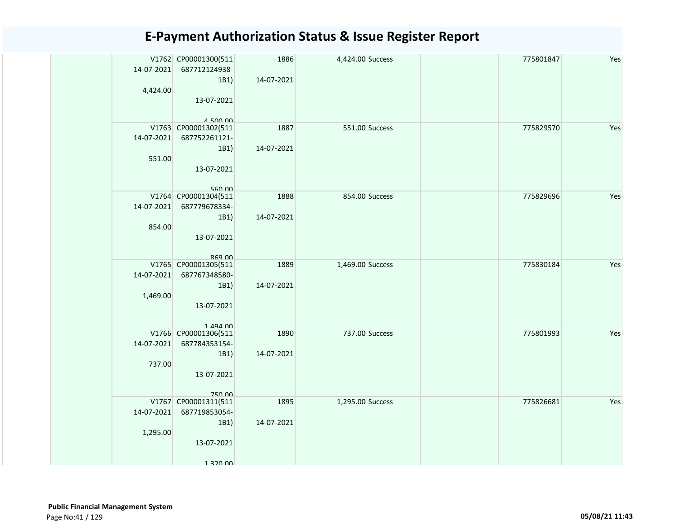| V1762 CP00001300(511<br>14-07-2021<br>687712124938-<br>1B1)<br>4,424.00<br>13-07-2021                       | 1886<br>14-07-2021 | 4,424.00 Success |                | 775801847 | Yes |
|-------------------------------------------------------------------------------------------------------------|--------------------|------------------|----------------|-----------|-----|
| $A$ 500 00<br>V1763 CP00001302(511<br>14-07-2021<br>687752261121-<br>1B1)<br>551.00<br>13-07-2021<br>560 00 | 1887<br>14-07-2021 |                  | 551.00 Success | 775829570 | Yes |
| V1764 CP00001304(511<br>687779678334-<br>14-07-2021<br>1B1)<br>854.00<br>13-07-2021<br>$RGA$ $M$            | 1888<br>14-07-2021 |                  | 854.00 Success | 775829696 | Yes |
| V1765 CP00001305(511<br>14-07-2021<br>687767348580-<br>1B1)<br>1,469.00<br>13-07-2021<br>1 494 00           | 1889<br>14-07-2021 | 1,469.00 Success |                | 775830184 | Yes |
| V1766 CP00001306(511<br>14-07-2021<br>687784353154-<br>1B1)<br>737.00<br>13-07-2021<br><b>750.00</b>        | 1890<br>14-07-2021 |                  | 737.00 Success | 775801993 | Yes |
| V1767 CP00001311(511<br>687719853054-<br>14-07-2021<br>1B1)<br>1,295.00<br>13-07-2021<br>1 320 00           | 1895<br>14-07-2021 | 1,295.00 Success |                | 775826681 | Yes |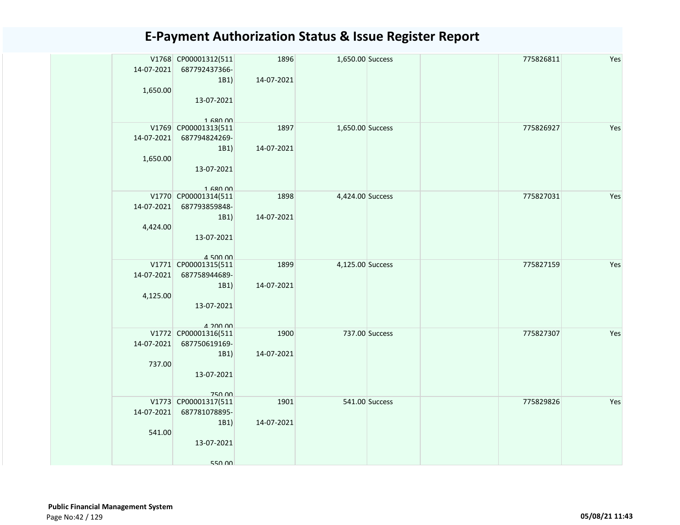| 14-07-2021<br>1,650.00 | V1768 CP00001312(511<br>687792437366-<br>1B1<br>13-07-2021                        | 1896<br>14-07-2021 | 1,650.00 Success |                | 775826811 | Yes |
|------------------------|-----------------------------------------------------------------------------------|--------------------|------------------|----------------|-----------|-----|
| 14-07-2021<br>1,650.00 | 168000<br>V1769 CP00001313(511<br>687794824269-<br>1B1)<br>13-07-2021<br>1.680.00 | 1897<br>14-07-2021 | 1,650.00 Success |                | 775826927 | Yes |
| 14-07-2021<br>4,424.00 | V1770 CP00001314(511<br>687793859848-<br>1B1<br>13-07-2021<br>$A$ 500 00          | 1898<br>14-07-2021 | 4,424.00 Success |                | 775827031 | Yes |
| 14-07-2021<br>4,125.00 | V1771 CP00001315(511<br>687758944689-<br>1B1)<br>13-07-2021<br>4.200.00           | 1899<br>14-07-2021 | 4,125.00 Success |                | 775827159 | Yes |
| 14-07-2021<br>737.00   | V1772 CP00001316(511<br>687750619169-<br>1B1)<br>13-07-2021<br>750.00             | 1900<br>14-07-2021 |                  | 737.00 Success | 775827307 | Yes |
| 14-07-2021<br>541.00   | V1773 CP00001317(511<br>687781078895-<br>1B1<br>13-07-2021<br>550 00              | 1901<br>14-07-2021 |                  | 541.00 Success | 775829826 | Yes |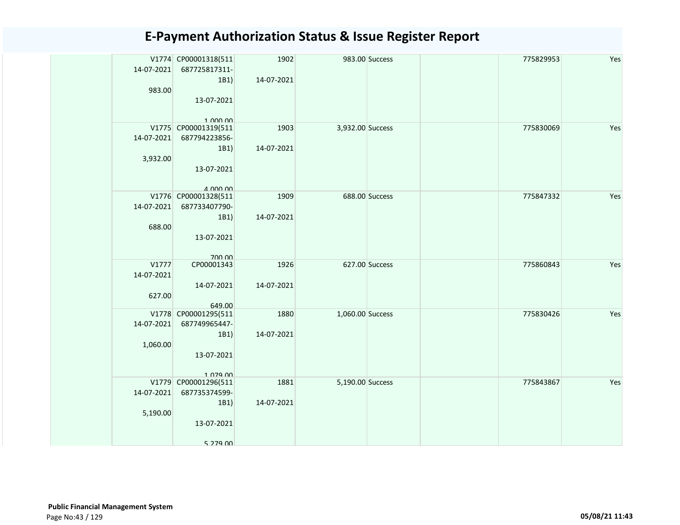| 14-07-2021 | V1774 CP00001318(511<br>687725817311-<br>1B1) | 1902<br>14-07-2021 |                  | 983.00 Success | 775829953 | Yes |
|------------|-----------------------------------------------|--------------------|------------------|----------------|-----------|-----|
| 983.00     | 13-07-2021<br>1.000.00                        |                    |                  |                |           |     |
|            | V1775 CP00001319(511                          | 1903               | 3,932.00 Success |                | 775830069 | Yes |
| 14-07-2021 | 687794223856-                                 |                    |                  |                |           |     |
|            | 1B1)                                          | 14-07-2021         |                  |                |           |     |
| 3,932.00   |                                               |                    |                  |                |           |     |
|            | 13-07-2021                                    |                    |                  |                |           |     |
|            | $A$ $000$ $00$                                |                    |                  |                |           |     |
|            | V1776 CP00001328(511                          | 1909               |                  | 688.00 Success | 775847332 | Yes |
| 14-07-2021 | 687733407790-                                 |                    |                  |                |           |     |
|            | 1B1)                                          | 14-07-2021         |                  |                |           |     |
| 688.00     |                                               |                    |                  |                |           |     |
|            | 13-07-2021                                    |                    |                  |                |           |     |
| V1777      | 700.00<br>CP00001343                          | 1926               |                  | 627.00 Success | 775860843 | Yes |
| 14-07-2021 |                                               |                    |                  |                |           |     |
|            |                                               | 14-07-2021         |                  |                |           |     |
|            | 14-07-2021                                    |                    |                  |                |           |     |
| 627.00     |                                               |                    |                  |                |           |     |
|            | 649.00<br>V1778 CP00001295(511                | 1880               | 1,060.00 Success |                | 775830426 | Yes |
| 14-07-2021 | 687749965447-                                 |                    |                  |                |           |     |
|            | 1B1)                                          | 14-07-2021         |                  |                |           |     |
|            |                                               |                    |                  |                |           |     |
| 1,060.00   |                                               |                    |                  |                |           |     |
|            | 13-07-2021                                    |                    |                  |                |           |     |
|            |                                               |                    |                  |                |           |     |
|            | 1 079 00<br>V1779 CP00001296(511              | 1881               | 5,190.00 Success |                | 775843867 | Yes |
| 14-07-2021 | 687735374599-                                 |                    |                  |                |           |     |
|            | 1B1)                                          | 14-07-2021         |                  |                |           |     |
|            |                                               |                    |                  |                |           |     |
| 5,190.00   |                                               |                    |                  |                |           |     |
|            | 13-07-2021                                    |                    |                  |                |           |     |
|            |                                               |                    |                  |                |           |     |
|            | 5 279 00                                      |                    |                  |                |           |     |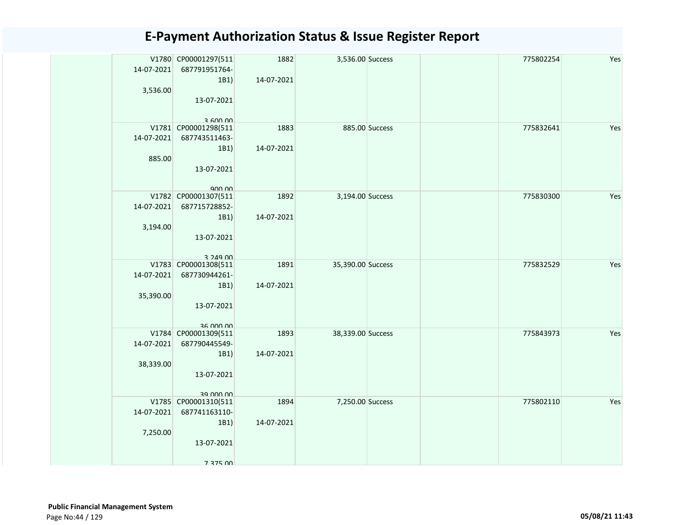| 14-07-2021<br>3,536.00  | V1780 CP00001297(511<br>687791951764-<br>1B1)<br>13-07-2021                      | 1882<br>14-07-2021 | 3,536.00 Success  |                | 775802254 | Yes |
|-------------------------|----------------------------------------------------------------------------------|--------------------|-------------------|----------------|-----------|-----|
| 14-07-2021<br>885.00    | 3.600,00<br>V1781 CP00001298(511<br>687743511463-<br>1B1)<br>13-07-2021<br>90000 | 1883<br>14-07-2021 |                   | 885.00 Success | 775832641 | Yes |
| 14-07-2021<br>3,194.00  | V1782 CP00001307(511<br>687715728852-<br>1B1)<br>13-07-2021<br><b>2 249 00</b>   | 1892<br>14-07-2021 | 3,194.00 Success  |                | 775830300 | Yes |
| 14-07-2021<br>35,390.00 | V1783 CP00001308(511<br>687730944261-<br>1B1)<br>13-07-2021<br>36 000 00         | 1891<br>14-07-2021 | 35,390.00 Success |                | 775832529 | Yes |
| 14-07-2021<br>38,339.00 | V1784 CP00001309(511<br>687790445549-<br>1B1)<br>13-07-2021<br>39 UUU UU         | 1893<br>14-07-2021 | 38,339.00 Success |                | 775843973 | Yes |
| 14-07-2021<br>7,250.00  | V1785 CP00001310(511<br>687741163110-<br>1B1)<br>13-07-2021<br>7 375 00          | 1894<br>14-07-2021 | 7,250.00 Success  |                | 775802110 | Yes |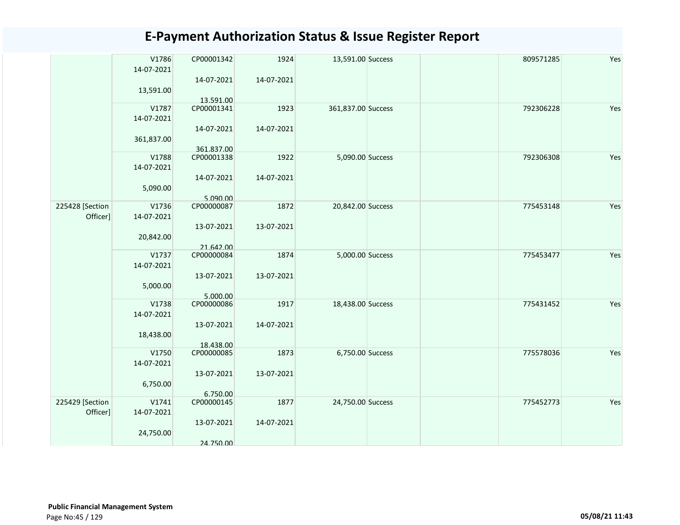|                 | V1786      | CP00001342              | 1924       | 13,591.00 Success  | 809571285 | Yes |
|-----------------|------------|-------------------------|------------|--------------------|-----------|-----|
|                 | 14-07-2021 |                         |            |                    |           |     |
|                 |            | 14-07-2021              | 14-07-2021 |                    |           |     |
|                 | 13,591.00  |                         |            |                    |           |     |
|                 |            | 13.591.00               |            |                    |           |     |
|                 | V1787      | CP00001341              | 1923       | 361,837.00 Success | 792306228 | Yes |
|                 | 14-07-2021 |                         |            |                    |           |     |
|                 |            | 14-07-2021              | 14-07-2021 |                    |           |     |
|                 |            |                         |            |                    |           |     |
|                 | 361,837.00 |                         |            |                    |           |     |
|                 |            | 361.837.00              |            |                    |           |     |
|                 | V1788      | CP00001338              | 1922       | 5,090.00 Success   | 792306308 | Yes |
|                 | 14-07-2021 |                         |            |                    |           |     |
|                 |            | 14-07-2021              | 14-07-2021 |                    |           |     |
|                 | 5,090.00   |                         |            |                    |           |     |
|                 |            | 5.090.00                |            |                    |           |     |
| 225428 [Section | V1736      | CP00000087              | 1872       | 20,842.00 Success  | 775453148 | Yes |
| Officer]        | 14-07-2021 |                         |            |                    |           |     |
|                 |            | 13-07-2021              | 13-07-2021 |                    |           |     |
|                 | 20,842.00  |                         |            |                    |           |     |
|                 |            |                         |            |                    |           |     |
|                 | V1737      | 21.642.00<br>CP00000084 | 1874       | 5,000.00 Success   | 775453477 | Yes |
|                 |            |                         |            |                    |           |     |
|                 | 14-07-2021 |                         |            |                    |           |     |
|                 |            | 13-07-2021              | 13-07-2021 |                    |           |     |
|                 | 5,000.00   |                         |            |                    |           |     |
|                 |            | 5.000.00                |            |                    |           |     |
|                 | V1738      | CP00000086              | 1917       | 18,438.00 Success  | 775431452 | Yes |
|                 | 14-07-2021 |                         |            |                    |           |     |
|                 |            | 13-07-2021              | 14-07-2021 |                    |           |     |
|                 | 18,438.00  |                         |            |                    |           |     |
|                 |            | 18.438.00               |            |                    |           |     |
|                 | V1750      | CP00000085              | 1873       | 6,750.00 Success   | 775578036 | Yes |
|                 | 14-07-2021 |                         |            |                    |           |     |
|                 |            | 13-07-2021              | 13-07-2021 |                    |           |     |
|                 |            |                         |            |                    |           |     |
|                 | 6,750.00   |                         |            |                    |           |     |
|                 |            | 6.750.00                |            |                    |           |     |
| 225429 [Section | V1741      | CP00000145              | 1877       | 24,750.00 Success  | 775452773 | Yes |
| Officer]        | 14-07-2021 |                         |            |                    |           |     |
|                 |            | 13-07-2021              | 14-07-2021 |                    |           |     |
|                 | 24,750.00  |                         |            |                    |           |     |
|                 |            | 24.750.00               |            |                    |           |     |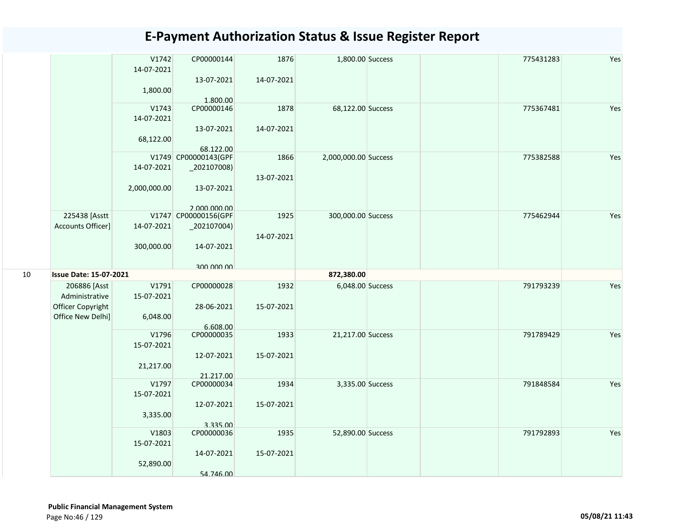|                                                                                                                | CP00000144                                                | 1876                                                                                                                                                                                                                                                                                                                                                                                                                                                                                              |                                                                                                                                  |            | 775431283                                                                                                                                                             | Yes                                                                        |
|----------------------------------------------------------------------------------------------------------------|-----------------------------------------------------------|---------------------------------------------------------------------------------------------------------------------------------------------------------------------------------------------------------------------------------------------------------------------------------------------------------------------------------------------------------------------------------------------------------------------------------------------------------------------------------------------------|----------------------------------------------------------------------------------------------------------------------------------|------------|-----------------------------------------------------------------------------------------------------------------------------------------------------------------------|----------------------------------------------------------------------------|
|                                                                                                                |                                                           |                                                                                                                                                                                                                                                                                                                                                                                                                                                                                                   |                                                                                                                                  |            |                                                                                                                                                                       |                                                                            |
|                                                                                                                |                                                           |                                                                                                                                                                                                                                                                                                                                                                                                                                                                                                   |                                                                                                                                  |            |                                                                                                                                                                       |                                                                            |
|                                                                                                                |                                                           |                                                                                                                                                                                                                                                                                                                                                                                                                                                                                                   |                                                                                                                                  |            |                                                                                                                                                                       |                                                                            |
|                                                                                                                |                                                           |                                                                                                                                                                                                                                                                                                                                                                                                                                                                                                   |                                                                                                                                  |            |                                                                                                                                                                       | Yes                                                                        |
| 14-07-2021                                                                                                     |                                                           |                                                                                                                                                                                                                                                                                                                                                                                                                                                                                                   |                                                                                                                                  |            |                                                                                                                                                                       |                                                                            |
|                                                                                                                | 13-07-2021                                                | 14-07-2021                                                                                                                                                                                                                                                                                                                                                                                                                                                                                        |                                                                                                                                  |            |                                                                                                                                                                       |                                                                            |
|                                                                                                                |                                                           |                                                                                                                                                                                                                                                                                                                                                                                                                                                                                                   |                                                                                                                                  |            |                                                                                                                                                                       |                                                                            |
|                                                                                                                | 68.122.00                                                 |                                                                                                                                                                                                                                                                                                                                                                                                                                                                                                   |                                                                                                                                  |            |                                                                                                                                                                       |                                                                            |
|                                                                                                                |                                                           |                                                                                                                                                                                                                                                                                                                                                                                                                                                                                                   |                                                                                                                                  |            |                                                                                                                                                                       | Yes                                                                        |
|                                                                                                                |                                                           |                                                                                                                                                                                                                                                                                                                                                                                                                                                                                                   |                                                                                                                                  |            |                                                                                                                                                                       |                                                                            |
|                                                                                                                |                                                           |                                                                                                                                                                                                                                                                                                                                                                                                                                                                                                   |                                                                                                                                  |            |                                                                                                                                                                       |                                                                            |
|                                                                                                                |                                                           |                                                                                                                                                                                                                                                                                                                                                                                                                                                                                                   |                                                                                                                                  |            |                                                                                                                                                                       |                                                                            |
|                                                                                                                |                                                           |                                                                                                                                                                                                                                                                                                                                                                                                                                                                                                   |                                                                                                                                  |            |                                                                                                                                                                       |                                                                            |
|                                                                                                                |                                                           |                                                                                                                                                                                                                                                                                                                                                                                                                                                                                                   |                                                                                                                                  |            |                                                                                                                                                                       | Yes                                                                        |
|                                                                                                                |                                                           |                                                                                                                                                                                                                                                                                                                                                                                                                                                                                                   |                                                                                                                                  |            |                                                                                                                                                                       |                                                                            |
|                                                                                                                |                                                           |                                                                                                                                                                                                                                                                                                                                                                                                                                                                                                   |                                                                                                                                  |            |                                                                                                                                                                       |                                                                            |
|                                                                                                                | 14-07-2021                                                |                                                                                                                                                                                                                                                                                                                                                                                                                                                                                                   |                                                                                                                                  |            |                                                                                                                                                                       |                                                                            |
|                                                                                                                |                                                           |                                                                                                                                                                                                                                                                                                                                                                                                                                                                                                   |                                                                                                                                  |            |                                                                                                                                                                       |                                                                            |
|                                                                                                                | 300,000,00                                                |                                                                                                                                                                                                                                                                                                                                                                                                                                                                                                   |                                                                                                                                  |            |                                                                                                                                                                       |                                                                            |
|                                                                                                                |                                                           |                                                                                                                                                                                                                                                                                                                                                                                                                                                                                                   |                                                                                                                                  |            |                                                                                                                                                                       |                                                                            |
|                                                                                                                |                                                           |                                                                                                                                                                                                                                                                                                                                                                                                                                                                                                   |                                                                                                                                  |            |                                                                                                                                                                       | Yes                                                                        |
|                                                                                                                |                                                           |                                                                                                                                                                                                                                                                                                                                                                                                                                                                                                   |                                                                                                                                  |            |                                                                                                                                                                       |                                                                            |
|                                                                                                                |                                                           |                                                                                                                                                                                                                                                                                                                                                                                                                                                                                                   |                                                                                                                                  |            |                                                                                                                                                                       |                                                                            |
|                                                                                                                |                                                           |                                                                                                                                                                                                                                                                                                                                                                                                                                                                                                   |                                                                                                                                  |            |                                                                                                                                                                       |                                                                            |
|                                                                                                                |                                                           | 1933                                                                                                                                                                                                                                                                                                                                                                                                                                                                                              |                                                                                                                                  |            | 791789429                                                                                                                                                             | Yes                                                                        |
| 15-07-2021                                                                                                     |                                                           |                                                                                                                                                                                                                                                                                                                                                                                                                                                                                                   |                                                                                                                                  |            |                                                                                                                                                                       |                                                                            |
|                                                                                                                | 12-07-2021                                                | 15-07-2021                                                                                                                                                                                                                                                                                                                                                                                                                                                                                        |                                                                                                                                  |            |                                                                                                                                                                       |                                                                            |
|                                                                                                                |                                                           |                                                                                                                                                                                                                                                                                                                                                                                                                                                                                                   |                                                                                                                                  |            |                                                                                                                                                                       |                                                                            |
|                                                                                                                | 21.217.00                                                 |                                                                                                                                                                                                                                                                                                                                                                                                                                                                                                   |                                                                                                                                  |            |                                                                                                                                                                       |                                                                            |
|                                                                                                                |                                                           |                                                                                                                                                                                                                                                                                                                                                                                                                                                                                                   |                                                                                                                                  |            |                                                                                                                                                                       | Yes                                                                        |
|                                                                                                                |                                                           |                                                                                                                                                                                                                                                                                                                                                                                                                                                                                                   |                                                                                                                                  |            |                                                                                                                                                                       |                                                                            |
|                                                                                                                |                                                           |                                                                                                                                                                                                                                                                                                                                                                                                                                                                                                   |                                                                                                                                  |            |                                                                                                                                                                       |                                                                            |
|                                                                                                                |                                                           |                                                                                                                                                                                                                                                                                                                                                                                                                                                                                                   |                                                                                                                                  |            |                                                                                                                                                                       |                                                                            |
|                                                                                                                |                                                           |                                                                                                                                                                                                                                                                                                                                                                                                                                                                                                   |                                                                                                                                  |            |                                                                                                                                                                       | Yes                                                                        |
|                                                                                                                |                                                           |                                                                                                                                                                                                                                                                                                                                                                                                                                                                                                   |                                                                                                                                  |            |                                                                                                                                                                       |                                                                            |
|                                                                                                                |                                                           |                                                                                                                                                                                                                                                                                                                                                                                                                                                                                                   |                                                                                                                                  |            |                                                                                                                                                                       |                                                                            |
|                                                                                                                |                                                           |                                                                                                                                                                                                                                                                                                                                                                                                                                                                                                   |                                                                                                                                  |            |                                                                                                                                                                       |                                                                            |
|                                                                                                                | 54.746.00                                                 |                                                                                                                                                                                                                                                                                                                                                                                                                                                                                                   |                                                                                                                                  |            |                                                                                                                                                                       |                                                                            |
| 225438 [Asstt<br>Accounts Officer]<br>206886 [Asst<br>Administrative<br>Officer Copyright<br>Office New Delhi] | 14-07-2021<br>14-07-2021<br><b>Issue Date: 15-07-2021</b> | V1742<br>14-07-2021<br>13-07-2021<br>1,800.00<br>1.800.00<br>V1743<br>CP00000146<br>68,122.00<br>V1749 CP00000143(GPF<br>_202107008)<br>2,000,000.00<br>13-07-2021<br>2.000.000.00<br>V1747 CP00000156(GPF<br>_202107004)<br>300,000.00<br>V1791<br>CP00000028<br>15-07-2021<br>28-06-2021<br>6,048.00<br>6.608.00<br>V1796<br>CP00000035<br>21,217.00<br>V1797<br>CP00000034<br>15-07-2021<br>12-07-2021<br>3,335.00<br>3.335.00<br>V1803<br>CP00000036<br>15-07-2021<br>14-07-2021<br>52,890.00 | 14-07-2021<br>1878<br>1866<br>13-07-2021<br>1925<br>14-07-2021<br>1932<br>15-07-2021<br>1934<br>15-07-2021<br>1935<br>15-07-2021 | 872,380.00 | 1,800.00 Success<br>68,122.00 Success<br>2,000,000.00 Success<br>300,000.00 Success<br>6,048.00 Success<br>21,217.00 Success<br>3,335.00 Success<br>52,890.00 Success | 775367481<br>775382588<br>775462944<br>791793239<br>791848584<br>791792893 |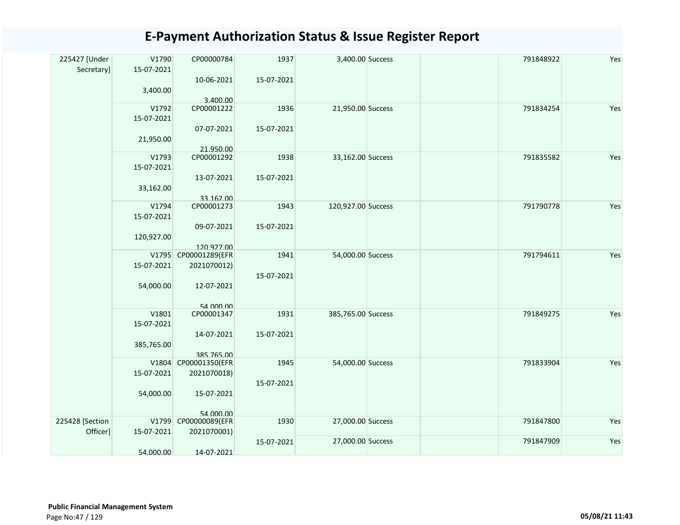| 225427 [Under<br>Secretary] | V1790<br>15-07-2021 | CP00000784                        | 1937       | 3,400.00 Success   | 791848922 | Yes |
|-----------------------------|---------------------|-----------------------------------|------------|--------------------|-----------|-----|
|                             |                     | 10-06-2021                        | 15-07-2021 |                    |           |     |
|                             | 3,400.00            |                                   |            |                    |           |     |
|                             |                     | 3.400.00                          |            |                    |           |     |
|                             | V1792               | CP00001222                        | 1936       | 21,950.00 Success  | 791834254 | Yes |
|                             | 15-07-2021          |                                   |            |                    |           |     |
|                             |                     | 07-07-2021                        | 15-07-2021 |                    |           |     |
|                             | 21,950.00           |                                   |            |                    |           |     |
|                             |                     | 21.950.00                         |            |                    |           |     |
|                             | V1793               | CP00001292                        | 1938       | 33,162.00 Success  | 791835582 | Yes |
|                             | 15-07-2021          |                                   |            |                    |           |     |
|                             |                     | 13-07-2021                        | 15-07-2021 |                    |           |     |
|                             | 33,162.00           | 33.162.00                         |            |                    |           |     |
|                             | V1794               | CP00001273                        | 1943       | 120,927.00 Success | 791790778 | Yes |
|                             | 15-07-2021          |                                   |            |                    |           |     |
|                             |                     | 09-07-2021                        | 15-07-2021 |                    |           |     |
|                             | 120,927.00          |                                   |            |                    |           |     |
|                             |                     | 120.927.00                        |            |                    |           |     |
|                             |                     | V1795 CP00001289(EFR              | 1941       | 54,000.00 Success  | 791794611 | Yes |
|                             | 15-07-2021          | 2021070012)                       |            |                    |           |     |
|                             |                     |                                   | 15-07-2021 |                    |           |     |
|                             | 54,000.00           | 12-07-2021                        |            |                    |           |     |
|                             |                     |                                   |            |                    |           |     |
|                             | V1801               | 54 000 00<br>CP00001347           | 1931       | 385,765.00 Success | 791849275 | Yes |
|                             | 15-07-2021          |                                   |            |                    |           |     |
|                             |                     | 14-07-2021                        | 15-07-2021 |                    |           |     |
|                             | 385,765.00          |                                   |            |                    |           |     |
|                             |                     | 385.765.00                        |            |                    |           |     |
|                             | V1804               | CP00001350(EFR                    | 1945       | 54,000.00 Success  | 791833904 | Yes |
|                             | 15-07-2021          | 2021070018)                       |            |                    |           |     |
|                             |                     |                                   | 15-07-2021 |                    |           |     |
|                             | 54,000.00           | 15-07-2021                        |            |                    |           |     |
|                             |                     |                                   |            |                    |           |     |
| 225428 [Section             |                     | 54 000 00<br>V1799 CP00000089(EFR | 1930       | 27,000.00 Success  | 791847800 | Yes |
| Officer]                    | 15-07-2021          | 2021070001)                       |            |                    |           |     |
|                             |                     |                                   | 15-07-2021 | 27,000.00 Success  | 791847909 | Yes |
|                             | 54.000.00           | 14-07-2021                        |            |                    |           |     |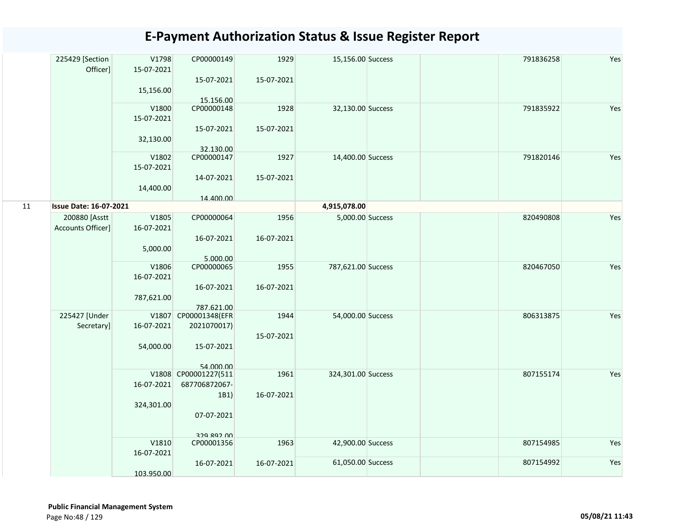|    | 225429 [Section<br>Officer]   | V1798<br>15-07-2021 | CP00000149<br>15-07-2021 | 1929<br>15-07-2021 | 15,156.00 Success  |  | 791836258 | Yes |
|----|-------------------------------|---------------------|--------------------------|--------------------|--------------------|--|-----------|-----|
|    |                               | 15,156.00           | 15.156.00                |                    |                    |  |           |     |
|    |                               | V1800<br>15-07-2021 | CP00000148               | 1928               | 32,130.00 Success  |  | 791835922 | Yes |
|    |                               | 32,130.00           | 15-07-2021<br>32.130.00  | 15-07-2021         |                    |  |           |     |
|    |                               | V1802               | CP00000147               | 1927               | 14,400.00 Success  |  | 791820146 | Yes |
|    |                               | 15-07-2021          |                          |                    |                    |  |           |     |
|    |                               | 14,400.00           | 14-07-2021               | 15-07-2021         |                    |  |           |     |
|    |                               |                     | 14.400.00                |                    |                    |  |           |     |
| 11 | <b>Issue Date: 16-07-2021</b> |                     |                          |                    | 4,915,078.00       |  |           |     |
|    | 200880 [Asstt                 | V1805               | CP00000064               | 1956               | 5,000.00 Success   |  | 820490808 | Yes |
|    | Accounts Officer]             | 16-07-2021          |                          |                    |                    |  |           |     |
|    |                               | 5,000.00            | 16-07-2021               | 16-07-2021         |                    |  |           |     |
|    |                               |                     | 5.000.00                 |                    |                    |  |           |     |
|    |                               | V1806               | CP00000065               | 1955               | 787,621.00 Success |  | 820467050 | Yes |
|    |                               | 16-07-2021          |                          |                    |                    |  |           |     |
|    |                               | 787,621.00          | 16-07-2021               | 16-07-2021         |                    |  |           |     |
|    |                               |                     | 787.621.00               |                    |                    |  |           |     |
|    | 225427 [Under                 |                     | V1807 CP00001348(EFR     | 1944               | 54,000.00 Success  |  | 806313875 | Yes |
|    | Secretary]                    | 16-07-2021          | 2021070017)              |                    |                    |  |           |     |
|    |                               | 54,000.00           | 15-07-2021               | 15-07-2021         |                    |  |           |     |
|    |                               |                     |                          |                    |                    |  |           |     |
|    |                               |                     | 54 000 00                |                    |                    |  |           |     |
|    |                               |                     | V1808 CP00001227(511     | 1961               | 324,301.00 Success |  | 807155174 | Yes |
|    |                               | 16-07-2021          | 687706872067-            |                    |                    |  |           |     |
|    |                               | 324,301.00          | 1B1)                     | 16-07-2021         |                    |  |           |     |
|    |                               |                     | 07-07-2021               |                    |                    |  |           |     |
|    |                               |                     |                          |                    |                    |  |           |     |
|    |                               |                     | 329 892 NO               |                    |                    |  |           |     |
|    |                               |                     |                          |                    |                    |  | 807154985 | Yes |
|    |                               |                     |                          |                    | 61,050.00 Success  |  | 807154992 | Yes |
|    |                               | 103.950.00          |                          |                    |                    |  |           |     |
|    |                               | V1810<br>16-07-2021 | CP00001356<br>16-07-2021 | 1963<br>16-07-2021 | 42,900.00 Success  |  |           |     |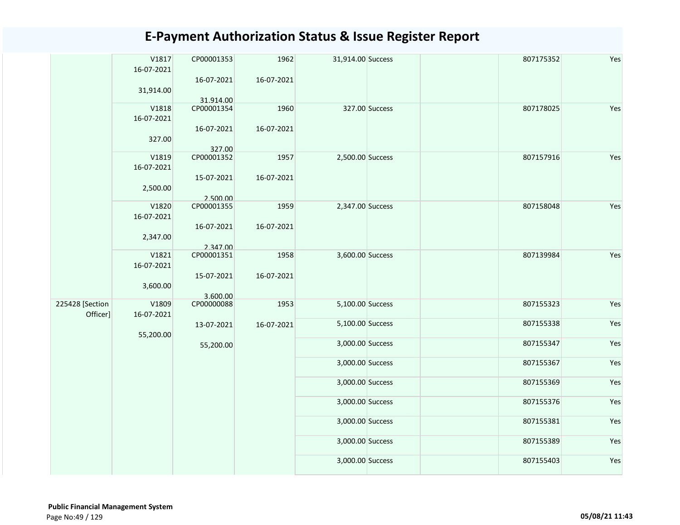|                             | V1817<br>16-07-2021<br>31,914.00 | CP00001353<br>16-07-2021              | 1962<br>16-07-2021 | 31,914.00 Success |                | 807175352 | Yes |
|-----------------------------|----------------------------------|---------------------------------------|--------------------|-------------------|----------------|-----------|-----|
|                             | V1818<br>16-07-2021              | 31.914.00<br>CP00001354<br>16-07-2021 | 1960<br>16-07-2021 |                   | 327.00 Success | 807178025 | Yes |
|                             | 327.00                           | 327.00                                |                    |                   |                |           |     |
|                             | V1819<br>16-07-2021              | CP00001352                            | 1957               | 2,500.00 Success  |                | 807157916 | Yes |
|                             | 2,500.00                         | 15-07-2021<br>2.500.00                | 16-07-2021         |                   |                |           |     |
|                             | V1820<br>16-07-2021              | CP00001355                            | 1959               | 2,347.00 Success  |                | 807158048 | Yes |
|                             | 2,347.00                         | 16-07-2021<br>2.347.00                | 16-07-2021         |                   |                |           |     |
|                             | V1821<br>16-07-2021              | CP00001351                            | 1958               | 3,600.00 Success  |                | 807139984 | Yes |
|                             | 3,600.00                         | 15-07-2021<br>3.600.00                | 16-07-2021         |                   |                |           |     |
| 225428 [Section<br>Officer] | V1809<br>16-07-2021              | CP00000088                            | 1953               | 5,100.00 Success  |                | 807155323 | Yes |
|                             | 55,200.00                        | 13-07-2021                            | 16-07-2021         | 5,100.00 Success  |                | 807155338 | Yes |
|                             |                                  | 55,200.00                             |                    | 3,000.00 Success  |                | 807155347 | Yes |
|                             |                                  |                                       |                    | 3,000.00 Success  |                | 807155367 | Yes |
|                             |                                  |                                       |                    | 3,000.00 Success  |                | 807155369 | Yes |
|                             |                                  |                                       |                    | 3,000.00 Success  |                | 807155376 | Yes |
|                             |                                  |                                       |                    | 3,000.00 Success  |                | 807155381 | Yes |
|                             |                                  |                                       |                    | 3,000.00 Success  |                | 807155389 | Yes |
|                             |                                  |                                       |                    | 3,000.00 Success  |                | 807155403 | Yes |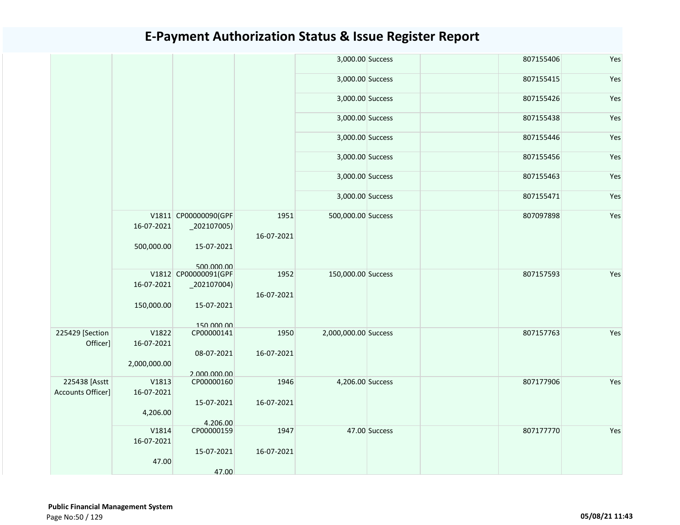|                                    |                     |                                        |            | 3,000.00 Success     |               | 807155406 | Yes |
|------------------------------------|---------------------|----------------------------------------|------------|----------------------|---------------|-----------|-----|
|                                    |                     |                                        |            | 3,000.00 Success     |               | 807155415 | Yes |
|                                    |                     |                                        |            | 3,000.00 Success     |               | 807155426 | Yes |
|                                    |                     |                                        |            | 3,000.00 Success     |               | 807155438 | Yes |
|                                    |                     |                                        |            | 3,000.00 Success     |               | 807155446 | Yes |
|                                    |                     |                                        |            | 3,000.00 Success     |               | 807155456 | Yes |
|                                    |                     |                                        |            | 3,000.00 Success     |               | 807155463 | Yes |
|                                    |                     |                                        |            | 3,000.00 Success     |               | 807155471 | Yes |
|                                    | 16-07-2021          | V1811 CP00000090(GPF<br>$_2$ 02107005) | 1951       | 500,000.00 Success   |               | 807097898 | Yes |
|                                    | 500,000.00          | 15-07-2021                             | 16-07-2021 |                      |               |           |     |
|                                    |                     | 500,000,00                             |            |                      |               |           |     |
|                                    |                     | V1812 CP00000091(GPF                   | 1952       | 150,000.00 Success   |               | 807157593 | Yes |
|                                    | 16-07-2021          | _202107004)                            |            |                      |               |           |     |
|                                    |                     |                                        | 16-07-2021 |                      |               |           |     |
|                                    | 150,000.00          | 15-07-2021                             |            |                      |               |           |     |
|                                    |                     | 150,000,00                             |            |                      |               |           |     |
| 225429 [Section<br>Officer]        | V1822<br>16-07-2021 | CP00000141                             | 1950       | 2,000,000.00 Success |               | 807157763 | Yes |
|                                    |                     | 08-07-2021                             | 16-07-2021 |                      |               |           |     |
|                                    | 2,000,000.00        |                                        |            |                      |               |           |     |
|                                    |                     | 2.000.000.00                           |            |                      |               |           |     |
| 225438 [Asstt<br>Accounts Officer] | V1813               | CP00000160                             | 1946       | 4,206.00 Success     |               | 807177906 | Yes |
|                                    | 16-07-2021          |                                        |            |                      |               |           |     |
|                                    | 4,206.00            | 15-07-2021                             | 16-07-2021 |                      |               |           |     |
|                                    |                     | 4.206.00                               |            |                      |               |           |     |
|                                    | V1814<br>16-07-2021 | CP00000159                             | 1947       |                      | 47.00 Success | 807177770 | Yes |
|                                    | 47.00               | 15-07-2021                             | 16-07-2021 |                      |               |           |     |
|                                    |                     | 47.00                                  |            |                      |               |           |     |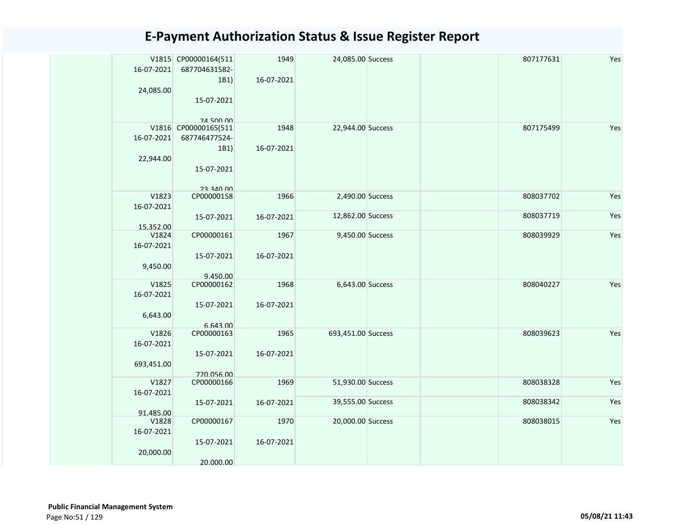| 16-07-2021         | V1815 CP00000164(511<br>687704631582-<br>1B1) | 1949<br>16-07-2021 | 24,085.00 Success  |  | 807177631 | Yes |
|--------------------|-----------------------------------------------|--------------------|--------------------|--|-----------|-----|
| 24,085.00          | 15-07-2021                                    |                    |                    |  |           |     |
|                    | <b>24 500 00</b><br>V1816 CP00000165(511      | 1948               | 22,944.00 Success  |  | 807175499 | Yes |
| 16-07-2021         | 687746477524-                                 |                    |                    |  |           |     |
|                    | 1B1)                                          | 16-07-2021         |                    |  |           |     |
| 22,944.00          |                                               |                    |                    |  |           |     |
|                    | 15-07-2021                                    |                    |                    |  |           |     |
|                    |                                               |                    |                    |  |           |     |
|                    | <b>DU UVE EC</b>                              |                    |                    |  |           |     |
| V1823              | CP00000158                                    | 1966               | 2,490.00 Success   |  | 808037702 | Yes |
| 16-07-2021         |                                               |                    |                    |  |           |     |
|                    | 15-07-2021                                    | 16-07-2021         | 12,862.00 Success  |  | 808037719 | Yes |
| 15.352.00<br>V1824 | CP00000161                                    | 1967               | 9,450.00 Success   |  | 808039929 | Yes |
| 16-07-2021         |                                               |                    |                    |  |           |     |
|                    | 15-07-2021                                    | 16-07-2021         |                    |  |           |     |
| 9,450.00           |                                               |                    |                    |  |           |     |
|                    | 9.450.00                                      |                    |                    |  |           |     |
| V1825              | CP00000162                                    | 1968               | 6,643.00 Success   |  | 808040227 | Yes |
| 16-07-2021         |                                               |                    |                    |  |           |     |
|                    | 15-07-2021                                    | 16-07-2021         |                    |  |           |     |
| 6,643.00           |                                               |                    |                    |  |           |     |
| V1826              | 6.643.00<br>CP00000163                        | 1965               | 693,451.00 Success |  | 808039623 | Yes |
| 16-07-2021         |                                               |                    |                    |  |           |     |
|                    | 15-07-2021                                    | 16-07-2021         |                    |  |           |     |
| 693,451.00         |                                               |                    |                    |  |           |     |
|                    | 720.056.00                                    |                    |                    |  |           |     |
| V1827              | CP00000166                                    | 1969               | 51,930.00 Success  |  | 808038328 | Yes |
| 16-07-2021         |                                               |                    |                    |  |           |     |
|                    | 15-07-2021                                    | 16-07-2021         | 39,555.00 Success  |  | 808038342 | Yes |
| 91.485.00<br>V1828 | CP00000167                                    | 1970               | 20,000.00 Success  |  | 808038015 | Yes |
| 16-07-2021         |                                               |                    |                    |  |           |     |
|                    | 15-07-2021                                    | 16-07-2021         |                    |  |           |     |
| 20,000.00          |                                               |                    |                    |  |           |     |
|                    | 20.000.00                                     |                    |                    |  |           |     |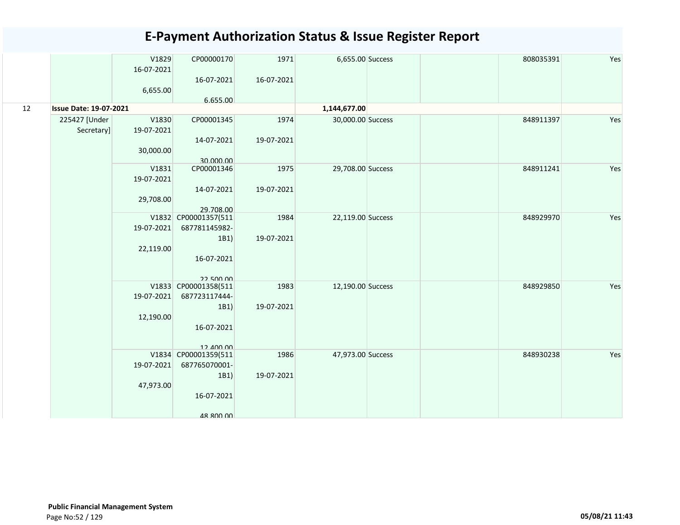|    |                               | V1829<br>16-07-2021 | CP00000170                        | 1971       | 6,655.00 Success  | 808035391 | Yes |
|----|-------------------------------|---------------------|-----------------------------------|------------|-------------------|-----------|-----|
|    |                               |                     | 16-07-2021                        | 16-07-2021 |                   |           |     |
|    |                               | 6,655.00            |                                   |            |                   |           |     |
|    |                               |                     | 6.655.00                          |            |                   |           |     |
| 12 | <b>Issue Date: 19-07-2021</b> |                     |                                   |            | 1,144,677.00      |           |     |
|    | 225427 [Under                 | V1830               | CP00001345                        | 1974       | 30,000.00 Success | 848911397 | Yes |
|    | Secretary]                    | 19-07-2021          |                                   |            |                   |           |     |
|    |                               |                     | 14-07-2021                        | 19-07-2021 |                   |           |     |
|    |                               | 30,000.00           |                                   |            |                   |           |     |
|    |                               |                     | 30.000.00                         |            |                   |           |     |
|    |                               | V1831               | CP00001346                        | 1975       | 29,708.00 Success | 848911241 | Yes |
|    |                               | 19-07-2021          |                                   |            |                   |           |     |
|    |                               |                     | 14-07-2021                        | 19-07-2021 |                   |           |     |
|    |                               | 29,708.00           |                                   |            |                   |           |     |
|    |                               |                     | 29.708.00                         |            |                   |           |     |
|    |                               |                     | V1832 CP00001357(511              | 1984       | 22,119.00 Success | 848929970 | Yes |
|    |                               | 19-07-2021          | 687781145982-                     |            |                   |           |     |
|    |                               |                     | 1B1)                              | 19-07-2021 |                   |           |     |
|    |                               | 22,119.00           |                                   |            |                   |           |     |
|    |                               |                     | 16-07-2021                        |            |                   |           |     |
|    |                               |                     |                                   |            |                   |           |     |
|    |                               |                     | 22.500.00<br>V1833 CP00001358(511 | 1983       | 12,190.00 Success | 848929850 | Yes |
|    |                               | 19-07-2021          | 687723117444-                     |            |                   |           |     |
|    |                               |                     | 1B1)                              | 19-07-2021 |                   |           |     |
|    |                               | 12,190.00           |                                   |            |                   |           |     |
|    |                               |                     | 16-07-2021                        |            |                   |           |     |
|    |                               |                     |                                   |            |                   |           |     |
|    |                               |                     | 12.400.00                         |            |                   |           |     |
|    |                               |                     | V1834 CP00001359(511              | 1986       | 47,973.00 Success | 848930238 | Yes |
|    |                               | 19-07-2021          | 687765070001-                     |            |                   |           |     |
|    |                               |                     | 1B1)                              | 19-07-2021 |                   |           |     |
|    |                               | 47,973.00           |                                   |            |                   |           |     |
|    |                               |                     | 16-07-2021                        |            |                   |           |     |
|    |                               |                     |                                   |            |                   |           |     |
|    |                               |                     | 48 800 00                         |            |                   |           |     |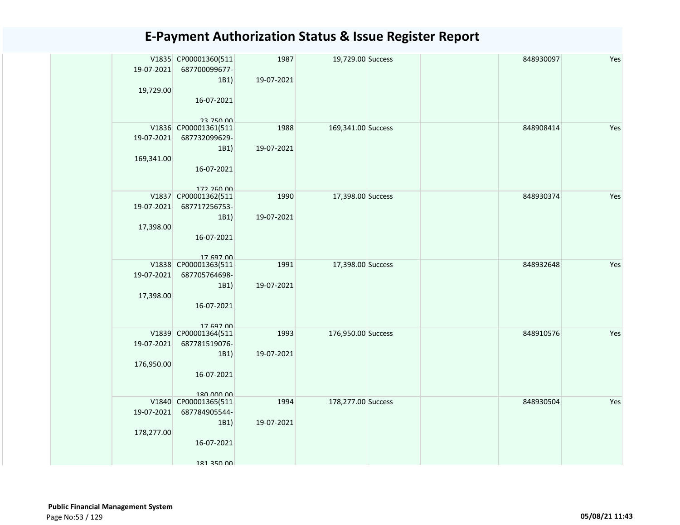| 19-07-2021 | V1835 CP00001360(511<br>687700099677-<br>1B1) | 1987<br>19-07-2021 | 19,729.00 Success  |  | 848930097 | Yes |
|------------|-----------------------------------------------|--------------------|--------------------|--|-----------|-----|
| 19,729.00  | 16-07-2021                                    |                    |                    |  |           |     |
|            | 23 750 00<br>V1836 CP00001361(511             | 1988               | 169,341.00 Success |  | 848908414 | Yes |
| 19-07-2021 | 687732099629-                                 |                    |                    |  |           |     |
|            | 1B1)                                          | 19-07-2021         |                    |  |           |     |
| 169,341.00 |                                               |                    |                    |  |           |     |
|            | 16-07-2021                                    |                    |                    |  |           |     |
|            | 172.260.00                                    |                    |                    |  |           |     |
|            | V1837 CP00001362(511                          | 1990               | 17,398.00 Success  |  | 848930374 | Yes |
| 19-07-2021 | 687717256753-                                 |                    |                    |  |           |     |
|            | 1B1)                                          | 19-07-2021         |                    |  |           |     |
| 17,398.00  | 16-07-2021                                    |                    |                    |  |           |     |
|            |                                               |                    |                    |  |           |     |
|            | 17 697 00                                     |                    |                    |  |           |     |
| V1838      | CP00001363(511                                | 1991               | 17,398.00 Success  |  | 848932648 | Yes |
| 19-07-2021 | 687705764698-<br>1B1)                         | 19-07-2021         |                    |  |           |     |
| 17,398.00  |                                               |                    |                    |  |           |     |
|            | 16-07-2021                                    |                    |                    |  |           |     |
|            |                                               |                    |                    |  |           |     |
|            | 17 697 00<br>V1839 CP00001364(511             | 1993               | 176,950.00 Success |  | 848910576 | Yes |
| 19-07-2021 | 687781519076-                                 |                    |                    |  |           |     |
|            | 1B1)                                          | 19-07-2021         |                    |  |           |     |
| 176,950.00 |                                               |                    |                    |  |           |     |
|            | 16-07-2021                                    |                    |                    |  |           |     |
|            |                                               |                    |                    |  |           |     |
|            | 180.000.00<br>V1840 CP00001365(511            | 1994               | 178,277.00 Success |  | 848930504 | Yes |
| 19-07-2021 | 687784905544-                                 |                    |                    |  |           |     |
|            | 1B1)                                          | 19-07-2021         |                    |  |           |     |
| 178,277.00 |                                               |                    |                    |  |           |     |
|            | 16-07-2021                                    |                    |                    |  |           |     |
|            | 181 350 00                                    |                    |                    |  |           |     |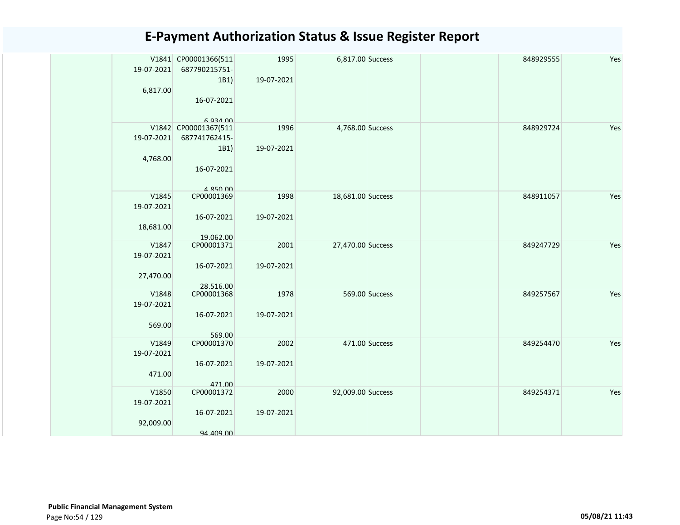| 19-07-2021          | V1841 CP00001366(511<br>687790215751- | 1995       | 6,817.00 Success  |                | 848929555 | Yes |
|---------------------|---------------------------------------|------------|-------------------|----------------|-----------|-----|
|                     | 1B1)                                  | 19-07-2021 |                   |                |           |     |
| 6,817.00            |                                       |            |                   |                |           |     |
|                     | 16-07-2021                            |            |                   |                |           |     |
|                     | $6.934$ $00$                          |            |                   |                |           |     |
|                     | V1842 CP00001367(511                  | 1996       | 4,768.00 Success  |                | 848929724 | Yes |
| 19-07-2021          | 687741762415-                         |            |                   |                |           |     |
|                     | 1B1)                                  | 19-07-2021 |                   |                |           |     |
| 4,768.00            |                                       |            |                   |                |           |     |
|                     | 16-07-2021                            |            |                   |                |           |     |
|                     | 4 850 00                              |            |                   |                |           |     |
| V1845               | CP00001369                            | 1998       | 18,681.00 Success |                | 848911057 | Yes |
| 19-07-2021          |                                       |            |                   |                |           |     |
|                     | 16-07-2021                            | 19-07-2021 |                   |                |           |     |
| 18,681.00           |                                       |            |                   |                |           |     |
| V1847               | 19.062.00<br>CP00001371               | 2001       | 27,470.00 Success |                | 849247729 | Yes |
| 19-07-2021          |                                       |            |                   |                |           |     |
|                     | 16-07-2021                            | 19-07-2021 |                   |                |           |     |
| 27,470.00           |                                       |            |                   |                |           |     |
| V1848               | 28.516.00<br>CP00001368               | 1978       |                   | 569.00 Success | 849257567 | Yes |
| 19-07-2021          |                                       |            |                   |                |           |     |
|                     | 16-07-2021                            | 19-07-2021 |                   |                |           |     |
| 569.00              |                                       |            |                   |                |           |     |
|                     | 569.00                                |            |                   |                |           |     |
| V1849<br>19-07-2021 | CP00001370                            | 2002       |                   | 471.00 Success | 849254470 | Yes |
|                     | 16-07-2021                            | 19-07-2021 |                   |                |           |     |
| 471.00              |                                       |            |                   |                |           |     |
|                     | 471.00                                |            |                   |                |           |     |
| V1850               | CP00001372                            | 2000       | 92,009.00 Success |                | 849254371 | Yes |
| 19-07-2021          | 16-07-2021                            | 19-07-2021 |                   |                |           |     |
| 92,009.00           |                                       |            |                   |                |           |     |
|                     | 94.409.00                             |            |                   |                |           |     |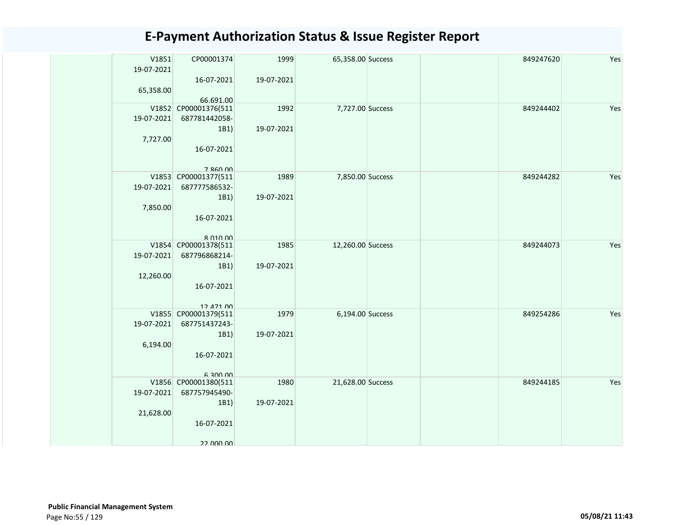| V1851      | CP00001374                            | 1999       | 65,358.00 Success |  | 849247620 | Yes |
|------------|---------------------------------------|------------|-------------------|--|-----------|-----|
| 19-07-2021 |                                       |            |                   |  |           |     |
|            | 16-07-2021                            | 19-07-2021 |                   |  |           |     |
| 65,358.00  | 66.691.00                             |            |                   |  |           |     |
|            | V1852 CP00001376(511                  | 1992       | 7,727.00 Success  |  | 849244402 | Yes |
| 19-07-2021 | 687781442058-                         |            |                   |  |           |     |
|            | 1B1)                                  | 19-07-2021 |                   |  |           |     |
| 7,727.00   |                                       |            |                   |  |           |     |
|            | 16-07-2021                            |            |                   |  |           |     |
|            |                                       |            |                   |  |           |     |
|            | 7 860 00<br>V1853 CP00001377(511      | 1989       | 7,850.00 Success  |  | 849244282 | Yes |
| 19-07-2021 | 687777586532-                         |            |                   |  |           |     |
|            | 1B1)                                  | 19-07-2021 |                   |  |           |     |
| 7,850.00   |                                       |            |                   |  |           |     |
|            | 16-07-2021                            |            |                   |  |           |     |
|            |                                       |            |                   |  |           |     |
|            | 8 010 00<br>V1854 CP00001378(511      | 1985       | 12,260.00 Success |  | 849244073 | Yes |
| 19-07-2021 | 687796868214-                         |            |                   |  |           |     |
|            | 1B1)                                  | 19-07-2021 |                   |  |           |     |
| 12,260.00  |                                       |            |                   |  |           |     |
|            | 16-07-2021                            |            |                   |  |           |     |
|            |                                       |            |                   |  |           |     |
|            | 12 471 00<br>V1855 CP00001379(511     | 1979       | 6,194.00 Success  |  | 849254286 | Yes |
| 19-07-2021 | 687751437243-                         |            |                   |  |           |     |
|            | 1B1)                                  | 19-07-2021 |                   |  |           |     |
| 6,194.00   |                                       |            |                   |  |           |     |
|            | 16-07-2021                            |            |                   |  |           |     |
|            |                                       |            |                   |  |           |     |
|            | 6.300.00                              |            |                   |  |           |     |
| 19-07-2021 | V1856 CP00001380(511<br>687757945490- | 1980       | 21,628.00 Success |  | 849244185 | Yes |
|            | 1B1)                                  | 19-07-2021 |                   |  |           |     |
| 21,628.00  |                                       |            |                   |  |           |     |
|            | 16-07-2021                            |            |                   |  |           |     |
|            |                                       |            |                   |  |           |     |
|            | 22 000 00                             |            |                   |  |           |     |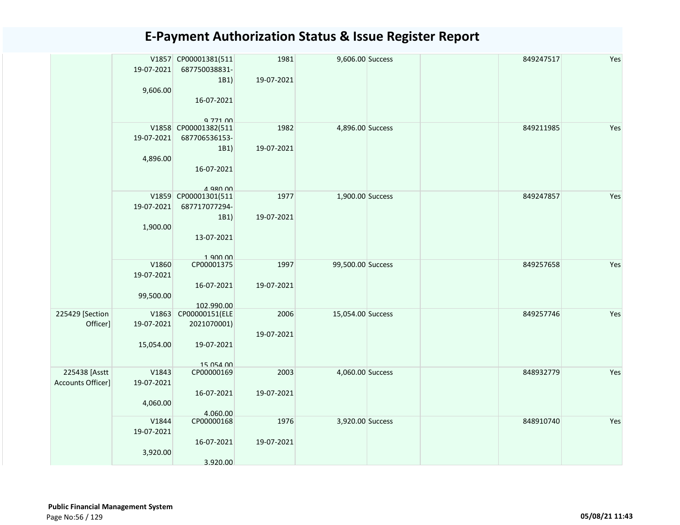|                                    | 19-07-2021<br>9,606.00           | V1857 CP00001381(511<br>687750038831-<br>1B1)<br>16-07-2021                | 1981<br>19-07-2021 | 9,606.00 Success  | 849247517 | Yes |
|------------------------------------|----------------------------------|----------------------------------------------------------------------------|--------------------|-------------------|-----------|-----|
|                                    | 19-07-2021<br>4,896.00           | Q 771 00<br>V1858 CP00001382(511<br>687706536153-<br>1B1)<br>16-07-2021    | 1982<br>19-07-2021 | 4,896.00 Success  | 849211985 | Yes |
|                                    | 19-07-2021<br>1,900.00           | $A$ QRN $M$<br>V1859 CP00001301(511<br>687717077294-<br>1B1)<br>13-07-2021 | 1977<br>19-07-2021 | 1,900.00 Success  | 849247857 | Yes |
|                                    | V1860<br>19-07-2021<br>99,500.00 | $1$ ann nn<br>CP00001375<br>16-07-2021<br>102.990.00                       | 1997<br>19-07-2021 | 99,500.00 Success | 849257658 | Yes |
| 225429 [Section<br>Officer]        | V1863<br>19-07-2021<br>15,054.00 | CP00000151(ELE<br>2021070001)<br>19-07-2021<br>15 054 00                   | 2006<br>19-07-2021 | 15,054.00 Success | 849257746 | Yes |
| 225438 [Asstt<br>Accounts Officer] | V1843<br>19-07-2021<br>4,060.00  | CP00000169<br>16-07-2021<br>4.060.00                                       | 2003<br>19-07-2021 | 4,060.00 Success  | 848932779 | Yes |
|                                    | V1844<br>19-07-2021<br>3,920.00  | CP00000168<br>16-07-2021<br>3.920.00                                       | 1976<br>19-07-2021 | 3,920.00 Success  | 848910740 | Yes |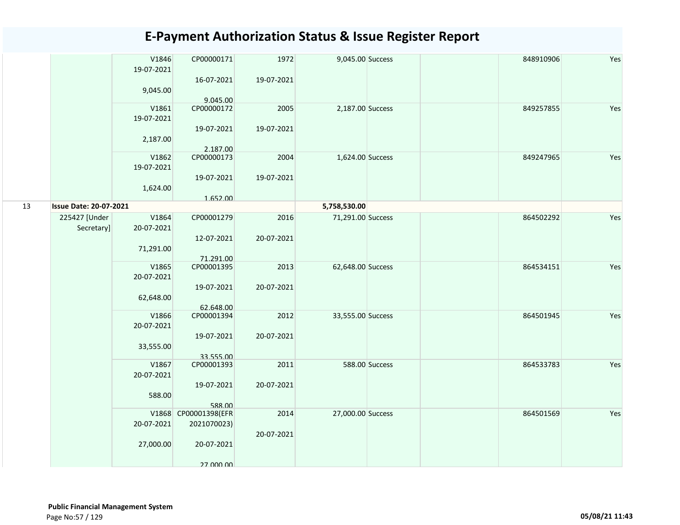|    |                               | V1846      | CP00000171                     | 1972       | 9,045.00 Success  |                | 848910906 | Yes |
|----|-------------------------------|------------|--------------------------------|------------|-------------------|----------------|-----------|-----|
|    |                               | 19-07-2021 |                                |            |                   |                |           |     |
|    |                               |            | 16-07-2021                     | 19-07-2021 |                   |                |           |     |
|    |                               | 9,045.00   |                                |            |                   |                |           |     |
|    |                               |            | 9.045.00                       |            |                   |                |           |     |
|    |                               | V1861      | CP00000172                     | 2005       | 2,187.00 Success  |                | 849257855 | Yes |
|    |                               | 19-07-2021 |                                |            |                   |                |           |     |
|    |                               |            | 19-07-2021                     | 19-07-2021 |                   |                |           |     |
|    |                               | 2,187.00   |                                |            |                   |                |           |     |
|    |                               |            | 2.187.00                       |            |                   |                |           |     |
|    |                               | V1862      | CP00000173                     | 2004       | 1,624.00 Success  |                | 849247965 | Yes |
|    |                               | 19-07-2021 |                                |            |                   |                |           |     |
|    |                               |            | 19-07-2021                     | 19-07-2021 |                   |                |           |     |
|    |                               | 1,624.00   |                                |            |                   |                |           |     |
|    |                               |            | 1.652.00                       |            |                   |                |           |     |
| 13 | <b>Issue Date: 20-07-2021</b> |            |                                |            | 5,758,530.00      |                |           |     |
|    | 225427 [Under                 | V1864      | CP00001279                     | 2016       | 71,291.00 Success |                | 864502292 | Yes |
|    | Secretary]                    | 20-07-2021 |                                |            |                   |                |           |     |
|    |                               |            | 12-07-2021                     | 20-07-2021 |                   |                |           |     |
|    |                               | 71,291.00  |                                |            |                   |                |           |     |
|    |                               |            | 71.291.00                      |            |                   |                |           |     |
|    |                               | V1865      | CP00001395                     | 2013       | 62,648.00 Success |                | 864534151 | Yes |
|    |                               | 20-07-2021 |                                |            |                   |                |           |     |
|    |                               |            | 19-07-2021                     | 20-07-2021 |                   |                |           |     |
|    |                               | 62,648.00  |                                |            |                   |                |           |     |
|    |                               |            | 62.648.00                      |            |                   |                |           |     |
|    |                               | V1866      | CP00001394                     | 2012       | 33,555.00 Success |                | 864501945 | Yes |
|    |                               | 20-07-2021 |                                |            |                   |                |           |     |
|    |                               |            | 19-07-2021                     | 20-07-2021 |                   |                |           |     |
|    |                               | 33,555.00  |                                |            |                   |                |           |     |
|    |                               |            |                                |            |                   |                |           |     |
|    |                               | V1867      | 33.555.00<br>CP00001393        | 2011       |                   | 588.00 Success | 864533783 | Yes |
|    |                               | 20-07-2021 |                                |            |                   |                |           |     |
|    |                               |            |                                | 20-07-2021 |                   |                |           |     |
|    |                               |            | 19-07-2021                     |            |                   |                |           |     |
|    |                               | 588.00     |                                |            |                   |                |           |     |
|    |                               |            | 588.00<br>V1868 CP00001398(EFR | 2014       | 27,000.00 Success |                | 864501569 | Yes |
|    |                               | 20-07-2021 |                                |            |                   |                |           |     |
|    |                               |            | 2021070023)                    |            |                   |                |           |     |
|    |                               |            |                                | 20-07-2021 |                   |                |           |     |
|    |                               | 27,000.00  | 20-07-2021                     |            |                   |                |           |     |
|    |                               |            |                                |            |                   |                |           |     |
|    |                               |            | 27 000 00                      |            |                   |                |           |     |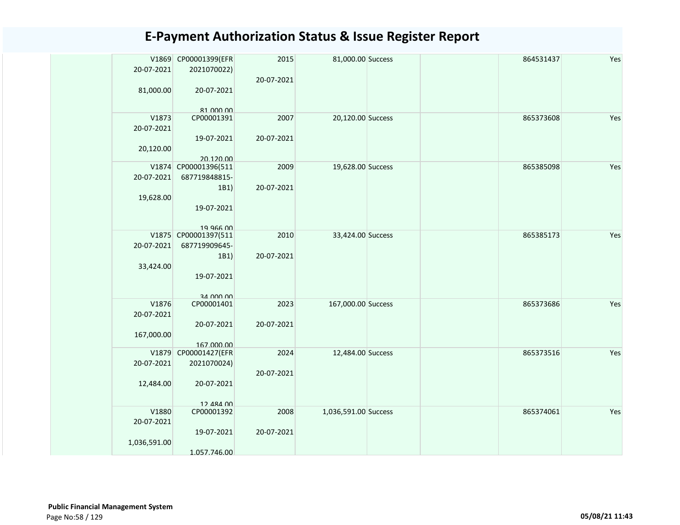|              | V1869 CP00001399(EFR    | 2015       | 81,000.00 Success    |  | 864531437 | Yes |
|--------------|-------------------------|------------|----------------------|--|-----------|-----|
| 20-07-2021   | 2021070022)             |            |                      |  |           |     |
|              |                         | 20-07-2021 |                      |  |           |     |
| 81,000.00    | 20-07-2021              |            |                      |  |           |     |
|              |                         |            |                      |  |           |     |
|              | 81 000 00               |            |                      |  |           |     |
| V1873        | CP00001391              | 2007       | 20,120.00 Success    |  | 865373608 | Yes |
| 20-07-2021   |                         |            |                      |  |           |     |
|              | 19-07-2021              | 20-07-2021 |                      |  |           |     |
| 20,120.00    |                         |            |                      |  |           |     |
|              | 20.120.00               |            |                      |  |           |     |
| V1874        | CP00001396(511          | 2009       | 19,628.00 Success    |  | 865385098 | Yes |
| 20-07-2021   | 687719848815-           |            |                      |  |           |     |
|              | 1B1)                    | 20-07-2021 |                      |  |           |     |
| 19,628.00    |                         |            |                      |  |           |     |
|              | 19-07-2021              |            |                      |  |           |     |
|              |                         |            |                      |  |           |     |
|              | 19 966 00               |            |                      |  |           |     |
|              | V1875 CP00001397(511    | 2010       | 33,424.00 Success    |  | 865385173 | Yes |
| 20-07-2021   | 687719909645-           |            |                      |  |           |     |
|              | 1B1)                    | 20-07-2021 |                      |  |           |     |
| 33,424.00    |                         |            |                      |  |           |     |
|              | 19-07-2021              |            |                      |  |           |     |
|              |                         |            |                      |  |           |     |
|              | 34 000 00               |            |                      |  |           |     |
| V1876        | CP00001401              | 2023       | 167,000.00 Success   |  | 865373686 | Yes |
| 20-07-2021   |                         |            |                      |  |           |     |
|              | 20-07-2021              | 20-07-2021 |                      |  |           |     |
| 167,000.00   |                         |            |                      |  |           |     |
|              | 167.000.00              | 2024       |                      |  |           | Yes |
| V1879        | CP00001427(EFR          |            | 12,484.00 Success    |  | 865373516 |     |
| 20-07-2021   | 2021070024)             |            |                      |  |           |     |
|              |                         | 20-07-2021 |                      |  |           |     |
| 12,484.00    | 20-07-2021              |            |                      |  |           |     |
|              |                         |            |                      |  |           |     |
| V1880        | 12 484 00<br>CP00001392 | 2008       | 1,036,591.00 Success |  | 865374061 | Yes |
|              |                         |            |                      |  |           |     |
| 20-07-2021   |                         |            |                      |  |           |     |
|              | 19-07-2021              | 20-07-2021 |                      |  |           |     |
| 1,036,591.00 |                         |            |                      |  |           |     |
|              | 1.057.746.00            |            |                      |  |           |     |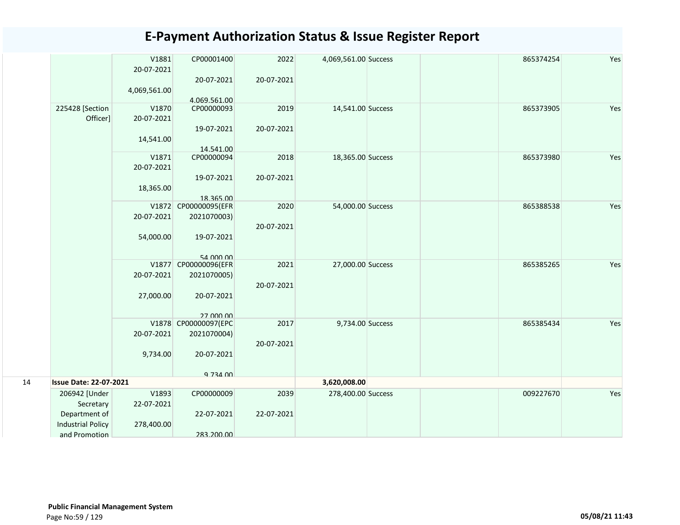|               | V1881<br>20-07-2021                                                                                    | CP00001400                                                                                                                                                                        | 2022                                                                                                                                                                                                                                                                                                             |                                                                                                            |                                                                                                                                                                    | 865374254 | Yes                                                           |
|---------------|--------------------------------------------------------------------------------------------------------|-----------------------------------------------------------------------------------------------------------------------------------------------------------------------------------|------------------------------------------------------------------------------------------------------------------------------------------------------------------------------------------------------------------------------------------------------------------------------------------------------------------|------------------------------------------------------------------------------------------------------------|--------------------------------------------------------------------------------------------------------------------------------------------------------------------|-----------|---------------------------------------------------------------|
|               |                                                                                                        | 20-07-2021                                                                                                                                                                        | 20-07-2021                                                                                                                                                                                                                                                                                                       |                                                                                                            |                                                                                                                                                                    |           |                                                               |
|               |                                                                                                        |                                                                                                                                                                                   |                                                                                                                                                                                                                                                                                                                  |                                                                                                            |                                                                                                                                                                    |           |                                                               |
|               |                                                                                                        | 4.069.561.00                                                                                                                                                                      |                                                                                                                                                                                                                                                                                                                  |                                                                                                            |                                                                                                                                                                    |           |                                                               |
|               |                                                                                                        |                                                                                                                                                                                   |                                                                                                                                                                                                                                                                                                                  |                                                                                                            |                                                                                                                                                                    |           | Yes                                                           |
|               |                                                                                                        |                                                                                                                                                                                   |                                                                                                                                                                                                                                                                                                                  |                                                                                                            |                                                                                                                                                                    |           |                                                               |
|               |                                                                                                        |                                                                                                                                                                                   |                                                                                                                                                                                                                                                                                                                  |                                                                                                            |                                                                                                                                                                    |           |                                                               |
|               |                                                                                                        |                                                                                                                                                                                   |                                                                                                                                                                                                                                                                                                                  |                                                                                                            |                                                                                                                                                                    |           |                                                               |
|               |                                                                                                        |                                                                                                                                                                                   |                                                                                                                                                                                                                                                                                                                  |                                                                                                            |                                                                                                                                                                    |           | Yes                                                           |
|               |                                                                                                        |                                                                                                                                                                                   |                                                                                                                                                                                                                                                                                                                  |                                                                                                            |                                                                                                                                                                    |           |                                                               |
|               |                                                                                                        |                                                                                                                                                                                   |                                                                                                                                                                                                                                                                                                                  |                                                                                                            |                                                                                                                                                                    |           |                                                               |
|               |                                                                                                        |                                                                                                                                                                                   |                                                                                                                                                                                                                                                                                                                  |                                                                                                            |                                                                                                                                                                    |           |                                                               |
|               |                                                                                                        |                                                                                                                                                                                   |                                                                                                                                                                                                                                                                                                                  |                                                                                                            |                                                                                                                                                                    |           |                                                               |
|               |                                                                                                        |                                                                                                                                                                                   |                                                                                                                                                                                                                                                                                                                  |                                                                                                            |                                                                                                                                                                    |           | Yes                                                           |
|               |                                                                                                        |                                                                                                                                                                                   |                                                                                                                                                                                                                                                                                                                  |                                                                                                            |                                                                                                                                                                    |           |                                                               |
|               |                                                                                                        |                                                                                                                                                                                   |                                                                                                                                                                                                                                                                                                                  |                                                                                                            |                                                                                                                                                                    |           |                                                               |
|               |                                                                                                        |                                                                                                                                                                                   |                                                                                                                                                                                                                                                                                                                  |                                                                                                            |                                                                                                                                                                    |           |                                                               |
|               |                                                                                                        |                                                                                                                                                                                   |                                                                                                                                                                                                                                                                                                                  |                                                                                                            |                                                                                                                                                                    |           |                                                               |
|               |                                                                                                        | $54$ 000 00                                                                                                                                                                       |                                                                                                                                                                                                                                                                                                                  |                                                                                                            |                                                                                                                                                                    |           |                                                               |
|               |                                                                                                        |                                                                                                                                                                                   | 2021                                                                                                                                                                                                                                                                                                             |                                                                                                            |                                                                                                                                                                    | 865385265 | Yes                                                           |
|               | 20-07-2021                                                                                             | 2021070005)                                                                                                                                                                       |                                                                                                                                                                                                                                                                                                                  |                                                                                                            |                                                                                                                                                                    |           |                                                               |
|               |                                                                                                        |                                                                                                                                                                                   | 20-07-2021                                                                                                                                                                                                                                                                                                       |                                                                                                            |                                                                                                                                                                    |           |                                                               |
|               |                                                                                                        | 20-07-2021                                                                                                                                                                        |                                                                                                                                                                                                                                                                                                                  |                                                                                                            |                                                                                                                                                                    |           |                                                               |
|               |                                                                                                        |                                                                                                                                                                                   |                                                                                                                                                                                                                                                                                                                  |                                                                                                            |                                                                                                                                                                    |           |                                                               |
|               |                                                                                                        |                                                                                                                                                                                   |                                                                                                                                                                                                                                                                                                                  |                                                                                                            |                                                                                                                                                                    |           |                                                               |
|               |                                                                                                        |                                                                                                                                                                                   |                                                                                                                                                                                                                                                                                                                  |                                                                                                            |                                                                                                                                                                    |           | Yes                                                           |
|               |                                                                                                        |                                                                                                                                                                                   |                                                                                                                                                                                                                                                                                                                  |                                                                                                            |                                                                                                                                                                    |           |                                                               |
|               |                                                                                                        |                                                                                                                                                                                   |                                                                                                                                                                                                                                                                                                                  |                                                                                                            |                                                                                                                                                                    |           |                                                               |
|               |                                                                                                        |                                                                                                                                                                                   |                                                                                                                                                                                                                                                                                                                  |                                                                                                            |                                                                                                                                                                    |           |                                                               |
|               |                                                                                                        |                                                                                                                                                                                   |                                                                                                                                                                                                                                                                                                                  |                                                                                                            |                                                                                                                                                                    |           |                                                               |
|               |                                                                                                        |                                                                                                                                                                                   |                                                                                                                                                                                                                                                                                                                  |                                                                                                            |                                                                                                                                                                    |           |                                                               |
|               |                                                                                                        |                                                                                                                                                                                   |                                                                                                                                                                                                                                                                                                                  |                                                                                                            |                                                                                                                                                                    |           | Yes                                                           |
|               |                                                                                                        |                                                                                                                                                                                   |                                                                                                                                                                                                                                                                                                                  |                                                                                                            |                                                                                                                                                                    |           |                                                               |
|               |                                                                                                        |                                                                                                                                                                                   |                                                                                                                                                                                                                                                                                                                  |                                                                                                            |                                                                                                                                                                    |           |                                                               |
|               |                                                                                                        |                                                                                                                                                                                   |                                                                                                                                                                                                                                                                                                                  |                                                                                                            |                                                                                                                                                                    |           |                                                               |
| and Promotion |                                                                                                        | 283.200.00                                                                                                                                                                        |                                                                                                                                                                                                                                                                                                                  |                                                                                                            |                                                                                                                                                                    |           |                                                               |
|               | 225428 [Section<br>Officer]<br>206942 [Under<br>Secretary<br>Department of<br><b>Industrial Policy</b> | V1870<br>20-07-2021<br>14,541.00<br>V1871<br>20-07-2021<br>18,365.00<br>20-07-2021<br>54,000.00<br>20-07-2021<br>9,734.00<br><b>Issue Date: 22-07-2021</b><br>V1893<br>22-07-2021 | 4,069,561.00<br>CP00000093<br>19-07-2021<br>14.541.00<br>CP00000094<br>19-07-2021<br>18.365.00<br>V1872 CP00000095(EFR<br>2021070003)<br>19-07-2021<br>V1877 CP00000096(EFR<br>27,000.00<br>27.000.00<br>V1878 CP00000097(EPC<br>2021070004)<br>20-07-2021<br>9 734 00<br>CP00000009<br>22-07-2021<br>278,400.00 | 2019<br>20-07-2021<br>2018<br>20-07-2021<br>2020<br>20-07-2021<br>2017<br>20-07-2021<br>2039<br>22-07-2021 | 4,069,561.00 Success<br>14,541.00 Success<br>18,365.00 Success<br>54,000.00 Success<br>27,000.00 Success<br>9,734.00 Success<br>3,620,008.00<br>278,400.00 Success |           | 865373905<br>865373980<br>865388538<br>865385434<br>009227670 |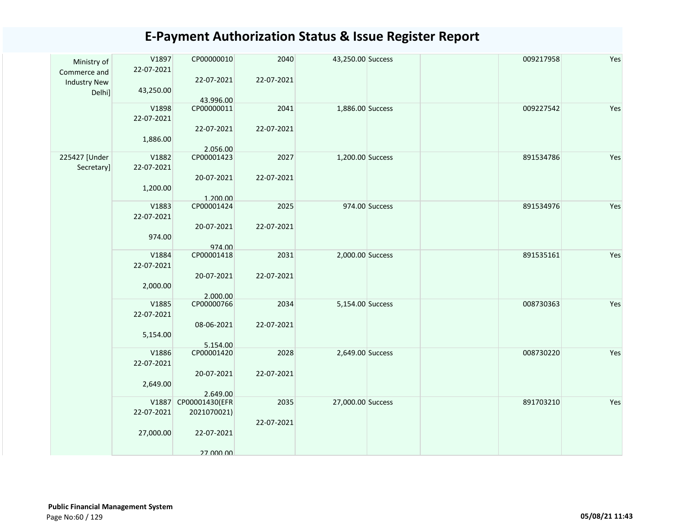| Ministry of<br>Commerce and   | V1897<br>22-07-2021 | CP00000010                    | 2040       | 43,250.00 Success |                | 009217958 | Yes |
|-------------------------------|---------------------|-------------------------------|------------|-------------------|----------------|-----------|-----|
| <b>Industry New</b><br>Delhi] | 43,250.00           | 22-07-2021<br>43.996.00       | 22-07-2021 |                   |                |           |     |
|                               | V1898<br>22-07-2021 | CP00000011                    | 2041       | 1,886.00 Success  |                | 009227542 | Yes |
|                               | 1,886.00            | 22-07-2021<br>2.056.00        | 22-07-2021 |                   |                |           |     |
| 225427 [Under<br>Secretary]   | V1882<br>22-07-2021 | CP00001423                    | 2027       | 1,200.00 Success  |                | 891534786 | Yes |
|                               | 1,200.00            | 20-07-2021<br>1.200.00        | 22-07-2021 |                   |                |           |     |
|                               | V1883<br>22-07-2021 | CP00001424                    | 2025       |                   | 974.00 Success | 891534976 | Yes |
|                               | 974.00              | 20-07-2021<br>974.00          | 22-07-2021 |                   |                |           |     |
|                               | V1884<br>22-07-2021 | CP00001418                    | 2031       | 2,000.00 Success  |                | 891535161 | Yes |
|                               | 2,000.00            | 20-07-2021<br>2.000.00        | 22-07-2021 |                   |                |           |     |
|                               | V1885<br>22-07-2021 | CP00000766                    | 2034       | 5,154.00 Success  |                | 008730363 | Yes |
|                               | 5,154.00            | 08-06-2021<br>5.154.00        | 22-07-2021 |                   |                |           |     |
|                               | V1886<br>22-07-2021 | CP00001420                    | 2028       | 2,649.00 Success  |                | 008730220 | Yes |
|                               | 2,649.00            | 20-07-2021<br>2.649.00        | 22-07-2021 |                   |                |           |     |
|                               | V1887<br>22-07-2021 | CP00001430(EFR<br>2021070021) | 2035       | 27,000.00 Success |                | 891703210 | Yes |
|                               | 27,000.00           | 22-07-2021                    | 22-07-2021 |                   |                |           |     |
|                               |                     | 27 000 00                     |            |                   |                |           |     |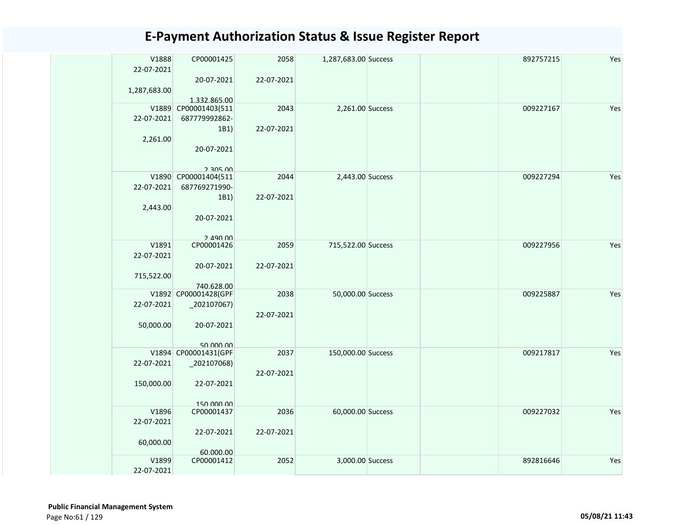| V1888<br>22-07-2021 | CP00001425                        | 2058       | 1,287,683.00 Success |  | 892757215 | Yes |
|---------------------|-----------------------------------|------------|----------------------|--|-----------|-----|
| 1,287,683.00        | 20-07-2021                        | 22-07-2021 |                      |  |           |     |
|                     | 1.332.865.00                      | 2043       | 2,261.00 Success     |  | 009227167 | Yes |
|                     | V1889 CP00001403(511              |            |                      |  |           |     |
| 22-07-2021          | 687779992862-                     |            |                      |  |           |     |
|                     | 1B1)                              | 22-07-2021 |                      |  |           |     |
| 2,261.00            |                                   |            |                      |  |           |     |
|                     | 20-07-2021                        |            |                      |  |           |     |
|                     |                                   |            |                      |  |           |     |
|                     | 2.305.00                          |            |                      |  |           |     |
|                     | V1890 CP00001404(511              | 2044       | 2,443.00 Success     |  | 009227294 | Yes |
| 22-07-2021          | 687769271990-                     |            |                      |  |           |     |
|                     | 1B1)                              | 22-07-2021 |                      |  |           |     |
| 2,443.00            |                                   |            |                      |  |           |     |
|                     | 20-07-2021                        |            |                      |  |           |     |
|                     |                                   |            |                      |  |           |     |
|                     | 2 490 00                          |            |                      |  |           |     |
| V1891               | CP00001426                        | 2059       | 715,522.00 Success   |  | 009227956 | Yes |
| 22-07-2021          |                                   |            |                      |  |           |     |
|                     | 20-07-2021                        | 22-07-2021 |                      |  |           |     |
| 715,522.00          |                                   |            |                      |  |           |     |
|                     | 740.628.00                        |            |                      |  |           |     |
|                     | V1892 CP00001428(GPF              | 2038       | 50,000.00 Success    |  | 009225887 | Yes |
| 22-07-2021          | $_2$ 202107067)                   |            |                      |  |           |     |
|                     |                                   | 22-07-2021 |                      |  |           |     |
| 50,000.00           | 20-07-2021                        |            |                      |  |           |     |
|                     |                                   |            |                      |  |           |     |
|                     |                                   |            |                      |  |           |     |
|                     | 50.000.00<br>V1894 CP00001431(GPF | 2037       | 150,000.00 Success   |  | 009217817 | Yes |
| 22-07-2021          | _202107068)                       |            |                      |  |           |     |
|                     |                                   | 22-07-2021 |                      |  |           |     |
|                     |                                   |            |                      |  |           |     |
| 150,000.00          | 22-07-2021                        |            |                      |  |           |     |
|                     |                                   |            |                      |  |           |     |
| V1896               | 150 000 00<br>CP00001437          | 2036       | 60,000.00 Success    |  | 009227032 | Yes |
| 22-07-2021          |                                   |            |                      |  |           |     |
|                     |                                   |            |                      |  |           |     |
|                     | 22-07-2021                        | 22-07-2021 |                      |  |           |     |
| 60,000.00           |                                   |            |                      |  |           |     |
|                     | 60.000.00                         |            |                      |  |           |     |
| V1899               | CP00001412                        | 2052       | 3,000.00 Success     |  | 892816646 | Yes |
| 22-07-2021          |                                   |            |                      |  |           |     |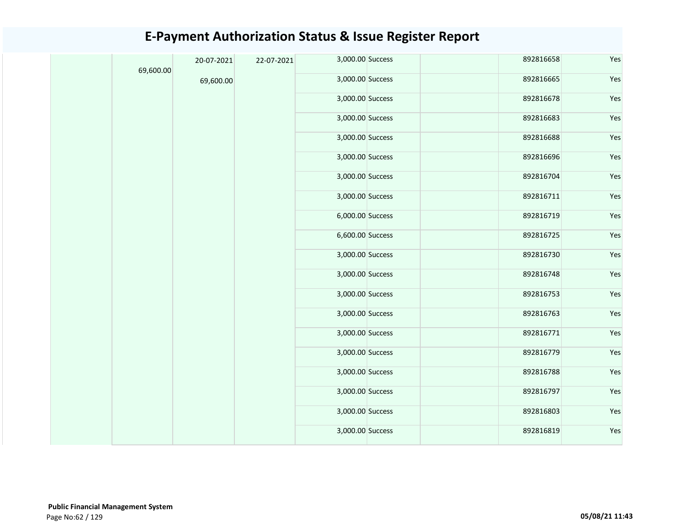|  | 69,600.00 | 20-07-2021 | 22-07-2021 | 3,000.00 Success |  | 892816658 | Yes |
|--|-----------|------------|------------|------------------|--|-----------|-----|
|  |           | 69,600.00  |            | 3,000.00 Success |  | 892816665 | Yes |
|  |           |            |            | 3,000.00 Success |  | 892816678 | Yes |
|  |           |            |            | 3,000.00 Success |  | 892816683 | Yes |
|  |           |            |            | 3,000.00 Success |  | 892816688 | Yes |
|  |           |            |            | 3,000.00 Success |  | 892816696 | Yes |
|  |           |            |            | 3,000.00 Success |  | 892816704 | Yes |
|  |           |            |            | 3,000.00 Success |  | 892816711 | Yes |
|  |           |            |            | 6,000.00 Success |  | 892816719 | Yes |
|  |           |            |            | 6,600.00 Success |  | 892816725 | Yes |
|  |           |            |            | 3,000.00 Success |  | 892816730 | Yes |
|  |           |            |            | 3,000.00 Success |  | 892816748 | Yes |
|  |           |            |            | 3,000.00 Success |  | 892816753 | Yes |
|  |           |            |            | 3,000.00 Success |  | 892816763 | Yes |
|  |           |            |            | 3,000.00 Success |  | 892816771 | Yes |
|  |           |            |            | 3,000.00 Success |  | 892816779 | Yes |
|  |           |            |            | 3,000.00 Success |  | 892816788 | Yes |
|  |           |            |            | 3,000.00 Success |  | 892816797 | Yes |
|  |           |            |            | 3,000.00 Success |  | 892816803 | Yes |
|  |           |            |            | 3,000.00 Success |  | 892816819 | Yes |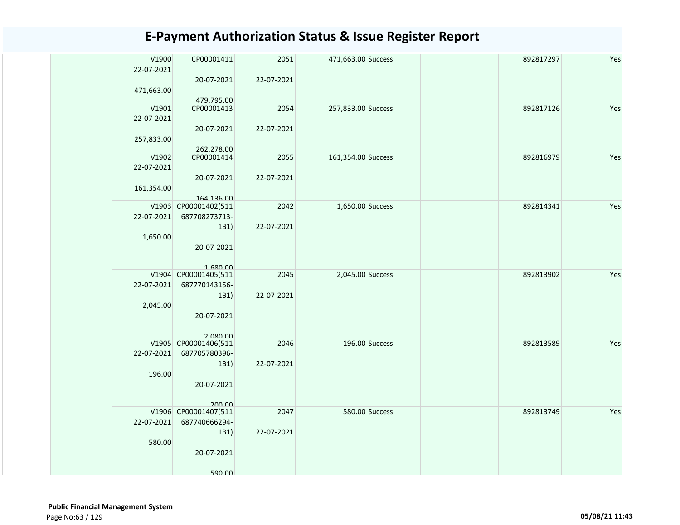| V1900      | CP00001411           | 2051       | 471,663.00 Success |                | 892817297 | Yes |
|------------|----------------------|------------|--------------------|----------------|-----------|-----|
| 22-07-2021 |                      |            |                    |                |           |     |
|            | 20-07-2021           | 22-07-2021 |                    |                |           |     |
| 471,663.00 |                      |            |                    |                |           |     |
|            | 479.795.00           |            |                    |                |           |     |
| V1901      | CP00001413           | 2054       | 257,833.00 Success |                | 892817126 | Yes |
| 22-07-2021 |                      |            |                    |                |           |     |
|            |                      |            |                    |                |           |     |
|            | 20-07-2021           | 22-07-2021 |                    |                |           |     |
| 257,833.00 |                      |            |                    |                |           |     |
|            | 262.278.00           |            |                    |                |           |     |
| V1902      | CP00001414           | 2055       | 161,354.00 Success |                | 892816979 | Yes |
| 22-07-2021 |                      |            |                    |                |           |     |
|            | 20-07-2021           | 22-07-2021 |                    |                |           |     |
| 161,354.00 |                      |            |                    |                |           |     |
|            | 164.136.00           |            |                    |                |           |     |
|            | V1903 CP00001402(511 | 2042       | 1,650.00 Success   |                | 892814341 | Yes |
| 22-07-2021 | 687708273713-        |            |                    |                |           |     |
|            |                      | 22-07-2021 |                    |                |           |     |
|            | 1B1)                 |            |                    |                |           |     |
| 1,650.00   |                      |            |                    |                |           |     |
|            | 20-07-2021           |            |                    |                |           |     |
|            |                      |            |                    |                |           |     |
|            | 1.680.00             |            |                    |                |           |     |
|            | V1904 CP00001405(511 | 2045       | 2,045.00 Success   |                | 892813902 | Yes |
| 22-07-2021 | 687770143156-        |            |                    |                |           |     |
|            | 1B1)                 | 22-07-2021 |                    |                |           |     |
| 2,045.00   |                      |            |                    |                |           |     |
|            | 20-07-2021           |            |                    |                |           |     |
|            |                      |            |                    |                |           |     |
|            |                      |            |                    |                |           |     |
|            | 2 USU UU             | 2046       |                    | 196.00 Success |           | Yes |
|            | V1905 CP00001406(511 |            |                    |                | 892813589 |     |
| 22-07-2021 | 687705780396-        |            |                    |                |           |     |
|            | 1B1)                 | 22-07-2021 |                    |                |           |     |
| 196.00     |                      |            |                    |                |           |     |
|            | 20-07-2021           |            |                    |                |           |     |
|            |                      |            |                    |                |           |     |
|            | 20000                |            |                    |                |           |     |
|            | V1906 CP00001407(511 | 2047       |                    | 580.00 Success | 892813749 | Yes |
| 22-07-2021 | 687740666294-        |            |                    |                |           |     |
|            | 1B1)                 | 22-07-2021 |                    |                |           |     |
| 580.00     |                      |            |                    |                |           |     |
|            |                      |            |                    |                |           |     |
|            | 20-07-2021           |            |                    |                |           |     |
|            |                      |            |                    |                |           |     |
|            | 590.00               |            |                    |                |           |     |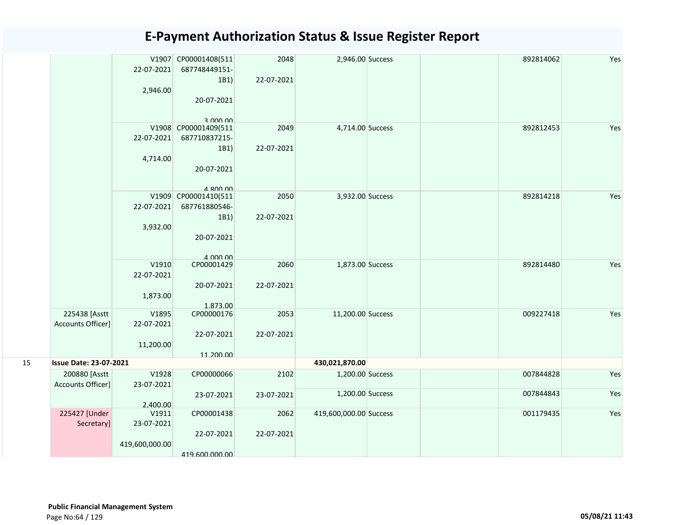|    |                                    | 22-07-2021<br>2,946.00                | V1907 CP00001408(511<br>687748449151-<br>1B1)<br>20-07-2021<br>3 UUU UU       | 2048<br>22-07-2021 | 2,946.00 Success       |  | 892814062 | Yes |
|----|------------------------------------|---------------------------------------|-------------------------------------------------------------------------------|--------------------|------------------------|--|-----------|-----|
|    |                                    | 22-07-2021<br>4,714.00                | V1908 CP00001409(511<br>687710837215-<br>1B1)<br>20-07-2021<br>$A$ ROO OO     | 2049<br>22-07-2021 | 4,714.00 Success       |  | 892812453 | Yes |
|    |                                    | 22-07-2021<br>3,932.00                | V1909 CP00001410(511<br>687761880546-<br>1B1)<br>20-07-2021<br>$A$ $000$ $00$ | 2050<br>22-07-2021 | 3,932.00 Success       |  | 892814218 | Yes |
|    |                                    | V1910<br>22-07-2021<br>1,873.00       | CP00001429<br>20-07-2021<br>1.873.00                                          | 2060<br>22-07-2021 | 1,873.00 Success       |  | 892814480 | Yes |
|    | 225438 [Asstt<br>Accounts Officer] | V1895<br>22-07-2021<br>11,200.00      | CP00000176<br>22-07-2021<br>11.200.00                                         | 2053<br>22-07-2021 | 11,200.00 Success      |  | 009227418 | Yes |
| 15 | <b>Issue Date: 23-07-2021</b>      |                                       |                                                                               |                    | 430,021,870.00         |  |           |     |
|    | 200880 [Asstt<br>Accounts Officer] | V1928<br>23-07-2021                   | CP00000066                                                                    | 2102               | 1,200.00 Success       |  | 007844828 | Yes |
|    |                                    | 2.400.00                              | 23-07-2021                                                                    | 23-07-2021         | 1,200.00 Success       |  | 007844843 | Yes |
|    | 225427 [Under<br>Secretary]        | V1911<br>23-07-2021<br>419,600,000.00 | CP00001438<br>22-07-2021<br>419.600.000.00                                    | 2062<br>22-07-2021 | 419,600,000.00 Success |  | 001179435 | Yes |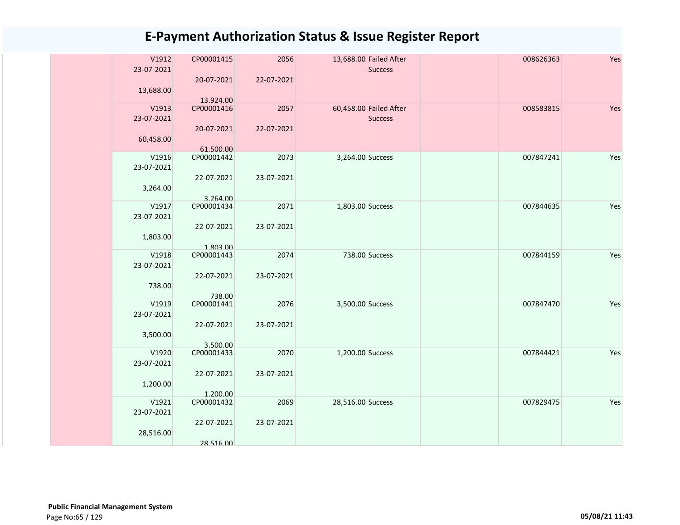| V1912<br>23-07-2021 | CP00001415               | 2056               |                   | 13,688.00 Failed After<br><b>Success</b> | 008626363 | Yes |
|---------------------|--------------------------|--------------------|-------------------|------------------------------------------|-----------|-----|
| 13,688.00           | 20-07-2021<br>13.924.00  | 22-07-2021         |                   |                                          |           |     |
| V1913<br>23-07-2021 | CP00001416<br>20-07-2021 | 2057<br>22-07-2021 |                   | 60,458.00 Failed After<br><b>Success</b> | 008583815 | Yes |
| 60,458.00           | 61.500.00                |                    |                   |                                          |           |     |
| V1916<br>23-07-2021 | CP00001442               | 2073               | 3,264.00 Success  |                                          | 007847241 | Yes |
| 3,264.00            | 22-07-2021<br>3.264.00   | 23-07-2021         |                   |                                          |           |     |
| V1917<br>23-07-2021 | CP00001434               | 2071               | 1,803.00 Success  |                                          | 007844635 | Yes |
| 1,803.00            | 22-07-2021<br>1.803.00   | 23-07-2021         |                   |                                          |           |     |
| V1918<br>23-07-2021 | CP00001443               | 2074               |                   | 738.00 Success                           | 007844159 | Yes |
| 738.00              | 22-07-2021<br>738.00     | 23-07-2021         |                   |                                          |           |     |
| V1919<br>23-07-2021 | CP00001441               | 2076               | 3,500.00 Success  |                                          | 007847470 | Yes |
| 3,500.00            | 22-07-2021<br>3.500.00   | 23-07-2021         |                   |                                          |           |     |
| V1920<br>23-07-2021 | CP00001433               | 2070               | 1,200.00 Success  |                                          | 007844421 | Yes |
| 1,200.00            | 22-07-2021<br>1.200.00   | 23-07-2021         |                   |                                          |           |     |
| V1921<br>23-07-2021 | CP00001432               | 2069               | 28,516.00 Success |                                          | 007829475 | Yes |
| 28,516.00           | 22-07-2021               | 23-07-2021         |                   |                                          |           |     |
|                     | 28.516.00                |                    |                   |                                          |           |     |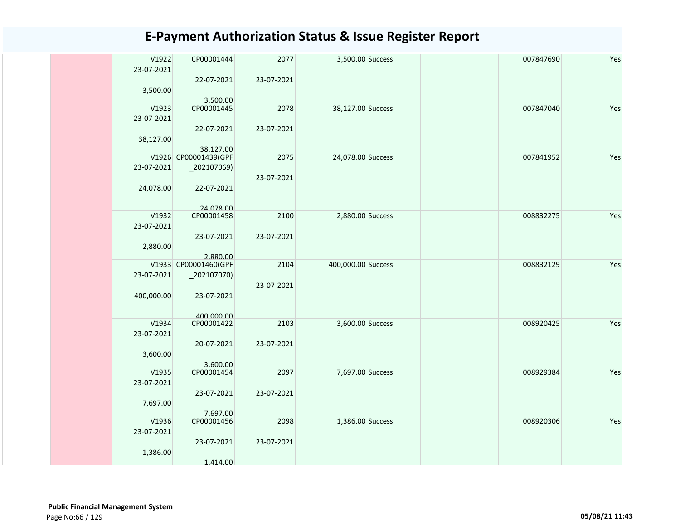| V1922      | CP00001444                       | 2077       | 3,500.00 Success   | 007847690 | Yes |
|------------|----------------------------------|------------|--------------------|-----------|-----|
| 23-07-2021 |                                  |            |                    |           |     |
|            | 22-07-2021                       | 23-07-2021 |                    |           |     |
| 3,500.00   |                                  |            |                    |           |     |
|            | 3.500.00                         |            |                    |           |     |
| V1923      | CP00001445                       | 2078       | 38,127.00 Success  | 007847040 | Yes |
| 23-07-2021 |                                  |            |                    |           |     |
|            | 22-07-2021                       | 23-07-2021 |                    |           |     |
|            |                                  |            |                    |           |     |
| 38,127.00  |                                  |            |                    |           |     |
|            | 38.127.00                        |            |                    |           |     |
|            | V1926 CP00001439(GPF             | 2075       | 24,078.00 Success  | 007841952 | Yes |
| 23-07-2021 | _202107069)                      |            |                    |           |     |
|            |                                  | 23-07-2021 |                    |           |     |
| 24,078.00  | 22-07-2021                       |            |                    |           |     |
|            |                                  |            |                    |           |     |
|            | 24 078 00                        |            |                    |           |     |
| V1932      | CP00001458                       | 2100       | 2,880.00 Success   | 008832275 | Yes |
| 23-07-2021 |                                  |            |                    |           |     |
|            | 23-07-2021                       | 23-07-2021 |                    |           |     |
|            |                                  |            |                    |           |     |
| 2,880.00   |                                  |            |                    |           |     |
|            | 2.880.00<br>V1933 CP00001460(GPF | 2104       | 400,000.00 Success | 008832129 | Yes |
|            |                                  |            |                    |           |     |
| 23-07-2021 | $_2$ 02107070)                   |            |                    |           |     |
|            |                                  | 23-07-2021 |                    |           |     |
| 400,000.00 | 23-07-2021                       |            |                    |           |     |
|            |                                  |            |                    |           |     |
|            | 400,000,00                       |            |                    |           |     |
| V1934      | CP00001422                       | 2103       | 3,600.00 Success   | 008920425 | Yes |
| 23-07-2021 |                                  |            |                    |           |     |
|            | 20-07-2021                       | 23-07-2021 |                    |           |     |
| 3,600.00   |                                  |            |                    |           |     |
|            | 3.600.00                         |            |                    |           |     |
| V1935      | CP00001454                       | 2097       | 7,697.00 Success   | 008929384 | Yes |
| 23-07-2021 |                                  |            |                    |           |     |
|            | 23-07-2021                       | 23-07-2021 |                    |           |     |
|            |                                  |            |                    |           |     |
| 7,697.00   |                                  |            |                    |           |     |
| V1936      | 7.697.00<br>CP00001456           | 2098       | 1,386.00 Success   | 008920306 | Yes |
|            |                                  |            |                    |           |     |
| 23-07-2021 |                                  |            |                    |           |     |
|            | 23-07-2021                       | 23-07-2021 |                    |           |     |
| 1,386.00   |                                  |            |                    |           |     |
|            | 1.414.00                         |            |                    |           |     |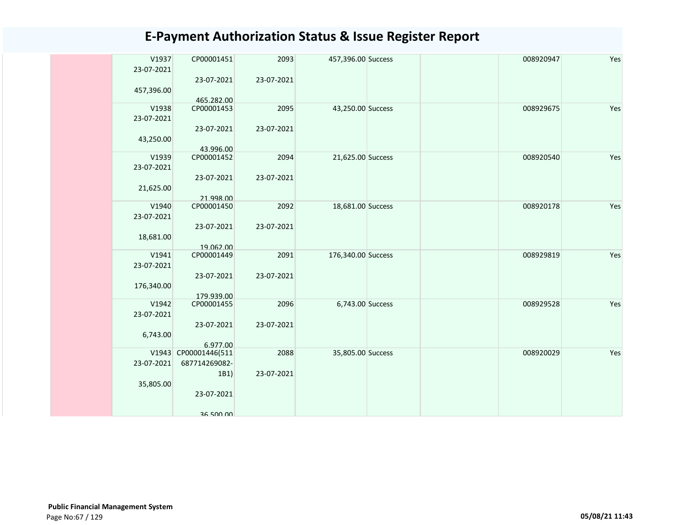| V1937<br>23-07-2021 | CP00001451              | 2093       | 457,396.00 Success | 008920947 | Yes |
|---------------------|-------------------------|------------|--------------------|-----------|-----|
| 457,396.00          | 23-07-2021              | 23-07-2021 |                    |           |     |
|                     | 465.282.00              |            |                    |           |     |
| V1938               | CP00001453              | 2095       | 43,250.00 Success  | 008929675 | Yes |
| 23-07-2021          | 23-07-2021              | 23-07-2021 |                    |           |     |
| 43,250.00           |                         |            |                    |           |     |
|                     | 43.996.00               |            |                    |           |     |
| V1939<br>23-07-2021 | CP00001452              | 2094       | 21,625.00 Success  | 008920540 | Yes |
|                     | 23-07-2021              | 23-07-2021 |                    |           |     |
| 21,625.00           |                         |            |                    |           |     |
| V1940               | 21.998.00<br>CP00001450 | 2092       | 18,681.00 Success  | 008920178 | Yes |
| 23-07-2021          |                         |            |                    |           |     |
|                     | 23-07-2021              | 23-07-2021 |                    |           |     |
| 18,681.00           |                         |            |                    |           |     |
| V1941               | 19.062.00<br>CP00001449 | 2091       | 176,340.00 Success | 008929819 | Yes |
| 23-07-2021          |                         |            |                    |           |     |
|                     | 23-07-2021              | 23-07-2021 |                    |           |     |
| 176,340.00          | 179.939.00              |            |                    |           |     |
| V1942               | CP00001455              | 2096       | 6,743.00 Success   | 008929528 | Yes |
| 23-07-2021          | 23-07-2021              | 23-07-2021 |                    |           |     |
| 6,743.00            |                         |            |                    |           |     |
|                     | 6.977.00                |            |                    |           |     |
| V1943<br>23-07-2021 | CP00001446(511          | 2088       | 35,805.00 Success  | 008920029 | Yes |
|                     | 687714269082-<br>1B1)   | 23-07-2021 |                    |           |     |
| 35,805.00           |                         |            |                    |           |     |
|                     | 23-07-2021              |            |                    |           |     |
|                     | 36 500 00               |            |                    |           |     |
|                     |                         |            |                    |           |     |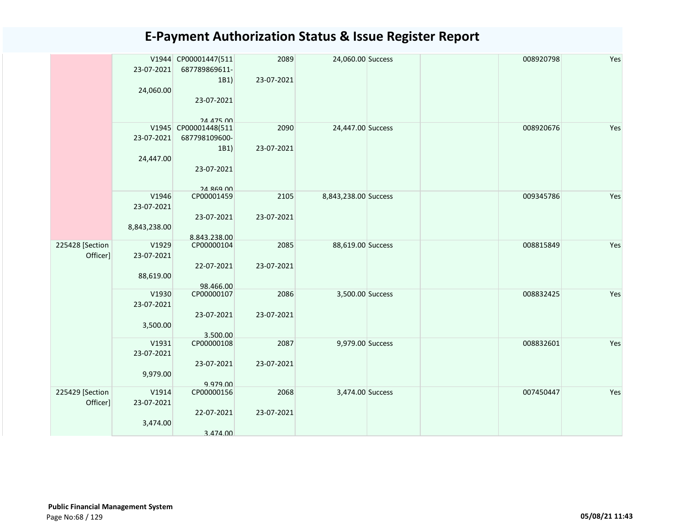|                 |                     | V1944 CP00001447(511                     | 2089       | 24,060.00 Success    | 008920798 | Yes |
|-----------------|---------------------|------------------------------------------|------------|----------------------|-----------|-----|
|                 | 23-07-2021          | 687789869611-                            |            |                      |           |     |
|                 |                     | 1B1)                                     | 23-07-2021 |                      |           |     |
|                 | 24,060.00           |                                          |            |                      |           |     |
|                 |                     | 23-07-2021                               |            |                      |           |     |
|                 |                     |                                          |            |                      |           |     |
|                 |                     | <b>24 475 00</b><br>V1945 CP00001448(511 | 2090       | 24,447.00 Success    | 008920676 | Yes |
|                 | 23-07-2021          | 687798109600-                            |            |                      |           |     |
|                 |                     | 1B1)                                     | 23-07-2021 |                      |           |     |
|                 | 24,447.00           |                                          |            |                      |           |     |
|                 |                     | 23-07-2021                               |            |                      |           |     |
|                 |                     |                                          |            |                      |           |     |
|                 |                     | <b>24 869 00</b>                         |            |                      |           |     |
|                 | V1946               | CP00001459                               | 2105       | 8,843,238.00 Success | 009345786 | Yes |
|                 | 23-07-2021          |                                          |            |                      |           |     |
|                 |                     | 23-07-2021                               | 23-07-2021 |                      |           |     |
|                 | 8,843,238.00        |                                          |            |                      |           |     |
| 225428 [Section | V1929               | 8.843.238.00<br>CP00000104               | 2085       | 88,619.00 Success    | 008815849 | Yes |
| Officer]        | 23-07-2021          |                                          |            |                      |           |     |
|                 |                     | 22-07-2021                               | 23-07-2021 |                      |           |     |
|                 | 88,619.00           |                                          |            |                      |           |     |
|                 |                     | 98.466.00                                |            |                      |           |     |
|                 | V1930               | CP00000107                               | 2086       | 3,500.00 Success     | 008832425 | Yes |
|                 | 23-07-2021          |                                          |            |                      |           |     |
|                 |                     | 23-07-2021                               | 23-07-2021 |                      |           |     |
|                 | 3,500.00            |                                          |            |                      |           |     |
|                 |                     | 3.500.00                                 |            |                      |           |     |
|                 | V1931<br>23-07-2021 | CP00000108                               | 2087       | 9,979.00 Success     | 008832601 | Yes |
|                 |                     | 23-07-2021                               | 23-07-2021 |                      |           |     |
|                 | 9,979.00            |                                          |            |                      |           |     |
|                 |                     | 9.979.00                                 |            |                      |           |     |
| 225429 [Section | V1914               | CP00000156                               | 2068       | 3,474.00 Success     | 007450447 | Yes |
| Officer]        | 23-07-2021          |                                          |            |                      |           |     |
|                 |                     | 22-07-2021                               | 23-07-2021 |                      |           |     |
|                 | 3,474.00            |                                          |            |                      |           |     |
|                 |                     | 3.474.00                                 |            |                      |           |     |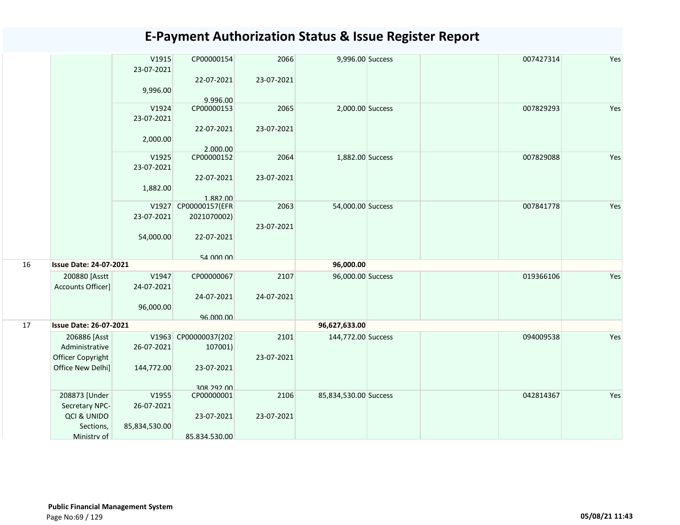|    |                                    | V1915<br>23-07-2021 | CP00000154                          | 2066       | 9,996.00 Success      | 007427314 | Yes |
|----|------------------------------------|---------------------|-------------------------------------|------------|-----------------------|-----------|-----|
|    |                                    | 9,996.00            | 22-07-2021<br>9.996.00              | 23-07-2021 |                       |           |     |
|    |                                    | V1924<br>23-07-2021 | CP00000153                          | 2065       | 2,000.00 Success      | 007829293 | Yes |
|    |                                    | 2,000.00            | 22-07-2021<br>2.000.00              | 23-07-2021 |                       |           |     |
|    |                                    | V1925<br>23-07-2021 | CP00000152                          | 2064       | 1,882.00 Success      | 007829088 | Yes |
|    |                                    | 1,882.00            | 22-07-2021<br>1.882.00              | 23-07-2021 |                       |           |     |
|    |                                    | 23-07-2021          | V1927 CP00000157(EFR<br>2021070002) | 2063       | 54,000.00 Success     | 007841778 | Yes |
|    |                                    | 54,000.00           | 22-07-2021                          | 23-07-2021 |                       |           |     |
|    |                                    |                     | $54$ 000 00                         |            |                       |           |     |
| 16 | <b>Issue Date: 24-07-2021</b>      |                     |                                     |            | 96,000.00             |           |     |
|    | 200880 [Asstt<br>Accounts Officer] | V1947<br>24-07-2021 | CP00000067                          | 2107       | 96,000.00 Success     | 019366106 | Yes |
|    |                                    | 96,000.00           | 24-07-2021                          | 24-07-2021 |                       |           |     |
|    |                                    |                     | 96.000.00                           |            |                       |           |     |
| 17 | <b>Issue Date: 26-07-2021</b>      |                     |                                     |            | 96,627,633.00         |           |     |
|    | 206886 [Asst                       |                     | V1963 CP00000037(202                | 2101       | 144,772.00 Success    | 094009538 | Yes |
|    | Administrative                     | 26-07-2021          | 107001)                             |            |                       |           |     |
|    | Officer Copyright                  |                     |                                     | 23-07-2021 |                       |           |     |
|    | Office New Delhi]                  | 144,772.00          | 23-07-2021                          |            |                       |           |     |
|    |                                    |                     |                                     |            |                       |           |     |
|    | 208873 [Under                      | V1955               | 308 292 00<br>CP00000001            | 2106       | 85,834,530.00 Success | 042814367 | Yes |
|    | Secretary NPC-                     | 26-07-2021          |                                     |            |                       |           |     |
|    | QCI & UNIDO                        |                     | 23-07-2021                          | 23-07-2021 |                       |           |     |
|    | Sections,                          | 85,834,530.00       |                                     |            |                       |           |     |
|    | Ministry of                        |                     | 85.834.530.00                       |            |                       |           |     |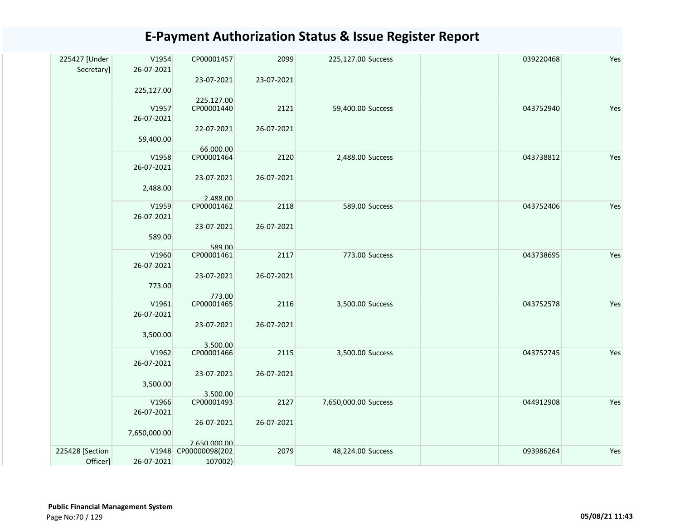| 225427 [Under<br>Secretary] | V1954<br>26-07-2021 | CP00001457           | 2099       | 225,127.00 Success   |                | 039220468 | Yes |
|-----------------------------|---------------------|----------------------|------------|----------------------|----------------|-----------|-----|
|                             |                     | 23-07-2021           | 23-07-2021 |                      |                |           |     |
|                             | 225,127.00          |                      |            |                      |                |           |     |
|                             |                     | 225.127.00           |            |                      |                |           |     |
|                             | V1957               | CP00001440           | 2121       | 59,400.00 Success    |                | 043752940 | Yes |
|                             | 26-07-2021          |                      |            |                      |                |           |     |
|                             |                     | 22-07-2021           | 26-07-2021 |                      |                |           |     |
|                             | 59,400.00           | 66.000.00            |            |                      |                |           |     |
|                             | V1958               | CP00001464           | 2120       | 2,488.00 Success     |                | 043738812 | Yes |
|                             | 26-07-2021          |                      |            |                      |                |           |     |
|                             |                     | 23-07-2021           | 26-07-2021 |                      |                |           |     |
|                             | 2,488.00            |                      |            |                      |                |           |     |
|                             |                     | 2.488.00             |            |                      |                |           |     |
|                             | V1959               | CP00001462           | 2118       |                      | 589.00 Success | 043752406 | Yes |
|                             | 26-07-2021          |                      |            |                      |                |           |     |
|                             |                     | 23-07-2021           | 26-07-2021 |                      |                |           |     |
|                             | 589.00              |                      |            |                      |                |           |     |
|                             | V1960               | 589.00<br>CP00001461 | 2117       |                      | 773.00 Success | 043738695 | Yes |
|                             | 26-07-2021          |                      |            |                      |                |           |     |
|                             |                     | 23-07-2021           | 26-07-2021 |                      |                |           |     |
|                             | 773.00              |                      |            |                      |                |           |     |
|                             |                     | 773.00               |            |                      |                |           |     |
|                             | V1961               | CP00001465           | 2116       | 3,500.00 Success     |                | 043752578 | Yes |
|                             | 26-07-2021          |                      |            |                      |                |           |     |
|                             |                     | 23-07-2021           | 26-07-2021 |                      |                |           |     |
|                             | 3,500.00            |                      |            |                      |                |           |     |
|                             |                     | 3.500.00             |            |                      |                |           |     |
|                             | V1962<br>26-07-2021 | CP00001466           | 2115       | 3,500.00 Success     |                | 043752745 | Yes |
|                             |                     | 23-07-2021           | 26-07-2021 |                      |                |           |     |
|                             | 3,500.00            |                      |            |                      |                |           |     |
|                             |                     | 3.500.00             |            |                      |                |           |     |
|                             | V1966               | CP00001493           | 2127       | 7,650,000.00 Success |                | 044912908 | Yes |
|                             | 26-07-2021          |                      |            |                      |                |           |     |
|                             |                     | 26-07-2021           | 26-07-2021 |                      |                |           |     |
|                             | 7,650,000.00        |                      |            |                      |                |           |     |
|                             |                     | 7.650.000.00         |            |                      |                |           |     |
| 225428 [Section             |                     | V1948 CP00000098(202 | 2079       | 48,224.00 Success    |                | 093986264 | Yes |
| Officer]                    | 26-07-2021          | 107002)              |            |                      |                |           |     |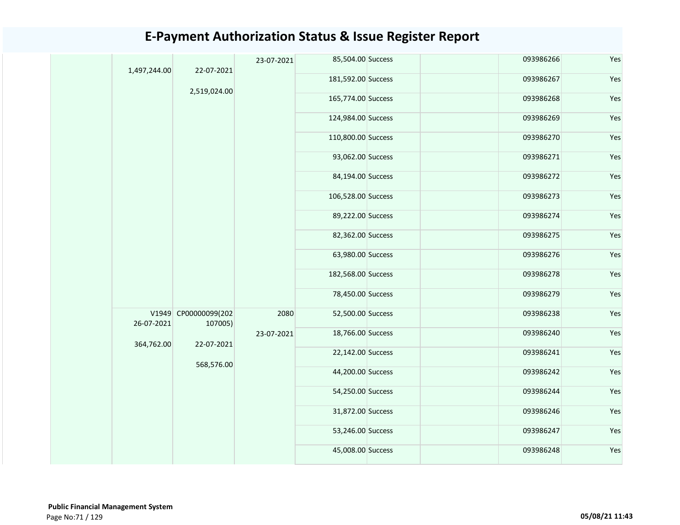| 1,497,244.00 | 22-07-2021                      | 23-07-2021        | 85,504.00 Success  |                    | 093986266 | Yes       |
|--------------|---------------------------------|-------------------|--------------------|--------------------|-----------|-----------|
|              |                                 |                   | 181,592.00 Success |                    | 093986267 | Yes       |
|              | 2,519,024.00                    |                   | 165,774.00 Success |                    | 093986268 | Yes       |
|              |                                 |                   | 124,984.00 Success |                    | 093986269 | Yes       |
|              |                                 |                   | 110,800.00 Success |                    | 093986270 | Yes       |
|              |                                 |                   | 93,062.00 Success  |                    | 093986271 | Yes       |
|              |                                 |                   | 84,194.00 Success  |                    | 093986272 | Yes       |
|              |                                 |                   | 106,528.00 Success |                    | 093986273 | Yes       |
|              |                                 |                   | 89,222.00 Success  |                    | 093986274 | Yes       |
|              |                                 |                   | 82,362.00 Success  |                    | 093986275 | Yes       |
|              |                                 |                   | 63,980.00 Success  |                    | 093986276 | Yes       |
|              |                                 |                   |                    | 182,568.00 Success |           | 093986278 |
|              |                                 |                   | 78,450.00 Success  |                    | 093986279 | Yes       |
| 26-07-2021   | V1949 CP00000099(202<br>107005) | 2080              | 52,500.00 Success  |                    | 093986238 | Yes       |
| 364,762.00   | 22-07-2021                      | 23-07-2021        | 18,766.00 Success  |                    | 093986240 | Yes       |
|              |                                 |                   | 22,142.00 Success  |                    | 093986241 | Yes       |
|              | 568,576.00                      |                   | 44,200.00 Success  |                    | 093986242 | Yes       |
|              |                                 |                   | 54,250.00 Success  |                    | 093986244 | Yes       |
|              |                                 |                   | 31,872.00 Success  |                    | 093986246 | Yes       |
|              |                                 | 53,246.00 Success |                    | 093986247          | Yes       |           |
|              |                                 |                   | 45,008.00 Success  |                    | 093986248 | Yes       |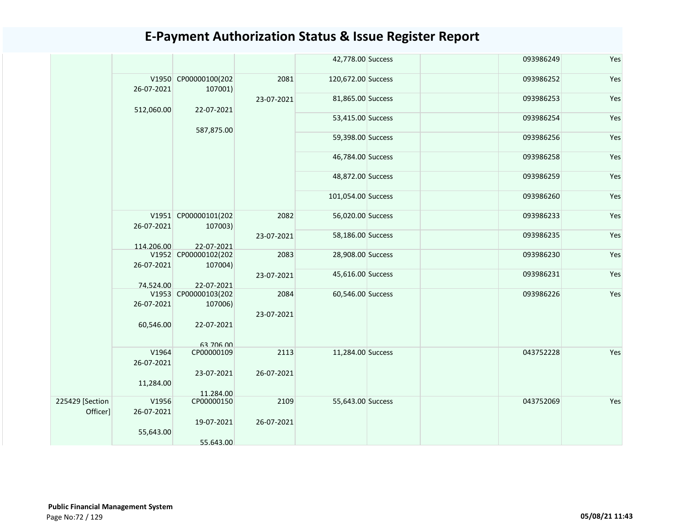|                 |            |                                 |            | 42,778.00 Success  | 093986249 | Yes |
|-----------------|------------|---------------------------------|------------|--------------------|-----------|-----|
|                 | 26-07-2021 | V1950 CP00000100(202<br>107001) | 2081       | 120,672.00 Success | 093986252 | Yes |
|                 | 512,060.00 | 22-07-2021                      | 23-07-2021 | 81,865.00 Success  | 093986253 | Yes |
|                 |            | 587,875.00                      |            | 53,415.00 Success  | 093986254 | Yes |
|                 |            |                                 |            | 59,398.00 Success  | 093986256 | Yes |
|                 |            |                                 |            | 46,784.00 Success  | 093986258 | Yes |
|                 |            |                                 |            | 48,872.00 Success  | 093986259 | Yes |
|                 |            |                                 |            | 101,054.00 Success | 093986260 | Yes |
|                 | 26-07-2021 | V1951 CP00000101(202<br>107003) | 2082       | 56,020.00 Success  | 093986233 | Yes |
|                 | 114.206.00 | 22-07-2021                      | 23-07-2021 | 58,186.00 Success  | 093986235 | Yes |
|                 | 26-07-2021 | V1952 CP00000102(202<br>107004) | 2083       | 28,908.00 Success  | 093986230 | Yes |
|                 | 74.524.00  | 22-07-2021                      | 23-07-2021 | 45,616.00 Success  | 093986231 | Yes |
|                 | 26-07-2021 | V1953 CP00000103(202<br>107006) | 2084       | 60,546.00 Success  | 093986226 | Yes |
|                 | 60,546.00  | 22-07-2021                      | 23-07-2021 |                    |           |     |
|                 | V1964      | 63 706 00<br>CP00000109         | 2113       | 11,284.00 Success  | 043752228 | Yes |
|                 | 26-07-2021 |                                 |            |                    |           |     |
|                 | 11,284.00  | 23-07-2021                      | 26-07-2021 |                    |           |     |
| 225429 [Section | V1956      | 11.284.00<br>CP00000150         | 2109       | 55,643.00 Success  | 043752069 | Yes |
| Officer]        | 26-07-2021 |                                 |            |                    |           |     |
|                 | 55,643.00  | 19-07-2021                      | 26-07-2021 |                    |           |     |
|                 |            | 55.643.00                       |            |                    |           |     |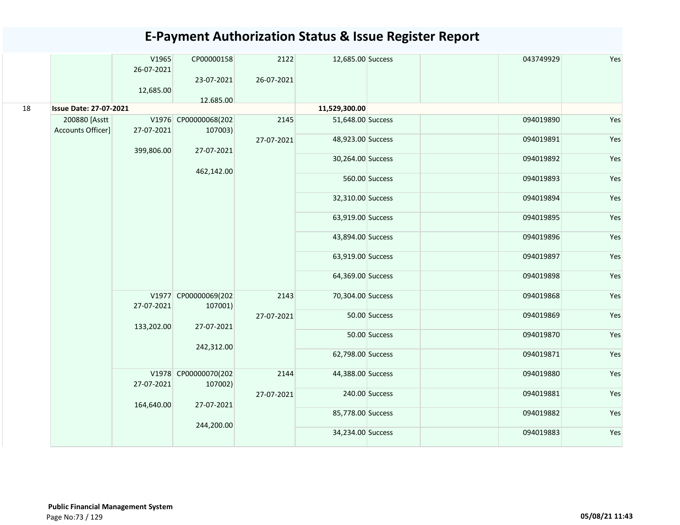|    |                               | V1965<br>26-07-2021<br>12,685.00 | CP00000158<br>23-07-2021        | 2122<br>26-07-2021 | 12,685.00 Success |                   | 043749929 | Yes       |     |
|----|-------------------------------|----------------------------------|---------------------------------|--------------------|-------------------|-------------------|-----------|-----------|-----|
| 18 | <b>Issue Date: 27-07-2021</b> |                                  | 12.685.00                       |                    | 11,529,300.00     |                   |           |           |     |
|    | 200880 [Asstt                 |                                  | V1976 CP00000068(202            | 2145               | 51,648.00 Success |                   | 094019890 | Yes       |     |
|    | Accounts Officer]             | 27-07-2021                       | 107003)                         |                    |                   |                   |           |           |     |
|    |                               |                                  |                                 | 27-07-2021         | 48,923.00 Success |                   | 094019891 | Yes       |     |
|    |                               | 399,806.00                       | 27-07-2021                      |                    |                   |                   |           |           |     |
|    |                               |                                  | 462,142.00                      |                    | 30,264.00 Success |                   | 094019892 | Yes       |     |
|    |                               |                                  |                                 |                    |                   | 560.00 Success    | 094019893 | Yes       |     |
|    |                               |                                  |                                 |                    | 32,310.00 Success |                   | 094019894 | Yes       |     |
|    |                               |                                  |                                 |                    | 63,919.00 Success |                   | 094019895 | Yes       |     |
|    |                               |                                  |                                 |                    | 43,894.00 Success |                   | 094019896 | Yes       |     |
|    |                               |                                  |                                 |                    | 63,919.00 Success |                   | 094019897 | Yes       |     |
|    |                               |                                  |                                 |                    | 64,369.00 Success |                   | 094019898 | Yes       |     |
|    |                               | 27-07-2021                       | V1977 CP00000069(202<br>107001) | 2143               | 70,304.00 Success |                   | 094019868 | Yes       |     |
|    |                               | 133,202.00                       | 27-07-2021                      | 27-07-2021         |                   | 50.00 Success     | 094019869 | Yes       |     |
|    |                               |                                  | 242,312.00                      |                    |                   | 50.00 Success     | 094019870 | Yes       |     |
|    |                               |                                  |                                 |                    | 62,798.00 Success |                   | 094019871 | Yes       |     |
|    |                               | 27-07-2021                       | V1978 CP00000070(202<br>107002) | 2144               | 44,388.00 Success |                   | 094019880 | Yes       |     |
|    |                               | 27-07-2021                       |                                 | 27-07-2021         |                   | 240.00 Success    | 094019881 | Yes       |     |
|    |                               | 164,640.00                       | 244,200.00                      |                    |                   | 85,778.00 Success |           | 094019882 | Yes |
|    |                               |                                  |                                 |                    | 34,234.00 Success |                   | 094019883 | Yes       |     |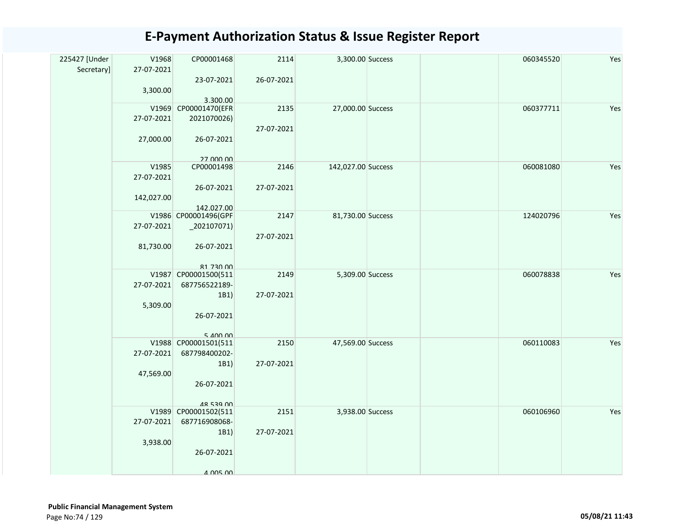| 225427 [Under | V1968      | CP00001468                         | 2114       | 3,300.00 Success   |  | 060345520 | Yes |
|---------------|------------|------------------------------------|------------|--------------------|--|-----------|-----|
| Secretary]    | 27-07-2021 |                                    |            |                    |  |           |     |
|               |            | 23-07-2021                         | 26-07-2021 |                    |  |           |     |
|               | 3,300.00   |                                    |            |                    |  |           |     |
|               |            | 3.300.00                           | 2135       |                    |  | 060377711 | Yes |
|               | V1969      | CP00001470(EFR                     |            | 27,000.00 Success  |  |           |     |
|               | 27-07-2021 | 2021070026)                        |            |                    |  |           |     |
|               |            |                                    | 27-07-2021 |                    |  |           |     |
|               | 27,000.00  | 26-07-2021                         |            |                    |  |           |     |
|               |            |                                    |            |                    |  |           |     |
|               | V1985      | 27 000 00<br>CP00001498            | 2146       | 142,027.00 Success |  | 060081080 | Yes |
|               | 27-07-2021 |                                    |            |                    |  |           |     |
|               |            |                                    |            |                    |  |           |     |
|               |            | 26-07-2021                         | 27-07-2021 |                    |  |           |     |
|               | 142,027.00 |                                    |            |                    |  |           |     |
|               |            | 142.027.00<br>V1986 CP00001496(GPF | 2147       | 81,730.00 Success  |  | 124020796 | Yes |
|               | 27-07-2021 | $_2$ 02107071)                     |            |                    |  |           |     |
|               |            |                                    | 27-07-2021 |                    |  |           |     |
|               | 81,730.00  | 26-07-2021                         |            |                    |  |           |     |
|               |            |                                    |            |                    |  |           |     |
|               |            | 81 730 00                          |            |                    |  |           |     |
|               |            | V1987 CP00001500(511               | 2149       | 5,309.00 Success   |  | 060078838 | Yes |
|               | 27-07-2021 | 687756522189-                      |            |                    |  |           |     |
|               |            | 1B1)                               | 27-07-2021 |                    |  |           |     |
|               | 5,309.00   |                                    |            |                    |  |           |     |
|               |            | 26-07-2021                         |            |                    |  |           |     |
|               |            |                                    |            |                    |  |           |     |
|               |            | $5$ $400$ $00$                     |            |                    |  |           |     |
|               |            | V1988 CP00001501(511               | 2150       | 47,569.00 Success  |  | 060110083 | Yes |
|               | 27-07-2021 | 687798400202-                      |            |                    |  |           |     |
|               |            | 1B1)                               | 27-07-2021 |                    |  |           |     |
|               | 47,569.00  |                                    |            |                    |  |           |     |
|               |            | 26-07-2021                         |            |                    |  |           |     |
|               |            |                                    |            |                    |  |           |     |
|               |            | 18 539 00                          |            |                    |  |           |     |
|               |            | V1989 CP00001502(511               | 2151       | 3,938.00 Success   |  | 060106960 | Yes |
|               | 27-07-2021 | 687716908068-                      |            |                    |  |           |     |
|               |            | 1B1)                               | 27-07-2021 |                    |  |           |     |
|               | 3,938.00   |                                    |            |                    |  |           |     |
|               |            | 26-07-2021                         |            |                    |  |           |     |
|               |            |                                    |            |                    |  |           |     |
|               |            | 4 005 00                           |            |                    |  |           |     |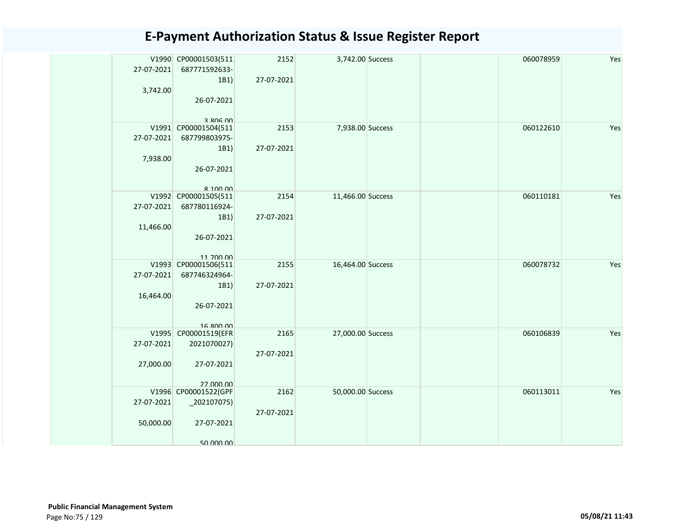| 27-07-2021<br>3,742.00  | V1990 CP00001503(511<br>687771592633-<br>1B1)        | 2152<br>27-07-2021 | 3,742.00 Success  | 060078959 | Yes |
|-------------------------|------------------------------------------------------|--------------------|-------------------|-----------|-----|
|                         | 26-07-2021<br>2 806 00                               |                    |                   |           |     |
| 27-07-2021<br>7,938.00  | V1991 CP00001504(511<br>687799803975-<br>1B1)        | 2153<br>27-07-2021 | 7,938.00 Success  | 060122610 | Yes |
|                         | 26-07-2021<br>$R$ 100 00                             |                    |                   |           |     |
| 27-07-2021              | V1992 CP00001505(511<br>687780116924-<br>1B1)        | 2154<br>27-07-2021 | 11,466.00 Success | 060110181 | Yes |
| 11,466.00               | 26-07-2021<br>11 700 00                              |                    |                   |           |     |
| V1993<br>27-07-2021     | CP00001506(511<br>687746324964-<br>1B1)              | 2155<br>27-07-2021 | 16,464.00 Success | 060078732 | Yes |
| 16,464.00               | 26-07-2021<br>16.800.00                              |                    |                   |           |     |
| 27-07-2021              | V1995 CP00001519(EFR<br>2021070027)                  | 2165<br>27-07-2021 | 27,000.00 Success | 060106839 | Yes |
| 27,000.00               | 27-07-2021<br>27 000 00                              |                    |                   |           |     |
| 27-07-2021<br>50,000.00 | V1996 CP00001522(GPF<br>$_2$ 02107075)<br>27-07-2021 | 2162<br>27-07-2021 | 50,000.00 Success | 060113011 | Yes |
|                         | 50.000.00                                            |                    |                   |           |     |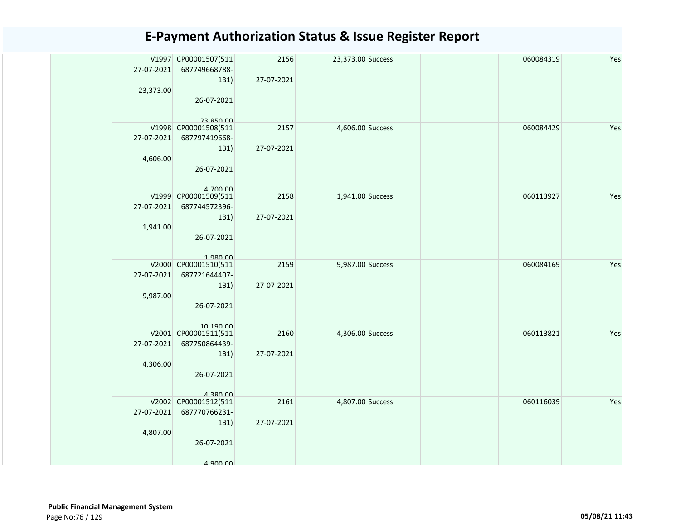| 27-07-2021<br>23,373.00 | V1997 CP00001507(511<br>687749668788-<br>1B1)<br>26-07-2021<br>23 850 00       | 2156<br>27-07-2021 | 23,373.00 Success |  | 060084319 | Yes |
|-------------------------|--------------------------------------------------------------------------------|--------------------|-------------------|--|-----------|-----|
| 27-07-2021<br>4,606.00  | V1998 CP00001508(511<br>687797419668-<br>1B1)<br>26-07-2021<br>4 700 00        | 2157<br>27-07-2021 | 4,606.00 Success  |  | 060084429 | Yes |
| 27-07-2021<br>1,941.00  | V1999 CP00001509(511<br>687744572396-<br>1B1)<br>26-07-2021<br>$1$ QRN $n$     | 2158<br>27-07-2021 | 1,941.00 Success  |  | 060113927 | Yes |
| 27-07-2021<br>9,987.00  | V2000 CP00001510(511<br>687721644407-<br>1B1)<br>26-07-2021<br>10 190 00       | 2159<br>27-07-2021 | 9,987.00 Success  |  | 060084169 | Yes |
| 27-07-2021<br>4,306.00  | V2001 CP00001511(511<br>687750864439-<br>1B1)<br>26-07-2021<br>4 380 00        | 2160<br>27-07-2021 | 4,306.00 Success  |  | 060113821 | Yes |
| 27-07-2021<br>4,807.00  | V2002 CP00001512(511<br>687770766231-<br>1B1)<br>26-07-2021<br>$\Delta$ 900 00 | 2161<br>27-07-2021 | 4,807.00 Success  |  | 060116039 | Yes |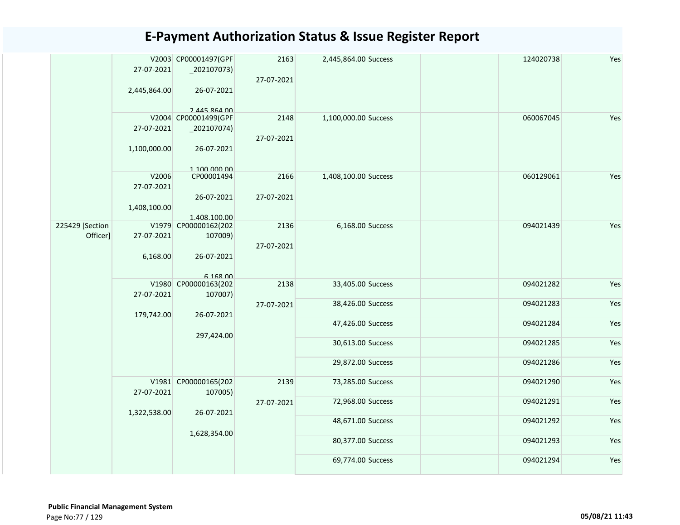|                 | 27-07-2021   | V2003 CP00001497(GPF<br>$_2$ 02107073) | 2163       | 2,445,864.00 Success | 124020738 | Yes |
|-----------------|--------------|----------------------------------------|------------|----------------------|-----------|-----|
|                 |              |                                        | 27-07-2021 |                      |           |     |
|                 | 2,445,864.00 | 26-07-2021                             |            |                      |           |     |
|                 |              | 2 445 864 00                           |            |                      |           |     |
|                 |              | V2004 CP00001499(GPF                   | 2148       | 1,100,000.00 Success | 060067045 | Yes |
|                 | 27-07-2021   | $_2$ 02107074)                         |            |                      |           |     |
|                 |              |                                        | 27-07-2021 |                      |           |     |
|                 | 1,100,000.00 | 26-07-2021                             |            |                      |           |     |
|                 |              | 1 100 000 00                           |            |                      |           |     |
|                 | V2006        | CP00001494                             | 2166       | 1,408,100.00 Success | 060129061 | Yes |
|                 | 27-07-2021   |                                        |            |                      |           |     |
|                 |              | 26-07-2021                             | 27-07-2021 |                      |           |     |
|                 | 1,408,100.00 |                                        |            |                      |           |     |
|                 |              | 1.408.100.00                           |            |                      |           |     |
| 225429 [Section |              | V1979 CP00000162(202                   | 2136       | 6,168.00 Success     | 094021439 | Yes |
| Officer]        | 27-07-2021   | 107009)                                |            |                      |           |     |
|                 |              |                                        | 27-07-2021 |                      |           |     |
|                 | 6,168.00     | 26-07-2021                             |            |                      |           |     |
|                 |              | 6 168 00                               |            |                      |           |     |
|                 |              | V1980 CP00000163(202                   | 2138       | 33,405.00 Success    | 094021282 | Yes |
|                 | 27-07-2021   | 107007)                                |            |                      |           |     |
|                 |              |                                        | 27-07-2021 | 38,426.00 Success    | 094021283 | Yes |
|                 | 179,742.00   | 26-07-2021                             |            |                      |           |     |
|                 |              |                                        |            | 47,426.00 Success    | 094021284 | Yes |
|                 |              | 297,424.00                             |            |                      |           |     |
|                 |              |                                        |            | 30,613.00 Success    | 094021285 | Yes |
|                 |              |                                        |            |                      |           |     |
|                 |              |                                        |            | 29,872.00 Success    | 094021286 | Yes |
|                 |              |                                        |            |                      |           |     |
|                 |              | V1981 CP00000165(202                   | 2139       | 73,285.00 Success    | 094021290 | Yes |
|                 | 27-07-2021   | 107005)                                |            |                      |           |     |
|                 |              |                                        | 27-07-2021 | 72,968.00 Success    | 094021291 | Yes |
|                 | 1,322,538.00 | 26-07-2021                             |            | 48,671.00 Success    | 094021292 | Yes |
|                 |              |                                        |            |                      |           |     |
|                 |              | 1,628,354.00                           |            | 80,377.00 Success    | 094021293 | Yes |
|                 |              |                                        |            |                      |           |     |
|                 |              |                                        |            | 69,774.00 Success    | 094021294 | Yes |
|                 |              |                                        |            |                      |           |     |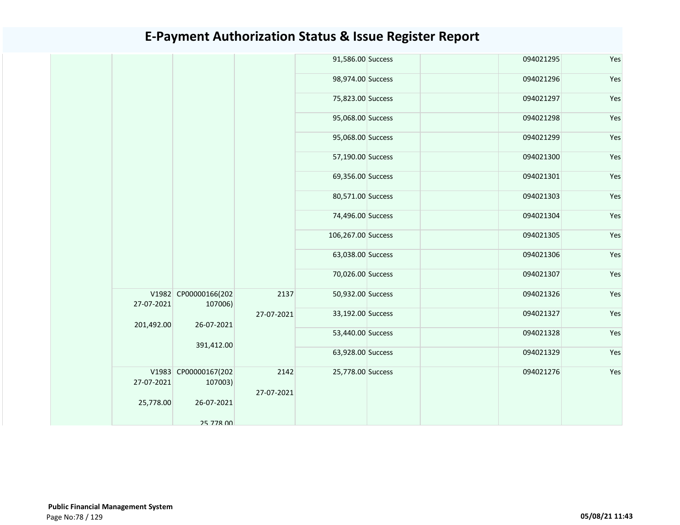|  |            |                                 |            | 91,586.00 Success  | 094021295 | Yes               |           |
|--|------------|---------------------------------|------------|--------------------|-----------|-------------------|-----------|
|  |            |                                 |            | 98,974.00 Success  | 094021296 | Yes               |           |
|  |            |                                 |            | 75,823.00 Success  | 094021297 | Yes               |           |
|  |            |                                 |            | 95,068.00 Success  | 094021298 | Yes               |           |
|  |            |                                 |            | 95,068.00 Success  | 094021299 | Yes               |           |
|  |            |                                 |            | 57,190.00 Success  | 094021300 | Yes               |           |
|  |            |                                 |            | 69,356.00 Success  | 094021301 | Yes               |           |
|  |            |                                 |            | 80,571.00 Success  | 094021303 | Yes               |           |
|  |            |                                 |            |                    |           | 74,496.00 Success | 094021304 |
|  |            |                                 |            | 106,267.00 Success | 094021305 | Yes               |           |
|  |            |                                 |            | 63,038.00 Success  | 094021306 | Yes               |           |
|  |            |                                 |            | 70,026.00 Success  | 094021307 | Yes               |           |
|  | 27-07-2021 | V1982 CP00000166(202<br>107006) | 2137       | 50,932.00 Success  | 094021326 | Yes               |           |
|  | 201,492.00 | 26-07-2021                      | 27-07-2021 | 33,192.00 Success  | 094021327 | Yes               |           |
|  |            | 391,412.00                      |            | 53,440.00 Success  | 094021328 | Yes               |           |
|  |            |                                 |            | 63,928.00 Success  | 094021329 | Yes               |           |
|  | 27-07-2021 | V1983 CP00000167(202<br>107003) | 2142       | 25,778.00 Success  | 094021276 | Yes               |           |
|  | 25,778.00  | 26-07-2021                      | 27-07-2021 |                    |           |                   |           |
|  | 25 778 00  |                                 |            |                    |           |                   |           |
|  |            |                                 |            |                    |           |                   |           |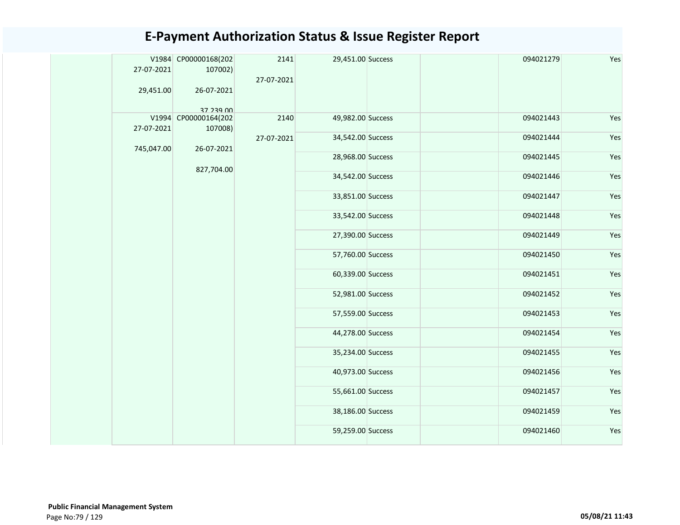| 27-07-2021<br>29,451.00 | V1984 CP00000168(202<br>107002)<br>26-07-2021<br>37 239 00 | 2141<br>27-07-2021 | 29,451.00 Success |  | 094021279 | Yes |
|-------------------------|------------------------------------------------------------|--------------------|-------------------|--|-----------|-----|
| 27-07-2021              | V1994 CP00000164(202<br>107008)                            | 2140               | 49,982.00 Success |  | 094021443 | Yes |
|                         |                                                            | 27-07-2021         | 34,542.00 Success |  | 094021444 | Yes |
| 745,047.00              | 26-07-2021                                                 |                    | 28,968.00 Success |  | 094021445 | Yes |
|                         | 827,704.00                                                 |                    | 34,542.00 Success |  | 094021446 | Yes |
|                         |                                                            |                    | 33,851.00 Success |  | 094021447 | Yes |
|                         |                                                            |                    | 33,542.00 Success |  | 094021448 | Yes |
|                         |                                                            |                    | 27,390.00 Success |  | 094021449 | Yes |
|                         |                                                            |                    | 57,760.00 Success |  | 094021450 | Yes |
|                         |                                                            |                    | 60,339.00 Success |  | 094021451 | Yes |
|                         |                                                            |                    | 52,981.00 Success |  | 094021452 | Yes |
|                         |                                                            |                    | 57,559.00 Success |  | 094021453 | Yes |
|                         |                                                            |                    | 44,278.00 Success |  | 094021454 | Yes |
|                         |                                                            |                    | 35,234.00 Success |  | 094021455 | Yes |
|                         |                                                            |                    | 40,973.00 Success |  | 094021456 | Yes |
|                         |                                                            |                    | 55,661.00 Success |  | 094021457 | Yes |
|                         |                                                            |                    | 38,186.00 Success |  | 094021459 | Yes |
|                         |                                                            |                    | 59,259.00 Success |  | 094021460 | Yes |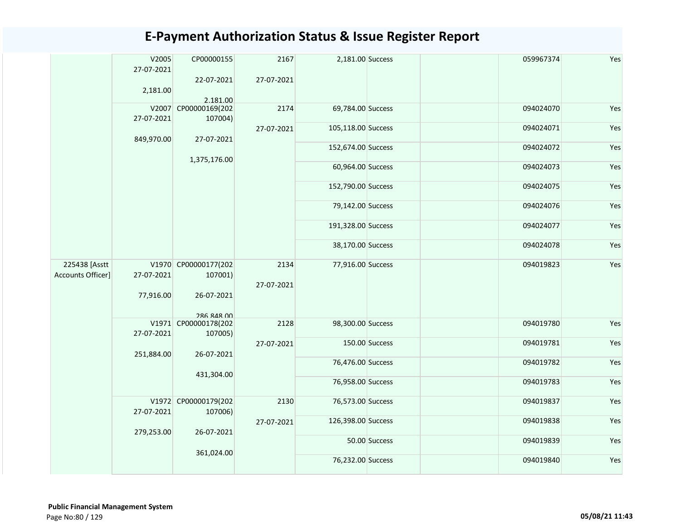|  |                   | V2005<br>27-07-2021 | CP00000155               | 2167       | 2,181.00 Success   |                | 059967374 | Yes |
|--|-------------------|---------------------|--------------------------|------------|--------------------|----------------|-----------|-----|
|  |                   |                     | 22-07-2021               | 27-07-2021 |                    |                |           |     |
|  |                   | 2,181.00            |                          |            |                    |                |           |     |
|  |                   |                     | 2.181.00                 |            |                    |                |           |     |
|  |                   |                     | V2007 CP00000169(202     | 2174       | 69,784.00 Success  |                | 094024070 | Yes |
|  |                   | 27-07-2021          | 107004)                  |            |                    |                |           |     |
|  |                   | 849,970.00          | 27-07-2021               | 27-07-2021 | 105,118.00 Success |                | 094024071 | Yes |
|  |                   |                     | 1,375,176.00             |            | 152,674.00 Success |                | 094024072 | Yes |
|  |                   |                     |                          |            | 60,964.00 Success  |                | 094024073 | Yes |
|  |                   |                     |                          |            | 152,790.00 Success |                | 094024075 | Yes |
|  |                   |                     |                          |            | 79,142.00 Success  |                | 094024076 | Yes |
|  |                   |                     |                          |            | 191,328.00 Success |                | 094024077 | Yes |
|  |                   |                     |                          |            | 38,170.00 Success  |                | 094024078 | Yes |
|  | 225438 [Asstt     |                     | V1970 CP00000177(202     | 2134       | 77,916.00 Success  |                | 094019823 | Yes |
|  | Accounts Officer] | 27-07-2021          | 107001)                  |            |                    |                |           |     |
|  |                   |                     |                          | 27-07-2021 |                    |                |           |     |
|  |                   |                     | 77,916.00<br>26-07-2021  |            |                    |                |           |     |
|  |                   |                     | 286 848 00               |            |                    |                |           |     |
|  |                   |                     | V1971 CP00000178(202     | 2128       | 98,300.00 Success  |                | 094019780 | Yes |
|  |                   | 27-07-2021          | 107005)                  |            |                    |                |           |     |
|  |                   | 251,884.00          | 26-07-2021               | 27-07-2021 |                    | 150.00 Success | 094019781 | Yes |
|  |                   |                     |                          |            | 76,476.00 Success  |                | 094019782 | Yes |
|  |                   |                     | 431,304.00               |            |                    |                |           |     |
|  |                   |                     |                          |            | 76,958.00 Success  |                | 094019783 | Yes |
|  |                   |                     | V1972 CP00000179(202     | 2130       | 76,573.00 Success  |                | 094019837 | Yes |
|  |                   | 27-07-2021          | 107006)                  |            |                    |                |           |     |
|  |                   |                     |                          | 27-07-2021 | 126,398.00 Success |                | 094019838 | Yes |
|  |                   |                     | 279,253.00<br>26-07-2021 |            |                    | 50.00 Success  | 094019839 | Yes |
|  |                   |                     | 361,024.00               |            | 76,232.00 Success  |                | 094019840 | Yes |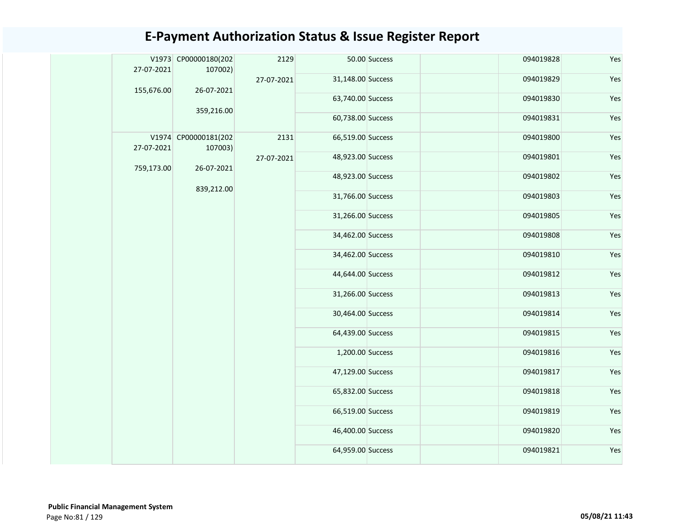| 27-07-2021 | V1973 CP00000180(202<br>107002) | 2129       |                   | 50.00 Success | 094019828 | Yes |  |  |  |  |  |  |  |  |  |                  |  |           |     |  |  |  |  |  |  |  |                   |  |           |     |
|------------|---------------------------------|------------|-------------------|---------------|-----------|-----|--|--|--|--|--|--|--|--|--|------------------|--|-----------|-----|--|--|--|--|--|--|--|-------------------|--|-----------|-----|
| 155,676.00 | 26-07-2021                      | 27-07-2021 | 31,148.00 Success |               | 094019829 | Yes |  |  |  |  |  |  |  |  |  |                  |  |           |     |  |  |  |  |  |  |  |                   |  |           |     |
|            |                                 |            | 63,740.00 Success |               | 094019830 | Yes |  |  |  |  |  |  |  |  |  |                  |  |           |     |  |  |  |  |  |  |  |                   |  |           |     |
|            | 359,216.00                      |            | 60,738.00 Success |               | 094019831 | Yes |  |  |  |  |  |  |  |  |  |                  |  |           |     |  |  |  |  |  |  |  |                   |  |           |     |
| 27-07-2021 | V1974 CP00000181(202<br>107003) | 2131       | 66,519.00 Success |               | 094019800 | Yes |  |  |  |  |  |  |  |  |  |                  |  |           |     |  |  |  |  |  |  |  |                   |  |           |     |
|            |                                 | 27-07-2021 | 48,923.00 Success |               | 094019801 | Yes |  |  |  |  |  |  |  |  |  |                  |  |           |     |  |  |  |  |  |  |  |                   |  |           |     |
| 759,173.00 | 26-07-2021                      |            | 48,923.00 Success |               | 094019802 | Yes |  |  |  |  |  |  |  |  |  |                  |  |           |     |  |  |  |  |  |  |  |                   |  |           |     |
|            | 839,212.00                      |            | 31,766.00 Success |               | 094019803 | Yes |  |  |  |  |  |  |  |  |  |                  |  |           |     |  |  |  |  |  |  |  |                   |  |           |     |
|            |                                 |            | 31,266.00 Success |               | 094019805 | Yes |  |  |  |  |  |  |  |  |  |                  |  |           |     |  |  |  |  |  |  |  |                   |  |           |     |
|            |                                 |            | 34,462.00 Success |               | 094019808 | Yes |  |  |  |  |  |  |  |  |  |                  |  |           |     |  |  |  |  |  |  |  |                   |  |           |     |
|            |                                 |            | 34,462.00 Success |               | 094019810 | Yes |  |  |  |  |  |  |  |  |  |                  |  |           |     |  |  |  |  |  |  |  |                   |  |           |     |
|            |                                 |            | 44,644.00 Success |               | 094019812 | Yes |  |  |  |  |  |  |  |  |  |                  |  |           |     |  |  |  |  |  |  |  |                   |  |           |     |
|            |                                 |            | 31,266.00 Success |               | 094019813 | Yes |  |  |  |  |  |  |  |  |  |                  |  |           |     |  |  |  |  |  |  |  |                   |  |           |     |
|            |                                 |            | 30,464.00 Success |               | 094019814 | Yes |  |  |  |  |  |  |  |  |  |                  |  |           |     |  |  |  |  |  |  |  |                   |  |           |     |
|            |                                 |            | 64,439.00 Success |               | 094019815 | Yes |  |  |  |  |  |  |  |  |  |                  |  |           |     |  |  |  |  |  |  |  |                   |  |           |     |
|            |                                 |            |                   |               |           |     |  |  |  |  |  |  |  |  |  | 1,200.00 Success |  | 094019816 | Yes |  |  |  |  |  |  |  |                   |  |           |     |
|            |                                 |            | 47,129.00 Success |               | 094019817 | Yes |  |  |  |  |  |  |  |  |  |                  |  |           |     |  |  |  |  |  |  |  |                   |  |           |     |
|            |                                 |            | 65,832.00 Success |               | 094019818 | Yes |  |  |  |  |  |  |  |  |  |                  |  |           |     |  |  |  |  |  |  |  |                   |  |           |     |
|            |                                 |            | 66,519.00 Success |               | 094019819 | Yes |  |  |  |  |  |  |  |  |  |                  |  |           |     |  |  |  |  |  |  |  |                   |  |           |     |
|            |                                 |            |                   |               |           |     |  |  |  |  |  |  |  |  |  |                  |  |           |     |  |  |  |  |  |  |  | 46,400.00 Success |  | 094019820 | Yes |
|            |                                 |            | 64,959.00 Success |               | 094019821 | Yes |  |  |  |  |  |  |  |  |  |                  |  |           |     |  |  |  |  |  |  |  |                   |  |           |     |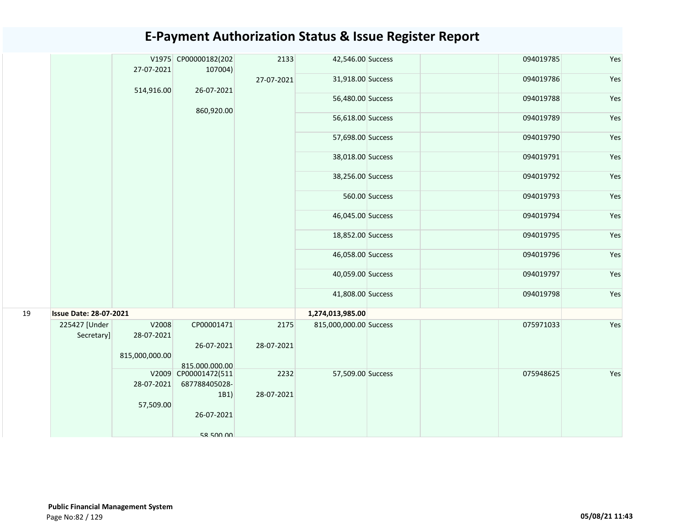|    |                               |                     | V1975 CP00000182(202             | 2133       | 42,546.00 Success      |                | 094019785 | Yes |
|----|-------------------------------|---------------------|----------------------------------|------------|------------------------|----------------|-----------|-----|
|    |                               | 27-07-2021          | 107004)                          | 27-07-2021 | 31,918.00 Success      |                | 094019786 | Yes |
|    |                               | 514,916.00          | 26-07-2021                       |            |                        |                |           |     |
|    |                               |                     | 860,920.00                       |            | 56,480.00 Success      |                | 094019788 | Yes |
|    |                               |                     |                                  |            | 56,618.00 Success      |                | 094019789 | Yes |
|    |                               |                     |                                  |            | 57,698.00 Success      |                | 094019790 | Yes |
|    |                               |                     |                                  |            | 38,018.00 Success      |                | 094019791 | Yes |
|    |                               |                     |                                  |            | 38,256.00 Success      |                | 094019792 | Yes |
|    |                               |                     |                                  |            |                        | 560.00 Success | 094019793 | Yes |
|    |                               |                     |                                  |            | 46,045.00 Success      |                | 094019794 | Yes |
|    |                               |                     |                                  |            | 18,852.00 Success      |                | 094019795 | Yes |
|    |                               |                     |                                  |            | 46,058.00 Success      |                | 094019796 | Yes |
|    |                               |                     |                                  |            | 40,059.00 Success      |                | 094019797 | Yes |
|    |                               |                     |                                  |            | 41,808.00 Success      |                | 094019798 | Yes |
| 19 | <b>Issue Date: 28-07-2021</b> |                     |                                  |            | 1,274,013,985.00       |                |           |     |
|    | 225427 [Under<br>Secretary]   | V2008<br>28-07-2021 | CP00001471                       | 2175       | 815,000,000.00 Success |                | 075971033 | Yes |
|    |                               | 815,000,000.00      | 26-07-2021                       | 28-07-2021 |                        |                |           |     |
|    |                               | V2009               | 815.000.000.00<br>CP00001472(511 | 2232       | 57,509.00 Success      |                | 075948625 | Yes |
|    |                               | 28-07-2021          | 687788405028-                    |            |                        |                |           |     |
|    |                               |                     | 1B1)                             | 28-07-2021 |                        |                |           |     |
|    |                               | 57,509.00           |                                  |            |                        |                |           |     |
|    |                               |                     | 26-07-2021                       |            |                        |                |           |     |
|    |                               |                     | 58.500.00                        |            |                        |                |           |     |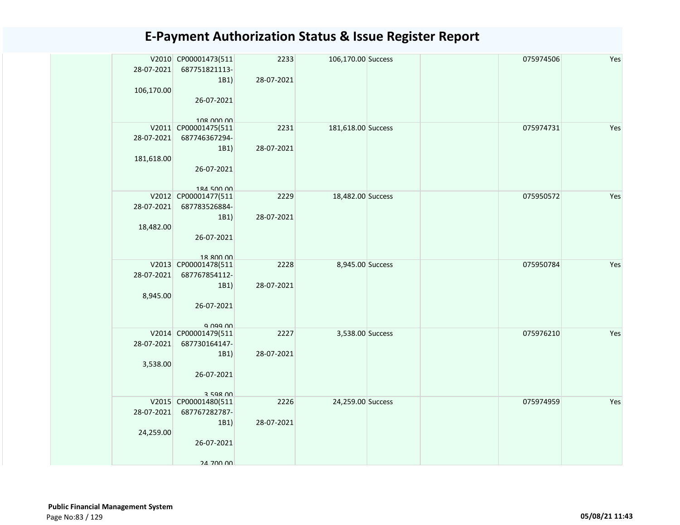| 28-07-2021 | V2010 CP00001473(511<br>687751821113- | 2233       | 106,170.00 Success |  | 075974506 | Yes |
|------------|---------------------------------------|------------|--------------------|--|-----------|-----|
| 106,170.00 | 1B1)<br>26-07-2021                    | 28-07-2021 |                    |  |           |     |
|            | 108 000 00                            |            |                    |  |           |     |
|            | V2011 CP00001475(511                  | 2231       | 181,618.00 Success |  | 075974731 | Yes |
| 28-07-2021 | 687746367294-                         |            |                    |  |           |     |
| 181,618.00 | 1B1)                                  | 28-07-2021 |                    |  |           |     |
|            | 26-07-2021                            |            |                    |  |           |     |
|            | 184 500 00                            |            |                    |  |           |     |
|            | V2012 CP00001477(511                  | 2229       | 18,482.00 Success  |  | 075950572 | Yes |
| 28-07-2021 | 687783526884-                         |            |                    |  |           |     |
|            | 1B1)                                  | 28-07-2021 |                    |  |           |     |
| 18,482.00  | 26-07-2021                            |            |                    |  |           |     |
|            |                                       |            |                    |  |           |     |
|            | 18 800 00                             |            |                    |  |           |     |
| 28-07-2021 | V2013 CP00001478(511                  | 2228       | 8,945.00 Success   |  | 075950784 | Yes |
|            | 687767854112-<br>1B1)                 | 28-07-2021 |                    |  |           |     |
| 8,945.00   |                                       |            |                    |  |           |     |
|            | 26-07-2021                            |            |                    |  |           |     |
|            | $Q$ $Q$ $Q$ $Q$ $Q$ $Q$ $Q$           |            |                    |  |           |     |
|            | V2014 CP00001479(511                  | 2227       | 3,538.00 Success   |  | 075976210 | Yes |
| 28-07-2021 | 687730164147-                         |            |                    |  |           |     |
|            | 1B1)                                  | 28-07-2021 |                    |  |           |     |
| 3,538.00   | 26-07-2021                            |            |                    |  |           |     |
|            |                                       |            |                    |  |           |     |
|            | 3 598 00                              |            |                    |  |           |     |
|            | V2015 CP00001480(511                  | 2226       | 24,259.00 Success  |  | 075974959 | Yes |
| 28-07-2021 | 687767282787-<br>1B1)                 | 28-07-2021 |                    |  |           |     |
| 24,259.00  |                                       |            |                    |  |           |     |
|            | 26-07-2021                            |            |                    |  |           |     |
|            |                                       |            |                    |  |           |     |
|            | 24 700 00                             |            |                    |  |           |     |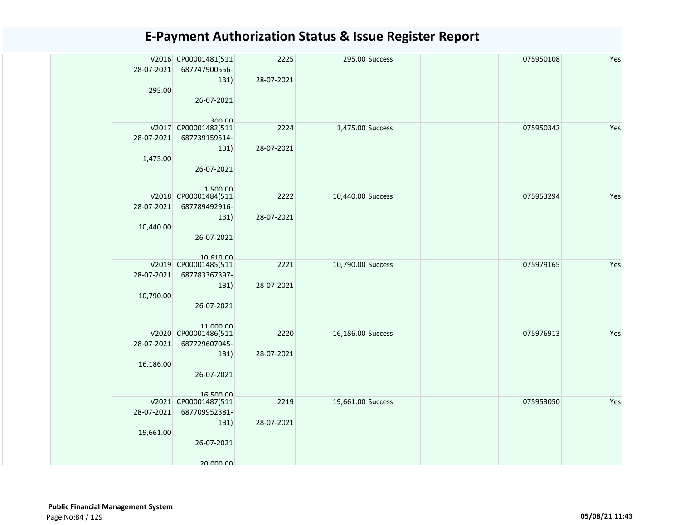| 28-07-2021<br>295.00    | V2016 CP00001481(511<br>687747900556-<br>1B1)<br>26-07-2021                     | 2225<br>28-07-2021 | 295.00 Success    | 075950108 | Yes |
|-------------------------|---------------------------------------------------------------------------------|--------------------|-------------------|-----------|-----|
| 28-07-2021<br>1,475.00  | auu uu<br>V2017 CP00001482(511<br>687739159514-<br>1B1)<br>26-07-2021<br>150000 | 2224<br>28-07-2021 | 1,475.00 Success  | 075950342 | Yes |
| 28-07-2021<br>10,440.00 | V2018 CP00001484(511<br>687789492916-<br>1B1)<br>26-07-2021<br>$10.619$ $00$    | 2222<br>28-07-2021 | 10,440.00 Success | 075953294 | Yes |
| 28-07-2021<br>10,790.00 | V2019 CP00001485(511<br>687783367397-<br>1B1)<br>26-07-2021<br>11 000 00        | 2221<br>28-07-2021 | 10,790.00 Success | 075979165 | Yes |
| 28-07-2021<br>16,186.00 | V2020 CP00001486(511<br>687729607045-<br>1B1)<br>26-07-2021<br>16 500 00        | 2220<br>28-07-2021 | 16,186.00 Success | 075976913 | Yes |
| 28-07-2021<br>19,661.00 | V2021 CP00001487(511<br>687709952381-<br>1B1)<br>26-07-2021<br>20 000 00        | 2219<br>28-07-2021 | 19,661.00 Success | 075953050 | Yes |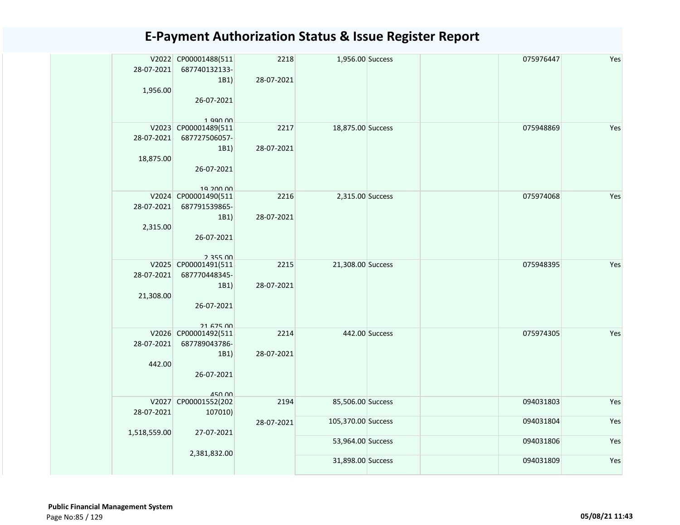| 28-07-2021<br>1,956.00  | V2022 CP00001488(511<br>687740132133-<br>1B1)<br>26-07-2021<br>$1$ agn nn       | 2218<br>28-07-2021 | 1,956.00 Success   |                | 075976447 | Yes |
|-------------------------|---------------------------------------------------------------------------------|--------------------|--------------------|----------------|-----------|-----|
| 28-07-2021<br>18,875.00 | V2023 CP00001489(511<br>687727506057-<br>1B1)<br>26-07-2021<br>19 200 00        | 2217<br>28-07-2021 | 18,875.00 Success  |                | 075948869 | Yes |
| 28-07-2021<br>2,315.00  | V2024 CP00001490(511<br>687791539865-<br>1B1)<br>26-07-2021<br>2.35500          | 2216<br>28-07-2021 | 2,315.00 Success   |                | 075974068 | Yes |
| 28-07-2021<br>21,308.00 | V2025 CP00001491(511<br>687770448345-<br>1B1)<br>26-07-2021<br><b>21 675 00</b> | 2215<br>28-07-2021 | 21,308.00 Success  |                | 075948395 | Yes |
| 28-07-2021<br>442.00    | V2026 CP00001492(511<br>687789043786-<br>1B1)<br>26-07-2021<br>450 00           | 2214<br>28-07-2021 |                    | 442.00 Success | 075974305 | Yes |
| 28-07-2021              | V2027 CP00001552(202<br>107010)                                                 | 2194               | 85,506.00 Success  |                | 094031803 | Yes |
| 1,518,559.00            | 27-07-2021                                                                      | 28-07-2021         | 105,370.00 Success |                | 094031804 | Yes |
|                         |                                                                                 |                    | 53,964.00 Success  |                | 094031806 | Yes |
|                         | 2,381,832.00                                                                    |                    | 31,898.00 Success  |                | 094031809 | Yes |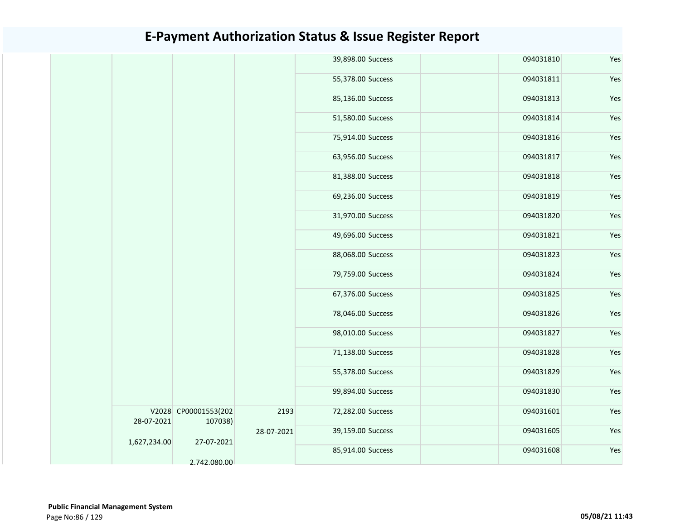| 39,898.00 Success<br>094031810<br>55,378.00 Success<br>094031811<br>Yes<br>85,136.00 Success<br>094031813<br>Yes<br>51,580.00 Success<br>094031814<br>Yes<br>75,914.00 Success<br>094031816<br>Yes<br>63,956.00 Success<br>094031817<br>Yes<br>81,388.00 Success<br>094031818<br>Yes<br>69,236.00 Success<br>094031819<br>Yes<br>31,970.00 Success<br>094031820<br>49,696.00 Success<br>Yes<br>094031821<br>Yes<br>88,068.00 Success<br>094031823<br>Yes<br>79,759.00 Success<br>094031824<br>Yes<br>67,376.00 Success<br>094031825<br>Yes<br>78,046.00 Success<br>094031826<br>98,010.00 Success<br>Yes<br>094031827<br>Yes<br>71,138.00 Success<br>094031828<br>55,378.00 Success<br>094031829<br>Yes<br>99,894.00 Success<br>094031830<br>V2028 CP00001553(202<br>2193<br>72,282.00 Success<br>094031601<br>Yes<br>28-07-2021<br>107038)<br>Yes<br>39,159.00 Success<br>094031605<br>28-07-2021<br>27-07-2021<br>1,627,234.00<br>Yes<br>85,914.00 Success<br>094031608<br>2.742.080.00 |  |  |  |     |
|-------------------------------------------------------------------------------------------------------------------------------------------------------------------------------------------------------------------------------------------------------------------------------------------------------------------------------------------------------------------------------------------------------------------------------------------------------------------------------------------------------------------------------------------------------------------------------------------------------------------------------------------------------------------------------------------------------------------------------------------------------------------------------------------------------------------------------------------------------------------------------------------------------------------------------------------------------------------------------------------|--|--|--|-----|
|                                                                                                                                                                                                                                                                                                                                                                                                                                                                                                                                                                                                                                                                                                                                                                                                                                                                                                                                                                                           |  |  |  | Yes |
|                                                                                                                                                                                                                                                                                                                                                                                                                                                                                                                                                                                                                                                                                                                                                                                                                                                                                                                                                                                           |  |  |  | Yes |
|                                                                                                                                                                                                                                                                                                                                                                                                                                                                                                                                                                                                                                                                                                                                                                                                                                                                                                                                                                                           |  |  |  |     |
|                                                                                                                                                                                                                                                                                                                                                                                                                                                                                                                                                                                                                                                                                                                                                                                                                                                                                                                                                                                           |  |  |  |     |
|                                                                                                                                                                                                                                                                                                                                                                                                                                                                                                                                                                                                                                                                                                                                                                                                                                                                                                                                                                                           |  |  |  |     |
|                                                                                                                                                                                                                                                                                                                                                                                                                                                                                                                                                                                                                                                                                                                                                                                                                                                                                                                                                                                           |  |  |  |     |
|                                                                                                                                                                                                                                                                                                                                                                                                                                                                                                                                                                                                                                                                                                                                                                                                                                                                                                                                                                                           |  |  |  |     |
|                                                                                                                                                                                                                                                                                                                                                                                                                                                                                                                                                                                                                                                                                                                                                                                                                                                                                                                                                                                           |  |  |  |     |
|                                                                                                                                                                                                                                                                                                                                                                                                                                                                                                                                                                                                                                                                                                                                                                                                                                                                                                                                                                                           |  |  |  |     |
|                                                                                                                                                                                                                                                                                                                                                                                                                                                                                                                                                                                                                                                                                                                                                                                                                                                                                                                                                                                           |  |  |  |     |
|                                                                                                                                                                                                                                                                                                                                                                                                                                                                                                                                                                                                                                                                                                                                                                                                                                                                                                                                                                                           |  |  |  |     |
|                                                                                                                                                                                                                                                                                                                                                                                                                                                                                                                                                                                                                                                                                                                                                                                                                                                                                                                                                                                           |  |  |  |     |
|                                                                                                                                                                                                                                                                                                                                                                                                                                                                                                                                                                                                                                                                                                                                                                                                                                                                                                                                                                                           |  |  |  |     |
|                                                                                                                                                                                                                                                                                                                                                                                                                                                                                                                                                                                                                                                                                                                                                                                                                                                                                                                                                                                           |  |  |  |     |
|                                                                                                                                                                                                                                                                                                                                                                                                                                                                                                                                                                                                                                                                                                                                                                                                                                                                                                                                                                                           |  |  |  |     |
|                                                                                                                                                                                                                                                                                                                                                                                                                                                                                                                                                                                                                                                                                                                                                                                                                                                                                                                                                                                           |  |  |  |     |
|                                                                                                                                                                                                                                                                                                                                                                                                                                                                                                                                                                                                                                                                                                                                                                                                                                                                                                                                                                                           |  |  |  | Yes |
|                                                                                                                                                                                                                                                                                                                                                                                                                                                                                                                                                                                                                                                                                                                                                                                                                                                                                                                                                                                           |  |  |  |     |
|                                                                                                                                                                                                                                                                                                                                                                                                                                                                                                                                                                                                                                                                                                                                                                                                                                                                                                                                                                                           |  |  |  |     |
|                                                                                                                                                                                                                                                                                                                                                                                                                                                                                                                                                                                                                                                                                                                                                                                                                                                                                                                                                                                           |  |  |  |     |
|                                                                                                                                                                                                                                                                                                                                                                                                                                                                                                                                                                                                                                                                                                                                                                                                                                                                                                                                                                                           |  |  |  |     |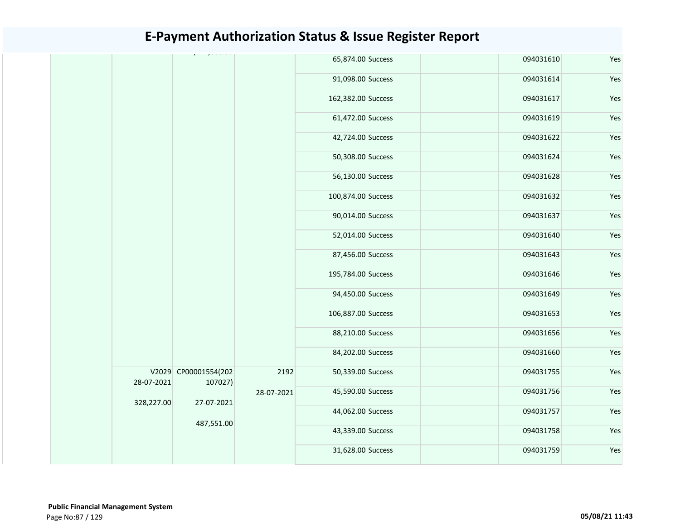|  |            |                                 |            | 65,874.00 Success  |  | 094031610 | Yes |
|--|------------|---------------------------------|------------|--------------------|--|-----------|-----|
|  |            |                                 |            | 91,098.00 Success  |  | 094031614 | Yes |
|  |            |                                 |            | 162,382.00 Success |  | 094031617 | Yes |
|  |            |                                 |            | 61,472.00 Success  |  | 094031619 | Yes |
|  |            |                                 |            | 42,724.00 Success  |  | 094031622 | Yes |
|  |            |                                 |            | 50,308.00 Success  |  | 094031624 | Yes |
|  |            |                                 |            | 56,130.00 Success  |  | 094031628 | Yes |
|  |            |                                 |            | 100,874.00 Success |  | 094031632 | Yes |
|  |            |                                 |            | 90,014.00 Success  |  | 094031637 | Yes |
|  |            |                                 |            | 52,014.00 Success  |  | 094031640 | Yes |
|  |            |                                 |            | 87,456.00 Success  |  | 094031643 | Yes |
|  |            |                                 |            | 195,784.00 Success |  | 094031646 | Yes |
|  |            |                                 |            | 94,450.00 Success  |  | 094031649 | Yes |
|  |            |                                 |            | 106,887.00 Success |  | 094031653 | Yes |
|  |            |                                 |            | 88,210.00 Success  |  | 094031656 | Yes |
|  |            |                                 |            | 84,202.00 Success  |  | 094031660 | Yes |
|  | 28-07-2021 | V2029 CP00001554(202<br>107027) | 2192       | 50,339.00 Success  |  | 094031755 | Yes |
|  | 328,227.00 | 27-07-2021                      | 28-07-2021 | 45,590.00 Success  |  | 094031756 | Yes |
|  |            | 487,551.00                      |            | 44,062.00 Success  |  | 094031757 | Yes |
|  |            |                                 |            | 43,339.00 Success  |  | 094031758 | Yes |
|  |            |                                 |            | 31,628.00 Success  |  | 094031759 | Yes |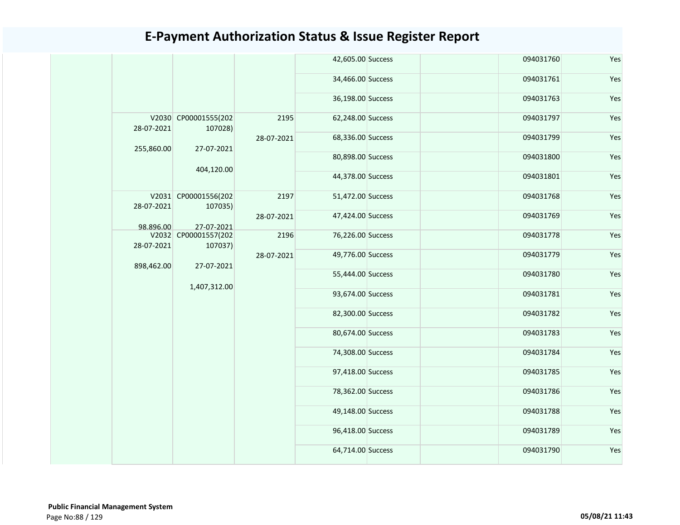|            |                                 |            | 42,605.00 Success | 094031760 | Yes |
|------------|---------------------------------|------------|-------------------|-----------|-----|
|            |                                 |            | 34,466.00 Success | 094031761 | Yes |
|            |                                 |            | 36,198.00 Success | 094031763 | Yes |
| 28-07-2021 | V2030 CP00001555(202<br>107028) | 2195       | 62,248.00 Success | 094031797 | Yes |
| 255,860.00 | 27-07-2021                      | 28-07-2021 | 68,336.00 Success | 094031799 | Yes |
|            | 404,120.00                      |            | 80,898.00 Success | 094031800 | Yes |
|            |                                 |            | 44,378.00 Success | 094031801 | Yes |
| 28-07-2021 | V2031 CP00001556(202<br>107035) | 2197       | 51,472.00 Success | 094031768 | Yes |
| 98.896.00  | 27-07-2021                      | 28-07-2021 | 47,424.00 Success | 094031769 | Yes |
| 28-07-2021 | V2032 CP00001557(202<br>107037) | 2196       | 76,226.00 Success | 094031778 | Yes |
| 898,462.00 | 27-07-2021                      | 28-07-2021 | 49,776.00 Success | 094031779 | Yes |
|            | 1,407,312.00                    |            | 55,444.00 Success | 094031780 | Yes |
|            |                                 |            | 93,674.00 Success | 094031781 | Yes |
|            |                                 |            | 82,300.00 Success | 094031782 | Yes |
|            |                                 |            | 80,674.00 Success | 094031783 | Yes |
|            |                                 |            | 74,308.00 Success | 094031784 | Yes |
|            |                                 |            | 97,418.00 Success | 094031785 | Yes |
|            |                                 |            | 78,362.00 Success | 094031786 | Yes |
|            |                                 |            | 49,148.00 Success | 094031788 | Yes |
|            |                                 |            | 96,418.00 Success | 094031789 | Yes |
|            |                                 |            | 64,714.00 Success | 094031790 | Yes |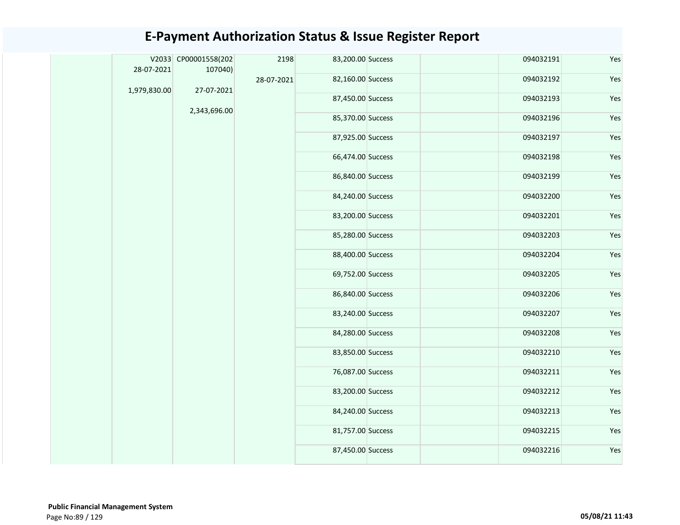|              | V2033 CP00001558(202 | 2198       | 83,200.00 Success | 094032191 | Yes |
|--------------|----------------------|------------|-------------------|-----------|-----|
| 28-07-2021   | 107040)              | 28-07-2021 | 82,160.00 Success | 094032192 | Yes |
| 1,979,830.00 | 27-07-2021           |            | 87,450.00 Success | 094032193 | Yes |
|              | 2,343,696.00         |            | 85,370.00 Success | 094032196 | Yes |
|              |                      |            |                   |           |     |
|              |                      |            | 87,925.00 Success | 094032197 | Yes |
|              |                      |            | 66,474.00 Success | 094032198 | Yes |
|              |                      |            | 86,840.00 Success | 094032199 | Yes |
|              |                      |            | 84,240.00 Success | 094032200 | Yes |
|              |                      |            | 83,200.00 Success | 094032201 | Yes |
|              |                      |            | 85,280.00 Success | 094032203 | Yes |
|              |                      |            | 88,400.00 Success | 094032204 | Yes |
|              |                      |            | 69,752.00 Success | 094032205 | Yes |
|              |                      |            | 86,840.00 Success | 094032206 | Yes |
|              |                      |            | 83,240.00 Success | 094032207 | Yes |
|              |                      |            | 84,280.00 Success | 094032208 | Yes |
|              |                      |            | 83,850.00 Success | 094032210 | Yes |
|              |                      |            | 76,087.00 Success | 094032211 | Yes |
|              |                      |            | 83,200.00 Success | 094032212 | Yes |
|              |                      |            | 84,240.00 Success | 094032213 | Yes |
|              |                      |            | 81,757.00 Success | 094032215 | Yes |
|              |                      |            | 87,450.00 Success | 094032216 | Yes |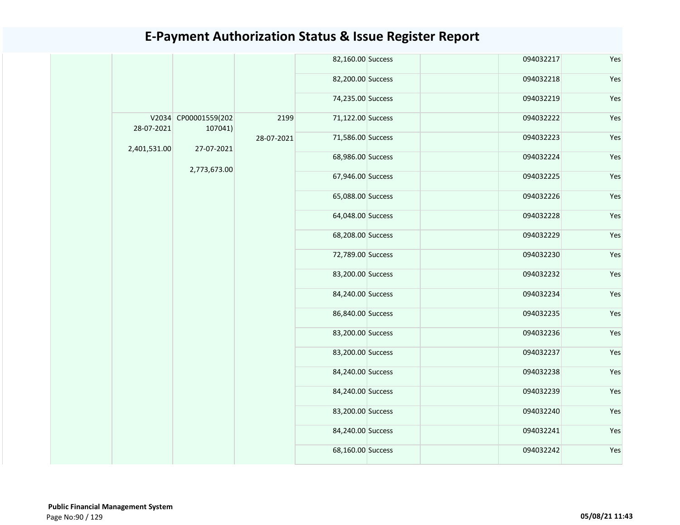|              |                                 |            | 82,160.00 Success |  | 094032217 | Yes |
|--------------|---------------------------------|------------|-------------------|--|-----------|-----|
|              |                                 |            | 82,200.00 Success |  | 094032218 | Yes |
|              |                                 |            | 74,235.00 Success |  | 094032219 | Yes |
| 28-07-2021   | V2034 CP00001559(202<br>107041) | 2199       | 71,122.00 Success |  | 094032222 | Yes |
| 2,401,531.00 | 27-07-2021                      | 28-07-2021 | 71,586.00 Success |  | 094032223 | Yes |
|              | 2,773,673.00                    |            | 68,986.00 Success |  | 094032224 | Yes |
|              |                                 |            | 67,946.00 Success |  | 094032225 | Yes |
|              |                                 |            | 65,088.00 Success |  | 094032226 | Yes |
|              |                                 |            | 64,048.00 Success |  | 094032228 | Yes |
|              |                                 |            | 68,208.00 Success |  | 094032229 | Yes |
|              |                                 |            | 72,789.00 Success |  | 094032230 | Yes |
|              |                                 |            | 83,200.00 Success |  | 094032232 | Yes |
|              |                                 |            | 84,240.00 Success |  | 094032234 | Yes |
|              |                                 |            | 86,840.00 Success |  | 094032235 | Yes |
|              |                                 |            | 83,200.00 Success |  | 094032236 | Yes |
|              |                                 |            | 83,200.00 Success |  | 094032237 | Yes |
|              |                                 |            | 84,240.00 Success |  | 094032238 | Yes |
|              |                                 |            | 84,240.00 Success |  | 094032239 | Yes |
|              |                                 |            | 83,200.00 Success |  | 094032240 | Yes |
|              |                                 |            | 84,240.00 Success |  | 094032241 | Yes |
|              |                                 |            | 68,160.00 Success |  | 094032242 | Yes |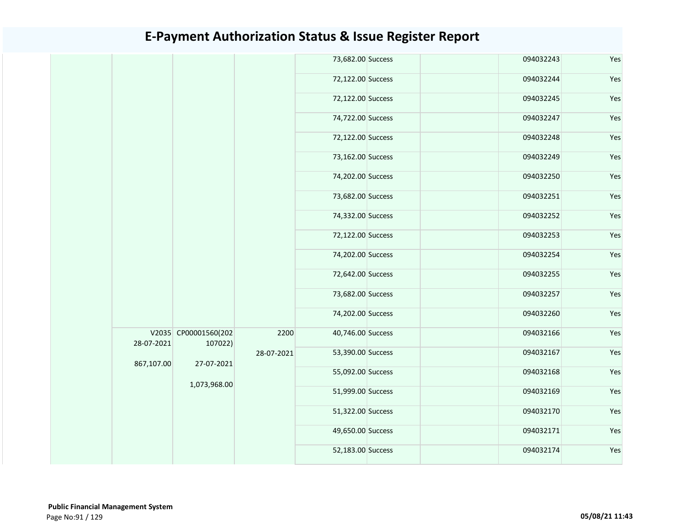|  |            |                                 |            | 73,682.00 Success |  | 094032243 | Yes |
|--|------------|---------------------------------|------------|-------------------|--|-----------|-----|
|  |            |                                 |            | 72,122.00 Success |  | 094032244 | Yes |
|  |            |                                 |            | 72,122.00 Success |  | 094032245 | Yes |
|  |            |                                 |            | 74,722.00 Success |  | 094032247 | Yes |
|  |            |                                 |            | 72,122.00 Success |  | 094032248 | Yes |
|  |            |                                 |            | 73,162.00 Success |  | 094032249 | Yes |
|  |            |                                 |            | 74,202.00 Success |  | 094032250 | Yes |
|  |            |                                 |            | 73,682.00 Success |  | 094032251 | Yes |
|  |            |                                 |            | 74,332.00 Success |  | 094032252 | Yes |
|  |            |                                 |            | 72,122.00 Success |  | 094032253 | Yes |
|  |            |                                 |            | 74,202.00 Success |  | 094032254 | Yes |
|  |            |                                 |            | 72,642.00 Success |  | 094032255 | Yes |
|  |            |                                 |            | 73,682.00 Success |  | 094032257 | Yes |
|  |            |                                 |            | 74,202.00 Success |  | 094032260 | Yes |
|  | 28-07-2021 | V2035 CP00001560(202<br>107022) | 2200       | 40,746.00 Success |  | 094032166 | Yes |
|  | 867,107.00 | 27-07-2021                      | 28-07-2021 | 53,390.00 Success |  | 094032167 | Yes |
|  |            |                                 |            | 55,092.00 Success |  | 094032168 | Yes |
|  |            | 1,073,968.00                    |            | 51,999.00 Success |  | 094032169 | Yes |
|  |            |                                 |            | 51,322.00 Success |  | 094032170 | Yes |
|  |            |                                 |            | 49,650.00 Success |  | 094032171 | Yes |
|  |            |                                 |            | 52,183.00 Success |  | 094032174 | Yes |
|  |            |                                 |            |                   |  |           |     |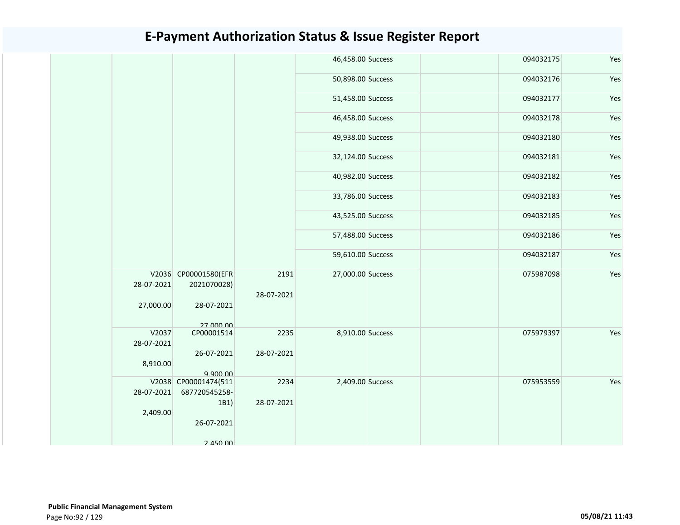|            |                         |            | 46,458.00 Success |  | 094032175 | Yes |
|------------|-------------------------|------------|-------------------|--|-----------|-----|
|            |                         |            | 50,898.00 Success |  | 094032176 | Yes |
|            |                         |            | 51,458.00 Success |  | 094032177 | Yes |
|            |                         |            | 46,458.00 Success |  | 094032178 | Yes |
|            |                         |            | 49,938.00 Success |  | 094032180 | Yes |
|            |                         |            | 32,124.00 Success |  | 094032181 | Yes |
|            |                         |            | 40,982.00 Success |  | 094032182 | Yes |
|            |                         |            | 33,786.00 Success |  | 094032183 | Yes |
|            |                         |            | 43,525.00 Success |  | 094032185 | Yes |
|            |                         |            | 57,488.00 Success |  | 094032186 | Yes |
|            |                         |            | 59,610.00 Success |  | 094032187 | Yes |
|            | V2036 CP00001580(EFR    | 2191       | 27,000.00 Success |  | 075987098 | Yes |
| 28-07-2021 | 2021070028)             | 28-07-2021 |                   |  |           |     |
| 27,000.00  | 28-07-2021              |            |                   |  |           |     |
| V2037      | 27 000 00<br>CP00001514 | 2235       | 8,910.00 Success  |  | 075979397 | Yes |
| 28-07-2021 |                         |            |                   |  |           |     |
| 8,910.00   | 26-07-2021<br>9.900.00  | 28-07-2021 |                   |  |           |     |
|            | V2038 CP00001474(511    | 2234       | 2,409.00 Success  |  | 075953559 | Yes |
| 28-07-2021 | 687720545258-           |            |                   |  |           |     |
|            | 1B1)                    | 28-07-2021 |                   |  |           |     |
| 2,409.00   |                         |            |                   |  |           |     |
|            | 26-07-2021              |            |                   |  |           |     |
|            | 2.450,00                |            |                   |  |           |     |
|            |                         |            |                   |  |           |     |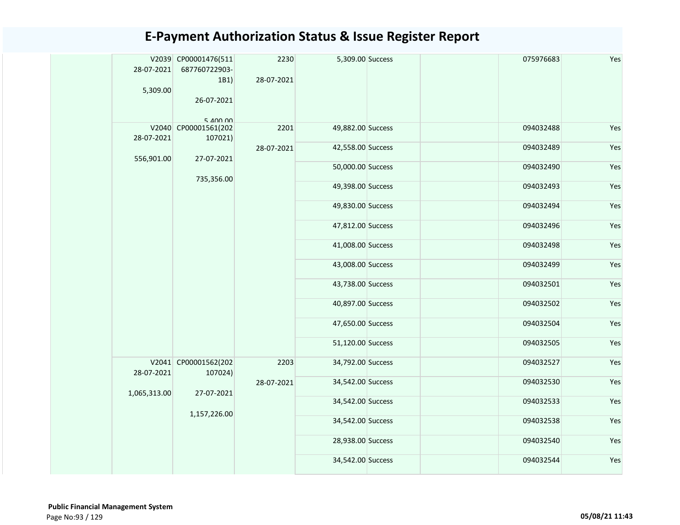| 28-07-2021 | V2039 CP00001476(511<br>687760722903-<br>1B1)<br>5,309.00<br>26-07-2021<br>$5$ $100$ $00$ | 2230<br>28-07-2021 | 5,309.00 Success  |  | 075976683 | Yes |
|------------|-------------------------------------------------------------------------------------------|--------------------|-------------------|--|-----------|-----|
| 28-07-2021 | V2040 CP00001561(202<br>107021)                                                           | 2201               | 49,882.00 Success |  | 094032488 | Yes |
|            |                                                                                           | 28-07-2021         | 42,558.00 Success |  | 094032489 | Yes |
| 556,901.00 | 27-07-2021                                                                                |                    | 50,000.00 Success |  | 094032490 | Yes |
|            | 735,356.00                                                                                |                    | 49,398.00 Success |  | 094032493 | Yes |
|            |                                                                                           |                    | 49,830.00 Success |  | 094032494 | Yes |
|            |                                                                                           |                    | 47,812.00 Success |  | 094032496 | Yes |
|            |                                                                                           |                    | 41,008.00 Success |  | 094032498 | Yes |
|            |                                                                                           |                    | 43,008.00 Success |  | 094032499 | Yes |
|            |                                                                                           |                    | 43,738.00 Success |  | 094032501 | Yes |
|            |                                                                                           |                    | 40,897.00 Success |  | 094032502 | Yes |
|            |                                                                                           |                    | 47,650.00 Success |  | 094032504 | Yes |
|            |                                                                                           |                    | 51,120.00 Success |  | 094032505 | Yes |
| 28-07-2021 | V2041 CP00001562(202<br>107024)                                                           | 2203               | 34,792.00 Success |  | 094032527 | Yes |
|            |                                                                                           | 28-07-2021         | 34,542.00 Success |  | 094032530 | Yes |
|            | 1,065,313.00<br>27-07-2021<br>1,157,226.00                                                |                    | 34,542.00 Success |  | 094032533 | Yes |
|            |                                                                                           |                    | 34,542.00 Success |  | 094032538 | Yes |
|            |                                                                                           |                    | 28,938.00 Success |  | 094032540 | Yes |
|            |                                                                                           |                    | 34,542.00 Success |  | 094032544 | Yes |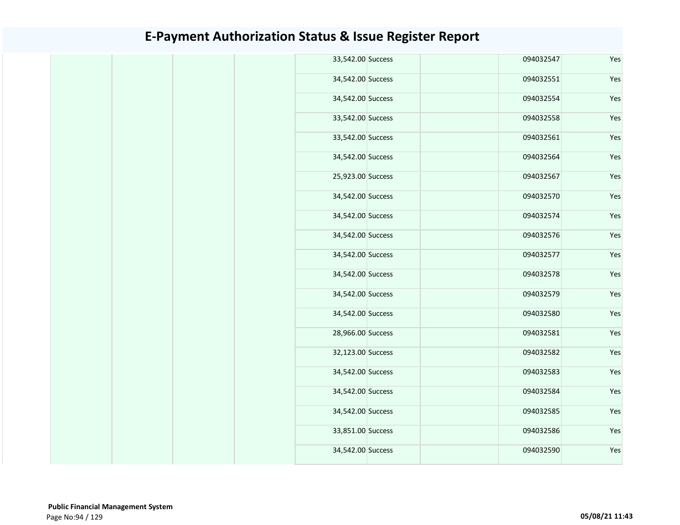| 33,542.00 Success |  | 094032547 | Yes |
|-------------------|--|-----------|-----|
| 34,542.00 Success |  | 094032551 | Yes |
| 34,542.00 Success |  | 094032554 | Yes |
| 33,542.00 Success |  | 094032558 | Yes |
| 33,542.00 Success |  | 094032561 | Yes |
| 34,542.00 Success |  | 094032564 | Yes |
| 25,923.00 Success |  | 094032567 | Yes |
| 34,542.00 Success |  | 094032570 | Yes |
| 34,542.00 Success |  | 094032574 | Yes |
| 34,542.00 Success |  | 094032576 | Yes |
| 34,542.00 Success |  | 094032577 | Yes |
| 34,542.00 Success |  | 094032578 | Yes |
| 34,542.00 Success |  | 094032579 | Yes |
| 34,542.00 Success |  | 094032580 | Yes |
| 28,966.00 Success |  | 094032581 | Yes |
| 32,123.00 Success |  | 094032582 | Yes |
| 34,542.00 Success |  | 094032583 | Yes |
| 34,542.00 Success |  | 094032584 | Yes |
| 34,542.00 Success |  | 094032585 | Yes |
| 33,851.00 Success |  | 094032586 | Yes |
| 34,542.00 Success |  | 094032590 | Yes |
|                   |  |           |     |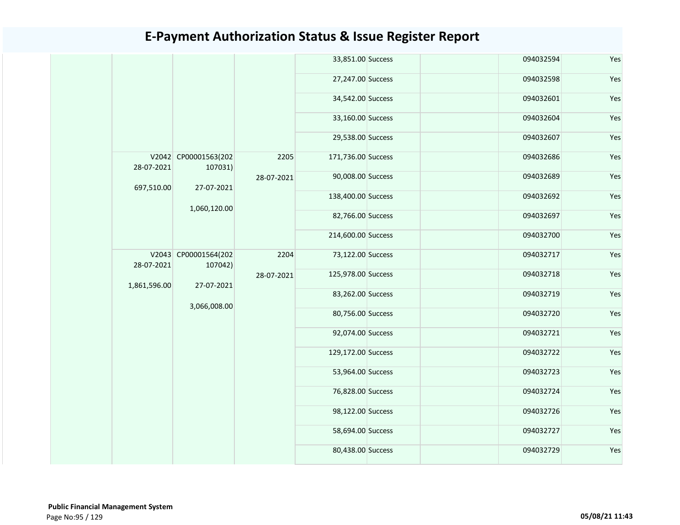|              |                                 |                    | 33,851.00 Success  |           | 094032594 | Yes |  |  |  |  |  |  |                    |                   |           |                   |     |           |     |
|--------------|---------------------------------|--------------------|--------------------|-----------|-----------|-----|--|--|--|--|--|--|--------------------|-------------------|-----------|-------------------|-----|-----------|-----|
|              |                                 |                    | 27,247.00 Success  |           | 094032598 | Yes |  |  |  |  |  |  |                    |                   |           |                   |     |           |     |
|              |                                 |                    | 34,542.00 Success  |           | 094032601 | Yes |  |  |  |  |  |  |                    |                   |           |                   |     |           |     |
|              |                                 |                    | 33,160.00 Success  |           | 094032604 | Yes |  |  |  |  |  |  |                    |                   |           |                   |     |           |     |
|              |                                 |                    | 29,538.00 Success  |           | 094032607 | Yes |  |  |  |  |  |  |                    |                   |           |                   |     |           |     |
| 28-07-2021   | V2042 CP00001563(202<br>107031) | 2205               | 171,736.00 Success |           | 094032686 | Yes |  |  |  |  |  |  |                    |                   |           |                   |     |           |     |
| 697,510.00   | 27-07-2021                      | 28-07-2021         | 90,008.00 Success  |           | 094032689 | Yes |  |  |  |  |  |  |                    |                   |           |                   |     |           |     |
|              | 1,060,120.00                    |                    | 138,400.00 Success |           | 094032692 | Yes |  |  |  |  |  |  |                    |                   |           |                   |     |           |     |
|              |                                 |                    | 82,766.00 Success  |           | 094032697 | Yes |  |  |  |  |  |  |                    |                   |           |                   |     |           |     |
|              |                                 | 214,600.00 Success |                    | 094032700 | Yes       |     |  |  |  |  |  |  |                    |                   |           |                   |     |           |     |
| 28-07-2021   | V2043 CP00001564(202<br>107042) | 2204               | 73,122.00 Success  |           | 094032717 | Yes |  |  |  |  |  |  |                    |                   |           |                   |     |           |     |
|              | 27-07-2021                      | 28-07-2021         | 125,978.00 Success |           | 094032718 | Yes |  |  |  |  |  |  |                    |                   |           |                   |     |           |     |
| 1,861,596.00 |                                 |                    | 83,262.00 Success  |           | 094032719 | Yes |  |  |  |  |  |  |                    |                   |           |                   |     |           |     |
|              | 3,066,008.00                    |                    | 80,756.00 Success  |           | 094032720 | Yes |  |  |  |  |  |  |                    |                   |           |                   |     |           |     |
|              |                                 |                    | 92,074.00 Success  |           | 094032721 | Yes |  |  |  |  |  |  |                    |                   |           |                   |     |           |     |
|              |                                 |                    |                    |           |           |     |  |  |  |  |  |  | 129,172.00 Success |                   | 094032722 | Yes               |     |           |     |
|              |                                 |                    |                    |           |           |     |  |  |  |  |  |  |                    |                   |           | 53,964.00 Success |     | 094032723 | Yes |
|              |                                 |                    |                    |           |           |     |  |  |  |  |  |  |                    | 76,828.00 Success |           | 094032724         | Yes |           |     |
|              |                                 |                    |                    |           |           |     |  |  |  |  |  |  | 98,122.00 Success  |                   | 094032726 | Yes               |     |           |     |
|              |                                 |                    | 58,694.00 Success  |           | 094032727 | Yes |  |  |  |  |  |  |                    |                   |           |                   |     |           |     |
|              |                                 | 80,438.00 Success  |                    | 094032729 | Yes       |     |  |  |  |  |  |  |                    |                   |           |                   |     |           |     |
|              |                                 |                    |                    |           |           |     |  |  |  |  |  |  |                    |                   |           |                   |     |           |     |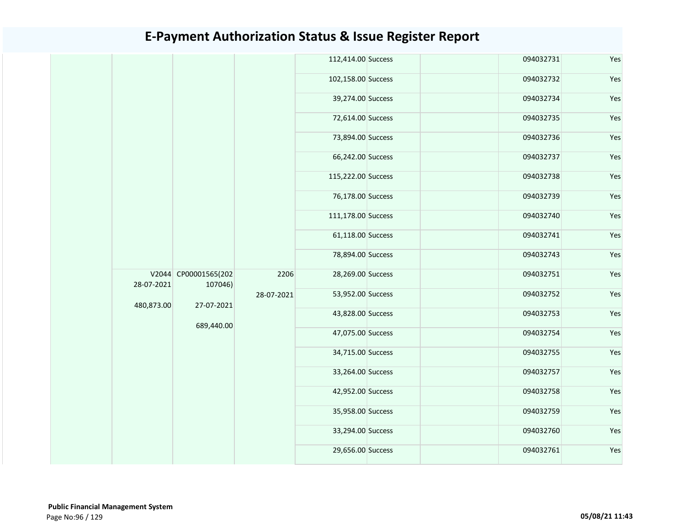| Yes<br>112,414.00 Success<br>094032731<br>102,158.00 Success<br>094032732<br>39,274.00 Success<br>094032734<br>72,614.00 Success<br>094032735<br>73,894.00 Success<br>094032736<br>66,242.00 Success<br>094032737<br>094032738<br>115,222.00 Success<br>76,178.00 Success<br>094032739<br>094032740<br>111,178.00 Success<br>61,118.00 Success<br>094032741<br>78,894.00 Success<br>094032743<br>V2044 CP00001565(202<br>2206<br>094032751<br>28,269.00 Success<br>28-07-2021<br>107046)<br>094032752<br>53,952.00 Success<br>28-07-2021<br>480,873.00<br>27-07-2021<br>094032753<br>43,828.00 Success<br>689,440.00<br>47,075.00 Success<br>094032754<br>34,715.00 Success<br>094032755<br>094032757<br>33,264.00 Success<br>094032758<br>42,952.00 Success<br>35,958.00 Success<br>094032759<br>33,294.00 Success<br>094032760<br>29,656.00 Success<br>094032761 |  |  |  |  |  |  |  |  |  |  |  |  |  |  |  |  |  |  |  |
|--------------------------------------------------------------------------------------------------------------------------------------------------------------------------------------------------------------------------------------------------------------------------------------------------------------------------------------------------------------------------------------------------------------------------------------------------------------------------------------------------------------------------------------------------------------------------------------------------------------------------------------------------------------------------------------------------------------------------------------------------------------------------------------------------------------------------------------------------------------------|--|--|--|--|--|--|--|--|--|--|--|--|--|--|--|--|--|--|--|
| Yes<br>Yes<br>Yes<br>Yes<br>Yes<br>Yes<br>Yes<br>Yes<br>Yes<br>Yes<br>Yes<br>Yes<br>Yes<br>Yes<br>Yes<br>Yes<br>Yes<br>Yes<br>Yes<br>Yes                                                                                                                                                                                                                                                                                                                                                                                                                                                                                                                                                                                                                                                                                                                           |  |  |  |  |  |  |  |  |  |  |  |  |  |  |  |  |  |  |  |
|                                                                                                                                                                                                                                                                                                                                                                                                                                                                                                                                                                                                                                                                                                                                                                                                                                                                    |  |  |  |  |  |  |  |  |  |  |  |  |  |  |  |  |  |  |  |
|                                                                                                                                                                                                                                                                                                                                                                                                                                                                                                                                                                                                                                                                                                                                                                                                                                                                    |  |  |  |  |  |  |  |  |  |  |  |  |  |  |  |  |  |  |  |
|                                                                                                                                                                                                                                                                                                                                                                                                                                                                                                                                                                                                                                                                                                                                                                                                                                                                    |  |  |  |  |  |  |  |  |  |  |  |  |  |  |  |  |  |  |  |
|                                                                                                                                                                                                                                                                                                                                                                                                                                                                                                                                                                                                                                                                                                                                                                                                                                                                    |  |  |  |  |  |  |  |  |  |  |  |  |  |  |  |  |  |  |  |
|                                                                                                                                                                                                                                                                                                                                                                                                                                                                                                                                                                                                                                                                                                                                                                                                                                                                    |  |  |  |  |  |  |  |  |  |  |  |  |  |  |  |  |  |  |  |
|                                                                                                                                                                                                                                                                                                                                                                                                                                                                                                                                                                                                                                                                                                                                                                                                                                                                    |  |  |  |  |  |  |  |  |  |  |  |  |  |  |  |  |  |  |  |
|                                                                                                                                                                                                                                                                                                                                                                                                                                                                                                                                                                                                                                                                                                                                                                                                                                                                    |  |  |  |  |  |  |  |  |  |  |  |  |  |  |  |  |  |  |  |
|                                                                                                                                                                                                                                                                                                                                                                                                                                                                                                                                                                                                                                                                                                                                                                                                                                                                    |  |  |  |  |  |  |  |  |  |  |  |  |  |  |  |  |  |  |  |
|                                                                                                                                                                                                                                                                                                                                                                                                                                                                                                                                                                                                                                                                                                                                                                                                                                                                    |  |  |  |  |  |  |  |  |  |  |  |  |  |  |  |  |  |  |  |
|                                                                                                                                                                                                                                                                                                                                                                                                                                                                                                                                                                                                                                                                                                                                                                                                                                                                    |  |  |  |  |  |  |  |  |  |  |  |  |  |  |  |  |  |  |  |
|                                                                                                                                                                                                                                                                                                                                                                                                                                                                                                                                                                                                                                                                                                                                                                                                                                                                    |  |  |  |  |  |  |  |  |  |  |  |  |  |  |  |  |  |  |  |
|                                                                                                                                                                                                                                                                                                                                                                                                                                                                                                                                                                                                                                                                                                                                                                                                                                                                    |  |  |  |  |  |  |  |  |  |  |  |  |  |  |  |  |  |  |  |
|                                                                                                                                                                                                                                                                                                                                                                                                                                                                                                                                                                                                                                                                                                                                                                                                                                                                    |  |  |  |  |  |  |  |  |  |  |  |  |  |  |  |  |  |  |  |
|                                                                                                                                                                                                                                                                                                                                                                                                                                                                                                                                                                                                                                                                                                                                                                                                                                                                    |  |  |  |  |  |  |  |  |  |  |  |  |  |  |  |  |  |  |  |
|                                                                                                                                                                                                                                                                                                                                                                                                                                                                                                                                                                                                                                                                                                                                                                                                                                                                    |  |  |  |  |  |  |  |  |  |  |  |  |  |  |  |  |  |  |  |
|                                                                                                                                                                                                                                                                                                                                                                                                                                                                                                                                                                                                                                                                                                                                                                                                                                                                    |  |  |  |  |  |  |  |  |  |  |  |  |  |  |  |  |  |  |  |
|                                                                                                                                                                                                                                                                                                                                                                                                                                                                                                                                                                                                                                                                                                                                                                                                                                                                    |  |  |  |  |  |  |  |  |  |  |  |  |  |  |  |  |  |  |  |
|                                                                                                                                                                                                                                                                                                                                                                                                                                                                                                                                                                                                                                                                                                                                                                                                                                                                    |  |  |  |  |  |  |  |  |  |  |  |  |  |  |  |  |  |  |  |
|                                                                                                                                                                                                                                                                                                                                                                                                                                                                                                                                                                                                                                                                                                                                                                                                                                                                    |  |  |  |  |  |  |  |  |  |  |  |  |  |  |  |  |  |  |  |
|                                                                                                                                                                                                                                                                                                                                                                                                                                                                                                                                                                                                                                                                                                                                                                                                                                                                    |  |  |  |  |  |  |  |  |  |  |  |  |  |  |  |  |  |  |  |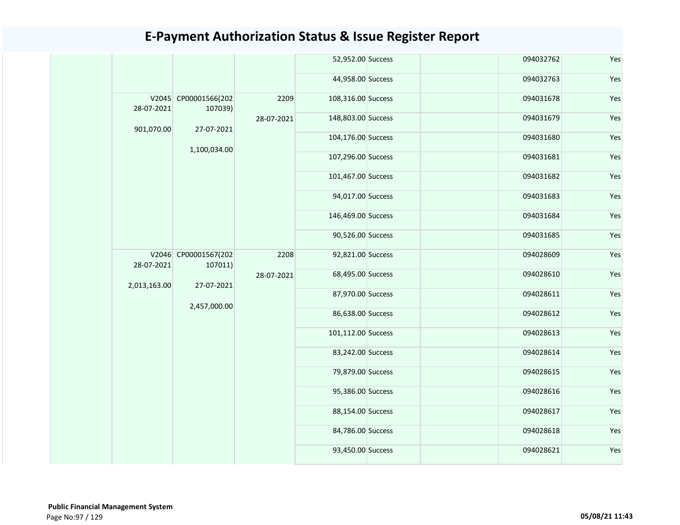|              |                                 |            | 52,952.00 Success  |  | 094032762 | Yes |
|--------------|---------------------------------|------------|--------------------|--|-----------|-----|
|              |                                 |            | 44,958.00 Success  |  | 094032763 | Yes |
| 28-07-2021   | V2045 CP00001566(202<br>107039) | 2209       | 108,316.00 Success |  | 094031678 | Yes |
| 901,070.00   | 27-07-2021                      | 28-07-2021 | 148,803.00 Success |  | 094031679 | Yes |
|              | 1,100,034.00                    |            | 104,176.00 Success |  | 094031680 | Yes |
|              |                                 |            | 107,296.00 Success |  | 094031681 | Yes |
|              |                                 |            | 101,467.00 Success |  | 094031682 | Yes |
|              |                                 |            | 94,017.00 Success  |  | 094031683 | Yes |
|              |                                 |            | 146,469.00 Success |  | 094031684 | Yes |
|              |                                 |            | 90,526.00 Success  |  | 094031685 | Yes |
| 28-07-2021   | V2046 CP00001567(202<br>107011) | 2208       | 92,821.00 Success  |  | 094028609 | Yes |
| 2,013,163.00 | 27-07-2021                      | 28-07-2021 | 68,495.00 Success  |  | 094028610 | Yes |
|              | 2,457,000.00                    |            | 87,970.00 Success  |  | 094028611 | Yes |
|              |                                 |            | 86,638.00 Success  |  | 094028612 | Yes |
|              |                                 |            | 101,112.00 Success |  | 094028613 | Yes |
|              |                                 |            | 83,242.00 Success  |  | 094028614 | Yes |
|              |                                 |            | 79,879.00 Success  |  | 094028615 | Yes |
|              |                                 |            | 95,386.00 Success  |  | 094028616 | Yes |
|              |                                 |            | 88,154.00 Success  |  | 094028617 | Yes |
|              |                                 |            | 84,786.00 Success  |  | 094028618 | Yes |
|              |                                 |            | 93,450.00 Success  |  | 094028621 | Yes |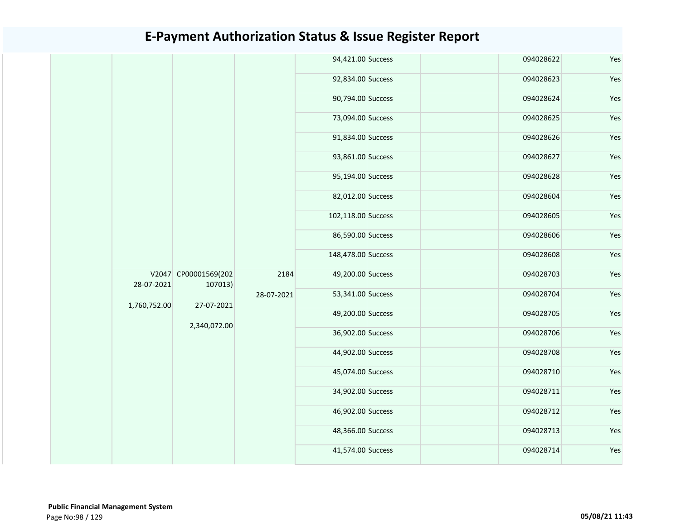| 94,421.00 Success<br>094028622<br>92,834.00 Success<br>094028623<br>90,794.00 Success<br>094028624<br>094028625<br>73,094.00 Success<br>094028626<br>91,834.00 Success<br>93,861.00 Success<br>094028627<br>95,194.00 Success<br>094028628<br>82,012.00 Success<br>094028604<br>102,118.00 Success<br>094028605<br>86,590.00 Success<br>094028606<br>148,478.00 Success<br>094028608<br>V2047 CP00001569(202<br>2184<br>49,200.00 Success<br>094028703<br>28-07-2021<br>107013)<br>53,341.00 Success<br>094028704<br>28-07-2021<br>1,760,752.00<br>27-07-2021<br>49,200.00 Success<br>094028705<br>2,340,072.00<br>36,902.00 Success<br>094028706<br>44,902.00 Success<br>094028708<br>094028710<br>45,074.00 Success<br>094028711<br>34,902.00 Success |  |  |  |     |
|---------------------------------------------------------------------------------------------------------------------------------------------------------------------------------------------------------------------------------------------------------------------------------------------------------------------------------------------------------------------------------------------------------------------------------------------------------------------------------------------------------------------------------------------------------------------------------------------------------------------------------------------------------------------------------------------------------------------------------------------------------|--|--|--|-----|
|                                                                                                                                                                                                                                                                                                                                                                                                                                                                                                                                                                                                                                                                                                                                                         |  |  |  | Yes |
|                                                                                                                                                                                                                                                                                                                                                                                                                                                                                                                                                                                                                                                                                                                                                         |  |  |  | Yes |
|                                                                                                                                                                                                                                                                                                                                                                                                                                                                                                                                                                                                                                                                                                                                                         |  |  |  | Yes |
|                                                                                                                                                                                                                                                                                                                                                                                                                                                                                                                                                                                                                                                                                                                                                         |  |  |  | Yes |
|                                                                                                                                                                                                                                                                                                                                                                                                                                                                                                                                                                                                                                                                                                                                                         |  |  |  | Yes |
|                                                                                                                                                                                                                                                                                                                                                                                                                                                                                                                                                                                                                                                                                                                                                         |  |  |  | Yes |
|                                                                                                                                                                                                                                                                                                                                                                                                                                                                                                                                                                                                                                                                                                                                                         |  |  |  | Yes |
|                                                                                                                                                                                                                                                                                                                                                                                                                                                                                                                                                                                                                                                                                                                                                         |  |  |  | Yes |
|                                                                                                                                                                                                                                                                                                                                                                                                                                                                                                                                                                                                                                                                                                                                                         |  |  |  | Yes |
|                                                                                                                                                                                                                                                                                                                                                                                                                                                                                                                                                                                                                                                                                                                                                         |  |  |  | Yes |
|                                                                                                                                                                                                                                                                                                                                                                                                                                                                                                                                                                                                                                                                                                                                                         |  |  |  | Yes |
|                                                                                                                                                                                                                                                                                                                                                                                                                                                                                                                                                                                                                                                                                                                                                         |  |  |  | Yes |
|                                                                                                                                                                                                                                                                                                                                                                                                                                                                                                                                                                                                                                                                                                                                                         |  |  |  | Yes |
|                                                                                                                                                                                                                                                                                                                                                                                                                                                                                                                                                                                                                                                                                                                                                         |  |  |  | Yes |
|                                                                                                                                                                                                                                                                                                                                                                                                                                                                                                                                                                                                                                                                                                                                                         |  |  |  | Yes |
|                                                                                                                                                                                                                                                                                                                                                                                                                                                                                                                                                                                                                                                                                                                                                         |  |  |  | Yes |
|                                                                                                                                                                                                                                                                                                                                                                                                                                                                                                                                                                                                                                                                                                                                                         |  |  |  | Yes |
|                                                                                                                                                                                                                                                                                                                                                                                                                                                                                                                                                                                                                                                                                                                                                         |  |  |  | Yes |
| 46,902.00 Success<br>094028712                                                                                                                                                                                                                                                                                                                                                                                                                                                                                                                                                                                                                                                                                                                          |  |  |  | Yes |
| 48,366.00 Success<br>094028713                                                                                                                                                                                                                                                                                                                                                                                                                                                                                                                                                                                                                                                                                                                          |  |  |  | Yes |
| 41,574.00 Success<br>094028714                                                                                                                                                                                                                                                                                                                                                                                                                                                                                                                                                                                                                                                                                                                          |  |  |  | Yes |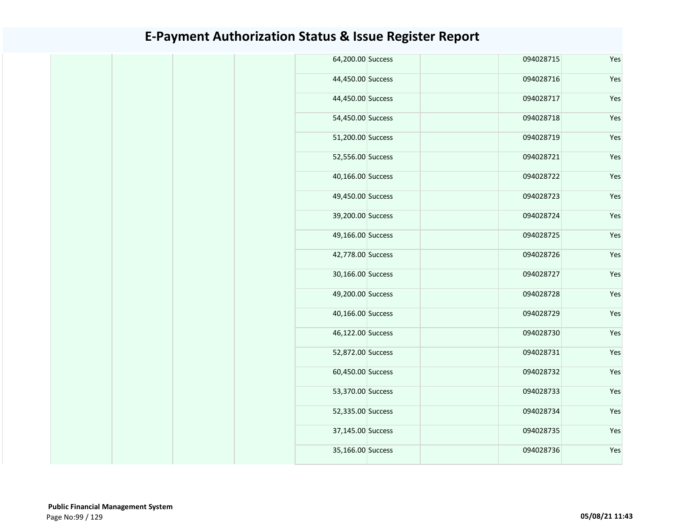| Yes<br>64,200.00 Success<br>094028715<br>44,450.00 Success<br>094028716<br>Yes<br>44,450.00 Success<br>094028717<br>Yes<br>54,450.00 Success<br>094028718<br>Yes<br>094028719<br>Yes<br>51,200.00 Success<br>52,556.00 Success<br>Yes<br>094028721<br>40,166.00 Success<br>094028722<br>Yes<br>49,450.00 Success<br>094028723<br>Yes<br>39,200.00 Success<br>094028724<br>Yes<br>49,166.00 Success<br>094028725<br>Yes<br>42,778.00 Success<br>094028726<br>Yes<br>30,166.00 Success<br>094028727<br>Yes<br>49,200.00 Success<br>094028728<br>Yes<br>Yes<br>40,166.00 Success<br>094028729<br>46,122.00 Success<br>094028730<br>Yes<br>52,872.00 Success<br>094028731<br>Yes<br>60,450.00 Success<br>094028732<br>Yes<br>53,370.00 Success<br>094028733<br>Yes<br>52,335.00 Success<br>094028734<br>Yes<br>37,145.00 Success<br>094028735<br>Yes<br>35,166.00 Success<br>094028736<br>Yes |  |  |  |
|-------------------------------------------------------------------------------------------------------------------------------------------------------------------------------------------------------------------------------------------------------------------------------------------------------------------------------------------------------------------------------------------------------------------------------------------------------------------------------------------------------------------------------------------------------------------------------------------------------------------------------------------------------------------------------------------------------------------------------------------------------------------------------------------------------------------------------------------------------------------------------------------|--|--|--|
|                                                                                                                                                                                                                                                                                                                                                                                                                                                                                                                                                                                                                                                                                                                                                                                                                                                                                           |  |  |  |
|                                                                                                                                                                                                                                                                                                                                                                                                                                                                                                                                                                                                                                                                                                                                                                                                                                                                                           |  |  |  |
|                                                                                                                                                                                                                                                                                                                                                                                                                                                                                                                                                                                                                                                                                                                                                                                                                                                                                           |  |  |  |
|                                                                                                                                                                                                                                                                                                                                                                                                                                                                                                                                                                                                                                                                                                                                                                                                                                                                                           |  |  |  |
|                                                                                                                                                                                                                                                                                                                                                                                                                                                                                                                                                                                                                                                                                                                                                                                                                                                                                           |  |  |  |
|                                                                                                                                                                                                                                                                                                                                                                                                                                                                                                                                                                                                                                                                                                                                                                                                                                                                                           |  |  |  |
|                                                                                                                                                                                                                                                                                                                                                                                                                                                                                                                                                                                                                                                                                                                                                                                                                                                                                           |  |  |  |
|                                                                                                                                                                                                                                                                                                                                                                                                                                                                                                                                                                                                                                                                                                                                                                                                                                                                                           |  |  |  |
|                                                                                                                                                                                                                                                                                                                                                                                                                                                                                                                                                                                                                                                                                                                                                                                                                                                                                           |  |  |  |
|                                                                                                                                                                                                                                                                                                                                                                                                                                                                                                                                                                                                                                                                                                                                                                                                                                                                                           |  |  |  |
|                                                                                                                                                                                                                                                                                                                                                                                                                                                                                                                                                                                                                                                                                                                                                                                                                                                                                           |  |  |  |
|                                                                                                                                                                                                                                                                                                                                                                                                                                                                                                                                                                                                                                                                                                                                                                                                                                                                                           |  |  |  |
|                                                                                                                                                                                                                                                                                                                                                                                                                                                                                                                                                                                                                                                                                                                                                                                                                                                                                           |  |  |  |
|                                                                                                                                                                                                                                                                                                                                                                                                                                                                                                                                                                                                                                                                                                                                                                                                                                                                                           |  |  |  |
|                                                                                                                                                                                                                                                                                                                                                                                                                                                                                                                                                                                                                                                                                                                                                                                                                                                                                           |  |  |  |
|                                                                                                                                                                                                                                                                                                                                                                                                                                                                                                                                                                                                                                                                                                                                                                                                                                                                                           |  |  |  |
|                                                                                                                                                                                                                                                                                                                                                                                                                                                                                                                                                                                                                                                                                                                                                                                                                                                                                           |  |  |  |
|                                                                                                                                                                                                                                                                                                                                                                                                                                                                                                                                                                                                                                                                                                                                                                                                                                                                                           |  |  |  |
|                                                                                                                                                                                                                                                                                                                                                                                                                                                                                                                                                                                                                                                                                                                                                                                                                                                                                           |  |  |  |
|                                                                                                                                                                                                                                                                                                                                                                                                                                                                                                                                                                                                                                                                                                                                                                                                                                                                                           |  |  |  |
|                                                                                                                                                                                                                                                                                                                                                                                                                                                                                                                                                                                                                                                                                                                                                                                                                                                                                           |  |  |  |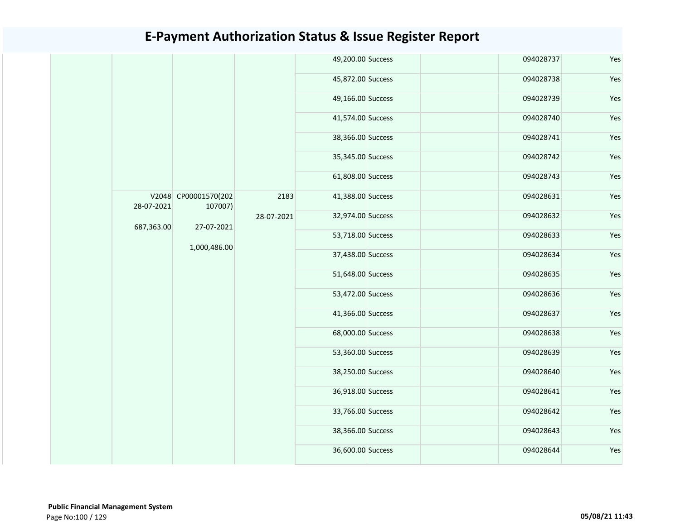|            |                                 |            | 49,200.00 Success |  | 094028737 | Yes |
|------------|---------------------------------|------------|-------------------|--|-----------|-----|
|            |                                 |            | 45,872.00 Success |  | 094028738 | Yes |
|            |                                 |            | 49,166.00 Success |  | 094028739 | Yes |
|            |                                 |            | 41,574.00 Success |  | 094028740 | Yes |
|            |                                 |            | 38,366.00 Success |  | 094028741 | Yes |
|            |                                 |            | 35,345.00 Success |  | 094028742 | Yes |
|            |                                 |            | 61,808.00 Success |  | 094028743 | Yes |
| 28-07-2021 | V2048 CP00001570(202<br>107007) | 2183       | 41,388.00 Success |  | 094028631 | Yes |
| 687,363.00 | 27-07-2021                      | 28-07-2021 | 32,974.00 Success |  | 094028632 | Yes |
|            |                                 |            | 53,718.00 Success |  | 094028633 | Yes |
|            | 1,000,486.00                    |            | 37,438.00 Success |  | 094028634 | Yes |
|            |                                 |            | 51,648.00 Success |  | 094028635 | Yes |
|            |                                 |            | 53,472.00 Success |  | 094028636 | Yes |
|            |                                 |            | 41,366.00 Success |  | 094028637 | Yes |
|            |                                 |            | 68,000.00 Success |  | 094028638 | Yes |
|            |                                 |            | 53,360.00 Success |  | 094028639 | Yes |
|            |                                 |            | 38,250.00 Success |  | 094028640 | Yes |
|            |                                 |            | 36,918.00 Success |  | 094028641 | Yes |
|            |                                 |            | 33,766.00 Success |  | 094028642 | Yes |
|            |                                 |            | 38,366.00 Success |  | 094028643 | Yes |
|            |                                 |            | 36,600.00 Success |  | 094028644 | Yes |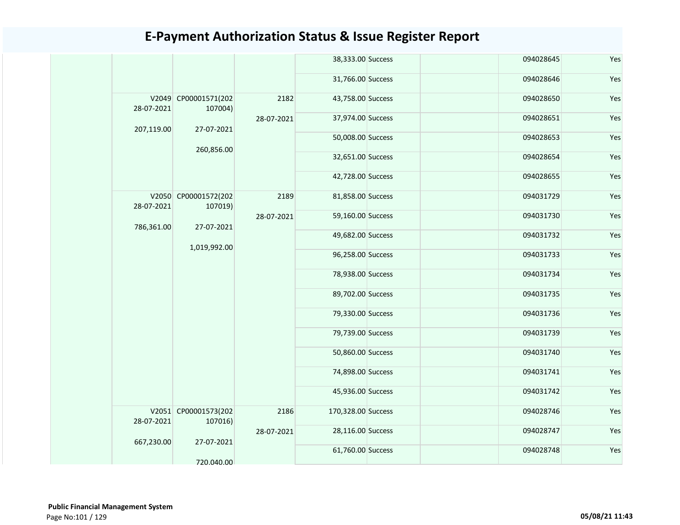|  |            |                                               |            | 38,333.00 Success  | 094028645         | Yes       |
|--|------------|-----------------------------------------------|------------|--------------------|-------------------|-----------|
|  |            |                                               |            | 31,766.00 Success  | 094028646         | Yes       |
|  | 28-07-2021 | V2049 CP00001571(202<br>107004)               | 2182       | 43,758.00 Success  | 094028650         | Yes       |
|  |            | 207,119.00<br>27-07-2021                      | 28-07-2021 | 37,974.00 Success  | 094028651         | Yes       |
|  |            | 260,856.00                                    |            | 50,008.00 Success  | 094028653         | Yes       |
|  |            |                                               |            | 32,651.00 Success  | 094028654         | Yes       |
|  |            |                                               |            | 42,728.00 Success  | 094028655         | Yes       |
|  | 28-07-2021 | V2050 CP00001572(202<br>107019)<br>27-07-2021 | 2189       | 81,858.00 Success  | 094031729         | Yes       |
|  | 786,361.00 |                                               |            | 28-07-2021         | 59,160.00 Success | 094031730 |
|  |            |                                               |            | 49,682.00 Success  | 094031732         | Yes       |
|  |            | 1,019,992.00                                  |            | 96,258.00 Success  | 094031733         | Yes       |
|  |            |                                               |            | 78,938.00 Success  | 094031734         | Yes       |
|  |            |                                               |            | 89,702.00 Success  | 094031735         | Yes       |
|  |            |                                               |            | 79,330.00 Success  | 094031736         | Yes       |
|  |            |                                               |            | 79,739.00 Success  | 094031739         | Yes       |
|  |            |                                               |            | 50,860.00 Success  | 094031740         | Yes       |
|  |            |                                               |            | 74,898.00 Success  | 094031741         | Yes       |
|  |            |                                               |            | 45,936.00 Success  | 094031742         | Yes       |
|  | 28-07-2021 | V2051 CP00001573(202<br>107016)               | 2186       | 170,328.00 Success | 094028746         | Yes       |
|  | 667,230.00 | 27-07-2021                                    | 28-07-2021 | 28,116.00 Success  | 094028747         | Yes       |
|  |            | 720.040.00                                    |            | 61,760.00 Success  | 094028748         | Yes       |
|  |            |                                               |            |                    |                   |           |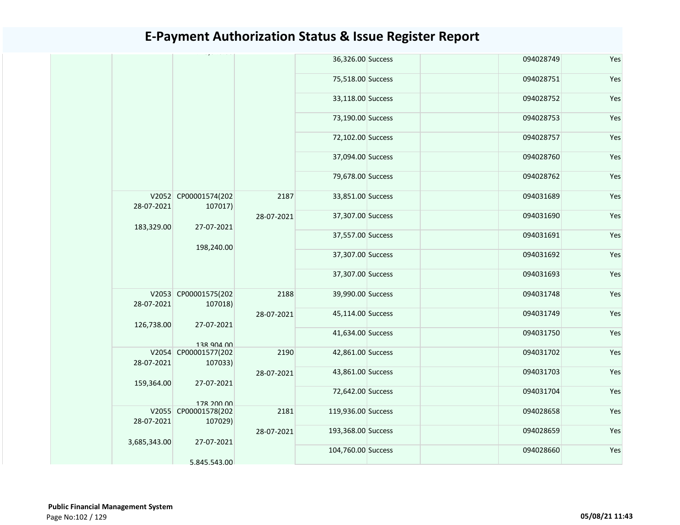|  |                          |                                 |            | 36,326.00 Success  | 094028749                | Yes                |           |     |
|--|--------------------------|---------------------------------|------------|--------------------|--------------------------|--------------------|-----------|-----|
|  |                          |                                 |            | 75,518.00 Success  | 094028751                | Yes                |           |     |
|  |                          |                                 |            | 33,118.00 Success  | 094028752                | Yes                |           |     |
|  |                          |                                 |            | 73,190.00 Success  | 094028753                | Yes                |           |     |
|  |                          |                                 |            | 72,102.00 Success  | 094028757                | Yes                |           |     |
|  |                          |                                 |            | 37,094.00 Success  | 094028760                | Yes                |           |     |
|  |                          |                                 |            | 79,678.00 Success  | 094028762                | Yes                |           |     |
|  | 28-07-2021<br>183,329.00 | V2052 CP00001574(202<br>107017) | 2187       | 33,851.00 Success  | 094031689                | Yes                |           |     |
|  |                          | 27-07-2021                      | 28-07-2021 | 37,307.00 Success  | 094031690                | Yes                |           |     |
|  |                          | 198,240.00                      |            | 37,557.00 Success  | 094031691                | Yes                |           |     |
|  |                          |                                 |            | 37,307.00 Success  | 094031692                | Yes                |           |     |
|  |                          |                                 |            | 37,307.00 Success  | 094031693                | Yes                |           |     |
|  | 28-07-2021               | V2053 CP00001575(202<br>107018) | 2188       | 39,990.00 Success  | 094031748                | Yes                |           |     |
|  | 126,738.00               | 27-07-2021                      | 28-07-2021 | 45,114.00 Success  | 094031749                | Yes                |           |     |
|  |                          | 138 904 00                      |            | 41,634.00 Success  | 094031750                | Yes                |           |     |
|  | 28-07-2021               | V2054 CP00001577(202<br>107033) | 2190       | 42,861.00 Success  | 094031702                | Yes                |           |     |
|  | 159,364.00               | 27-07-2021                      | 28-07-2021 | 43,861.00 Success  | 094031703                | Yes                |           |     |
|  |                          | 178 200 00                      |            | 72,642.00 Success  | 094031704                | Yes                |           |     |
|  | 28-07-2021               | V2055 CP00001578(202<br>107029) | 2181       | 119,936.00 Success | 094028658                | Yes                |           |     |
|  | 3,685,343.00             |                                 |            |                    | 28-07-2021<br>27-07-2021 | 193,368.00 Success | 094028659 | Yes |
|  |                          | 5.845.543.00                    |            | 104,760.00 Success | 094028660                | Yes                |           |     |
|  |                          |                                 |            |                    |                          |                    |           |     |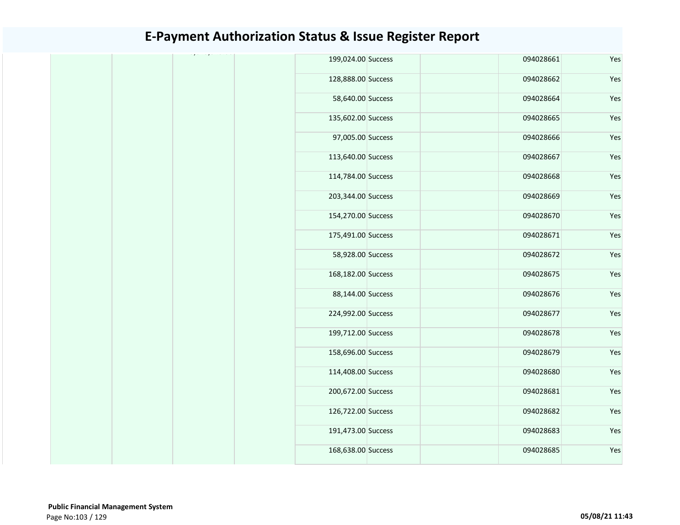| 199,024.00 Success | 094028661 | Yes |
|--------------------|-----------|-----|
| 128,888.00 Success | 094028662 | Yes |
| 58,640.00 Success  | 094028664 | Yes |
| 135,602.00 Success | 094028665 | Yes |
| 97,005.00 Success  | 094028666 | Yes |
| 113,640.00 Success | 094028667 | Yes |
| 114,784.00 Success | 094028668 | Yes |
| 203,344.00 Success | 094028669 | Yes |
| 154,270.00 Success | 094028670 | Yes |
| 175,491.00 Success | 094028671 | Yes |
| 58,928.00 Success  | 094028672 | Yes |
| 168,182.00 Success | 094028675 | Yes |
| 88,144.00 Success  | 094028676 | Yes |
| 224,992.00 Success | 094028677 | Yes |
| 199,712.00 Success | 094028678 | Yes |
| 158,696.00 Success | 094028679 | Yes |
| 114,408.00 Success | 094028680 | Yes |
| 200,672.00 Success | 094028681 | Yes |
| 126,722.00 Success | 094028682 | Yes |
| 191,473.00 Success | 094028683 | Yes |
| 168,638.00 Success | 094028685 | Yes |
|                    |           |     |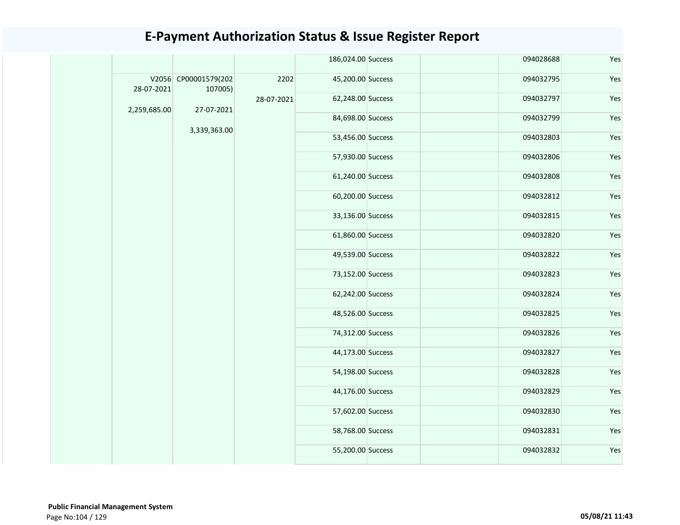|              |                                 |                                | 186,024.00 Success | 094028688 | Yes               |           |     |                   |           |     |
|--------------|---------------------------------|--------------------------------|--------------------|-----------|-------------------|-----------|-----|-------------------|-----------|-----|
| 28-07-2021   | V2056 CP00001579(202<br>107005) | 2202                           | 45,200.00 Success  | 094032795 | Yes               |           |     |                   |           |     |
| 2,259,685.00 | 27-07-2021                      | 28-07-2021                     | 62,248.00 Success  | 094032797 | Yes               |           |     |                   |           |     |
|              | 3,339,363.00                    | 84,698.00 Success<br>094032799 | Yes                |           |                   |           |     |                   |           |     |
|              |                                 |                                | 53,456.00 Success  | 094032803 | Yes               |           |     |                   |           |     |
|              |                                 |                                | 57,930.00 Success  | 094032806 | Yes               |           |     |                   |           |     |
|              |                                 |                                | 61,240.00 Success  | 094032808 | Yes               |           |     |                   |           |     |
|              |                                 |                                | 60,200.00 Success  | 094032812 | Yes               |           |     |                   |           |     |
|              |                                 |                                |                    |           | 33,136.00 Success | 094032815 | Yes |                   |           |     |
|              |                                 |                                | 61,860.00 Success  | 094032820 | Yes               |           |     |                   |           |     |
|              |                                 |                                | 49,539.00 Success  | 094032822 | Yes               |           |     |                   |           |     |
|              |                                 |                                | 73,152.00 Success  | 094032823 | Yes               |           |     |                   |           |     |
|              |                                 |                                | 62,242.00 Success  | 094032824 | Yes               |           |     |                   |           |     |
|              |                                 |                                | 48,526.00 Success  | 094032825 | Yes               |           |     |                   |           |     |
|              |                                 |                                | 74,312.00 Success  | 094032826 | Yes               |           |     |                   |           |     |
|              |                                 |                                | 44,173.00 Success  | 094032827 | Yes               |           |     |                   |           |     |
|              |                                 |                                |                    |           |                   |           |     | 54,198.00 Success | 094032828 | Yes |
|              |                                 |                                | 44,176.00 Success  | 094032829 | Yes               |           |     |                   |           |     |
|              |                                 |                                | 57,602.00 Success  | 094032830 | Yes               |           |     |                   |           |     |
|              |                                 |                                | 58,768.00 Success  | 094032831 | Yes               |           |     |                   |           |     |
|              |                                 |                                | 55,200.00 Success  | 094032832 | Yes               |           |     |                   |           |     |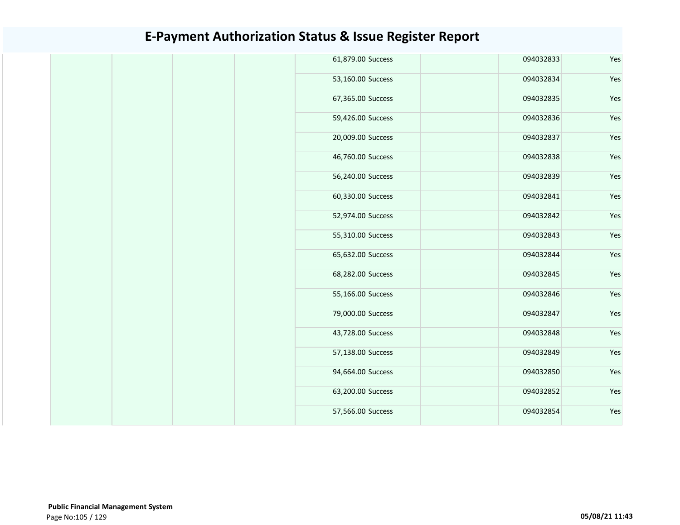| 61,879.00 Success | 094032833 | Yes |
|-------------------|-----------|-----|
| 53,160.00 Success | 094032834 | Yes |
| 67,365.00 Success | 094032835 | Yes |
| 59,426.00 Success | 094032836 | Yes |
| 20,009.00 Success | 094032837 | Yes |
| 46,760.00 Success | 094032838 | Yes |
| 56,240.00 Success | 094032839 | Yes |
| 60,330.00 Success | 094032841 | Yes |
| 52,974.00 Success | 094032842 | Yes |
| 55,310.00 Success | 094032843 | Yes |
| 65,632.00 Success | 094032844 | Yes |
| 68,282.00 Success | 094032845 | Yes |
| 55,166.00 Success | 094032846 | Yes |
| 79,000.00 Success | 094032847 | Yes |
| 43,728.00 Success | 094032848 | Yes |
| 57,138.00 Success | 094032849 | Yes |
| 94,664.00 Success | 094032850 | Yes |
| 63,200.00 Success | 094032852 | Yes |
| 57,566.00 Success | 094032854 | Yes |
|                   |           |     |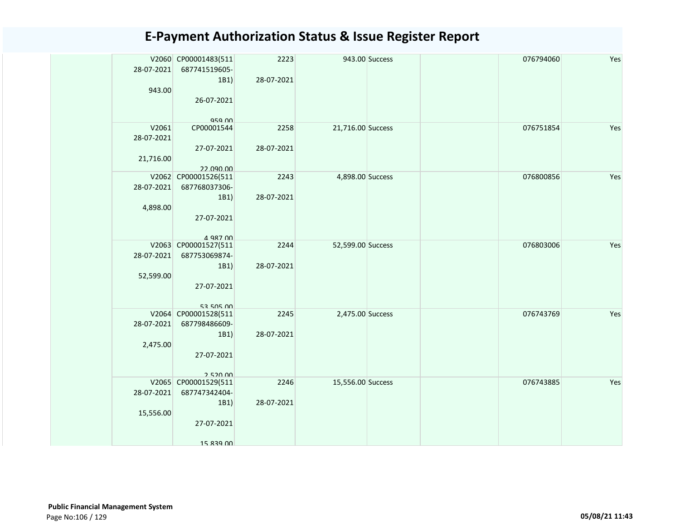| 28-07-2021          | V2060 CP00001483(511<br>687741519605- | 2223       | 943.00 Success    | 076794060 | Yes |
|---------------------|---------------------------------------|------------|-------------------|-----------|-----|
| 943.00              | 1B1)                                  | 28-07-2021 |                   |           |     |
|                     | 26-07-2021                            |            |                   |           |     |
|                     | 959 NO                                |            |                   |           |     |
| V2061<br>28-07-2021 | CP00001544                            | 2258       | 21,716.00 Success | 076751854 | Yes |
| 21,716.00           | 27-07-2021                            | 28-07-2021 |                   |           |     |
|                     | 22.090.00<br>V2062 CP00001526(511     | 2243       | 4,898.00 Success  | 076800856 | Yes |
| 28-07-2021          | 687768037306-                         |            |                   |           |     |
|                     | 1B1)                                  | 28-07-2021 |                   |           |     |
| 4,898.00            |                                       |            |                   |           |     |
|                     | 27-07-2021                            |            |                   |           |     |
|                     | 4 987 00                              |            |                   |           |     |
|                     | V2063 CP00001527(511                  | 2244       | 52,599.00 Success | 076803006 | Yes |
| 28-07-2021          | 687753069874-                         |            |                   |           |     |
|                     | 1B1)                                  | 28-07-2021 |                   |           |     |
| 52,599.00           |                                       |            |                   |           |     |
|                     | 27-07-2021                            |            |                   |           |     |
|                     |                                       |            |                   |           |     |
|                     | 53 505 00<br>V2064 CP00001528(511     | 2245       | 2,475.00 Success  | 076743769 | Yes |
| 28-07-2021          | 687798486609-                         |            |                   |           |     |
|                     | 1B1)                                  | 28-07-2021 |                   |           |     |
| 2,475.00            |                                       |            |                   |           |     |
|                     | 27-07-2021                            |            |                   |           |     |
|                     |                                       |            |                   |           |     |
|                     | 252000                                |            |                   |           |     |
|                     | V2065 CP00001529(511                  | 2246       | 15,556.00 Success | 076743885 | Yes |
| 28-07-2021          | 687747342404-                         |            |                   |           |     |
|                     | 1B1)                                  | 28-07-2021 |                   |           |     |
| 15,556.00           |                                       |            |                   |           |     |
|                     | 27-07-2021                            |            |                   |           |     |
|                     | 15 839 00                             |            |                   |           |     |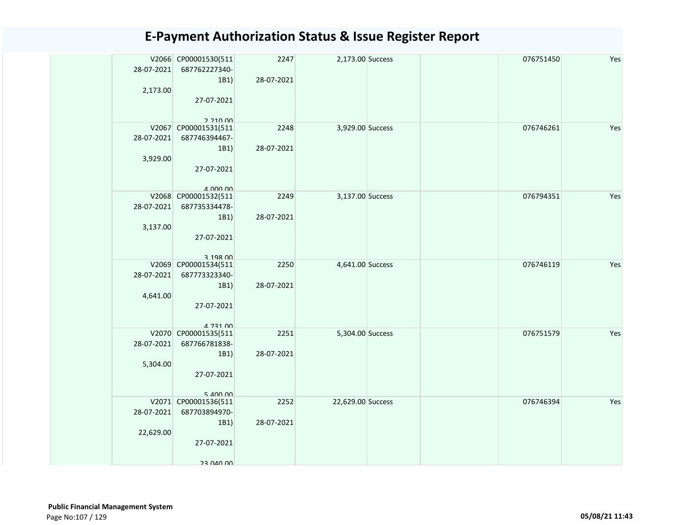| 28-07-2021<br>2,173.00  | V2066 CP00001530(511<br>687762227340-<br>1B1)<br>27-07-2021                               | 2247<br>28-07-2021 | 2,173.00 Success  |  | 076751450 | Yes |
|-------------------------|-------------------------------------------------------------------------------------------|--------------------|-------------------|--|-----------|-----|
| 28-07-2021<br>3,929.00  | 2.210,00<br>V2067 CP00001531(511<br>687746394467-<br>1B1)<br>27-07-2021<br>$A$ $000$ $00$ | 2248<br>28-07-2021 | 3,929.00 Success  |  | 076746261 | Yes |
| 28-07-2021<br>3,137.00  | V2068 CP00001532(511<br>687735334478-<br>1B1)<br>27-07-2021<br>3,198,00                   | 2249<br>28-07-2021 | 3,137.00 Success  |  | 076794351 | Yes |
| 28-07-2021<br>4,641.00  | V2069 CP00001534(511<br>687773323340-<br>1B1)<br>27-07-2021<br>A 731 00                   | 2250<br>28-07-2021 | 4,641.00 Success  |  | 076746119 | Yes |
| 28-07-2021<br>5,304.00  | V2070 CP00001535(511<br>687766781838-<br>1B1)<br>27-07-2021<br>$5$ 400 00                 | 2251<br>28-07-2021 | 5,304.00 Success  |  | 076751579 | Yes |
| 28-07-2021<br>22,629.00 | V2071 CP00001536(511<br>687703894970-<br>1B1)<br>27-07-2021<br>23 040 00                  | 2252<br>28-07-2021 | 22,629.00 Success |  | 076746394 | Yes |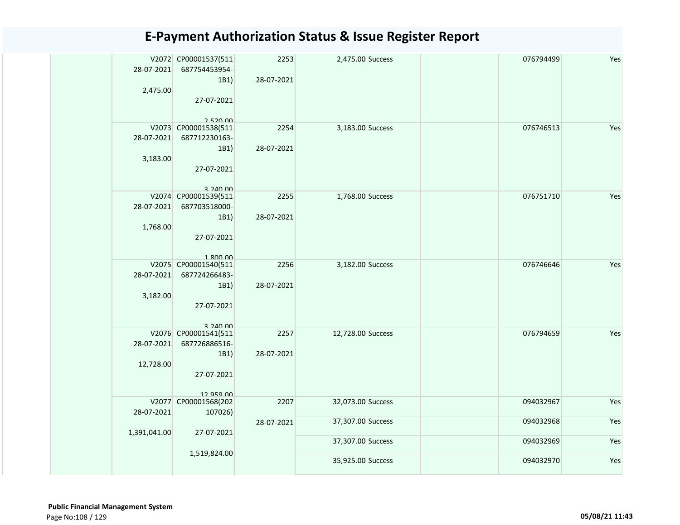| 28-07-2021<br>2,475.00  | V2072 CP00001537(511<br>687754453954-<br>1B1)<br>27-07-2021<br>252000    | 2253<br>28-07-2021 | 2,475.00 Success  |  | 076794499 | Yes |
|-------------------------|--------------------------------------------------------------------------|--------------------|-------------------|--|-----------|-----|
| 28-07-2021<br>3,183.00  | V2073 CP00001538(511<br>687712230163-<br>1B1)<br>27-07-2021<br>3.240.00  | 2254<br>28-07-2021 | 3,183.00 Success  |  | 076746513 | Yes |
| 28-07-2021<br>1,768.00  | V2074 CP00001539(511<br>687703518000-<br>1B1)<br>27-07-2021<br>1.800.00  | 2255<br>28-07-2021 | 1,768.00 Success  |  | 076751710 | Yes |
| 28-07-2021<br>3,182.00  | V2075 CP00001540(511<br>687724266483-<br>1B1)<br>27-07-2021<br>3 240 00  | 2256<br>28-07-2021 | 3,182.00 Success  |  | 076746646 | Yes |
| 28-07-2021<br>12,728.00 | V2076 CP00001541(511<br>687726886516-<br>1B1)<br>27-07-2021<br>12 959 00 | 2257<br>28-07-2021 | 12,728.00 Success |  | 076794659 | Yes |
| 28-07-2021              | V2077 CP00001568(202<br>107026)                                          | 2207               | 32,073.00 Success |  | 094032967 | Yes |
| 1,391,041.00            | 27-07-2021                                                               | 28-07-2021         | 37,307.00 Success |  | 094032968 | Yes |
|                         |                                                                          |                    | 37,307.00 Success |  | 094032969 | Yes |
|                         | 1,519,824.00                                                             |                    | 35,925.00 Success |  | 094032970 | Yes |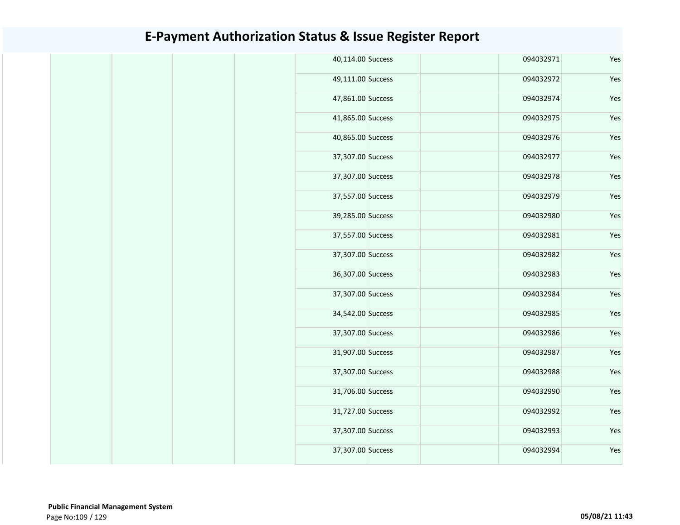| 40,114.00 Success |  | 094032971 | Yes |
|-------------------|--|-----------|-----|
| 49,111.00 Success |  | 094032972 | Yes |
| 47,861.00 Success |  | 094032974 | Yes |
| 41,865.00 Success |  | 094032975 | Yes |
| 40,865.00 Success |  | 094032976 | Yes |
| 37,307.00 Success |  | 094032977 | Yes |
| 37,307.00 Success |  | 094032978 | Yes |
| 37,557.00 Success |  | 094032979 | Yes |
| 39,285.00 Success |  | 094032980 | Yes |
| 37,557.00 Success |  | 094032981 | Yes |
| 37,307.00 Success |  | 094032982 | Yes |
| 36,307.00 Success |  | 094032983 | Yes |
| 37,307.00 Success |  | 094032984 | Yes |
| 34,542.00 Success |  | 094032985 | Yes |
| 37,307.00 Success |  | 094032986 | Yes |
| 31,907.00 Success |  | 094032987 | Yes |
| 37,307.00 Success |  | 094032988 | Yes |
| 31,706.00 Success |  | 094032990 | Yes |
| 31,727.00 Success |  | 094032992 | Yes |
| 37,307.00 Success |  | 094032993 | Yes |
| 37,307.00 Success |  | 094032994 | Yes |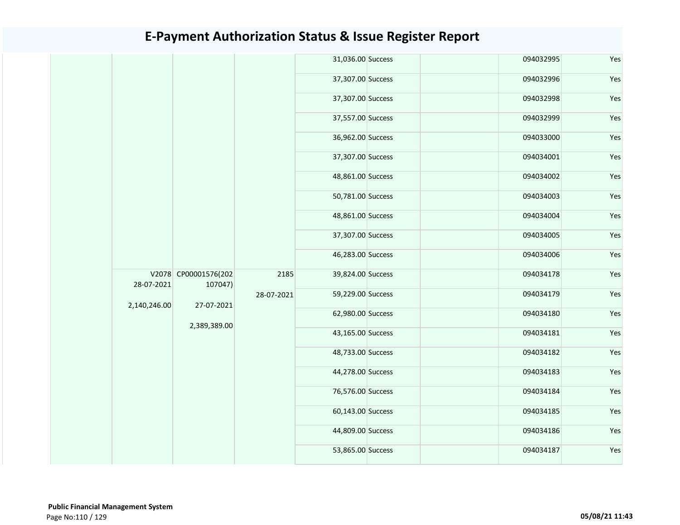|              |                                 |      | 31,036.00 Success |                   | 094032995 | Yes       |     |  |  |  |  |  |  |  |  |  |  |  |  |                   |  |           |     |
|--------------|---------------------------------|------|-------------------|-------------------|-----------|-----------|-----|--|--|--|--|--|--|--|--|--|--|--|--|-------------------|--|-----------|-----|
|              |                                 |      | 37,307.00 Success |                   | 094032996 | Yes       |     |  |  |  |  |  |  |  |  |  |  |  |  |                   |  |           |     |
|              |                                 |      | 37,307.00 Success |                   | 094032998 | Yes       |     |  |  |  |  |  |  |  |  |  |  |  |  |                   |  |           |     |
|              |                                 |      | 37,557.00 Success |                   | 094032999 | Yes       |     |  |  |  |  |  |  |  |  |  |  |  |  |                   |  |           |     |
|              |                                 |      | 36,962.00 Success |                   | 094033000 | Yes       |     |  |  |  |  |  |  |  |  |  |  |  |  |                   |  |           |     |
|              |                                 |      | 37,307.00 Success |                   | 094034001 | Yes       |     |  |  |  |  |  |  |  |  |  |  |  |  |                   |  |           |     |
|              |                                 |      | 48,861.00 Success |                   | 094034002 | Yes       |     |  |  |  |  |  |  |  |  |  |  |  |  |                   |  |           |     |
|              |                                 |      | 50,781.00 Success |                   | 094034003 | Yes       |     |  |  |  |  |  |  |  |  |  |  |  |  |                   |  |           |     |
|              |                                 |      | 48,861.00 Success |                   | 094034004 | Yes       |     |  |  |  |  |  |  |  |  |  |  |  |  |                   |  |           |     |
|              |                                 |      | 37,307.00 Success |                   | 094034005 | Yes       |     |  |  |  |  |  |  |  |  |  |  |  |  |                   |  |           |     |
|              |                                 |      | 46,283.00 Success |                   | 094034006 | Yes       |     |  |  |  |  |  |  |  |  |  |  |  |  |                   |  |           |     |
| 28-07-2021   | V2078 CP00001576(202<br>107047) | 2185 | 39,824.00 Success |                   | 094034178 | Yes       |     |  |  |  |  |  |  |  |  |  |  |  |  |                   |  |           |     |
| 2,140,246.00 | 27-07-2021                      |      | 28-07-2021        | 59,229.00 Success |           | 094034179 | Yes |  |  |  |  |  |  |  |  |  |  |  |  |                   |  |           |     |
|              |                                 |      | 62,980.00 Success |                   | 094034180 | Yes       |     |  |  |  |  |  |  |  |  |  |  |  |  |                   |  |           |     |
|              | 2,389,389.00                    |      | 43,165.00 Success |                   | 094034181 | Yes       |     |  |  |  |  |  |  |  |  |  |  |  |  |                   |  |           |     |
|              |                                 |      | 48,733.00 Success |                   | 094034182 | Yes       |     |  |  |  |  |  |  |  |  |  |  |  |  |                   |  |           |     |
|              |                                 |      | 44,278.00 Success |                   | 094034183 | Yes       |     |  |  |  |  |  |  |  |  |  |  |  |  |                   |  |           |     |
|              |                                 |      | 76,576.00 Success |                   | 094034184 | Yes       |     |  |  |  |  |  |  |  |  |  |  |  |  |                   |  |           |     |
|              |                                 |      |                   |                   |           |           |     |  |  |  |  |  |  |  |  |  |  |  |  | 60,143.00 Success |  | 094034185 | Yes |
|              |                                 |      |                   |                   |           |           |     |  |  |  |  |  |  |  |  |  |  |  |  |                   |  |           |     |
|              |                                 |      | 53,865.00 Success |                   | 094034187 | Yes       |     |  |  |  |  |  |  |  |  |  |  |  |  |                   |  |           |     |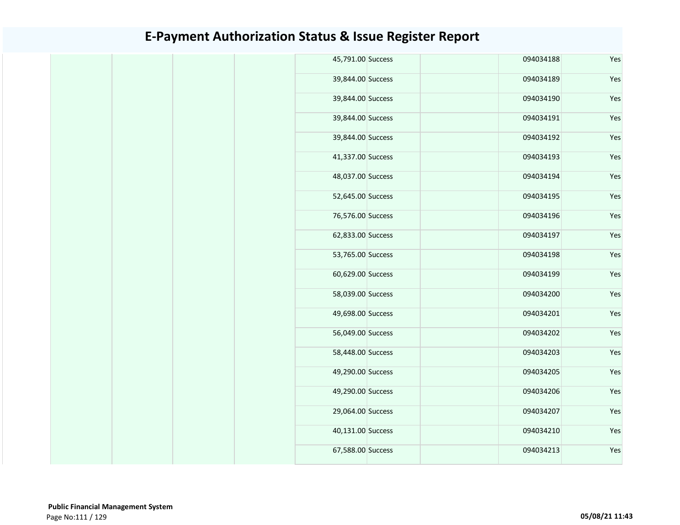| 45,791.00 Success |  | 094034188 | Yes |
|-------------------|--|-----------|-----|
| 39,844.00 Success |  | 094034189 | Yes |
| 39,844.00 Success |  | 094034190 | Yes |
| 39,844.00 Success |  | 094034191 | Yes |
| 39,844.00 Success |  | 094034192 | Yes |
| 41,337.00 Success |  | 094034193 | Yes |
| 48,037.00 Success |  | 094034194 | Yes |
| 52,645.00 Success |  | 094034195 | Yes |
| 76,576.00 Success |  | 094034196 | Yes |
| 62,833.00 Success |  | 094034197 | Yes |
| 53,765.00 Success |  | 094034198 | Yes |
| 60,629.00 Success |  | 094034199 | Yes |
| 58,039.00 Success |  | 094034200 | Yes |
| 49,698.00 Success |  | 094034201 | Yes |
| 56,049.00 Success |  | 094034202 | Yes |
| 58,448.00 Success |  | 094034203 | Yes |
| 49,290.00 Success |  | 094034205 | Yes |
| 49,290.00 Success |  | 094034206 | Yes |
| 29,064.00 Success |  | 094034207 | Yes |
| 40,131.00 Success |  | 094034210 | Yes |
| 67,588.00 Success |  | 094034213 | Yes |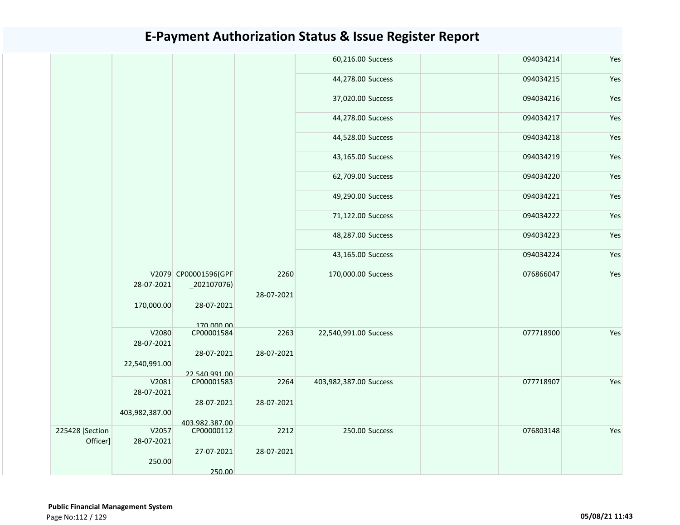|                             |                     |                                        |                    | 60,216.00 Success      |                | 094034214 | Yes |
|-----------------------------|---------------------|----------------------------------------|--------------------|------------------------|----------------|-----------|-----|
|                             |                     |                                        |                    | 44,278.00 Success      |                | 094034215 | Yes |
|                             |                     |                                        |                    | 37,020.00 Success      |                | 094034216 | Yes |
|                             |                     |                                        |                    | 44,278.00 Success      |                | 094034217 | Yes |
|                             |                     |                                        |                    | 44,528.00 Success      |                | 094034218 | Yes |
|                             |                     |                                        |                    | 43,165.00 Success      |                | 094034219 | Yes |
|                             |                     |                                        |                    | 62,709.00 Success      |                | 094034220 | Yes |
|                             |                     |                                        |                    | 49,290.00 Success      |                | 094034221 | Yes |
|                             |                     |                                        |                    | 71,122.00 Success      |                | 094034222 | Yes |
|                             |                     |                                        |                    | 48,287.00 Success      |                | 094034223 | Yes |
|                             |                     |                                        |                    | 43,165.00 Success      |                | 094034224 | Yes |
|                             | 28-07-2021          | V2079 CP00001596(GPF<br>$_2$ 02107076) | 2260<br>28-07-2021 | 170,000.00 Success     |                | 076866047 | Yes |
|                             | 170,000.00          | 28-07-2021                             |                    |                        |                |           |     |
|                             | V2080               | 170,000,00<br>CP00001584               | 2263               | 22,540,991.00 Success  |                | 077718900 | Yes |
|                             | 28-07-2021          | 28-07-2021                             | 28-07-2021         |                        |                |           |     |
|                             | 22,540,991.00       | 22.540.991.00                          |                    |                        |                |           |     |
|                             | V2081<br>28-07-2021 | CP00001583                             | 2264               | 403,982,387.00 Success |                | 077718907 | Yes |
|                             | 403,982,387.00      | 28-07-2021                             | 28-07-2021         |                        |                |           |     |
|                             |                     | 403.982.387.00                         |                    |                        |                |           |     |
| 225428 [Section<br>Officer] | V2057<br>28-07-2021 | CP00000112                             | 2212               |                        | 250.00 Success | 076803148 | Yes |
|                             | 250.00              | 27-07-2021                             | 28-07-2021         |                        |                |           |     |
|                             |                     | 250.00                                 |                    |                        |                |           |     |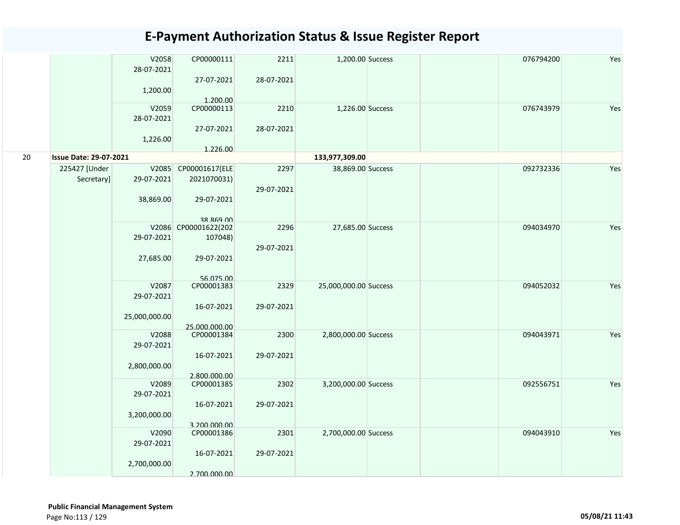|    |                               | V2058<br>28-07-2021     | CP00000111                                        | 2211               | 1,200.00 Success      | 076794200 | Yes |
|----|-------------------------------|-------------------------|---------------------------------------------------|--------------------|-----------------------|-----------|-----|
|    |                               | 1,200.00                | 27-07-2021                                        | 28-07-2021         |                       |           |     |
|    |                               | V2059<br>28-07-2021     | 1.200.00<br>CP00000113                            | 2210               | 1,226.00 Success      | 076743979 | Yes |
|    |                               | 1,226.00                | 27-07-2021<br>1.226.00                            | 28-07-2021         |                       |           |     |
| 20 | <b>Issue Date: 29-07-2021</b> |                         |                                                   |                    | 133,977,309.00        |           |     |
|    | 225427 [Under<br>Secretary]   | 29-07-2021<br>38,869.00 | V2085 CP00001617(ELE<br>2021070031)<br>29-07-2021 | 2297<br>29-07-2021 | 38,869.00 Success     | 092732336 | Yes |
|    |                               |                         | 38 869 00<br>V2086 CP00001622(202                 | 2296               | 27,685.00 Success     | 094034970 | Yes |
|    |                               | 29-07-2021              | 107048)                                           | 29-07-2021         |                       |           |     |
|    |                               | 27,685.00               | 29-07-2021<br>56 075 00                           |                    |                       |           |     |
|    |                               | V2087<br>29-07-2021     | CP00001383<br>16-07-2021                          | 2329<br>29-07-2021 | 25,000,000.00 Success | 094052032 | Yes |
|    |                               | 25,000,000.00           | 25.000.000.00                                     |                    |                       |           |     |
|    |                               | V2088<br>29-07-2021     | CP00001384<br>16-07-2021                          | 2300<br>29-07-2021 | 2,800,000.00 Success  | 094043971 | Yes |
|    |                               | 2,800,000.00            | 2.800.000.00                                      |                    |                       |           |     |
|    |                               | V2089<br>29-07-2021     | CP00001385<br>16-07-2021                          | 2302<br>29-07-2021 | 3,200,000.00 Success  | 092556751 | Yes |
|    |                               | 3,200,000.00            | 3.200.000.00                                      |                    |                       |           |     |
|    |                               | V2090<br>29-07-2021     | CP00001386<br>16-07-2021                          | 2301<br>29-07-2021 | 2,700,000.00 Success  | 094043910 | Yes |
|    |                               | 2,700,000.00            | 2.700.000.00                                      |                    |                       |           |     |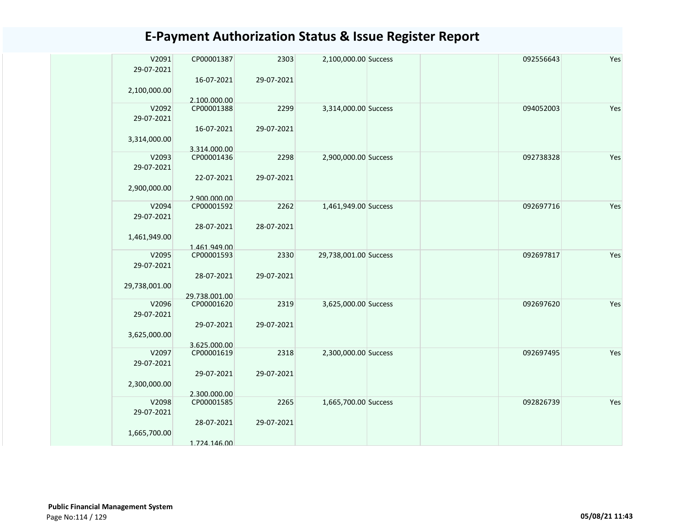| V2091<br>29-07-2021 | CP00001387                  | 2303       | 2,100,000.00 Success  |  | 092556643 | Yes |
|---------------------|-----------------------------|------------|-----------------------|--|-----------|-----|
| 2,100,000.00        | 16-07-2021                  | 29-07-2021 |                       |  |           |     |
|                     | 2.100.000.00                |            |                       |  |           |     |
| V2092<br>29-07-2021 | CP00001388                  | 2299       | 3,314,000.00 Success  |  | 094052003 | Yes |
| 3,314,000.00        | 16-07-2021                  | 29-07-2021 |                       |  |           |     |
|                     | 3.314.000.00                |            |                       |  |           |     |
| V2093<br>29-07-2021 | CP00001436                  | 2298       | 2,900,000.00 Success  |  | 092738328 | Yes |
|                     | 22-07-2021                  | 29-07-2021 |                       |  |           |     |
| 2,900,000.00        |                             |            |                       |  |           |     |
|                     | 2.900.000.00                |            |                       |  |           |     |
| V2094<br>29-07-2021 | CP00001592                  | 2262       | 1,461,949.00 Success  |  | 092697716 | Yes |
|                     | 28-07-2021                  | 28-07-2021 |                       |  |           |     |
| 1,461,949.00        | 1.461.949.00                |            |                       |  |           |     |
| V2095               | CP00001593                  | 2330       | 29,738,001.00 Success |  | 092697817 | Yes |
| 29-07-2021          |                             |            |                       |  |           |     |
|                     | 28-07-2021                  | 29-07-2021 |                       |  |           |     |
| 29,738,001.00       |                             |            |                       |  |           |     |
| V2096               | 29.738.001.00<br>CP00001620 | 2319       |                       |  | 092697620 | Yes |
| 29-07-2021          |                             |            | 3,625,000.00 Success  |  |           |     |
| 3,625,000.00        | 29-07-2021                  | 29-07-2021 |                       |  |           |     |
|                     | 3.625.000.00                |            |                       |  |           |     |
| V2097               | CP00001619                  | 2318       | 2,300,000.00 Success  |  | 092697495 | Yes |
| 29-07-2021          |                             |            |                       |  |           |     |
|                     | 29-07-2021                  | 29-07-2021 |                       |  |           |     |
| 2,300,000.00        |                             |            |                       |  |           |     |
|                     |                             |            |                       |  |           |     |
| V2098               | 2.300.000.00<br>CP00001585  | 2265       | 1,665,700.00 Success  |  | 092826739 | Yes |
| 29-07-2021          |                             |            |                       |  |           |     |
|                     | 28-07-2021                  |            |                       |  |           |     |
|                     |                             | 29-07-2021 |                       |  |           |     |
| 1,665,700.00        |                             |            |                       |  |           |     |
|                     | 1.724.146.00                |            |                       |  |           |     |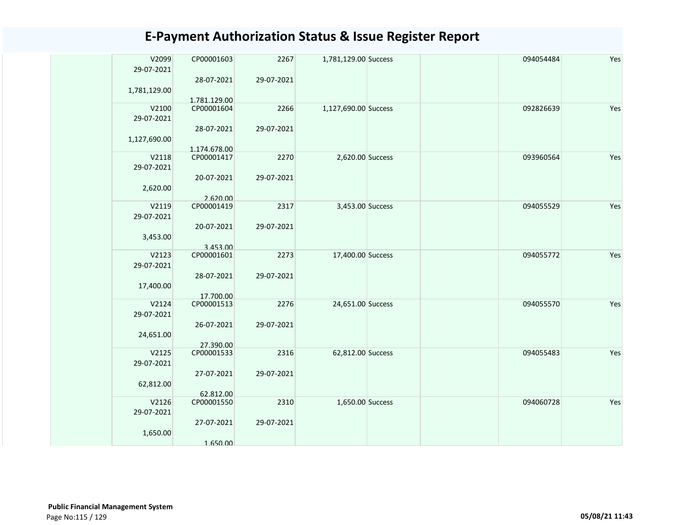| V2099<br>29-07-2021 | CP00001603              | 2267       | 1,781,129.00 Success |  | 094054484 | Yes |
|---------------------|-------------------------|------------|----------------------|--|-----------|-----|
|                     | 28-07-2021              | 29-07-2021 |                      |  |           |     |
| 1,781,129.00        | 1.781.129.00            |            |                      |  |           |     |
| V2100               | CP00001604              | 2266       | 1,127,690.00 Success |  | 092826639 | Yes |
| 29-07-2021          |                         |            |                      |  |           |     |
|                     | 28-07-2021              | 29-07-2021 |                      |  |           |     |
| 1,127,690.00        |                         |            |                      |  |           |     |
|                     | 1.174.678.00            |            |                      |  |           |     |
| V2118<br>29-07-2021 | CP00001417              | 2270       | 2,620.00 Success     |  | 093960564 | Yes |
|                     | 20-07-2021              | 29-07-2021 |                      |  |           |     |
| 2,620.00            |                         |            |                      |  |           |     |
|                     | 2.620.00                |            |                      |  |           |     |
| V2119               | CP00001419              | 2317       | 3,453.00 Success     |  | 094055529 | Yes |
| 29-07-2021          |                         |            |                      |  |           |     |
|                     | 20-07-2021              | 29-07-2021 |                      |  |           |     |
| 3,453.00            |                         |            |                      |  |           |     |
| V2123               | 3.453.00<br>CP00001601  | 2273       | 17,400.00 Success    |  | 094055772 | Yes |
| 29-07-2021          |                         |            |                      |  |           |     |
|                     | 28-07-2021              | 29-07-2021 |                      |  |           |     |
| 17,400.00           |                         |            |                      |  |           |     |
|                     | 17.700.00               |            |                      |  |           |     |
| V2124               | CP00001513              | 2276       | 24,651.00 Success    |  | 094055570 | Yes |
| 29-07-2021          | 26-07-2021              | 29-07-2021 |                      |  |           |     |
| 24,651.00           |                         |            |                      |  |           |     |
|                     | 27.390.00               |            |                      |  |           |     |
| V2125               | CP00001533              | 2316       | 62,812.00 Success    |  | 094055483 | Yes |
| 29-07-2021          |                         |            |                      |  |           |     |
|                     | 27-07-2021              | 29-07-2021 |                      |  |           |     |
| 62,812.00           |                         |            |                      |  |           |     |
| V2126               | 62.812.00<br>CP00001550 | 2310       | 1,650.00 Success     |  | 094060728 | Yes |
| 29-07-2021          |                         |            |                      |  |           |     |
|                     | 27-07-2021              | 29-07-2021 |                      |  |           |     |
| 1,650.00            |                         |            |                      |  |           |     |
|                     | 1.650.00                |            |                      |  |           |     |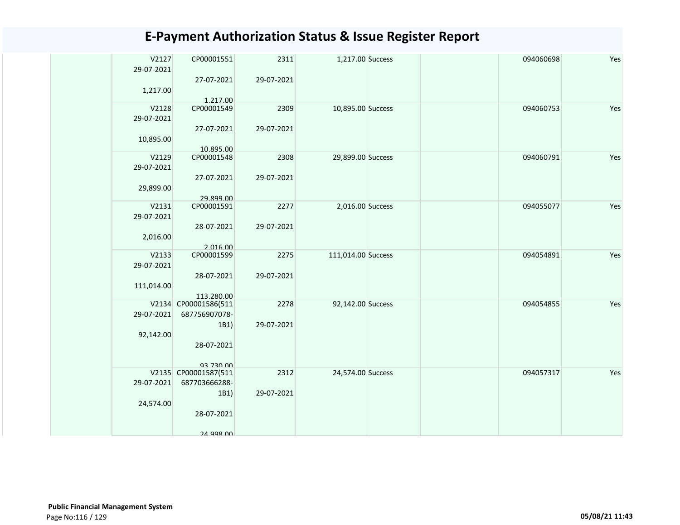| V2127      | CP00001551                               | 2311       | 1,217.00 Success   |  | 094060698 | Yes |
|------------|------------------------------------------|------------|--------------------|--|-----------|-----|
| 29-07-2021 |                                          |            |                    |  |           |     |
| 1,217.00   | 27-07-2021                               | 29-07-2021 |                    |  |           |     |
|            | 1.217.00                                 |            |                    |  |           |     |
| V2128      | CP00001549                               | 2309       | 10,895.00 Success  |  | 094060753 | Yes |
| 29-07-2021 |                                          |            |                    |  |           |     |
| 10,895.00  | 27-07-2021                               | 29-07-2021 |                    |  |           |     |
|            | 10.895.00                                |            |                    |  |           |     |
| V2129      | CP00001548                               | 2308       | 29,899.00 Success  |  | 094060791 | Yes |
| 29-07-2021 |                                          |            |                    |  |           |     |
| 29,899.00  | 27-07-2021                               | 29-07-2021 |                    |  |           |     |
|            | 29.899.00                                |            |                    |  |           |     |
| V2131      | CP00001591                               | 2277       | 2,016.00 Success   |  | 094055077 | Yes |
| 29-07-2021 |                                          |            |                    |  |           |     |
| 2,016.00   | 28-07-2021                               | 29-07-2021 |                    |  |           |     |
|            | 2.016.00                                 |            |                    |  |           |     |
| V2133      | CP00001599                               | 2275       | 111,014.00 Success |  | 094054891 | Yes |
| 29-07-2021 |                                          |            |                    |  |           |     |
| 111,014.00 | 28-07-2021                               | 29-07-2021 |                    |  |           |     |
|            | 113.280.00                               |            |                    |  |           |     |
|            | V2134 CP00001586(511                     | 2278       | 92,142.00 Success  |  | 094054855 | Yes |
| 29-07-2021 | 687756907078-                            |            |                    |  |           |     |
| 92,142.00  | 1B1)                                     | 29-07-2021 |                    |  |           |     |
|            | 28-07-2021                               |            |                    |  |           |     |
|            |                                          |            |                    |  |           |     |
|            | <b>93 730 00</b><br>V2135 CP00001587(511 | 2312       | 24,574.00 Success  |  | 094057317 | Yes |
| 29-07-2021 | 687703666288-                            |            |                    |  |           |     |
|            | 1B1)                                     | 29-07-2021 |                    |  |           |     |
| 24,574.00  |                                          |            |                    |  |           |     |
|            | 28-07-2021                               |            |                    |  |           |     |
|            | 24 998 00                                |            |                    |  |           |     |
|            |                                          |            |                    |  |           |     |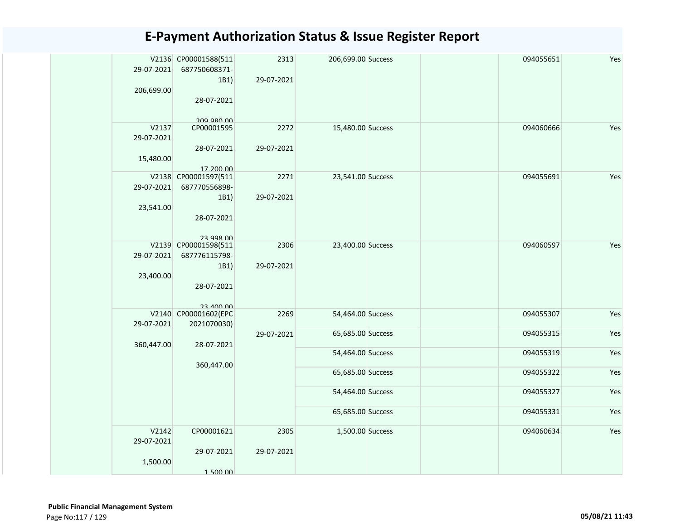| 29-07-2021<br>206,699.00         | V2136 CP00001588(511<br>687750608371-<br>1B1)<br>28-07-2021                           | 2313<br>29-07-2021 | 206,699.00 Success | 094055651 | Yes |
|----------------------------------|---------------------------------------------------------------------------------------|--------------------|--------------------|-----------|-----|
| V2137<br>29-07-2021<br>15,480.00 | 200 QRN 00<br>CP00001595<br>28-07-2021                                                | 2272<br>29-07-2021 | 15,480.00 Success  | 094060666 | Yes |
| 29-07-2021<br>23,541.00          | 17.200.00<br>V2138 CP00001597(511<br>687770556898-<br>1B1)<br>28-07-2021<br>23 998 UU | 2271<br>29-07-2021 | 23,541.00 Success  | 094055691 | Yes |
| 29-07-2021<br>23,400.00          | V2139 CP00001598(511<br>687776115798-<br>1B1)<br>28-07-2021                           | 2306<br>29-07-2021 | 23,400.00 Success  | 094060597 | Yes |
| 29-07-2021                       | 23 400 00<br>V2140 CP00001602(EPC<br>2021070030)                                      | 2269               | 54,464.00 Success  | 094055307 | Yes |
| 360,447.00                       | 28-07-2021                                                                            | 29-07-2021         | 65,685.00 Success  | 094055315 | Yes |
|                                  |                                                                                       |                    | 54,464.00 Success  | 094055319 | Yes |
|                                  | 360,447.00                                                                            |                    | 65,685.00 Success  | 094055322 | Yes |
|                                  |                                                                                       |                    | 54,464.00 Success  | 094055327 | Yes |
|                                  |                                                                                       |                    | 65,685.00 Success  | 094055331 | Yes |
| V2142<br>29-07-2021<br>1,500.00  | CP00001621<br>29-07-2021                                                              | 2305<br>29-07-2021 | 1,500.00 Success   | 094060634 | Yes |
|                                  | 1.500.00                                                                              |                    |                    |           |     |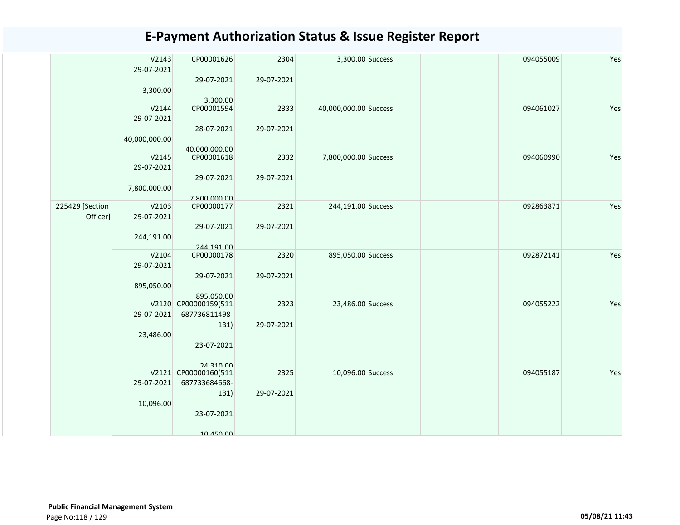|                 | V2143         | CP00001626                            | 2304       | 3,300.00 Success      | 094055009 | Yes |
|-----------------|---------------|---------------------------------------|------------|-----------------------|-----------|-----|
|                 | 29-07-2021    |                                       |            |                       |           |     |
|                 | 3,300.00      | 29-07-2021                            | 29-07-2021 |                       |           |     |
|                 |               | 3.300.00                              |            |                       |           |     |
|                 | V2144         | CP00001594                            | 2333       | 40,000,000.00 Success | 094061027 | Yes |
|                 | 29-07-2021    | 28-07-2021                            | 29-07-2021 |                       |           |     |
|                 | 40,000,000.00 |                                       |            |                       |           |     |
|                 |               | 40.000.000.00                         |            |                       |           |     |
|                 | V2145         | CP00001618                            | 2332       | 7,800,000.00 Success  | 094060990 | Yes |
|                 | 29-07-2021    | 29-07-2021                            | 29-07-2021 |                       |           |     |
|                 | 7,800,000.00  |                                       |            |                       |           |     |
|                 |               | 7.800.000.00                          |            |                       |           |     |
| 225429 [Section | V2103         | CP00000177                            | 2321       | 244,191.00 Success    | 092863871 | Yes |
| Officer]        | 29-07-2021    | 29-07-2021                            | 29-07-2021 |                       |           |     |
|                 | 244,191.00    |                                       |            |                       |           |     |
|                 |               | 244.191.00                            |            |                       |           |     |
|                 | V2104         | CP00000178                            | 2320       | 895,050.00 Success    | 092872141 | Yes |
|                 | 29-07-2021    | 29-07-2021                            | 29-07-2021 |                       |           |     |
|                 | 895,050.00    |                                       |            |                       |           |     |
|                 |               | 895.050.00                            |            |                       |           |     |
|                 | 29-07-2021    | V2120 CP00000159(511<br>687736811498- | 2323       | 23,486.00 Success     | 094055222 | Yes |
|                 |               | 1B1)                                  | 29-07-2021 |                       |           |     |
|                 | 23,486.00     |                                       |            |                       |           |     |
|                 |               | 23-07-2021                            |            |                       |           |     |
|                 |               |                                       |            |                       |           |     |
|                 |               | 24 310 00<br>V2121 CP00000160(511     | 2325       | 10,096.00 Success     | 094055187 | Yes |
|                 | 29-07-2021    | 687733684668-                         |            |                       |           |     |
|                 |               | 1B1)                                  | 29-07-2021 |                       |           |     |
|                 | 10,096.00     |                                       |            |                       |           |     |
|                 |               | 23-07-2021                            |            |                       |           |     |
|                 |               | 10 450 00                             |            |                       |           |     |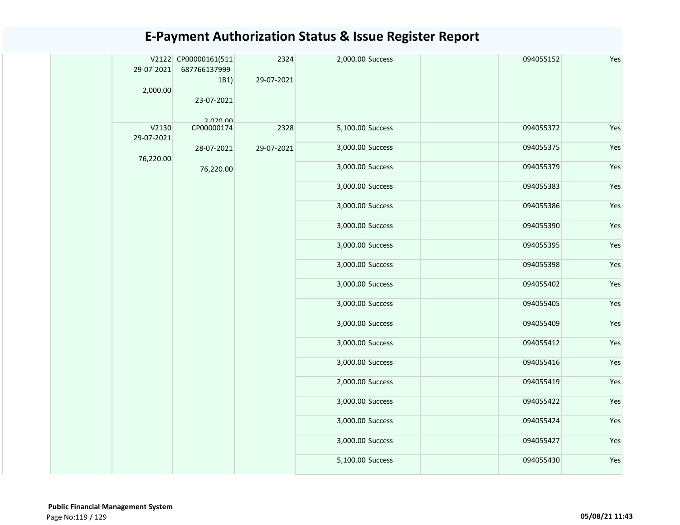|  | 29-07-2021<br>2,000.00 | V2122 CP00000161(511<br>687766137999-<br>1B1)<br>23-07-2021<br>2 070 00 | 2324<br>29-07-2021 | 2,000.00 Success |                  | 094055152 | Yes       |                  |                  |           |           |     |  |  |  |  |  |  |  |  |  |  |  |  |  |  |  |  |  |  |  |  |  |  |  |  |  |  |  |  |  |  |
|--|------------------------|-------------------------------------------------------------------------|--------------------|------------------|------------------|-----------|-----------|------------------|------------------|-----------|-----------|-----|--|--|--|--|--|--|--|--|--|--|--|--|--|--|--|--|--|--|--|--|--|--|--|--|--|--|--|--|--|--|
|  | V2130<br>29-07-2021    | CP00000174                                                              | 2328               | 5,100.00 Success |                  | 094055372 | Yes       |                  |                  |           |           |     |  |  |  |  |  |  |  |  |  |  |  |  |  |  |  |  |  |  |  |  |  |  |  |  |  |  |  |  |  |  |
|  |                        | 28-07-2021                                                              | 29-07-2021         | 3,000.00 Success |                  | 094055375 | Yes       |                  |                  |           |           |     |  |  |  |  |  |  |  |  |  |  |  |  |  |  |  |  |  |  |  |  |  |  |  |  |  |  |  |  |  |  |
|  | 76,220.00              | 76,220.00                                                               |                    | 3,000.00 Success |                  | 094055379 | Yes       |                  |                  |           |           |     |  |  |  |  |  |  |  |  |  |  |  |  |  |  |  |  |  |  |  |  |  |  |  |  |  |  |  |  |  |  |
|  |                        |                                                                         |                    | 3,000.00 Success |                  | 094055383 | Yes       |                  |                  |           |           |     |  |  |  |  |  |  |  |  |  |  |  |  |  |  |  |  |  |  |  |  |  |  |  |  |  |  |  |  |  |  |
|  |                        |                                                                         |                    | 3,000.00 Success |                  | 094055386 | Yes       |                  |                  |           |           |     |  |  |  |  |  |  |  |  |  |  |  |  |  |  |  |  |  |  |  |  |  |  |  |  |  |  |  |  |  |  |
|  |                        |                                                                         |                    | 3,000.00 Success |                  | 094055390 | Yes       |                  |                  |           |           |     |  |  |  |  |  |  |  |  |  |  |  |  |  |  |  |  |  |  |  |  |  |  |  |  |  |  |  |  |  |  |
|  |                        |                                                                         |                    | 3,000.00 Success |                  | 094055395 | Yes       |                  |                  |           |           |     |  |  |  |  |  |  |  |  |  |  |  |  |  |  |  |  |  |  |  |  |  |  |  |  |  |  |  |  |  |  |
|  |                        |                                                                         |                    | 3,000.00 Success |                  | 094055398 | Yes       |                  |                  |           |           |     |  |  |  |  |  |  |  |  |  |  |  |  |  |  |  |  |  |  |  |  |  |  |  |  |  |  |  |  |  |  |
|  |                        |                                                                         |                    |                  | 3,000.00 Success |           | 094055402 | Yes              |                  |           |           |     |  |  |  |  |  |  |  |  |  |  |  |  |  |  |  |  |  |  |  |  |  |  |  |  |  |  |  |  |  |  |
|  |                        |                                                                         |                    | 3,000.00 Success |                  | 094055405 | Yes       |                  |                  |           |           |     |  |  |  |  |  |  |  |  |  |  |  |  |  |  |  |  |  |  |  |  |  |  |  |  |  |  |  |  |  |  |
|  |                        |                                                                         |                    | 3,000.00 Success |                  | 094055409 | Yes       |                  |                  |           |           |     |  |  |  |  |  |  |  |  |  |  |  |  |  |  |  |  |  |  |  |  |  |  |  |  |  |  |  |  |  |  |
|  |                        |                                                                         |                    | 3,000.00 Success |                  | 094055412 | Yes       |                  |                  |           |           |     |  |  |  |  |  |  |  |  |  |  |  |  |  |  |  |  |  |  |  |  |  |  |  |  |  |  |  |  |  |  |
|  |                        |                                                                         |                    |                  | 3,000.00 Success |           | 094055416 | Yes              |                  |           |           |     |  |  |  |  |  |  |  |  |  |  |  |  |  |  |  |  |  |  |  |  |  |  |  |  |  |  |  |  |  |  |
|  |                        |                                                                         |                    |                  |                  |           |           | 2,000.00 Success |                  | 094055419 | Yes       |     |  |  |  |  |  |  |  |  |  |  |  |  |  |  |  |  |  |  |  |  |  |  |  |  |  |  |  |  |  |  |
|  |                        |                                                                         |                    |                  |                  |           |           |                  | 3,000.00 Success |           | 094055422 | Yes |  |  |  |  |  |  |  |  |  |  |  |  |  |  |  |  |  |  |  |  |  |  |  |  |  |  |  |  |  |  |
|  |                        |                                                                         |                    |                  |                  |           |           |                  |                  |           |           |     |  |  |  |  |  |  |  |  |  |  |  |  |  |  |  |  |  |  |  |  |  |  |  |  |  |  |  |  |  |  |
|  |                        |                                                                         |                    | 3,000.00 Success |                  | 094055427 | Yes       |                  |                  |           |           |     |  |  |  |  |  |  |  |  |  |  |  |  |  |  |  |  |  |  |  |  |  |  |  |  |  |  |  |  |  |  |
|  |                        |                                                                         |                    | 5,100.00 Success |                  | 094055430 | Yes       |                  |                  |           |           |     |  |  |  |  |  |  |  |  |  |  |  |  |  |  |  |  |  |  |  |  |  |  |  |  |  |  |  |  |  |  |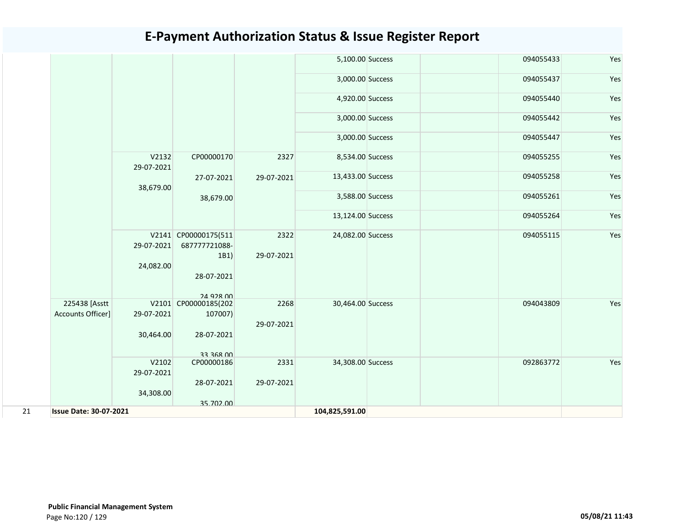|    |                               |                     |                                               |                    | 5,100.00 Success  |  | 094055433 | Yes |
|----|-------------------------------|---------------------|-----------------------------------------------|--------------------|-------------------|--|-----------|-----|
|    |                               |                     |                                               |                    | 3,000.00 Success  |  | 094055437 | Yes |
|    |                               |                     |                                               |                    | 4,920.00 Success  |  | 094055440 | Yes |
|    |                               |                     |                                               |                    | 3,000.00 Success  |  | 094055442 | Yes |
|    |                               |                     |                                               |                    | 3,000.00 Success  |  | 094055447 | Yes |
|    |                               | V2132<br>29-07-2021 | CP00000170                                    | 2327               | 8,534.00 Success  |  | 094055255 | Yes |
|    |                               | 38,679.00           | 27-07-2021                                    | 29-07-2021         | 13,433.00 Success |  | 094055258 | Yes |
|    |                               |                     | 38,679.00                                     |                    | 3,588.00 Success  |  | 094055261 | Yes |
|    |                               |                     |                                               |                    | 13,124.00 Success |  | 094055264 | Yes |
|    |                               | 29-07-2021          | V2141 CP00000175(511<br>687777721088-<br>1B1) | 2322<br>29-07-2021 | 24,082.00 Success |  | 094055115 | Yes |
|    |                               | 24,082.00           | 28-07-2021                                    |                    |                   |  |           |     |
|    | 225438 [Asstt                 |                     | 24 928 00<br>V2101 CP00000185(202             | 2268               | 30,464.00 Success |  | 094043809 | Yes |
|    | Accounts Officer]             | 29-07-2021          | 107007)                                       | 29-07-2021         |                   |  |           |     |
|    |                               | 30,464.00           | 28-07-2021                                    |                    |                   |  |           |     |
|    |                               | V2102               | 33 368 00<br>CP00000186                       | 2331               | 34,308.00 Success |  | 092863772 | Yes |
|    |                               | 29-07-2021          |                                               |                    |                   |  |           |     |
|    |                               | 34,308.00           | 28-07-2021                                    | 29-07-2021         |                   |  |           |     |
|    |                               |                     | 35.702.00                                     |                    |                   |  |           |     |
| 21 | <b>Issue Date: 30-07-2021</b> |                     |                                               |                    | 104,825,591.00    |  |           |     |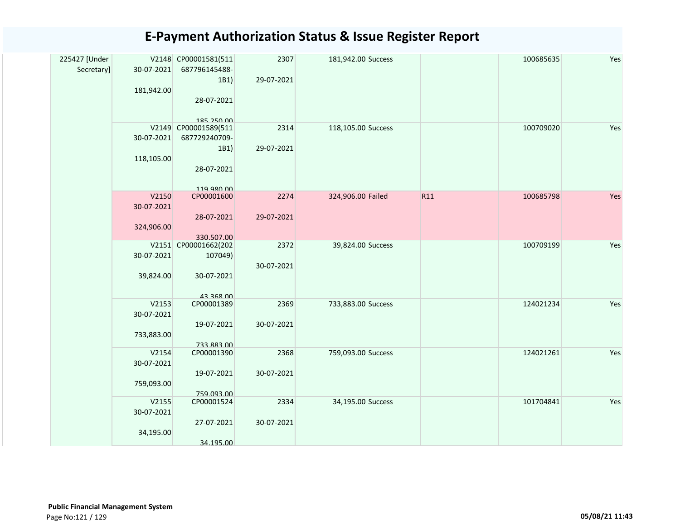| 225427 [Under<br>Secretary] | 30-07-2021<br>181,942.00          | V2148 CP00001581(511<br>687796145488-<br>1B1)<br>28-07-2021<br>185 250 00 | 2307<br>29-07-2021 | 181,942.00 Success |     | 100685635 | Yes |
|-----------------------------|-----------------------------------|---------------------------------------------------------------------------|--------------------|--------------------|-----|-----------|-----|
|                             | 30-07-2021<br>118,105.00          | V2149 CP00001589(511<br>687729240709-<br>1B1)<br>28-07-2021<br>119 980 00 | 2314<br>29-07-2021 | 118,105.00 Success |     | 100709020 | Yes |
|                             | V2150<br>30-07-2021<br>324,906.00 | CP00001600<br>28-07-2021<br>330.507.00                                    | 2274<br>29-07-2021 | 324,906.00 Failed  | R11 | 100685798 | Yes |
|                             | 30-07-2021<br>39,824.00           | V2151 CP00001662(202<br>107049)<br>30-07-2021<br>43 368 00                | 2372<br>30-07-2021 | 39,824.00 Success  |     | 100709199 | Yes |
|                             | V2153<br>30-07-2021<br>733,883.00 | CP00001389<br>19-07-2021<br>733.883.00                                    | 2369<br>30-07-2021 | 733,883.00 Success |     | 124021234 | Yes |
|                             | V2154<br>30-07-2021<br>759,093.00 | CP00001390<br>19-07-2021<br>759.093.00                                    | 2368<br>30-07-2021 | 759,093.00 Success |     | 124021261 | Yes |
|                             | V2155<br>30-07-2021<br>34,195.00  | CP00001524<br>27-07-2021<br>34.195.00                                     | 2334<br>30-07-2021 | 34,195.00 Success  |     | 101704841 | Yes |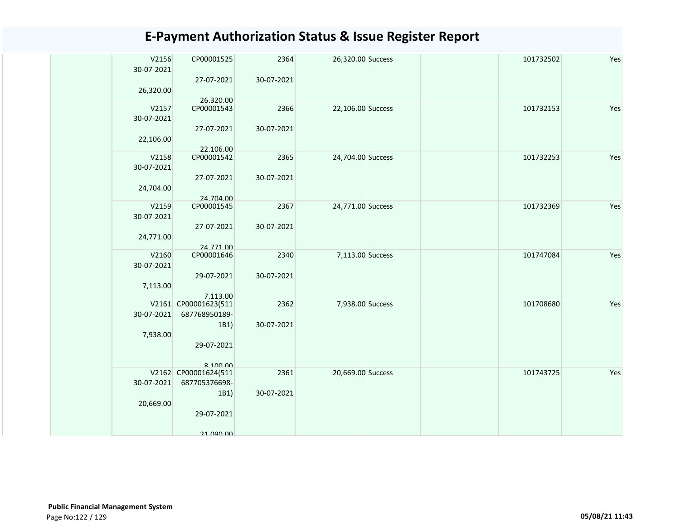| V2156               | CP00001525                            | 2364       | 26,320.00 Success | 101732502 | Yes |
|---------------------|---------------------------------------|------------|-------------------|-----------|-----|
| 30-07-2021          | 27-07-2021                            | 30-07-2021 |                   |           |     |
| 26,320.00           |                                       |            |                   |           |     |
|                     | 26.320.00                             |            |                   |           |     |
| V2157<br>30-07-2021 | CP00001543                            | 2366       | 22,106.00 Success | 101732153 | Yes |
|                     | 27-07-2021                            | 30-07-2021 |                   |           |     |
| 22,106.00           |                                       |            |                   |           |     |
|                     | 22.106.00                             |            |                   |           |     |
| V2158<br>30-07-2021 | CP00001542                            | 2365       | 24,704.00 Success | 101732253 | Yes |
|                     | 27-07-2021                            | 30-07-2021 |                   |           |     |
| 24,704.00           |                                       |            |                   |           |     |
| V2159               | 24.704.00<br>CP00001545               | 2367       | 24,771.00 Success | 101732369 | Yes |
| 30-07-2021          |                                       |            |                   |           |     |
|                     | 27-07-2021                            | 30-07-2021 |                   |           |     |
| 24,771.00           |                                       |            |                   |           |     |
| V2160               | 24.771.00<br>CP00001646               | 2340       |                   | 101747084 | Yes |
| 30-07-2021          |                                       |            | 7,113.00 Success  |           |     |
|                     | 29-07-2021                            | 30-07-2021 |                   |           |     |
| 7,113.00            |                                       |            |                   |           |     |
|                     | 7.113.00                              |            |                   |           |     |
| 30-07-2021          | V2161 CP00001623(511<br>687768950189- | 2362       | 7,938.00 Success  | 101708680 | Yes |
|                     | 1B1)                                  | 30-07-2021 |                   |           |     |
| 7,938.00            |                                       |            |                   |           |     |
|                     | 29-07-2021                            |            |                   |           |     |
|                     |                                       |            |                   |           |     |
|                     | 8 100 00<br>V2162 CP00001624(511      | 2361       | 20,669.00 Success | 101743725 | Yes |
| 30-07-2021          | 687705376698-                         |            |                   |           |     |
|                     | 1B1)                                  | 30-07-2021 |                   |           |     |
| 20,669.00           |                                       |            |                   |           |     |
|                     | 29-07-2021                            |            |                   |           |     |
|                     | 21 090 00                             |            |                   |           |     |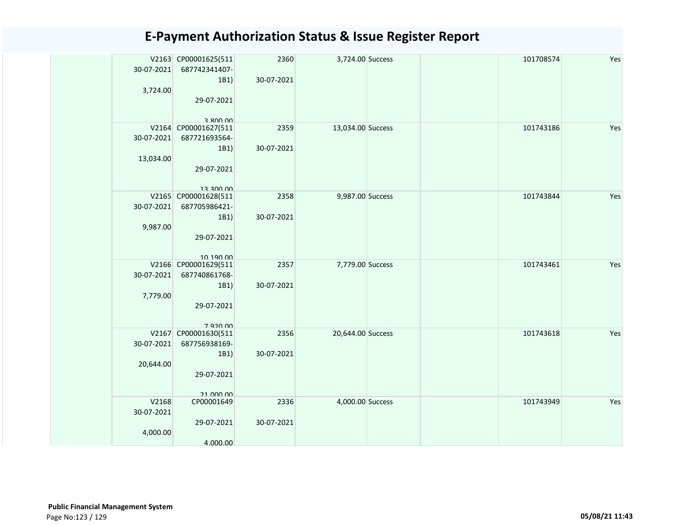| 30-07-2021                       | V2163 CP00001625(511<br>687742341407-<br>1B1)                      | 2360<br>30-07-2021 | 3,724.00 Success  | 101708574 | Yes |
|----------------------------------|--------------------------------------------------------------------|--------------------|-------------------|-----------|-----|
| 3,724.00                         | 29-07-2021<br>3.800.00                                             |                    |                   |           |     |
| V2164<br>30-07-2021<br>13,034.00 | CP00001627(511<br>687721693564-<br>1B1)<br>29-07-2021<br>13 300 00 | 2359<br>30-07-2021 | 13,034.00 Success | 101743186 | Yes |
| V2165<br>30-07-2021<br>9,987.00  | CP00001628(511<br>687705986421-<br>1B1)<br>29-07-2021<br>10 190 00 | 2358<br>30-07-2021 | 9,987.00 Success  | 101743844 | Yes |
| V2166<br>30-07-2021<br>7,779.00  | CP00001629(511<br>687740861768-<br>1B1)<br>29-07-2021<br>7 920 DD  | 2357<br>30-07-2021 | 7,779.00 Success  | 101743461 | Yes |
| V2167<br>30-07-2021<br>20,644.00 | CP00001630(511<br>687756938169-<br>1B1)<br>29-07-2021<br>21 000 00 | 2356<br>30-07-2021 | 20,644.00 Success | 101743618 | Yes |
| V2168<br>30-07-2021<br>4,000.00  | CP00001649<br>29-07-2021<br>4.000.00                               | 2336<br>30-07-2021 | 4,000.00 Success  | 101743949 | Yes |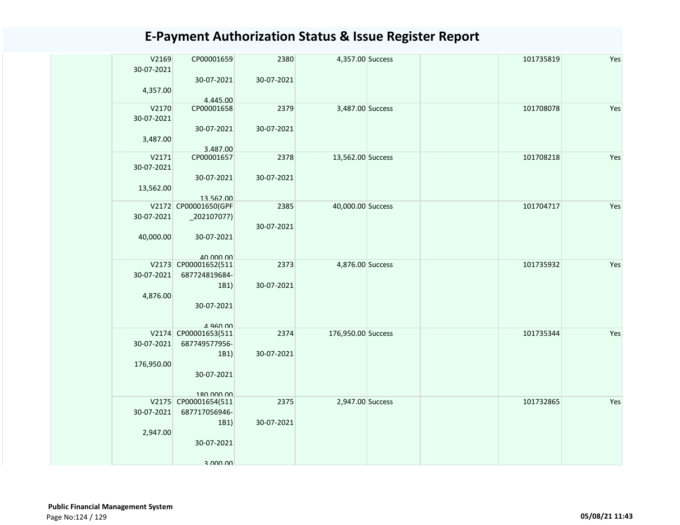| V2169<br>30-07-2021<br>4,357.00 | CP00001659<br>30-07-2021            | 2380<br>30-07-2021 | 4,357.00 Success   |  | 101735819 | Yes |
|---------------------------------|-------------------------------------|--------------------|--------------------|--|-----------|-----|
|                                 | 4.445.00                            |                    |                    |  |           |     |
| V2170                           | CP00001658                          | 2379               | 3,487.00 Success   |  | 101708078 | Yes |
| 30-07-2021                      |                                     |                    |                    |  |           |     |
| 3,487.00                        | 30-07-2021                          | 30-07-2021         |                    |  |           |     |
| V2171                           | 3.487.00<br>CP00001657              | 2378               | 13,562.00 Success  |  | 101708218 | Yes |
| 30-07-2021                      |                                     |                    |                    |  |           |     |
|                                 | 30-07-2021                          | 30-07-2021         |                    |  |           |     |
| 13,562.00                       |                                     |                    |                    |  |           |     |
|                                 | 13.562.00                           |                    |                    |  |           |     |
|                                 | V2172 CP00001650(GPF                | 2385               | 40,000.00 Success  |  | 101704717 | Yes |
| 30-07-2021                      | $\left[202107077\right)$            |                    |                    |  |           |     |
|                                 |                                     | 30-07-2021         |                    |  |           |     |
| 40,000.00                       | 30-07-2021                          |                    |                    |  |           |     |
|                                 |                                     |                    |                    |  |           |     |
|                                 | $40$ 000 00<br>V2173 CP00001652(511 | 2373               | 4,876.00 Success   |  | 101735932 | Yes |
| 30-07-2021                      | 687724819684-                       |                    |                    |  |           |     |
|                                 | 1B1)                                | 30-07-2021         |                    |  |           |     |
| 4,876.00                        |                                     |                    |                    |  |           |     |
|                                 | 30-07-2021                          |                    |                    |  |           |     |
|                                 |                                     |                    |                    |  |           |     |
|                                 | $A$ QAN $M$                         |                    |                    |  |           |     |
|                                 | V2174 CP00001653(511                | 2374               | 176,950.00 Success |  | 101735344 | Yes |
| 30-07-2021                      | 687749577956-                       |                    |                    |  |           |     |
|                                 | 1B1)                                | 30-07-2021         |                    |  |           |     |
| 176,950.00                      | 30-07-2021                          |                    |                    |  |           |     |
|                                 |                                     |                    |                    |  |           |     |
|                                 | 180,000,00                          |                    |                    |  |           |     |
|                                 | V2175 CP00001654(511                | 2375               | 2,947.00 Success   |  | 101732865 | Yes |
| 30-07-2021                      | 687717056946-                       |                    |                    |  |           |     |
|                                 | 1B1)                                | 30-07-2021         |                    |  |           |     |
| 2,947.00                        |                                     |                    |                    |  |           |     |
|                                 | 30-07-2021                          |                    |                    |  |           |     |
|                                 |                                     |                    |                    |  |           |     |
|                                 | 3 000 00                            |                    |                    |  |           |     |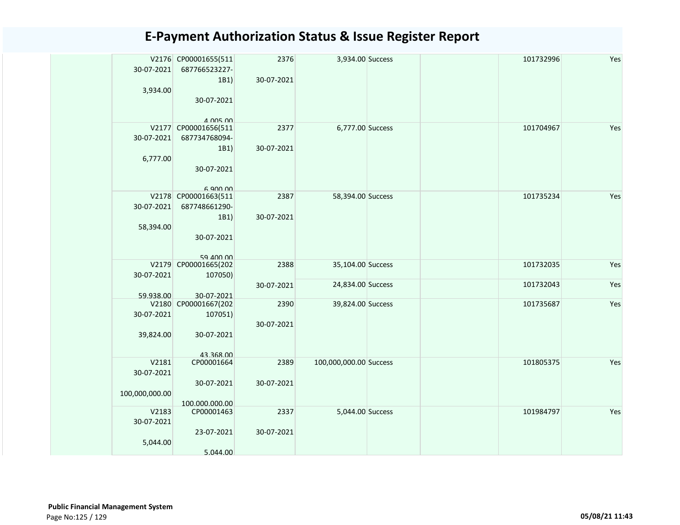| 30-07-2021<br>3,934.00                | V2176 CP00001655(511<br>687766523227-<br>1B1)<br>30-07-2021<br>$A$ $005$ $00$ | 2376<br>30-07-2021 | 3,934.00 Success       |  | 101732996 | Yes |
|---------------------------------------|-------------------------------------------------------------------------------|--------------------|------------------------|--|-----------|-----|
| 30-07-2021<br>6,777.00                | V2177 CP00001656(511<br>687734768094-<br>1B1)<br>30-07-2021<br>$6$ ann nn     | 2377<br>30-07-2021 | 6,777.00 Success       |  | 101704967 | Yes |
| 30-07-2021<br>58,394.00               | V2178 CP00001663(511<br>687748661290-<br>1B1)<br>30-07-2021<br>59 400 00      | 2387<br>30-07-2021 | 58,394.00 Success      |  | 101735234 | Yes |
| 30-07-2021                            | V2179 CP00001665(202<br>107050)                                               | 2388               | 35,104.00 Success      |  | 101732035 | Yes |
| 59.938.00                             | 30-07-2021                                                                    | 30-07-2021         | 24,834.00 Success      |  | 101732043 | Yes |
| V2180<br>30-07-2021<br>39,824.00      | CP00001667(202<br>107051)<br>30-07-2021<br><b>43 368 00</b>                   | 2390<br>30-07-2021 | 39,824.00 Success      |  | 101735687 | Yes |
| V2181<br>30-07-2021<br>100,000,000.00 | CP00001664<br>30-07-2021<br>100.000.000.00                                    | 2389<br>30-07-2021 | 100,000,000.00 Success |  | 101805375 | Yes |
| V2183<br>30-07-2021<br>5,044.00       | CP00001463<br>23-07-2021<br>5.044.00                                          | 2337<br>30-07-2021 | 5,044.00 Success       |  | 101984797 | Yes |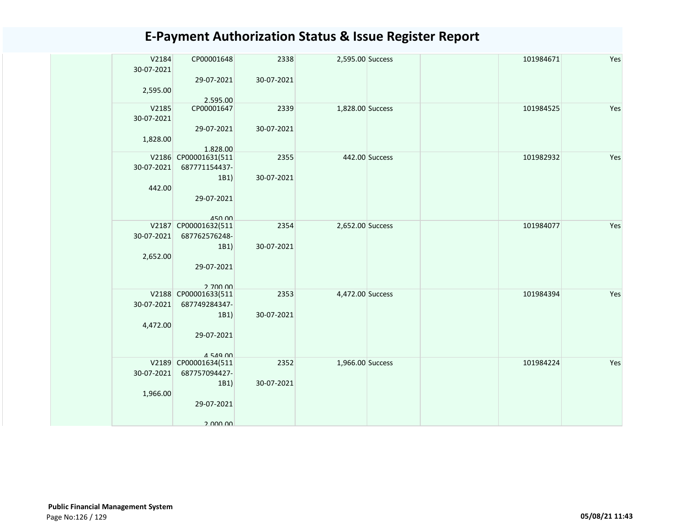| V2184<br>30-07-2021 | CP00001648                            | 2338       | 2,595.00 Success |                | 101984671<br>Yes |
|---------------------|---------------------------------------|------------|------------------|----------------|------------------|
|                     | 29-07-2021                            | 30-07-2021 |                  |                |                  |
| 2,595.00            |                                       |            |                  |                |                  |
|                     | 2.595.00                              |            |                  |                |                  |
| V2185               | CP00001647                            | 2339       | 1,828.00 Success |                | 101984525<br>Yes |
| 30-07-2021          |                                       |            |                  |                |                  |
|                     | 29-07-2021                            | 30-07-2021 |                  |                |                  |
| 1,828.00            |                                       |            |                  |                |                  |
|                     | 1.828.00<br>V2186 CP00001631(511      | 2355       |                  | 442.00 Success | 101982932<br>Yes |
| 30-07-2021          | 687771154437-                         |            |                  |                |                  |
|                     | 1B1)                                  | 30-07-2021 |                  |                |                  |
| 442.00              |                                       |            |                  |                |                  |
|                     | 29-07-2021                            |            |                  |                |                  |
|                     |                                       |            |                  |                |                  |
|                     | 450.00<br>V2187 CP00001632(511        | 2354       | 2,652.00 Success |                | 101984077<br>Yes |
| 30-07-2021          | 687762576248-                         |            |                  |                |                  |
|                     | 1B1)                                  | 30-07-2021 |                  |                |                  |
| 2,652.00            |                                       |            |                  |                |                  |
|                     | 29-07-2021                            |            |                  |                |                  |
|                     |                                       |            |                  |                |                  |
|                     | 2.700.00                              |            |                  |                |                  |
| 30-07-2021          | V2188 CP00001633(511<br>687749284347- | 2353       | 4,472.00 Success |                | Yes<br>101984394 |
|                     | 1B1)                                  | 30-07-2021 |                  |                |                  |
| 4,472.00            |                                       |            |                  |                |                  |
|                     | 29-07-2021                            |            |                  |                |                  |
|                     |                                       |            |                  |                |                  |
|                     | $A$ 5.49 $\Omega$                     |            |                  |                |                  |
|                     | V2189 CP00001634(511                  | 2352       | 1,966.00 Success |                | 101984224<br>Yes |
| 30-07-2021          | 687757094427-                         | 30-07-2021 |                  |                |                  |
| 1,966.00            | 1B1)                                  |            |                  |                |                  |
|                     | 29-07-2021                            |            |                  |                |                  |
|                     |                                       |            |                  |                |                  |
|                     | 2.000.00                              |            |                  |                |                  |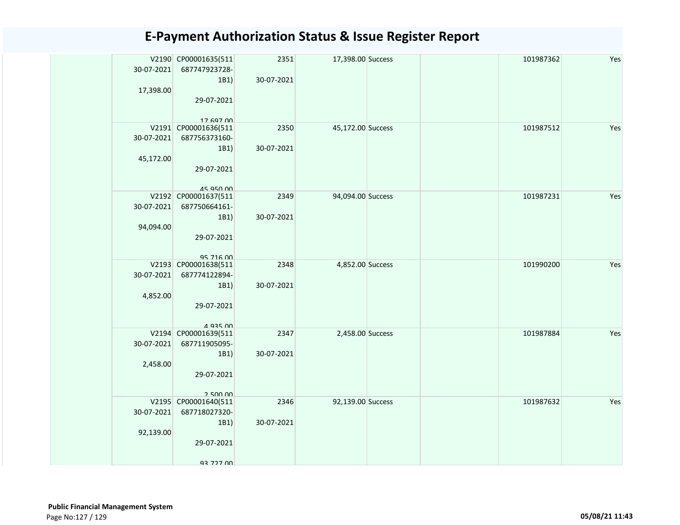| 30-07-2021 | V2190 CP00001635(511<br>687747923728- | 2351       | 17,398.00 Success |  | 101987362 | Yes |
|------------|---------------------------------------|------------|-------------------|--|-----------|-----|
| 17,398.00  | 1B1)<br>29-07-2021                    | 30-07-2021 |                   |  |           |     |
|            | 17 697 00                             |            |                   |  |           |     |
|            | V2191 CP00001636(511                  | 2350       | 45,172.00 Success |  | 101987512 | Yes |
| 30-07-2021 | 687756373160-                         | 30-07-2021 |                   |  |           |     |
| 45,172.00  | 1B1)                                  |            |                   |  |           |     |
|            | 29-07-2021                            |            |                   |  |           |     |
|            | 45 950 00                             |            |                   |  |           |     |
| 30-07-2021 | V2192 CP00001637(511<br>687750664161- | 2349       | 94,094.00 Success |  | 101987231 | Yes |
|            | 1B1)                                  | 30-07-2021 |                   |  |           |     |
| 94,094.00  |                                       |            |                   |  |           |     |
|            | 29-07-2021                            |            |                   |  |           |     |
|            | Q5 716 00                             |            |                   |  |           |     |
|            | V2193 CP00001638(511                  | 2348       | 4,852.00 Success  |  | 101990200 | Yes |
| 30-07-2021 | 687774122894-<br>1B1)                 | 30-07-2021 |                   |  |           |     |
| 4,852.00   |                                       |            |                   |  |           |     |
|            | 29-07-2021                            |            |                   |  |           |     |
|            | A 935 00                              |            |                   |  |           |     |
|            | V2194 CP00001639(511                  | 2347       | 2,458.00 Success  |  | 101987884 | Yes |
| 30-07-2021 | 687711905095-                         | 30-07-2021 |                   |  |           |     |
| 2,458.00   | 1B1)                                  |            |                   |  |           |     |
|            | 29-07-2021                            |            |                   |  |           |     |
|            |                                       |            |                   |  |           |     |
|            | 250000<br>V2195 CP00001640(511        | 2346       | 92,139.00 Success |  | 101987632 | Yes |
| 30-07-2021 | 687718027320-                         |            |                   |  |           |     |
|            | 1B1)                                  | 30-07-2021 |                   |  |           |     |
| 92,139.00  | 29-07-2021                            |            |                   |  |           |     |
|            |                                       |            |                   |  |           |     |
|            | 93 727 NO                             |            |                   |  |           |     |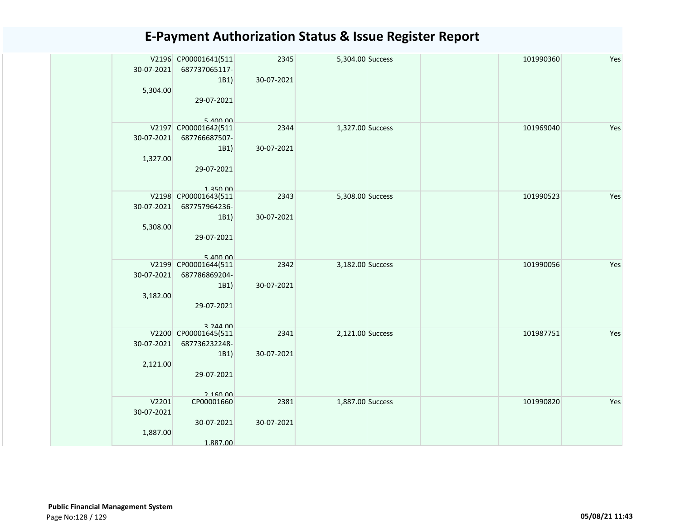| 30-07-2021 | V2196 CP00001641(511<br>687737065117-<br>1B1) | 2345<br>30-07-2021 | 5,304.00 Success | 101990360 | Yes |
|------------|-----------------------------------------------|--------------------|------------------|-----------|-----|
| 5,304.00   | 29-07-2021<br>$5$ $400$ $00$                  |                    |                  |           |     |
|            | V2197 CP00001642(511                          | 2344               | 1,327.00 Success | 101969040 | Yes |
| 30-07-2021 | 687766687507-                                 |                    |                  |           |     |
| 1,327.00   | 1B1)<br>29-07-2021                            | 30-07-2021         |                  |           |     |
|            | 1 350 00                                      |                    |                  |           |     |
|            | V2198 CP00001643(511                          | 2343               | 5,308.00 Success | 101990523 | Yes |
| 30-07-2021 | 687757964236-                                 |                    |                  |           |     |
|            | 1B1)                                          | 30-07-2021         |                  |           |     |
| 5,308.00   | 29-07-2021<br>$5$ $400$ $00$                  |                    |                  |           |     |
|            | V2199 CP00001644(511                          | 2342               | 3,182.00 Success | 101990056 | Yes |
| 30-07-2021 | 687786869204-                                 |                    |                  |           |     |
|            | 1B1)                                          | 30-07-2021         |                  |           |     |
| 3,182.00   | 29-07-2021                                    |                    |                  |           |     |
|            |                                               |                    |                  |           |     |
|            | 3.244.00                                      |                    |                  |           |     |
| 30-07-2021 | V2200 CP00001645(511                          | 2341               | 2,121.00 Success | 101987751 | Yes |
|            | 687736232248-<br>1B1)                         | 30-07-2021         |                  |           |     |
| 2,121.00   |                                               |                    |                  |           |     |
|            | 29-07-2021                                    |                    |                  |           |     |
|            |                                               |                    |                  |           |     |
| V2201      | 2,160,00<br>CP00001660                        | 2381               | 1,887.00 Success | 101990820 | Yes |
| 30-07-2021 |                                               |                    |                  |           |     |
|            | 30-07-2021                                    | 30-07-2021         |                  |           |     |
| 1,887.00   |                                               |                    |                  |           |     |
|            | 1.887.00                                      |                    |                  |           |     |